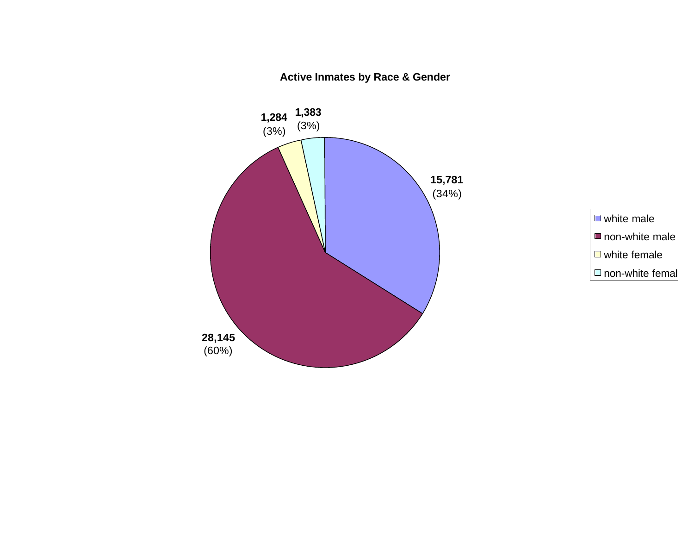

**Active Inmates by Race & Gender**

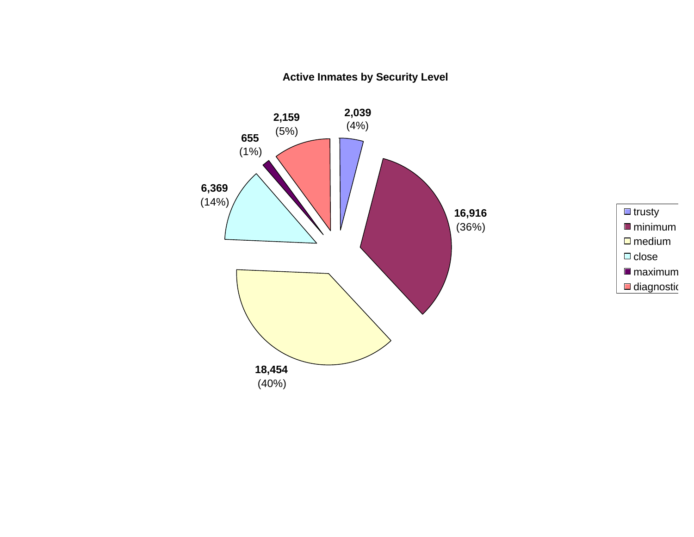**Active Inmates by Security Level**



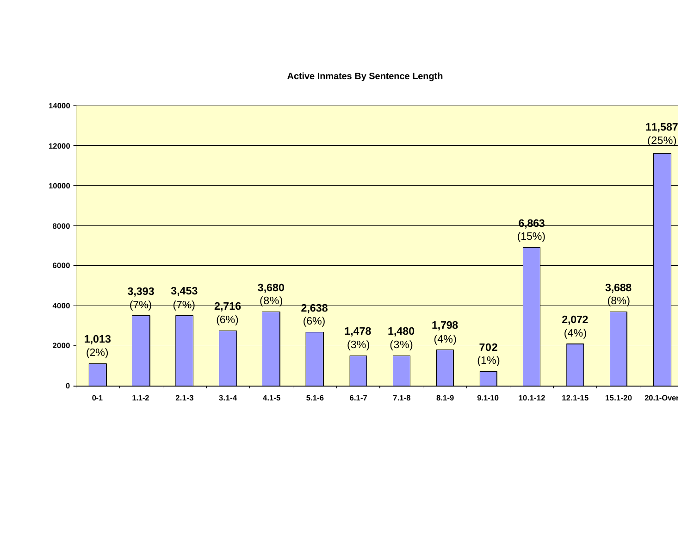### **Active Inmates By Sentence Length**

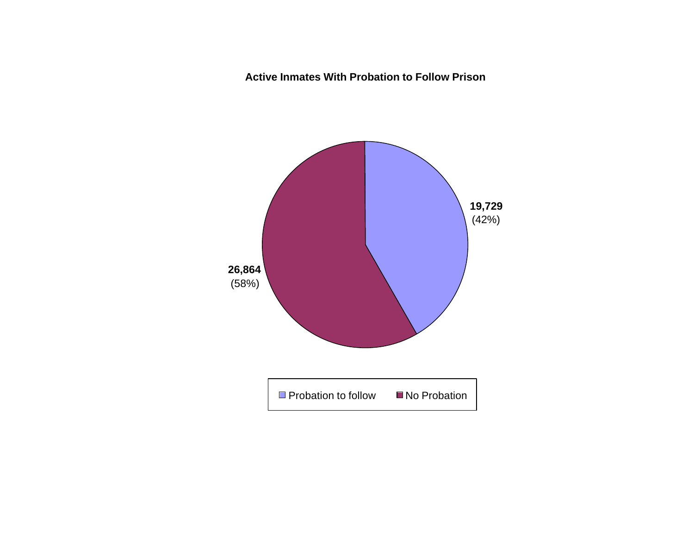**Active Inmates With Probation to Follow Prison**

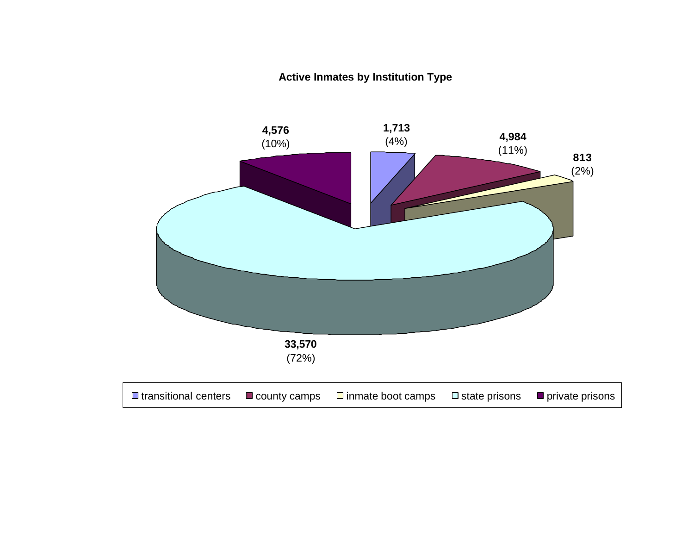**Active Inmates by Institution Type**

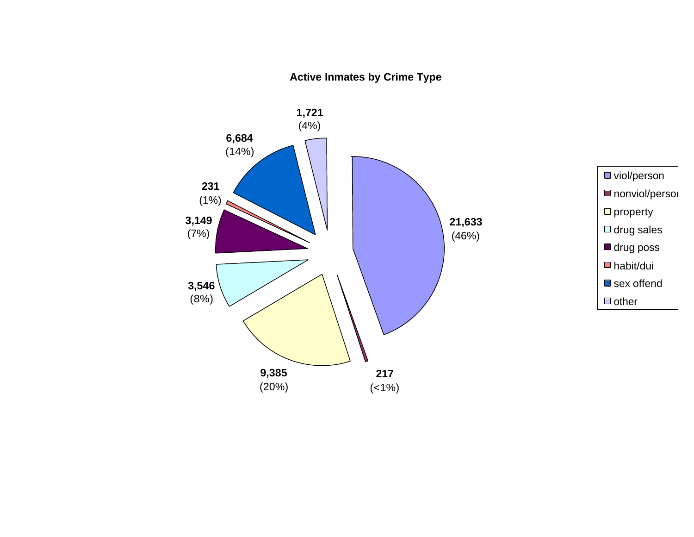### **Active Inmates by Crime Type**

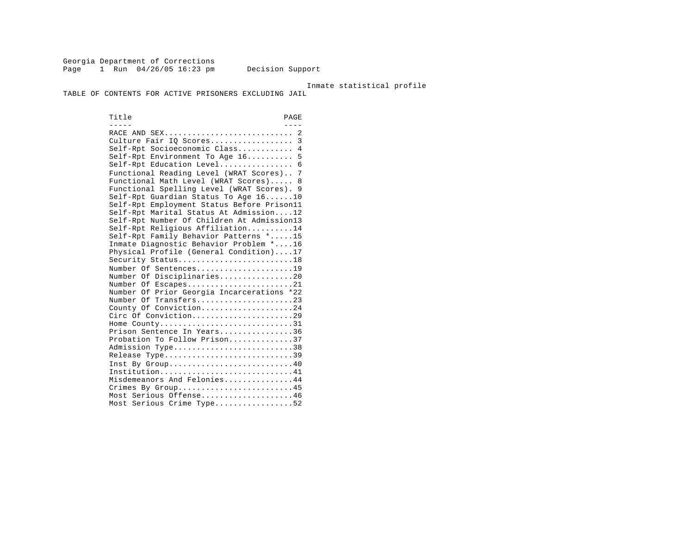Georgia Department of Corrections Page 1 Run 04/26/05 16:23 pm Decision Support

Inmate statistical profile

TABLE OF CONTENTS FOR ACTIVE PRISONERS EXCLUDING JAIL

Title PAGE ----- ---- RACE AND SEX............................ 2 Culture Fair IQ Scores.................. 3 Self-Rpt Socioeconomic Class............ 4 Self-Rpt Environment To Age 16.......... 5 Self-Rpt Education Level................... 6 Functional Reading Level (WRAT Scores).. 7 Functional Math Level (WRAT Scores)..... 8 Functional Spelling Level (WRAT Scores). 9 Self-Rpt Guardian Status To Age 16......10 Self-Rpt Employment Status Before Prison11 Self-Rpt Marital Status At Admission....12 Self-Rpt Number Of Children At Admission13 Self-Rpt Religious Affiliation..........14 Self-Rpt Family Behavior Patterns \*.....15 Inmate Diagnostic Behavior Problem \*....16 Physical Profile (General Condition)....17 Security Status............................18 Number Of Sentences......................19 Number Of Disciplinaries................20 Number Of Escapes.........................21 Number Of Prior Georgia Incarcerations \*22 Number Of Transfers.......................23 County Of Conviction....................24 Circ Of Conviction.........................29 Home County.............................31 Prison Sentence In Years................36 Probation To Follow Prison..............37 Admission Type.............................38 Release Type...............................39 Inst By Group.............................40 Institution.............................41 Misdemeanors And Felonies...............44 Crimes By Group...........................45 Most Serious Offense....................46 Most Serious Crime Type..................52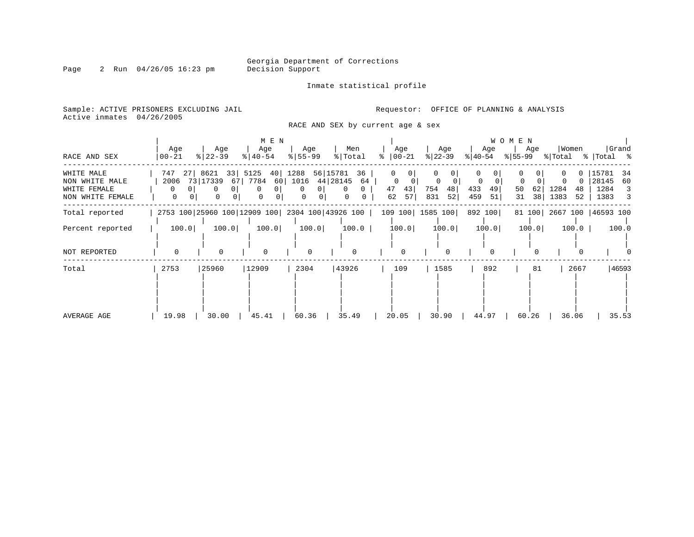Inmate statistical profile

Sample: ACTIVE PRISONERS EXCLUDING JAIL **Requestor:** OFFICE OF PLANNING & ANALYSIS Active inmates 04/26/2005

RACE AND SEX by current age & sex

|                                                                  |                              |                                                               | M E N                                                 |                                                                                |                                                     |                                       |                                                | W O M E N                                      |                                                           |                                                       |
|------------------------------------------------------------------|------------------------------|---------------------------------------------------------------|-------------------------------------------------------|--------------------------------------------------------------------------------|-----------------------------------------------------|---------------------------------------|------------------------------------------------|------------------------------------------------|-----------------------------------------------------------|-------------------------------------------------------|
| RACE AND SEX                                                     | Age<br>$00 - 21$             | Age<br>$ 22-39 $                                              | Age<br>$ 40-54 $                                      | Age<br>$8 55-99$                                                               | Men<br>% Total                                      | Age<br>ႜႜ<br>$ 00-21 $                | Age<br>$ 22-39 $                               | Age<br>$ 40-54 $                               | Women<br>Age<br>$ \$ 55-99$ $ \$ Total$ $ \$ Total$ $ \$$ | Grand                                                 |
| WHITE MALE<br>NON WHITE MALE<br>WHITE FEMALE<br>NON WHITE FEMALE | 747<br>2006<br>$\Omega$<br>0 | 27  8621<br>33 5125<br>73 17339<br>67  <br>0<br>$\Omega$<br>0 | 40<br>7784 60<br>0 <sup>1</sup><br>$\Omega$<br>0<br>0 | 56 15781<br>1288<br>44 28145<br>1016<br>0 <sup>1</sup><br>$\Omega$<br>$\Omega$ | 36<br>64<br>$\mathbf{0}$<br>$\Omega$<br>$\mathbf 0$ | 0<br>$\Omega$<br>43<br>47<br>62<br>57 | $\Omega$<br>$\Omega$<br>48<br>754<br>831<br>52 | $\Omega$<br>433<br>49<br>50<br>459<br>51<br>31 | 1284<br>62  <br>-48<br>38 <br>1383<br>52                  | 15781<br>-34<br>28145<br>60<br>1284<br>3<br>1383<br>3 |
| Total reported                                                   |                              | 2753 100 25960 100 12909 100 2304 100 43926 100               |                                                       |                                                                                |                                                     | 109 100 1585 100                      |                                                | 892 100                                        | 81 100 2667 100 46593 100                                 |                                                       |
| Percent reported                                                 | 100.0                        | 100.0                                                         | 100.0                                                 | 100.0                                                                          | 100.0                                               | 100.0                                 | 100.0                                          | 100.0                                          | 100.0<br>$100.0$                                          | 100.0                                                 |
| NOT REPORTED                                                     | $\Omega$                     | $\Omega$                                                      | $\Omega$                                              | $\Omega$                                                                       | O                                                   | $\Omega$                              | $\Omega$                                       |                                                |                                                           |                                                       |
| Total                                                            | 2753                         | 25960                                                         | 12909                                                 | 2304                                                                           | 43926                                               | 109                                   | 1585                                           | 892                                            | 2667<br>81                                                | 46593                                                 |
| AVERAGE AGE                                                      | 19.98                        | 30.00                                                         | 45.41                                                 | 60.36                                                                          | 35.49                                               | 20.05                                 | 30.90                                          | 44.97                                          | 60.26<br>36.06                                            | 35.53                                                 |

#### Page 2 Run 04/26/05 16:23 pm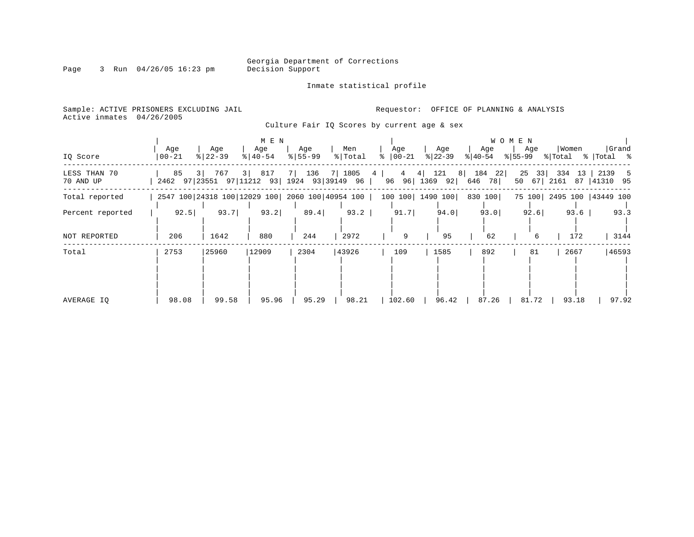Inmate statistical profile

Page 3 Run 04/26/05 16:23 pm

Active inmates 04/26/2005

Sample: ACTIVE PRISONERS EXCLUDING JAIL **Requestor:** OFFICE OF PLANNING & ANALYSIS

Culture Fair IQ Scores by current age & sex

|                           |                                                  |                      | M E N                        |                    |                  |                               |                                    |                     | WOMEN                  |                           |                      |
|---------------------------|--------------------------------------------------|----------------------|------------------------------|--------------------|------------------|-------------------------------|------------------------------------|---------------------|------------------------|---------------------------|----------------------|
| IQ Score                  | Age<br>$ 00 - 21 $                               | Age<br>$8   22 - 39$ | Age<br>$\frac{1}{6}$   40-54 | Age<br>$8 55-99$   | Men<br>%   Total | Age<br>$ 00-21 $<br>$\approx$ | Age<br>$ 22-39 $                   | Age<br>$ 40-54 $    | Age<br>% 55-99         | Women<br>% Total          | Grand<br>%   Total % |
| LESS THAN 70<br>70 AND UP | 85<br>2462 97 23551 97 11212 93 1924 93 39149 96 | 3  767               | 3 817                        | 7   136   7   1805 |                  | 4 <sub>1</sub>                | $4 \t4 \t121 \t8$<br>96 96 1369 92 | 184<br>22<br>646 78 | 25<br>33<br>$50 \t 67$ | 334<br>13<br>2161 87      | 2139 5<br> 41310 95  |
| Total reported            | 2547 100 24318 100 12029 100 2060 100 40954 100  |                      |                              |                    |                  |                               | 100 100 1490 100                   | 830 100             |                        | 75 100 2495 100 43449 100 |                      |
| Percent reported          | 92.5                                             | 93.7                 | 93.2                         | 89.4               | 93.2             | 91.7                          | 94.0                               | 93.0                | 92.6                   | 93.6                      | 93.3                 |
| NOT REPORTED              | 206                                              | 1642                 | 880                          | 244                | 2972             | 9                             | 95                                 | 62                  | 6                      | 172                       | 3144                 |
| Total                     | 2753                                             | 25960                | 12909                        | 2304               | 43926            | 109                           | 1585                               | 892                 | 81                     | 2667                      | 46593                |
| AVERAGE IO                | 98.08                                            | 99.58                | 95.96                        | 95.29              | 98.21            | 102.60                        | 96.42                              | 87.26               | 81.72                  | 93.18                     | 97.92                |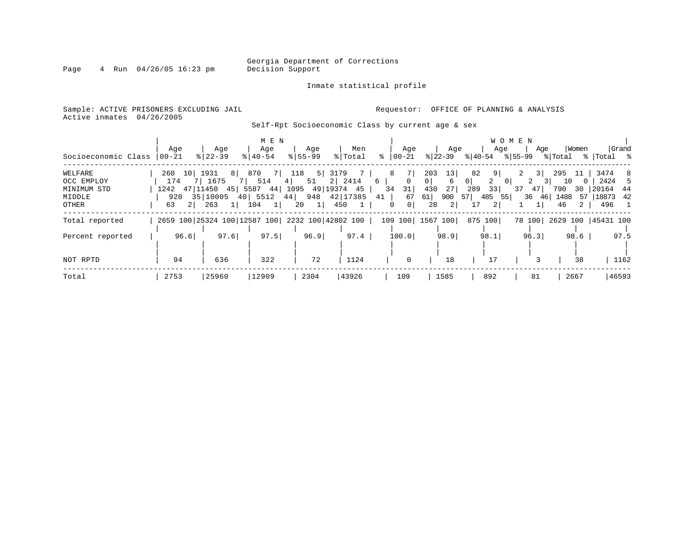Inmate statistical profile

Page 4 Run 04/26/05 16:23 pm

Sample: ACTIVE PRISONERS EXCLUDING JAIL **Requestor:** OFFICE OF PLANNING & ANALYSIS Active inmates 04/26/2005

Self-Rpt Socioeconomic Class by current age & sex

|                           | Age            | Age                                                     | M E N<br>Age         | Age         | Men                            | Age                                          | Age                              | Age                              | W O M E N<br>Age          | Women                      | Grand                                        |
|---------------------------|----------------|---------------------------------------------------------|----------------------|-------------|--------------------------------|----------------------------------------------|----------------------------------|----------------------------------|---------------------------|----------------------------|----------------------------------------------|
| Socioeconomic Class       | $ 00 - 21 $    | $8 22-39$                                               | $8 40-54$            | $8155 - 99$ | % Total                        | ႜၟ<br>$ 00-21 $                              | $ 22-39 $                        |                                  |                           |                            | $ 40-54 \t  55-99 \t  Total \t  Total \t  5$ |
| WELFARE                   | 260            | 10  1931                                                | 8 870 7 118 5 3179 7 |             |                                | 7<br>8                                       | 13<br>203                        | 82<br>9 <sup>1</sup>             | 3                         | 295 11                     | 3474 8                                       |
| OCC EMPLOY<br>MINIMUM STD | 174            | 7 1675<br>1242 47 11450 45 5587 44 1095 49 19374 45     | 7   514   4          |             | 51 2 2414                      | 6  <br>$\Omega$<br>31<br>34                  | 0 <sup>1</sup><br>6<br>27<br>430 | 2<br>0 <sup>1</sup><br>33<br>289 | 2<br> 0 <br>$37 \quad 47$ | 10<br>$\Omega$<br>790      | 2424<br>-5<br>30 20164 44                    |
| MIDDLE<br>OTHER           | 63<br>$2 \mid$ | 920 35 10005 40 5512 44 948 42 17385<br>263<br>$1\vert$ | $104$ 1              | 20 1        | 450<br>$\qquad \qquad 1 \quad$ | 67<br>41  <br>0 <sup>1</sup><br>$\mathbf{0}$ | 61 <br>900<br>2 <br>28           | 57 485 55<br>2 <br>17            | 36 46                     | 1488<br>46<br>$\mathbf{2}$ | 57   18873 42<br>496 1                       |
| Total reported            |                | 2659 100 25324 100 12587 100 2232 100 42802 100         |                      |             |                                |                                              | 109 100 1567 100                 | 875 100                          | 78 100                    |                            | 2629 100   45431 100                         |
| Percent reported          | 96.6           | 97.6                                                    | 97.5                 | 96.9        | 97.4                           | 100.0                                        | 98.9                             | 98.1                             | 96.3                      | 98.6                       | 97.5                                         |
| NOT RPTD                  | 94             | 636                                                     | 322                  | 72          | 1124                           | $\mathbf 0$                                  | 18                               | 17                               |                           | 38                         | 1162                                         |
| Total                     | 2753           | 25960                                                   | 12909                | 2304        | 43926                          | 109                                          | 1585                             | 892                              | 81                        | 2667                       | 46593                                        |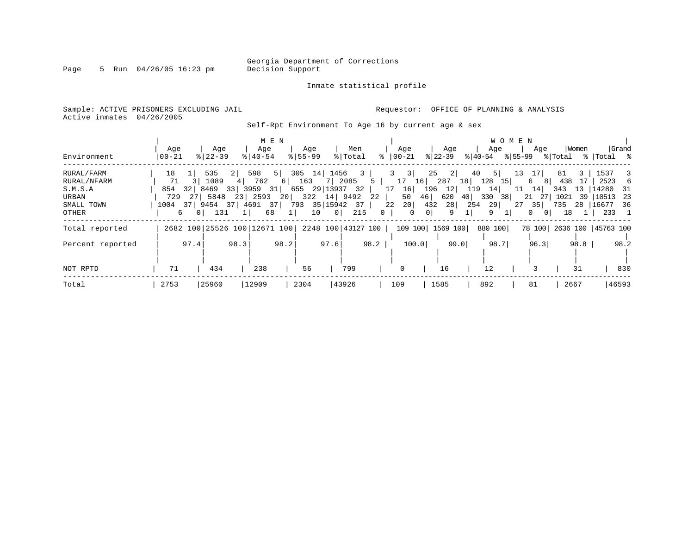Page 5 Run 04/26/05 16:23 pm

#### Inmate statistical profile

Sample: ACTIVE PRISONERS EXCLUDING JAIL **Requestor:** OFFICE OF PLANNING & ANALYSIS Active inmates 04/26/2005

Self-Rpt Environment To Age 16 by current age & sex

| Environment                                                          | Age<br>$00 - 21$       |                      | Age<br>$8122 - 39$                                                       |               | Aqe<br>$8140 - 54$             | M E N                  | Age<br>$8155 - 99$ |                                                                                                                             | Men<br>% Total |              | Aqe<br>$ 00 - 21$                                            |                                                 | Age<br>$ 22-39 $                           |                              | Age<br>$8 40-54$                                   | <b>WOMEN</b><br>% 55-99 | Age                                                             | % Total                               | Women             | %   Total %                                                   | Grand                                          |
|----------------------------------------------------------------------|------------------------|----------------------|--------------------------------------------------------------------------|---------------|--------------------------------|------------------------|--------------------|-----------------------------------------------------------------------------------------------------------------------------|----------------|--------------|--------------------------------------------------------------|-------------------------------------------------|--------------------------------------------|------------------------------|----------------------------------------------------|-------------------------|-----------------------------------------------------------------|---------------------------------------|-------------------|---------------------------------------------------------------|------------------------------------------------|
| RURAL/FARM<br>RURAL/NFARM<br>S.M.S.A<br>URBAN<br>SMALL TOWN<br>OTHER | 18<br>71<br>854<br>729 | 271<br>6<br>$\Omega$ | 535<br>1089<br>32 8469<br>5848 23 2593<br>1004 37 9454 37 4691 37<br>131 | 2 <br>33 3959 | 598<br>4 762<br>1 <sup>1</sup> | 5  <br>6 <br>31 <br>68 | 163<br>$1\vert$    | 305 14 1456<br>7 2085<br>655 29 13937 32<br>20 322 14 9492<br>793 35 15942 37<br>$\begin{array}{c c} 0 & \end{array}$<br>10 | 215            | 3<br>5<br>22 | $3 \quad 3$<br>17<br>17<br>16<br>50<br>20 <br>22<br>$\Omega$ | 196<br>46 <br>432<br>0 <sup>1</sup><br>$\Omega$ | 25<br>2 <br>16 287<br>12<br>620<br>28<br>9 | 40<br>18<br>119<br>40<br>254 | 5 <sup>1</sup><br>$128$ 15<br>14<br>330<br>29<br>9 | 13<br>11<br>38<br>27    | 17<br>6<br>81<br>14<br>21 27<br>35<br>$\circ$<br>0 <sup>1</sup> | 81<br>438<br>343<br>1021<br>735<br>18 | 3<br>17<br>$13-1$ | 1537<br>2523<br>14280<br>39   10513<br>28   16677 36<br>233 1 | $\overline{\phantom{a}3}$<br>6<br>- 31<br>- 23 |
| Total reported                                                       |                        |                      | 2682 100 25526 100 12671 100                                             |               |                                |                        |                    | 2248 100 43127 100                                                                                                          |                |              |                                                              |                                                 | 109 100 1569 100                           |                              | 880 100                                            |                         |                                                                 |                                       |                   | 78 100 2636 100 45763 100                                     |                                                |
| Percent reported                                                     |                        | 97.4                 |                                                                          | 98.3          |                                | 98.2                   |                    | 97.6                                                                                                                        |                | 98.2         |                                                              | 100.0                                           |                                            | 99.0                         | 98.7                                               |                         | 96.3                                                            |                                       | 98.8              |                                                               | 98.2                                           |
| NOT RPTD                                                             | 71                     |                      | 434                                                                      |               | 238                            |                        | 56                 |                                                                                                                             | 799            |              | 0                                                            |                                                 | 16                                         |                              | 12                                                 |                         |                                                                 |                                       | 31                |                                                               | 830                                            |
| Total                                                                | 2753                   |                      | 25960                                                                    |               | 12909                          |                        | 2304               |                                                                                                                             | 43926          |              | 109                                                          |                                                 | 1585                                       |                              | 892                                                |                         | 81                                                              |                                       | 2667              |                                                               | 46593                                          |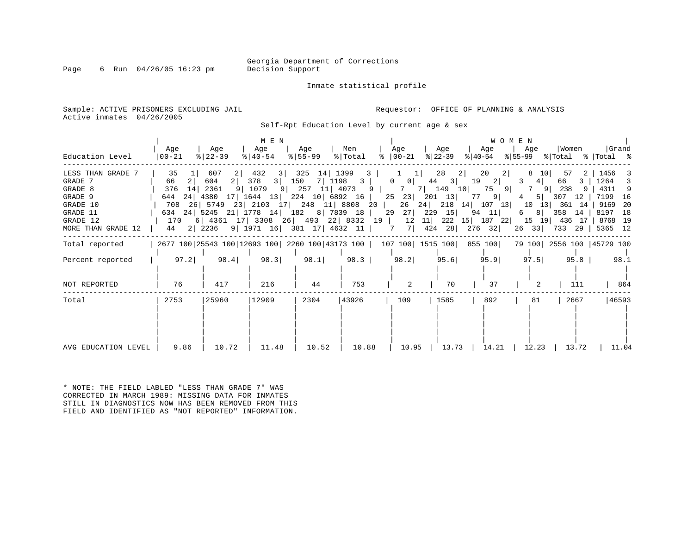Page 6 Run  $04/26/05$  16:23 pm

Inmate statistical profile

Sample: ACTIVE PRISONERS EXCLUDING JAIL **Requestor:** OFFICE OF PLANNING & ANALYSIS Active inmates 04/26/2005

Self-Rpt Education Level by current age & sex

| Education Level                                                                                              | Age<br>  00-21                                                      | Age<br>$ 22-39 $                                                       | M E N<br>Age<br>$ 40-54 $           | Aqe<br>$ 55 - 99 $                                | Men<br>% Total                                                                                                                                                     | Age<br>$\approx$   00-21                 | Age<br>% 22-39                                                          | Age<br>$ 40-54 $                                                                                                                                            | <b>WOMEN</b><br>Age<br>$ \$ 55-99 \$ \total \times   Total \times | Women                                                                       | Grand                                                                              |
|--------------------------------------------------------------------------------------------------------------|---------------------------------------------------------------------|------------------------------------------------------------------------|-------------------------------------|---------------------------------------------------|--------------------------------------------------------------------------------------------------------------------------------------------------------------------|------------------------------------------|-------------------------------------------------------------------------|-------------------------------------------------------------------------------------------------------------------------------------------------------------|-------------------------------------------------------------------|-----------------------------------------------------------------------------|------------------------------------------------------------------------------------|
| LESS THAN GRADE 7<br>GRADE 7<br>GRADE 8<br>GRADE 9<br>GRADE 10<br>GRADE 11<br>GRADE 12<br>MORE THAN GRADE 12 | 35<br>21<br>66<br>376<br>14<br>24<br>644<br>708<br>170<br>44 2 2236 | 607<br>604<br>2 <sup>1</sup><br>2361<br>4380 17 1644 13 224 10 6892 16 | 432<br>3 <br>378<br>3 150<br>9 1079 | 325<br>14<br>9   1971   16   381   17   4632   11 | 1399<br>3<br>7   1198   3  <br>9 257 11 4073 9<br>26 5749 23 2103 17 248 11 8808 20<br>634 24 5245 21 1778 14 182 8 7839 18 29<br>6 4361 17 3308 26 493 22 8332 19 | $0 \qquad 0 \mid$<br>26<br>$27$  <br>7 7 | 28<br>44<br>3 <sup>1</sup><br>25 23 201 13<br>24<br>229<br>15<br>424 28 | 20<br>2 <sub>1</sub><br>2 <sup>1</sup><br>19<br>2 <br>7 7 149 10 75 9<br>9 <br>77<br>218 14 107 13<br>94 11<br>12 11 222 15 187 22 15 19 436 17<br>$276$ 32 | 8<br>10 I<br>3<br>4<br>$\overline{4}$<br>6<br>26 33 733 29        | 57<br>2<br>66<br>3<br>7 9 238<br>5 307<br>12<br>10 13 361 14<br>8 358<br>14 | 1456<br>1264 3<br>4311 9<br>7199 16<br>9169 20<br>8197<br>18<br>8768 19<br>5365 12 |
| Total reported                                                                                               |                                                                     |                                                                        |                                     |                                                   |                                                                                                                                                                    |                                          |                                                                         | 2677 100 25543 100 12693 100 2260 100 43173 100   107 100   1515 100   855 100                                                                              |                                                                   |                                                                             | 79 100 2556 100 45729 100                                                          |
| Percent reported                                                                                             | 97.2                                                                | 98.4                                                                   | 98.3                                | 98.1                                              | 98.3                                                                                                                                                               | 98.2                                     | 95.6                                                                    | 95.9                                                                                                                                                        | 97.5                                                              | 95.8                                                                        | 98.1                                                                               |
| NOT REPORTED                                                                                                 | 76                                                                  | 417                                                                    | 216                                 | 44                                                | 753                                                                                                                                                                | 2                                        | 70                                                                      | 37                                                                                                                                                          | $\overline{2}$                                                    | 111                                                                         | 864                                                                                |
| Total                                                                                                        | 2753                                                                | 25960                                                                  | 12909                               | 2304                                              | 43926                                                                                                                                                              | 109                                      | 1585                                                                    | 892                                                                                                                                                         | 81                                                                | 2667                                                                        | 46593                                                                              |
| AVG EDUCATION LEVEL                                                                                          | 9.86                                                                | 10.72                                                                  | 11.48                               | 10.52                                             | 10.88                                                                                                                                                              | 10.95                                    | 13.73                                                                   | 14.21                                                                                                                                                       | 12.23                                                             | 13.72                                                                       | 11.04                                                                              |

\* NOTE: THE FIELD LABLED "LESS THAN GRADE 7" WAS CORRECTED IN MARCH 1989: MISSING DATA FOR INMATES STILL IN DIAGNOSTICS NOW HAS BEEN REMOVED FROM THIS FIELD AND IDENTIFIED AS "NOT REPORTED" INFORMATION.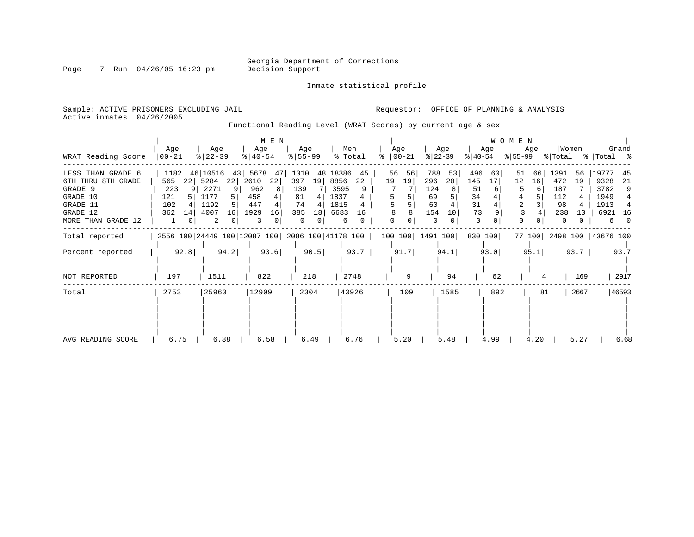Inmate statistical profile

Page 7 Run 04/26/05 16:23 pm

Active inmates 04/26/2005

Sample: ACTIVE PRISONERS EXCLUDING JAIL **Requestor:** OFFICE OF PLANNING & ANALYSIS

Functional Reading Level (WRAT Scores) by current age & sex

| WRAT Reading Score                                                                                           | Age<br>$00 - 21$                                                      | Age<br>$\frac{8}{22} - 39$                                                   | M E N<br>Age<br>$8 40-54$                                        | Age<br>$8 55-99$                                                        | Men<br>% Total                                                               | Age<br>$ 00-21$<br>ႜ      | Age<br>$ 22-39 $                                                   | Age<br>$ 40-54 $                                    | <b>WOMEN</b><br>Age<br>% 55−99                        | Women<br>% Total                                                     | Grand<br>%   Total %                                                        |
|--------------------------------------------------------------------------------------------------------------|-----------------------------------------------------------------------|------------------------------------------------------------------------------|------------------------------------------------------------------|-------------------------------------------------------------------------|------------------------------------------------------------------------------|---------------------------|--------------------------------------------------------------------|-----------------------------------------------------|-------------------------------------------------------|----------------------------------------------------------------------|-----------------------------------------------------------------------------|
| LESS THAN GRADE 6<br>6TH THRU 8TH GRADE<br>GRADE 9<br>GRADE 10<br>GRADE 11<br>GRADE 12<br>MORE THAN GRADE 12 | 1182<br>565<br>22<br>9 <sup>1</sup><br>223<br>121<br>102<br>362<br>14 | 46 10516<br>43<br>5284<br>22<br>2271<br>9<br>1177<br>1192<br>4007<br>16<br>2 | 5678<br>47<br>22<br>2610<br>962<br>8<br>458<br>447<br>1929<br>16 | 1010<br>397<br>19<br>139<br>81<br>4<br>74<br>385<br>18<br>$\Omega$<br>0 | 48 18386<br>45<br>8856<br>22<br>3595<br>9<br>1837<br>1815<br>6683<br>16<br>6 | 56<br>56<br>19<br>19<br>8 | 788<br>53<br>296<br>20<br>124<br>69<br>60<br>154<br>10<br>$\Omega$ | 496<br>60<br>145<br>17<br>51<br>34<br>31<br>73<br>0 | 51<br>66<br>12<br>16<br>6<br>3 <sup>1</sup><br>2<br>3 | 1391<br>56<br>472<br>19<br>187<br>112<br>98<br>238<br>10<br>$\Omega$ | 19777<br>45<br>9328<br>21<br>3782<br>9<br>1949<br>1913<br>6921<br>- 16<br>6 |
| Total reported<br>Percent reported                                                                           | 92.8                                                                  | 2556 100 24449 100 12087 100 2086 100 41178 100  <br>94.2                    | 93.6                                                             | 90.5                                                                    | 93.7                                                                         | 91.7                      | 100 100 1491 100<br>94.1                                           | 830 100<br>93.0                                     | 95.1                                                  | 77 100 2498 100 43676 100<br>93.7                                    | 93.7                                                                        |
| NOT REPORTED                                                                                                 | 197                                                                   | 1511                                                                         | 822                                                              | 218                                                                     | 2748                                                                         | 9                         | 94                                                                 | 62                                                  |                                                       | 169                                                                  | 2917                                                                        |
| Total                                                                                                        | 2753                                                                  | 25960                                                                        | 12909                                                            | 2304                                                                    | 43926                                                                        | 109                       | 1585                                                               | 892                                                 | 81                                                    | 2667                                                                 | 46593                                                                       |
| AVG READING SCORE                                                                                            | 6.75                                                                  | 6.88                                                                         | 6.58                                                             | 6.49                                                                    | 6.76                                                                         | 5.20                      | 5.48                                                               | 4.99                                                | 4.20                                                  | 5.27                                                                 | 6.68                                                                        |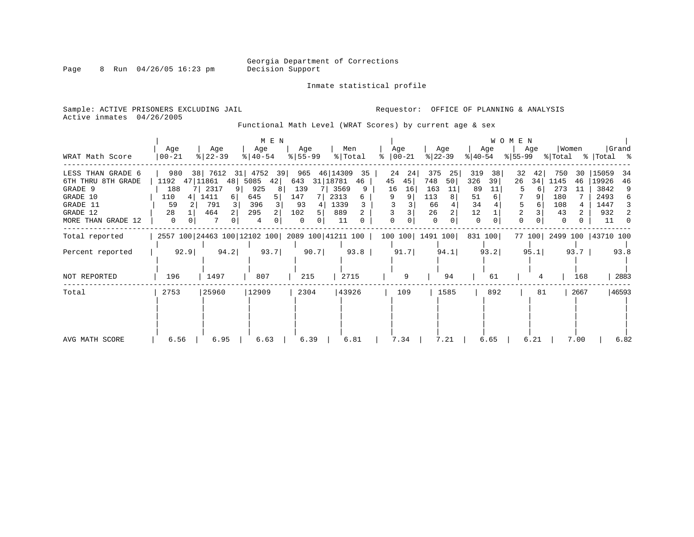Inmate statistical profile

Page 8 Run 04/26/05 16:23 pm

Active inmates 04/26/2005

Sample: ACTIVE PRISONERS EXCLUDING JAIL **Requestor:** OFFICE OF PLANNING & ANALYSIS

Functional Math Level (WRAT Scores) by current age & sex

|                                                                                                              |                                            |                                                                                | M E N                                                  |                                                                    |                                                                     |                                                       |                                                                     |                                                                          | <b>WOMEN</b>                             |                                                                          |                                                                                     |
|--------------------------------------------------------------------------------------------------------------|--------------------------------------------|--------------------------------------------------------------------------------|--------------------------------------------------------|--------------------------------------------------------------------|---------------------------------------------------------------------|-------------------------------------------------------|---------------------------------------------------------------------|--------------------------------------------------------------------------|------------------------------------------|--------------------------------------------------------------------------|-------------------------------------------------------------------------------------|
| WRAT Math Score                                                                                              | Age<br>$ 00-21$                            | Age<br>$ 22-39 $                                                               | Age<br>$8   40 - 54$                                   | Age<br>$ 55-99 $                                                   | Men<br>% Total                                                      | Age<br>$ 00-21$<br>°≈                                 | Age<br>$ 22-39 $                                                    | Age<br>$ 40-54 $                                                         | Age<br>$ 55-99 $                         | Women<br>% Total                                                         | Grand<br>%   Total %                                                                |
| LESS THAN GRADE 6<br>6TH THRU 8TH GRADE<br>GRADE 9<br>GRADE 10<br>GRADE 11<br>GRADE 12<br>MORE THAN GRADE 12 | 980<br>1192<br>188<br>110<br>59<br>28<br>0 | 38 7612 31 4752 39<br>47 11861<br>48<br>2317<br>1411<br>6<br>791<br>3 I<br>464 | 5085<br>42<br>925<br>8<br>645<br>51<br>396<br>295<br>4 | 965<br>643<br>31   18781<br>139<br>147<br>7<br>93<br>102<br>5<br>0 | 46 14309<br>35<br>46<br>3569<br>9<br>2313<br>6<br>1339<br>889<br>11 | 24<br>24<br>45<br>45<br>16<br>16<br>9<br><sup>0</sup> | 375<br>25<br>748<br>50 <br>163<br>11<br>113<br>66<br>26<br>$\Omega$ | 319<br>38<br>326<br>39<br>89<br>11<br>51<br>6<br>34<br>12<br>$\mathbf 0$ | 32<br>42<br>26<br>34<br>6<br>6<br>2<br>0 | 750<br>30<br>1145<br>46<br>273<br>11<br>180<br>108<br>43<br><sup>0</sup> | 15059<br>34<br>19926<br>46<br>3842<br>9<br>2493<br>6<br>1447<br>3<br>932<br>2<br>11 |
| Total reported                                                                                               |                                            | 2557 100 24463 100 12102 100 2089 100 41211 100                                |                                                        |                                                                    |                                                                     |                                                       | 100 100 1491 100                                                    | 831 100                                                                  |                                          | 77 100 2499 100 43710 100                                                |                                                                                     |
| Percent reported                                                                                             | 92.9                                       | 94.2                                                                           | 93.7                                                   | 90.7                                                               | 93.8                                                                | 91.7                                                  | 94.1                                                                | 93.2                                                                     | 95.1                                     | 93.7                                                                     | 93.8                                                                                |
| <b>NOT REPORTED</b>                                                                                          | 196                                        | 1497                                                                           | 807                                                    | 215                                                                | 2715                                                                | 9                                                     | 94                                                                  | 61                                                                       | 4                                        | 168                                                                      | 2883                                                                                |
| Total                                                                                                        | 2753                                       | 25960                                                                          | 12909                                                  | 2304                                                               | 43926                                                               | 109                                                   | 1585                                                                | 892                                                                      | 81                                       | 2667                                                                     | 46593                                                                               |
| AVG MATH SCORE                                                                                               | 6.56                                       | 6.95                                                                           | 6.63                                                   | 6.39                                                               | 6.81                                                                | 7.34                                                  | 7.21                                                                | 6.65                                                                     | 6.21                                     | 7.00                                                                     | 6.82                                                                                |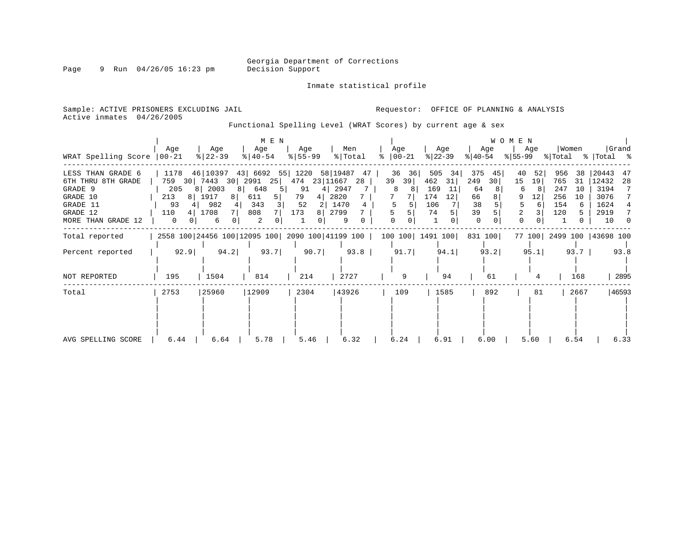Inmate statistical profile

Page 9 Run 04/26/05 16:23 pm

Active inmates 04/26/2005

Sample: ACTIVE PRISONERS EXCLUDING JAIL **Requestor:** OFFICE OF PLANNING & ANALYSIS

Functional Spelling Level (WRAT Scores) by current age & sex

|                                                                                                              |                                                         |                                                                               | M E N                                                                  |                                        |                                                                |                                |                                                                    |                                                            | W O M E N                                           | Women                                                          | Grand                                                                                           |
|--------------------------------------------------------------------------------------------------------------|---------------------------------------------------------|-------------------------------------------------------------------------------|------------------------------------------------------------------------|----------------------------------------|----------------------------------------------------------------|--------------------------------|--------------------------------------------------------------------|------------------------------------------------------------|-----------------------------------------------------|----------------------------------------------------------------|-------------------------------------------------------------------------------------------------|
| WRAT Spelling Score                                                                                          | Age<br>$00 - 21$                                        | Age<br>$ 22-39$                                                               | Age<br>$8   40 - 54$                                                   | Age<br>$8 55-99$                       | Men<br>% Total                                                 | Age<br>$ 00-21$                | Age<br>$ 22-39 $                                                   | Age<br>୫∣40-54                                             | Age<br>$ 55-99 $                                    | % Total                                                        | %   Total %                                                                                     |
| LESS THAN GRADE 6<br>6TH THRU 8TH GRADE<br>GRADE 9<br>GRADE 10<br>GRADE 11<br>GRADE 12<br>MORE THAN GRADE 12 | 1178<br>759<br>30<br>205<br>213<br>81<br>93<br>110<br>0 | 46 10397<br>30 2991<br>7443<br>8   2003<br>8<br>1917<br>8<br>982<br>1708<br>6 | 43 6692 55 1220 58 19487<br>25<br>648<br>611<br>5  <br>343<br>808<br>2 | 474<br>91<br>79<br>4<br>52<br>173<br>8 | 47<br>23 11667<br>28<br>2947<br>2820<br>1470<br>4<br>2799<br>9 | 36<br>36<br>39<br>39<br>8<br>8 | 505<br>34<br>462<br>31<br>169<br>11<br>174<br>12<br>106<br>74<br>0 | 375<br>45<br>249<br>30<br>64<br>66<br>38<br>39<br>$\Omega$ | 52<br>40<br>15<br>19<br>6<br>9<br>12<br>6<br>2<br>0 | 956<br>38<br>765<br>31<br>247<br>10<br>256<br>10<br>154<br>120 | 20443<br>47<br>12432<br>28<br>3194<br>7<br>3076<br>7<br>1624<br>2919<br>7<br>10<br><sup>n</sup> |
| Total reported                                                                                               |                                                         | 2558 100 24456 100 12095 100 2090 100 41199 100                               |                                                                        |                                        |                                                                | 100 100 1491 100               |                                                                    | 831 100                                                    |                                                     | 77 100 2499 100 43698 100                                      |                                                                                                 |
| Percent reported                                                                                             | 92.9                                                    | 94.2                                                                          | 93.7                                                                   | 90.7                                   | 93.8                                                           | 91.7                           | 94.1                                                               | 93.2                                                       | 95.1                                                | 93.7                                                           | 93.8                                                                                            |
| NOT REPORTED                                                                                                 | 195                                                     | 1504                                                                          | 814                                                                    | 214                                    | 2727                                                           | 9                              | 94                                                                 | 61                                                         |                                                     | 168                                                            | 2895                                                                                            |
| Total                                                                                                        | 2753                                                    | 25960                                                                         | 12909                                                                  | 2304                                   | 43926                                                          | 109                            | 1585                                                               | 892                                                        | 81                                                  | 2667                                                           | 46593                                                                                           |
| AVG SPELLING SCORE                                                                                           | 6.44                                                    | 6.64                                                                          | 5.78                                                                   | 5.46                                   | 6.32                                                           | 6.24                           | 6.91                                                               | 6.00                                                       | 5.60                                                | 6.54                                                           | 6.33                                                                                            |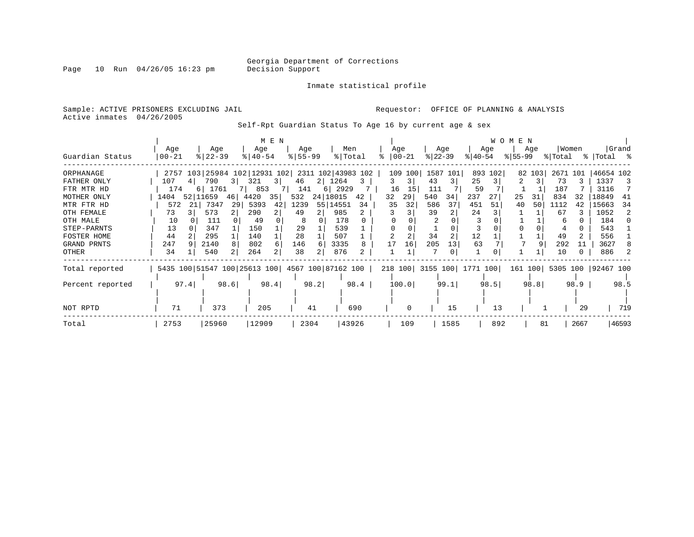Page 10 Run  $04/26/05$  16:23 pm

#### Inmate statistical profile

Sample: ACTIVE PRISONERS EXCLUDING JAIL **Requestor:** OFFICE OF PLANNING & ANALYSIS Active inmates 04/26/2005

Self-Rpt Guardian Status To Age 16 by current age & sex

|                  |                                                 |      |           |      |                                                 | M E N          |           |      |            |       |          |          |           |          |                           |         | <b>WOMEN</b> |        |          |      |                    |       |
|------------------|-------------------------------------------------|------|-----------|------|-------------------------------------------------|----------------|-----------|------|------------|-------|----------|----------|-----------|----------|---------------------------|---------|--------------|--------|----------|------|--------------------|-------|
|                  | Age                                             |      | Age       |      | Age                                             |                | Age       |      | Men        |       | Age      |          |           | Age      |                           | Age     |              | Age    | Women    |      |                    | Grand |
| Guardian Status  | $00 - 21$                                       |      | $ 22-39 $ |      | $8 40-54$                                       |                | $8 55-99$ |      | % Total    |       | $ 00-21$ |          | $ 22-39 $ |          | $ 40-54 $                 |         | $ 55-99$     |        | % Total  |      | %   Total %        |       |
| ORPHANAGE        |                                                 |      |           |      | 2757 103 25984 102 12931 102 2311 102 43983 102 |                |           |      |            |       |          | 109 100  |           | 1587 101 |                           | 893 102 |              | 82 103 | 2671 101 |      | 46654 102          |       |
| FATHER ONLY      | 107                                             | 4    | 790       | 3    | 321                                             | 3 <sup>1</sup> | 46        |      | 2 1264     | 3     | 3        | 3        | 43        | 3        | 25                        |         | 2.           | 3.     | 73       |      | 1337               | -3    |
| FTR MTR HD       | 174                                             |      | 6 1761    |      | 853                                             | 7              | 141       |      | $6$   2929 |       | 16       | 15       | 111       |          | 59                        |         |              |        | 187      |      | 3116               |       |
| MOTHER ONLY      | 1404                                            |      | 52 11659  | 46   | 4420                                            | 35             | 532       |      | 24 18015   | 42    | 32       | 29       | 540       | 34       | 237                       | 27      | 25           | 31     | 834      | 32   | 18849              | -41   |
| MTR FTR HD       | 572                                             | 21   | 7347      | 29   | 5393                                            | 42             | 1239      |      | 55 14551   | 34    | 35       | 32       | 586       | 37       | 451                       | 51      | 40           | 50     | 1112     | 42   | 15663              | 34    |
| OTH FEMALE       | 73                                              |      | 573       |      | 290                                             | 2              | 49        |      | 985        | 2     |          |          | 39        |          | 24                        |         |              |        | 67       |      | 1052               | 2     |
| OTH MALE         | 10                                              |      | 111       |      | 49                                              |                | 8         |      | 178        |       |          |          |           |          |                           |         |              |        | 6        |      | 184                |       |
| STEP-PARNTS      | 13                                              |      | 347       |      | 150                                             |                | 29        |      | 539        |       |          |          |           |          |                           |         |              |        |          |      | 543                |       |
| FOSTER HOME      | 44                                              |      | 295       |      | 140                                             |                | 28        |      | 507        |       |          |          | 34        |          | 12                        |         |              |        | 49       |      | 556                |       |
| GRAND PRNTS      | 247                                             |      | 2140      |      | 802                                             | 6              | 146       |      | 3335       |       | 17       | 16       | 205       | 13       | 63                        |         |              |        | 292      | 11   | 3627               |       |
| OTHER            | 34                                              |      | 540       |      | 264                                             |                | 38        |      | 876        |       |          |          |           | 0        |                           |         |              |        | 10       |      | 886                |       |
| Total reported   | 5435 100 51547 100 25613 100 4567 100 87162 100 |      |           |      |                                                 |                |           |      |            |       |          |          |           |          | 218 100 3155 100 1771 100 |         | 161 100      |        |          |      | 5305 100 92467 100 |       |
| Percent reported |                                                 | 97.4 |           | 98.6 | 98.4                                            |                |           | 98.2 |            | 98.4  |          | 100.0    |           | 99.1     |                           | 98.5    |              | 98.8   |          | 98.9 |                    | 98.5  |
|                  |                                                 |      |           |      |                                                 |                |           |      |            |       |          |          |           |          |                           |         |              |        |          |      |                    |       |
| NOT RPTD         | 71                                              |      | 373       |      | 205                                             |                |           | 41   |            | 690   |          | $\Omega$ |           | 15       |                           | 13      |              |        |          | 29   |                    | 719   |
| Total            | 2753                                            |      | 25960     |      | 12909                                           |                | 2304      |      |            | 43926 |          | 109      |           | 1585     |                           | 892     |              | 81     |          | 2667 |                    | 46593 |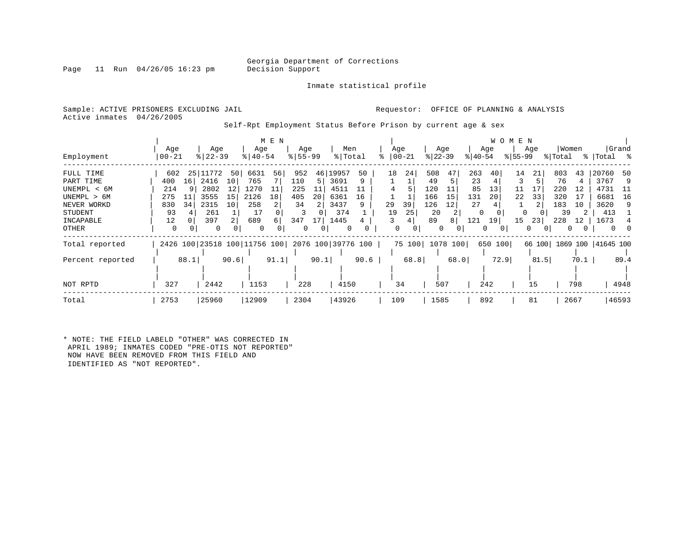Inmate statistical profile

Page 11 Run  $04/26/05$  16:23 pm

Active inmates 04/26/2005

Sample: ACTIVE PRISONERS EXCLUDING JAIL **Requestor:** OFFICE OF PLANNING & ANALYSIS

Self-Rpt Employment Status Before Prison by current age & sex

| Employment                                                                                           | Age<br>$00 - 21$                                        |                                         | Age<br>$8   22 - 39$                                                                 | Age<br>$8140 - 54$                                   | M E N               | Age<br>$8 55-99$                                       |                           | Men<br>% Total                                            |                    |                | Age<br>$ 00-21$                 | $ 22-39 $                                              | Age                           | $ 40-54 $                                | Age                  | <b>WOMEN</b><br>$8155 - 99$      | Age                       | Women<br>% Total                                 |                            | %   Total %                                                          | Grand                        |
|------------------------------------------------------------------------------------------------------|---------------------------------------------------------|-----------------------------------------|--------------------------------------------------------------------------------------|------------------------------------------------------|---------------------|--------------------------------------------------------|---------------------------|-----------------------------------------------------------|--------------------|----------------|---------------------------------|--------------------------------------------------------|-------------------------------|------------------------------------------|----------------------|----------------------------------|---------------------------|--------------------------------------------------|----------------------------|----------------------------------------------------------------------|------------------------------|
| FULL TIME<br>PART TIME<br>UNEMPL < 6M<br>UNEMPL > 6M<br>NEVER WORKD<br>STUDENT<br>INCAPABLE<br>OTHER | 602<br>400<br>214<br>275<br>830<br>93<br>12<br>$\Omega$ | 25<br>11<br>16 <sup>1</sup><br>11<br>34 | 772<br>50<br>2416<br>10<br>2802<br>12<br>3555<br>15<br>2315<br>10<br>261<br>397<br>0 | 6631<br>765<br>1270<br>2126<br>258<br>17<br>689<br>0 | 56<br>18<br>2<br>б. | 952<br>110<br>225<br>405<br>34<br>3<br>347<br>$\Omega$ | 46<br>5<br>11<br>20<br>17 | 19957<br>3691<br>4511<br>6361<br>3437<br>374<br>1445<br>0 | 50<br>9<br>16<br>9 | 18<br>29<br>19 | 24<br>39<br>25<br>4<br>$\Omega$ | 508<br>49<br>120<br>166<br>126<br>20<br>89<br>$\Omega$ | 47<br>5<br>15<br>12<br>2<br>8 | 263<br>23<br>85<br>131<br>27<br>121<br>0 | 40<br>13<br>20<br>19 | 14<br>11<br>22<br>$\Omega$<br>15 | 21<br>17<br>33<br>23<br>0 | 803<br>76<br>220<br>320<br>183<br>39<br>228<br>0 | 43<br>12<br>17<br>10<br>12 | 20760<br>3767<br>4731<br>6681<br>3620<br>413<br>1673<br>$\mathbf{0}$ | -50<br>-9<br>- 11<br>16<br>9 |
| Total reported<br>Percent reported<br>NOT RPTD                                                       | 327                                                     | 88.1                                    | 2426 100 23518 100 11756 100<br>90.6<br>2442                                         | 1153                                                 | 91.1                | 2076 100 39776 100<br>228                              | 90.1                      | 4150                                                      | 90.6               |                | 75 100 1078 100<br>68.8<br>34   | 507                                                    | 68.0                          | 650                                      | 100<br>72.9<br>242   |                                  | 66 100<br>81.5<br>15      |                                                  | 70.1<br>798                | 1869 100   41645 100                                                 | 89.4<br>4948                 |
| Total                                                                                                | 2753                                                    |                                         | 25960                                                                                | 12909                                                |                     | 2304                                                   |                           | 43926                                                     |                    |                | 109                             | 1585                                                   |                               |                                          | 892                  |                                  | 81                        |                                                  | 2667                       |                                                                      | 46593                        |

\* NOTE: THE FIELD LABELD "OTHER" WAS CORRECTED IN APRIL 1989; INMATES CODED "PRE-OTIS NOT REPORTED" NOW HAVE BEEN REMOVED FROM THIS FIELD AND IDENTIFIED AS "NOT REPORTED".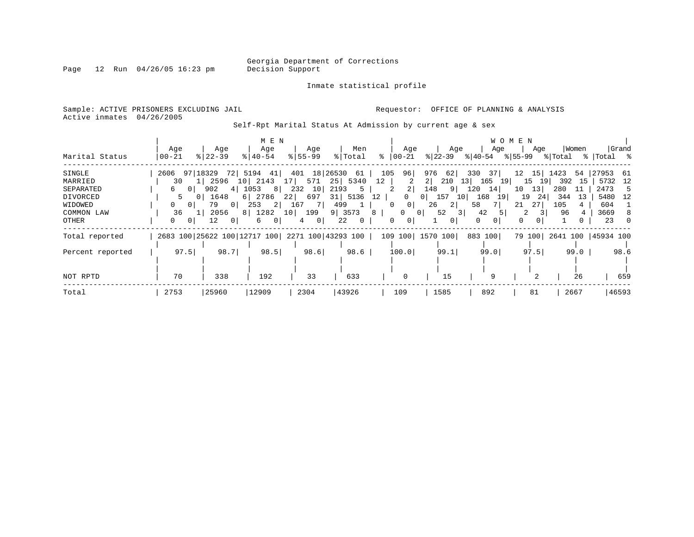Inmate statistical profile

Active inmates 04/26/2005

Page 12 Run  $04/26/05$  16:23 pm

Sample: ACTIVE PRISONERS EXCLUDING JAIL **Requestor:** OFFICE OF PLANNING & ANALYSIS

Self-Rpt Marital Status At Admission by current age & sex

|                                                                              |                                                                                 |                                                                         | M E N                                                                                    |                                                                                                    |                                                                                |                                                                                                                                   |                                                                                                                                |                                                                                                                                   | W O M E N                                                                        |                                                                       |                                                                                |
|------------------------------------------------------------------------------|---------------------------------------------------------------------------------|-------------------------------------------------------------------------|------------------------------------------------------------------------------------------|----------------------------------------------------------------------------------------------------|--------------------------------------------------------------------------------|-----------------------------------------------------------------------------------------------------------------------------------|--------------------------------------------------------------------------------------------------------------------------------|-----------------------------------------------------------------------------------------------------------------------------------|----------------------------------------------------------------------------------|-----------------------------------------------------------------------|--------------------------------------------------------------------------------|
| Marital Status                                                               | Age<br>  00-21                                                                  | Age<br>$8122 - 39$                                                      | Age<br>$8140 - 54$                                                                       | Age<br>$8155 - 99$                                                                                 | Men<br>% Total                                                                 | Age<br>%   00−21                                                                                                                  | Age<br>% 22−39                                                                                                                 | Age<br>୫∣40-54                                                                                                                    | Age<br>୫∣55–99                                                                   | Women<br>% Total                                                      | Grand<br>%  Total %                                                            |
| SINGLE<br>MARRIED<br>SEPARATED<br>DIVORCED<br>WIDOWED<br>COMMON LAW<br>OTHER | 97 18329<br>2606<br>30<br>0 I<br>6<br>. O I<br>01<br>36<br>$\Omega$<br>$\Omega$ | 2596<br>902<br>4<br>1648<br>79<br>0 <sup>1</sup><br>2056<br>12<br>- 0 1 | 72  5194<br>41  <br>10 2143<br>81<br>1053<br>6 2786<br>2 <br>253<br>8 1282<br>. O I<br>6 | 401 18 26530<br>571<br>232<br>10<br>697<br>22 <br>- 7 I<br>167<br>10<br>199<br>$\overline{0}$<br>4 | 61<br>25 5340<br>2193<br>5<br>31 5136<br>499<br>9 3573<br>22<br>$\overline{0}$ | 105<br>96<br>12<br>2<br>2 <br>12<br>$\Omega$<br>0 <sup>1</sup><br>$\Omega$<br>8 <sup>1</sup><br>0<br>$\mathbf{0}$<br>$\mathbf{0}$ | 976<br>62<br>210<br>$2 \mid$<br>148<br>9 <sup>1</sup><br>157<br>0 <sup>1</sup><br>2 <br>26<br>52<br>31<br>01<br>0 <sup>1</sup> | 330<br>37<br>13 <sup>1</sup><br>165<br><b>19</b><br>120<br>14<br>168<br>10 <sup>1</sup><br>19 I<br>58<br>42<br>5<br>$\Omega$<br>0 | 15<br>12<br>15<br>19<br>10<br>13<br>19<br>24<br>21<br>27<br>$\Omega$<br>$\Omega$ | 1423<br>54<br>392<br>15<br>280<br>-11<br>344<br>-13<br>105<br>96<br>4 | 27953 61<br>12<br>5732<br>2473<br>-5<br>5480<br>- 12<br>604<br>3669<br>8<br>23 |
| Total reported                                                               | 2683 100 25622 100 12717 100 2271 100 43293 100                                 |                                                                         |                                                                                          |                                                                                                    |                                                                                |                                                                                                                                   | 109 100 1570 100                                                                                                               | 883 100                                                                                                                           | 79 100                                                                           |                                                                       | 2641 100   45934 100                                                           |
| Percent reported<br>NOT RPTD                                                 | 97.5<br>70                                                                      | 98.7<br>338                                                             | 98.5<br>192                                                                              | 98.6<br>33                                                                                         | 98.6<br>633                                                                    | 100.0                                                                                                                             | 99.1<br>15                                                                                                                     | 99.0<br>9                                                                                                                         | 97.5                                                                             | 99.0<br>26                                                            | 98.6<br>659                                                                    |
| Total                                                                        | 2753                                                                            | 25960                                                                   | 12909                                                                                    | 2304                                                                                               | 43926                                                                          | 109                                                                                                                               | 1585                                                                                                                           | 892                                                                                                                               | 81                                                                               | 2667                                                                  | 46593                                                                          |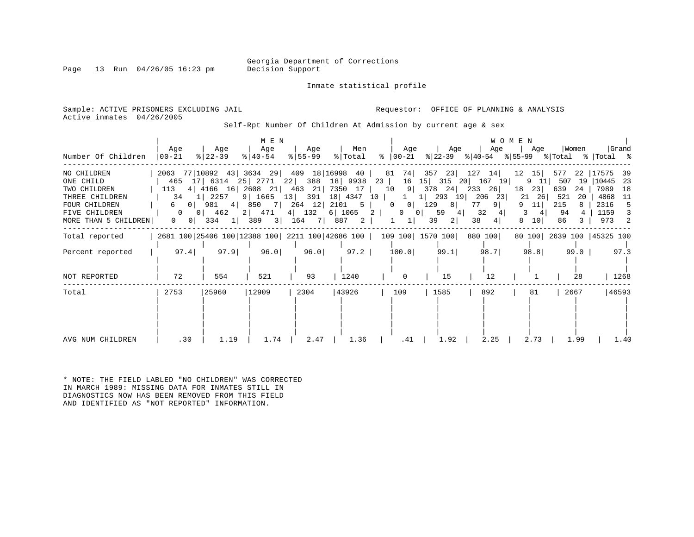Page 13 Run  $04/26/05$  16:23 pm

Inmate statistical profile

Active inmates 04/26/2005

Sample: ACTIVE PRISONERS EXCLUDING JAIL **Requestor:** OFFICE OF PLANNING & ANALYSIS

Self-Rpt Number Of Children At Admission by current age & sex

|                                       |                                       |                                                                                | M E N             |                          |                |                                  |                                 |                                                              | WOMEN                     |                           |                                             |
|---------------------------------------|---------------------------------------|--------------------------------------------------------------------------------|-------------------|--------------------------|----------------|----------------------------------|---------------------------------|--------------------------------------------------------------|---------------------------|---------------------------|---------------------------------------------|
| Number Of Children                    | Aqe<br>$ 00 - 21 $                    | Aqe<br>$ 22-39 $                                                               | Age<br>$ 40-54 $  | Age<br>$ 55 - 99 $       | Men<br>% Total | Age<br>%   00−21                 | Age                             | Age<br>$ 22-39 $ $ 40-54 $ $ 55-99 $ $ Total$ $ Total$ $ 8 $ | Aqe                       | Women                     | Grand                                       |
| NO CHILDREN<br>ONE CHILD              |                                       | 2063 77 10892 43 3634 29 409 18 16998 40<br>465 17 6314 25 2771 22 388 18 9938 |                   |                          |                | 23<br>16                         |                                 | 81 74 357 23 127 14<br>15 315 20 167 19                      | 12<br>15<br>9<br>-11      | 577<br>19<br>507          | 22   17575<br>-39<br> 10445<br>- 23         |
| TWO CHILDREN<br>THREE CHILDREN        | 113<br>34                             | 4 4166 16 2608 21 463 21 7350 17<br>1 2257                                     |                   | 9 1665 13 391 18 4347 10 |                | 10<br>1                          | 9 378 24<br>1 293 19 206        | 233 26<br>23                                                 | 18<br>23 <br>21<br>26     | 639<br>24<br>521<br>-20   | 7989<br>18<br>4868<br>- 11                  |
| FOUR CHILDREN                         | $\circ$<br>6                          | 981<br>4                                                                       | 850               | 7 264 12 2101 5          |                | $\circ$<br>$\overline{0}$        | 129<br>8                        | 77<br>9 <sup>1</sup>                                         | 11                        | 215                       | 2316<br>5                                   |
| FIVE CHILDREN<br>MORE THAN 5 CHILDREN | $\Omega$<br>$\overline{0}$<br>$\circ$ | 462<br>0 <sup>1</sup><br>$334 \quad 1$                                         | 2 471<br>389<br>3 | 4 132 6 1065 2<br>164 7  | 887<br>2       | $\overline{0}$<br>1 <sup>1</sup> | 59<br>0 <sup>1</sup><br>39<br>2 | 32<br>4 <br>38<br>4                                          | 3<br>4<br>10 <sup>1</sup> | 94<br>86                  | 1159<br>3<br>973<br>$\overline{\mathbf{c}}$ |
| Total reported                        |                                       | 2681 100 25406 100 12388 100 2211 100 42686 100   109 100   1570 100           |                   |                          |                |                                  |                                 | 880 100                                                      |                           | 80 100 2639 100 45325 100 |                                             |
| Percent reported                      | 97.4                                  | 97.9                                                                           | 96.0              | 96.0                     | 97.2           | 100.0                            | 99.1                            | 98.7                                                         | 98.8                      | 99.0                      | 97.3                                        |
| NOT REPORTED                          | 72                                    | 554                                                                            | 521               | 93                       | 1240           | $\Omega$                         | 15                              | 12                                                           |                           | 28                        | 1268                                        |
| Total                                 | 2753                                  | 25960                                                                          | 12909             | 2304                     | 43926          | 109                              | 1585                            | 892                                                          | 81                        | 2667                      | 46593                                       |
| AVG NUM CHILDREN                      | .30                                   | 1.19                                                                           | 1.74              | 2.47                     | 1.36           | .41                              | 1.92                            | 2.25                                                         | 2.73                      | 1.99                      | 1.40                                        |

\* NOTE: THE FIELD LABLED "NO CHILDREN" WAS CORRECTED IN MARCH 1989: MISSING DATA FOR INMATES STILL IN DIAGNOSTICS NOW HAS BEEN REMOVED FROM THIS FIELD AND IDENTIFIED AS "NOT REPORTED" INFORMATION.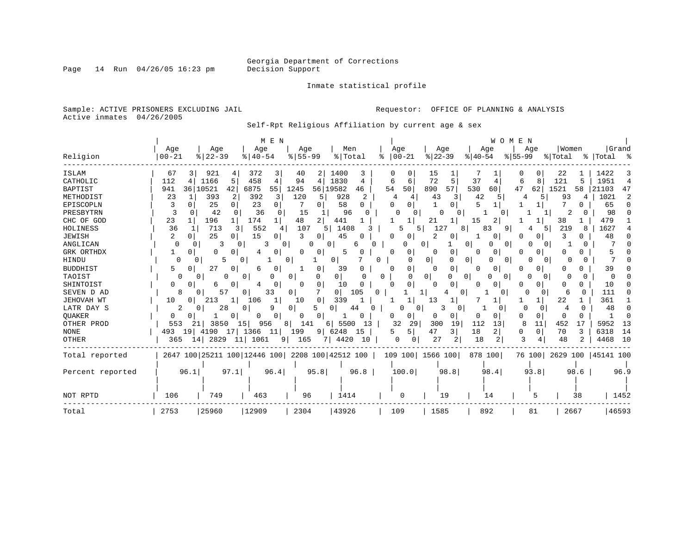Page 14 Run  $04/26/05$  16:23 pm

#### Inmate statistical profile

Sample: ACTIVE PRISONERS EXCLUDING JAIL **Requestor:** OFFICE OF PLANNING & ANALYSIS Active inmates 04/26/2005

Self-Rpt Religious Affiliation by current age & sex

|                  | M E N<br>WOMEN                                                                                                                                                               |              |
|------------------|------------------------------------------------------------------------------------------------------------------------------------------------------------------------------|--------------|
|                  | Women<br>Age<br>Age<br>Age<br>Age<br>Men<br>Age<br>Age<br>Age<br>Age                                                                                                         | Grand        |
| Religion         | $8   22 - 39$<br>$8155 - 99$<br>%   Total<br>$ 22-39$<br>$8   40 - 54$<br>$ 00 - 21$<br>$ 40-54$<br>$8155 - 99$<br>% Total<br>% Total %<br>00-21<br>ႜ                        |              |
| ISLAM            | 921<br>372<br>1400<br>67<br>3<br>15<br>22<br>1422<br>40<br>3<br>4<br>2<br>0                                                                                                  |              |
| CATHOLIC         | 72<br>5<br>1830<br>5<br>37<br>1951<br>112<br>1166<br>458<br>4<br>94<br>4<br>8<br>121<br>4<br>6<br>4<br>6<br>6<br>4                                                           | 4            |
| <b>BAPTIST</b>   | 890<br>57<br>530<br>941<br>36 10521<br>42<br>6875<br>55<br>1245<br>56 19582<br>54<br>50<br>47<br>62<br>1521<br>21103<br>60<br>58<br>46                                       | 47           |
| METHODIST        | 928<br>23<br>393<br>392<br>120<br>42<br>1021<br>2<br>2<br>43<br>93<br>3<br>5<br>3<br>5<br>4<br>5<br>4<br>4<br>4                                                              | 2            |
| EPISCOPLN        | 25<br>23<br>58<br>65<br>3<br>0<br>0<br>$\Omega$<br>O<br>0<br>$\mathbf{1}$<br>1<br>$\Omega$<br>0<br>O                                                                         | <sup>0</sup> |
| PRESBYTRN        | 3<br>15<br>98<br>42<br>36<br>$\Omega$<br>96<br>2<br><sup>0</sup><br>0<br>$\Omega$<br>0<br>0                                                                                  | <sup>0</sup> |
| CHC OF GOD       | 23<br>196<br>174<br>48<br>2<br>441<br>38<br>479<br>21<br>15<br>2<br>1 <sup>1</sup><br>-1<br>1                                                                                |              |
| HOLINESS         | 36<br>713<br>552<br>219<br>1627<br>107<br>1408<br>5<br>127<br>9<br>5.<br>5<br>8<br>83<br>51<br>8                                                                             |              |
| <b>JEWISH</b>    | 25<br>15<br>२<br>$\mathfrak{D}$<br>48<br>0<br>0<br>45<br>0<br>O<br>0<br>٦<br>0                                                                                               |              |
| ANGLICAN         | $\cap$<br>0<br>0<br>O<br>0<br>0<br>O<br>0                                                                                                                                    |              |
| GRK ORTHDX       | O<br>0<br>0<br>0<br>0<br>O<br>0<br>Ω<br>0<br>O<br>0<br>5<br>0<br>$\Omega$                                                                                                    |              |
| HINDU            | 0<br>5<br>0<br>0<br>$\Omega$<br>0<br>0<br>0<br>O<br><sup>0</sup><br>0<br>0<br>0<br>0<br>O<br>$\Omega$                                                                        |              |
| <b>BUDDHIST</b>  | 39<br>27<br>39<br>0<br>0<br>5<br>0<br>0<br>6<br>0<br>0<br>$\Omega$<br>O<br>$\Omega$<br>0<br>0<br>0<br>0                                                                      |              |
| TAOIST           | 0<br>0  <br>0<br>0<br>$\Omega$<br>0 <sub>1</sub><br>$\overline{0}$<br>O<br>$\Omega$<br>0<br>0<br>$\Omega$<br>$\Omega$<br>$\Omega$<br>U<br>$\Omega$<br>∩<br>O<br><sup>0</sup> | ∩            |
| SHINTOIST        | 10<br>O<br>0<br>0<br>0<br><sup>0</sup><br>U<br>0<br>0<br>0<br>O<br>10<br>6<br>O<br>4<br>$\Omega$<br>$\Omega$<br>O<br>0<br>O                                                  |              |
| SEVEN D AD       | $\overline{0}$<br>57<br>33<br>105<br>111<br>8<br>$\Omega$<br>0<br><sup>0</sup><br>$\mathbf{1}$<br>0<br>6<br>U<br>0.<br><sup>0</sup><br>O                                     |              |
| JEHOVAH WT       | 339<br>22<br>361<br>213<br>106<br>13<br>10<br>10<br>0<br>1<br>0                                                                                                              |              |
| LATR DAY S       | 2<br>28<br>9<br>5<br>0<br>4<br>48<br>0<br>44<br>$\Omega$<br>0<br>0<br>0<br>0<br>0<br>0<br><sup>0</sup><br>0                                                                  | <sup>0</sup> |
| QUAKER           | 0<br>0<br>0<br>0<br>U<br>0<br>0<br>0<br>0<br>0<br>$\Omega$<br>U<br>0<br>0<br><sup>0</sup><br>0<br>O<br>0                                                                     | $\Omega$     |
| OTHER PROD       | 553<br>5500<br>32<br>300<br>19<br>112<br>11<br>452<br>5952<br>3850<br>956<br>141<br>29<br>13<br>8<br>17<br>15 <sub>1</sub><br>8 <sup>1</sup><br>13<br>211<br>6               | 13           |
| <b>NONE</b>      | 4190<br>1366<br>47<br>18<br>3<br>6318<br>19<br>17<br>11<br>199<br>9<br>6248<br>5<br>3<br>2<br>0<br>0 <sup>1</sup><br>70<br>493<br>15<br>5                                    | 14           |
| OTHER            | 2829<br>18<br>3<br>365<br>14<br>11 1061<br>165<br>7 4420<br>27<br>2<br>48<br>4468<br>9 <sup>1</sup><br>2<br>2<br>10<br>0<br>0                                                | 10           |
| Total reported   | 2647 100 25211 100 12446 100 2208 100 42512 100<br>109 100 1566 100<br>878 100<br>76 100 2629 100 45141 100                                                                  |              |
| Percent reported | 96.1<br>97.1<br>96.4<br>95.8<br>96.8<br>100.0<br>98.8<br>98.4<br>93.8<br>98.6                                                                                                | 96.9         |
|                  |                                                                                                                                                                              |              |
| NOT RPTD         | 106<br>749<br>463<br>96<br>1414<br>19<br>14<br>0<br>38<br>5                                                                                                                  | 1452         |
| Total            | 2753<br>25960<br>12909<br>2304<br>43926<br>109<br>1585<br>892<br>81<br>2667                                                                                                  | 46593        |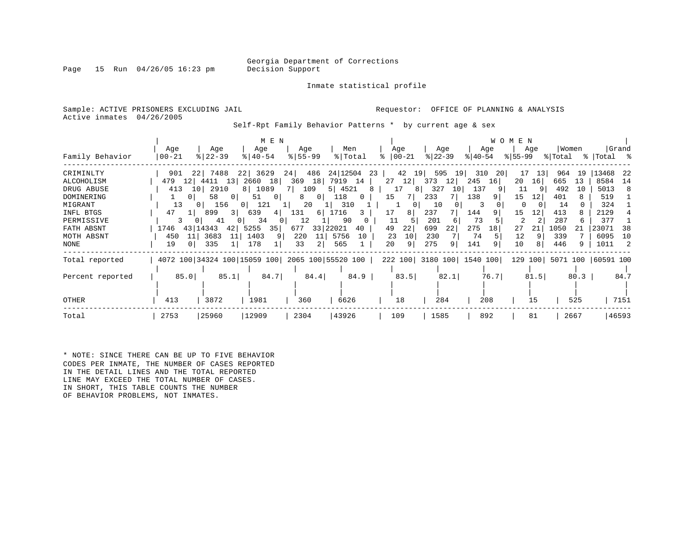Page 15 Run  $04/26/05$  16:23 pm

Inmate statistical profile

Sample: ACTIVE PRISONERS EXCLUDING JAIL **Requestor:** OFFICE OF PLANNING & ANALYSIS Active inmates 04/26/2005

Self-Rpt Family Behavior Patterns \* by current age & sex

|                   |                      |                             | M E N                  |                     |                                                 |               |                             |                           | WOMEN       |                            |              |
|-------------------|----------------------|-----------------------------|------------------------|---------------------|-------------------------------------------------|---------------|-----------------------------|---------------------------|-------------|----------------------------|--------------|
|                   | Age                  | Age                         | Age                    | Age                 | Men                                             | Age           | Age                         | Age                       | Age         | Women                      | Grand        |
| Family Behavior   | $00 - 21$            | $ 22-39 $                   | $ 40-54 $              | $8 55-99$           | % Total                                         | $8   00 - 21$ | $ 22-39 $                   | $ 40-54 $                 | $8155 - 99$ | % Total                    | %   Total %  |
| CRIMINLTY         | 901                  | 22 7488                     | 22<br>3629             | 24<br>486           | 24 12504                                        | 42 19<br>23   | 595<br>19                   | 310<br>-20                | 13<br>17    | 964<br>19                  | 13468<br>-22 |
| <b>ALCOHOLISM</b> | 479                  | 12  4411<br>13 <sup>1</sup> | 2660 18                | 18<br>369           | 7919 14                                         | $27 \quad 12$ | 373<br>12                   | 245<br>16                 | 20<br>16    | 665<br>13                  | 8584<br>14   |
| DRUG ABUSE        | 413                  | 10 2910                     | 8 1089                 | 7 109               | 5 4521                                          | 8<br>17       | 327<br>10 <sup>1</sup><br>8 | 137                       | 11          | 492<br>10                  | 5013<br>8    |
| DOMINERING        | 0 <sup>1</sup>       | 58<br>0 I                   | $\circ$<br>51          | 0 <sup>1</sup><br>8 | 118<br>$\mathbf{0}$                             | 15            | 233                         | 138<br>91                 | 15<br>12    | 401                        | 519          |
| MIGRANT           | 13                   | 156<br>0 <sup>1</sup>       | 121<br>0 <sup>1</sup>  | 20                  | 310                                             |               | 10                          | 3                         | 0           | 14                         | 324          |
| INFL BTGS         | 47<br>1 <sup>1</sup> | 899<br>3 I                  | 639<br>4               | 131<br>6            | 1716<br>3                                       | 17<br>8       | 237                         | 144                       | 15<br>12    | 413                        | 2129         |
| PERMISSIVE        | 3                    | 41<br>0 <sup>1</sup>        | 34<br>$\left( \right)$ | 12                  | 90                                              | 11            | 201<br>6                    | 73                        | 2           | 287<br>6                   | 377          |
| FATH ABSNT        | 1746                 | 43 14343<br>421             | 35<br>5255             | 677                 | 33 22021<br>40                                  | 49<br>22      | 699<br>22                   | 275<br>18                 | 27<br>21    | 1050<br>21                 | 23071<br>38  |
| MOTH ABSNT        | 450<br>11            | 3683<br>11                  | 1403<br>9              | 220<br>11           | 5756<br>10                                      | 10<br>23      | 230                         | 74                        | 12          | 339                        | 6095<br>10   |
| NONE              | 19                   | 335                         | 178                    | 33<br>2             | 565                                             | 20<br>9       | 275<br>9                    | 141                       | 10          | 446<br>9                   | 1011<br>2    |
| Total reported    |                      |                             |                        |                     | 4072 100 34324 100 15059 100 2065 100 55520 100 |               |                             | 222 100 3180 100 1540 100 |             | 129 100 5071 100 60591 100 |              |
|                   |                      |                             |                        |                     |                                                 |               |                             |                           |             |                            |              |
| Percent reported  | 85.0                 | 85.1                        | 84.7                   | 84.4                | 84.9                                            | 83.5          | 82.1                        | 76.7                      | 81.5        | 80.3                       | 84.7         |
|                   |                      |                             |                        |                     |                                                 |               |                             |                           |             |                            |              |
| OTHER             | 413                  | 3872                        | 1981                   | 360                 | 6626                                            | 18            | 284                         | 208                       | 15          | 525                        | 7151         |
| Total             | 2753                 | 25960                       | 12909                  | 2304                | 43926                                           | 109           | 1585                        | 892                       | 81          | 2667                       | 46593        |

\* NOTE: SINCE THERE CAN BE UP TO FIVE BEHAVIOR CODES PER INMATE, THE NUMBER OF CASES REPORTED IN THE DETAIL LINES AND THE TOTAL REPORTED LINE MAY EXCEED THE TOTAL NUMBER OF CASES. IN SHORT, THIS TABLE COUNTS THE NUMBER OF BEHAVIOR PROBLEMS, NOT INMATES.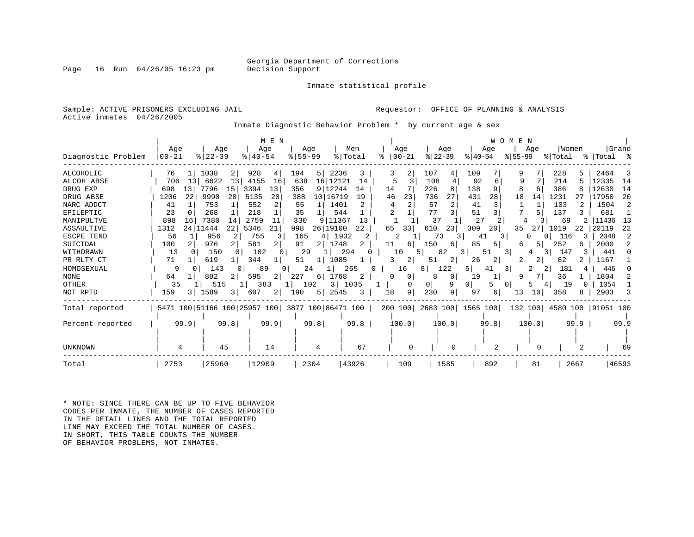Page 16 Run  $04/26/05$  16:23 pm

Inmate statistical profile

Sample: ACTIVE PRISONERS EXCLUDING JAIL **Requestor:** OFFICE OF PLANNING & ANALYSIS Active inmates 04/26/2005

Inmate Diagnostic Behavior Problem \* by current age & sex

|                    |            |                                                 | M E N                 |                 |                |                |                       |                           | E<br>W O M<br>N |                     |             |
|--------------------|------------|-------------------------------------------------|-----------------------|-----------------|----------------|----------------|-----------------------|---------------------------|-----------------|---------------------|-------------|
|                    | Age        | Age                                             | Age                   | Age             | Men            | Age            | Age                   | Age                       | Age             | Women               | Grand       |
| Diagnostic Problem | $00 - 21$  | $8$   22-39                                     | $8   40 - 54$         | $8 55-99$       | % Total        | $ 00-21$<br>°≈ | $ 22-39 $             | $ 40-54 $                 | $8155 - 99$     | % Total             | %   Total   |
| ALCOHOLIC          | 76         | 1038<br>2                                       | 928<br>4              | 194<br>5        | 2236<br>3      | 3<br>2         | 107<br>4              | 109                       |                 | 228<br>5            | 2464        |
| ALCOH ABSE         | 706<br>13  | 13<br>6622                                      | 4155<br>16            | 638             | 16 12121<br>14 | 5              | 108                   | 92<br>6                   | 9               | 214                 | 12335<br>14 |
| DRUG EXP           | 698<br>13  | 7796<br>15                                      | 3394<br>13            | 9 12244<br>356  | 14             | 14             | 226<br>8              | 138<br>9                  | 6               | 386                 | 12630<br>14 |
| DRUG ABSE          | 22<br>1206 | 9990<br>20                                      | 20<br>5135            | 10 16719<br>388 | 19             | 23<br>46       | 27<br>736             | 431<br>28                 | 18<br>14        | 1231                | 20<br>17950 |
| NARC ADDCT         | 41         | 753                                             | 552<br>2              | 55              | 1401           | 2              | 57<br>$\overline{2}$  | 41                        |                 | 103                 | 1504        |
| EPILEPTIC          | 23         | 268                                             | 218                   | 35              | 544            |                | 3<br>77               | 51                        |                 | 137                 | 681         |
| MANIPULTVE         | 898<br>16  | 7380<br>14                                      | 2759<br>11            | 330             | 9 11367<br>13  |                | 37                    | 27                        | 4               | 69                  | 11436<br>13 |
| <b>ASSAULTIVE</b>  | 1312       | 22<br>24 11444                                  | 21<br>5346            | 26 19100<br>998 | 22             | 33<br>65       | 610<br>23             | 309<br>20                 | 35<br>27        | 1019<br>22          | 20119<br>22 |
| <b>ESCPE TEND</b>  | 56         | 956                                             | 755<br>3              | 165<br>4        | 1932<br>2      | 2              | 73<br>3               | 41                        | 3               | 116<br>3            | 2048        |
| SUICIDAL           | 100        | 976                                             | 581<br>2              | 91<br>2         | 1748           | 6              | 150<br>6              | 85<br>5                   |                 | 252<br>6            | 2000        |
| WITHDRAWN          | 13         | 150                                             | 102                   | 29              | 294            | 10             | 82                    | 51<br>3.                  | 3.<br>4         | 147                 | 441         |
| PR RLTY CT         | 71         | 619                                             | 344                   | 51              | 1085           | 2              | 51<br>2               | 26<br>2                   | 2               | 82                  | 1167        |
| HOMOSEXUAL         | 9          | 143<br>O                                        | 89<br>$\Omega$        | 24              | 265            | 16             | 122<br>8 <sup>1</sup> | 5                         | 3               | 181                 | 446         |
| <b>NONE</b>        | 64         | 882                                             | 595<br>$\overline{2}$ | 227<br>6        | 1768<br>2      | 0<br>0         | 8<br>0                | 19                        |                 | 36                  | 1804        |
| OTHER              | 35         | 515                                             | 383                   | 102             | 3 1035         | 0              | 9<br>0                | 01<br>5                   | 0<br>5          | 19<br><sup>0</sup>  | 1054        |
| NOT RPTD           | 159<br>3 I | 1589<br>3                                       | 607<br>$\overline{2}$ | 190<br>5        | 2545<br>3      | 9<br>18        | 230<br>9              | 97<br>6                   | 13<br>10        | 358<br>8            | 2903        |
| Total reported     |            | 5471 100 51166 100 25957 100 3877 100 86471 100 |                       |                 |                |                |                       | 200 100 2683 100 1565 100 | 132 100         | 4580 100  91051 100 |             |
|                    |            |                                                 |                       |                 |                |                |                       |                           |                 |                     |             |
| Percent reported   | 99.9       | 99.8                                            | 99.9                  | 99.8            | 99.8           | 100.0          | 100.0                 | 99.8                      | 100.0           | 99.9                | 99.9        |
|                    |            |                                                 |                       |                 |                |                |                       |                           |                 |                     |             |
|                    |            |                                                 |                       |                 |                |                |                       |                           |                 |                     |             |
| <b>UNKNOWN</b>     | 4          | 45                                              | 14                    | 4               | 67             |                |                       |                           | O               |                     | 69          |
| Total              | 2753       | 25960                                           | 12909                 | 2304            | 43926          | 109            | 1585                  | 892                       | 81              | 2667                | 46593       |

\* NOTE: SINCE THERE CAN BE UP TO FIVE BEHAVIOR CODES PER INMATE, THE NUMBER OF CASES REPORTED IN THE DETAIL LINES AND THE TOTAL REPORTED LINE MAY EXCEED THE TOTAL NUMBER OF CASES. IN SHORT, THIS TABLE COUNTS THE NUMBER OF BEHAVIOR PROBLEMS, NOT INMATES.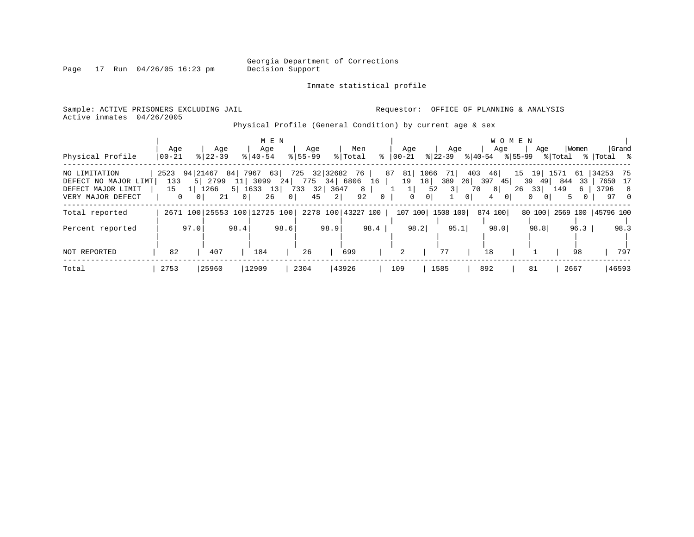Page  $17$  Run  $04/26/05$  16:23 pm

#### Inmate statistical profile

Sample: ACTIVE PRISONERS EXCLUDING JAIL **Requestor:** OFFICE OF PLANNING & ANALYSIS Active inmates 04/26/2005

Physical Profile (General Condition) by current age & sex

|                                                                                  |                                   |                                     |                              |                            |                       | M E N                      |             |                                                          |         |                    |                       |                       |                                    |                               |                                   |                     | <b>WOMEN</b>   |                                    |                 |                                      |                      |                 |
|----------------------------------------------------------------------------------|-----------------------------------|-------------------------------------|------------------------------|----------------------------|-----------------------|----------------------------|-------------|----------------------------------------------------------|---------|--------------------|-----------------------|-----------------------|------------------------------------|-------------------------------|-----------------------------------|---------------------|----------------|------------------------------------|-----------------|--------------------------------------|----------------------|-----------------|
|                                                                                  | Age                               |                                     | Age                          |                            | Age                   |                            | Age         |                                                          | Men     |                    |                       | Aqe                   |                                    | Age                           |                                   | Age                 |                | Age                                |                 | Women                                |                      | Grand           |
| Physical Profile                                                                 | $00 - 21$                         |                                     | $8122 - 39$                  |                            | $8140 - 54$           |                            | $8155 - 99$ |                                                          | % Total |                    | $\frac{1}{6}$   00-21 |                       |                                    | $ 22-39 $                     | $ 40-54 $                         |                     | % 55-99        |                                    | % Total         |                                      | %   Total %          |                 |
| NO LIMITATION<br>DEFECT NO MAJOR LIMT<br>DEFECT MAJOR LIMIT<br>VERY MAJOR DEFECT | 2523<br>133<br>15<br>$\mathbf{0}$ | 94   21467<br>5 l<br>0 <sup>1</sup> | 2799<br>1266<br>21           | 84  <br>5 1633<br>$\Omega$ | 7967<br>11 3099<br>26 | 63<br>13<br>0 <sup>1</sup> |             | 725 32 32682 76  <br>24 775 34 6806<br>733 32 3647<br>45 | 2       | 16  <br>8<br>92    | 87 81<br>$\Omega$     | 19<br>1  <br>$\Omega$ | 1066<br>18<br>52<br>0 <sup>1</sup> | 71  <br>389<br>3 <sup>1</sup> | 403<br>26<br>70<br>$\overline{0}$ | 46<br>397<br>8<br>4 | 45<br>$\Omega$ | 39 49<br>$26 \quad 33$<br>$\Omega$ | 149<br>$\Omega$ | 15 19 1571 61<br>844<br>33<br>6<br>5 | 34253 75<br>3796 8   | 7650 17<br>97 0 |
| Total reported                                                                   |                                   |                                     | 2671 100 25553 100 12725 100 |                            |                       |                            |             |                                                          |         | 2278 100 43227 100 |                       | 107 100               |                                    | 1508 100                      |                                   | 874 100             |                | 80 100                             |                 |                                      | 2569 100   45796 100 |                 |
| Percent reported                                                                 |                                   | 97.0                                |                              | 98.4                       |                       | 98.6                       |             | 98.9                                                     |         | 98.4               |                       | 98.2                  |                                    | 95.1                          |                                   | 98.0                |                | 98.8                               |                 | 96.3                                 |                      | 98.3            |
| NOT REPORTED                                                                     | 82                                |                                     | 407                          |                            | 184                   |                            | 26          |                                                          | 699     |                    |                       | 2                     |                                    | 77                            |                                   | 18                  |                |                                    |                 | 98                                   |                      | 797             |
| Total                                                                            | 2753                              |                                     | 25960                        |                            | 12909                 |                            | 2304        |                                                          | 43926   |                    | 109                   |                       | 1585                               |                               |                                   | 892                 |                | 81                                 |                 | 2667                                 |                      | 46593           |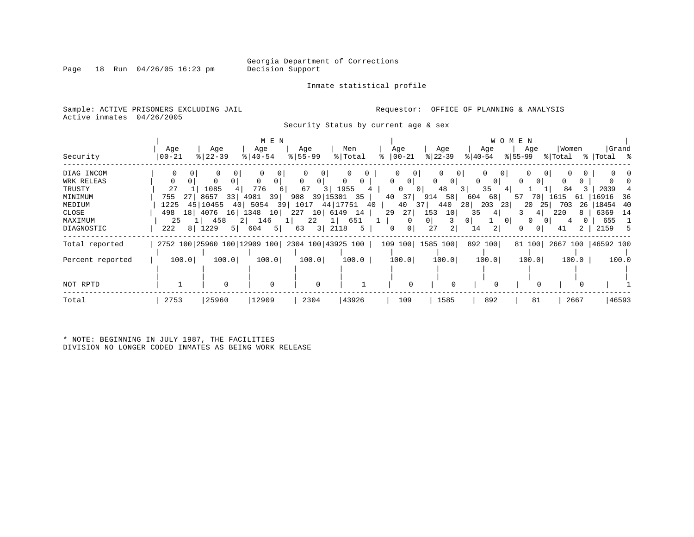Inmate statistical profile

Sample: ACTIVE PRISONERS EXCLUDING JAIL **Requestor:** OFFICE OF PLANNING & ANALYSIS Active inmates 04/26/2005

Security Status by current age & sex

|                  |                   |                                                 | M E N              |                     |                |                     |                                |                            | W O M E N        |                    |                      |
|------------------|-------------------|-------------------------------------------------|--------------------|---------------------|----------------|---------------------|--------------------------------|----------------------------|------------------|--------------------|----------------------|
| Security         | Age<br>$ 00 - 21$ | Age<br>$8$   22 – 39                            | Age<br>$8140 - 54$ | Age<br>$8 55-99$    | Men<br>% Total | Age<br>$ 00-21 $    | Age<br>$ 22-39 $               | Age<br>$ 40-54 $           | Age<br>$ 55-99 $ | Women<br>% Total   | Grand<br>%   Total % |
| DIAG INCOM       | $\Omega$          | $\Omega$                                        | 0<br>$\Omega$      | 01                  |                | 0                   | $\mathbf{0}$                   | $\mathbf{0}$               | $\mathbf{0}$     | 0                  |                      |
| WRK RELEAS       |                   |                                                 |                    | 0<br>0 <sup>1</sup> | 0              | 0<br>$\circ$        | 0 <sup>1</sup><br>$\mathbf{0}$ | 0<br>$\overline{0}$        | $\Omega$<br>0 I  |                    |                      |
| TRUSTY           | 27                | 1085                                            | 776                | 67<br>3 I           | 1955           | $\Omega$            | 48<br>0 <sup>1</sup>           | 35<br>3 I<br>41            |                  | 84                 | 2039                 |
| MINIMUM          | 755               | 8657<br>33                                      | 4981<br>39         | 39   15301<br>908   | 35             | 40<br>37            | 58<br>914                      | 604<br>68                  | 70 l<br>57       | 61<br>1615         | 16916<br>-36         |
| MEDIUM           | 451<br>1225       | 10455<br>40                                     | 39<br>5054         | 1017                | 44 17751<br>40 | 40                  | 440<br>371                     | 28<br>203<br>231           | 20<br>25         | 703<br>26          | 18454<br>-40         |
| CLOSE            | 498<br>18         | 4076<br>16                                      | 1348<br>10         | 227<br>10 6149      | 14             | 29<br>27            | 153<br>10                      | 35<br>4                    |                  | 220<br>8           | 6369<br>-14          |
| MAXIMUM          | 25                | 458                                             | 146<br>$2 \mid$    | 22<br>⊥ ।           | 651            | $\Omega$            | 0                              | 0 <sup>1</sup><br>$\Omega$ | $\Omega$<br>01   |                    | 655                  |
| DIAGNOSTIC       | 222               | 8 1229<br>5                                     | 5 <br>604          | 3 <br>63            | 2118<br>5      | 0 <sup>1</sup><br>0 | 27<br>2                        | 14                         |                  | 2<br>41            | 2159                 |
| Total reported   |                   | 2752 100 25960 100 12909 100 2304 100 43925 100 |                    |                     |                |                     | 109 100 1585 100               | 892 100                    | 81 100           | 2667 100 46592 100 |                      |
| Percent reported | 100.0             | 100.0                                           | 100.0              | 100.0               | 100.0          | 100.0               | 100.0                          | 100.0                      | 100.0            | 100.0              | 100.0                |
|                  |                   |                                                 |                    |                     |                |                     |                                |                            |                  |                    |                      |
| NOT RPTD         |                   |                                                 | $\Omega$           | 0                   |                |                     | $\Omega$                       |                            |                  |                    |                      |
| Total            | 2753              | 25960                                           | 12909              | 2304                | 43926          | 109                 | 1585                           | 892                        | 81               | 2667               | 46593                |

\* NOTE: BEGINNING IN JULY 1987, THE FACILITIES DIVISION NO LONGER CODED INMATES AS BEING WORK RELEASE

Page 18 Run  $04/26/05$  16:23 pm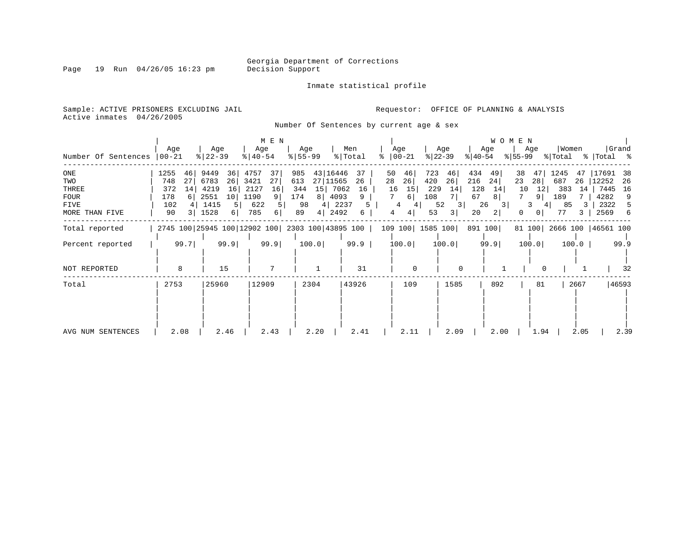Page 19 Run 04/26/05 16:23 pm

Inmate statistical profile

Sample: ACTIVE PRISONERS EXCLUDING JAIL **Requestor:** OFFICE OF PLANNING & ANALYSIS Active inmates 04/26/2005

Number Of Sentences by current age & sex

| Number Of Sentences                                                 | Age<br>$00 - 21$                                                | Age<br>$\frac{2}{3}$   22 - 39                                                                           | M E N<br>Age<br>$ 40-54 $                                                | Age<br>$8 55-99$                                                                                                        | Men<br>% Total<br>°           | Age<br>$ 00-21$                                                                                      | Age<br>$ 22 - 39 $<br>୫∣40-54                                          | <b>WOMEN</b><br>Age<br>Age<br>$ 55-99 $                                                                                           | Women<br>% Total                                             | Grand<br>%   Total %                                                        |
|---------------------------------------------------------------------|-----------------------------------------------------------------|----------------------------------------------------------------------------------------------------------|--------------------------------------------------------------------------|-------------------------------------------------------------------------------------------------------------------------|-------------------------------|------------------------------------------------------------------------------------------------------|------------------------------------------------------------------------|-----------------------------------------------------------------------------------------------------------------------------------|--------------------------------------------------------------|-----------------------------------------------------------------------------|
| ONE<br>TWO<br>THREE<br><b>FOUR</b><br><b>FIVE</b><br>MORE THAN FIVE | 1255<br>46<br>27<br>748<br>372<br>14<br>178<br>102<br>90<br>3 I | 9449<br>36<br>6783<br>26<br>16<br>4219<br>2551<br>10 <sup>1</sup><br>1415<br>5 <sup>1</sup><br>1528<br>6 | 4757<br>37<br>27<br>3421<br>2127<br>16<br>1190<br>9<br>622<br>785<br>6 I | 43   16446<br>985<br>27 11565<br>613<br>15<br>7062<br>344<br>8 <br>4093<br>174<br>98<br>4 <br>2237<br>4  <br>2492<br>89 | 37<br>26<br>16<br>9<br>5<br>6 | 723<br>50<br>46<br>26<br>28<br>420<br>15<br>16<br>229<br>108<br>$6 \mid$<br>4<br>4<br>53<br>4  <br>4 | 434<br>46<br>26<br>216<br>128<br>14<br>67<br>52<br>26<br>3 <br>20<br>3 | 38<br>49<br>47<br>28<br>24<br>23<br>12 <br>10<br>14<br>8 <sup>1</sup><br>9  <br>3<br>3<br>$\overline{0}$<br>$\left 2\right $<br>0 | 1245<br>47<br>687<br>26<br>383<br>14<br>189<br>85<br>4<br>77 | 17691<br>-38<br>12252<br>26<br>7445<br>16<br>4282<br>9<br>2322<br>5<br>2569 |
| Total reported<br>Percent reported                                  | 99.7                                                            | 99.9                                                                                                     | 99.9                                                                     | 2745 100 25945 100 12902 100 2303 100 43895 100<br>100.0                                                                | 99.9                          | 109 100 1585 100<br>100.0                                                                            | 891 100<br>100.0                                                       | 99.9<br>100.0                                                                                                                     | 81 100 2666 100 46561 100<br>100.0                           | 99.9                                                                        |
| NOT REPORTED<br>Total                                               | 8<br>2753                                                       | 15<br>25960                                                                                              | 7<br>12909                                                               | $\mathbf{1}$<br>2304                                                                                                    | 31<br>43926                   | $\Omega$<br>109                                                                                      | 1585                                                                   | 892<br>81                                                                                                                         | 2667                                                         | 32<br>46593                                                                 |
| AVG NUM SENTENCES                                                   | 2.08                                                            | 2.46                                                                                                     | 2.43                                                                     | 2.20                                                                                                                    | 2.41                          | 2.11                                                                                                 | 2.09                                                                   | 2.00<br>1.94                                                                                                                      | 2.05                                                         | 2.39                                                                        |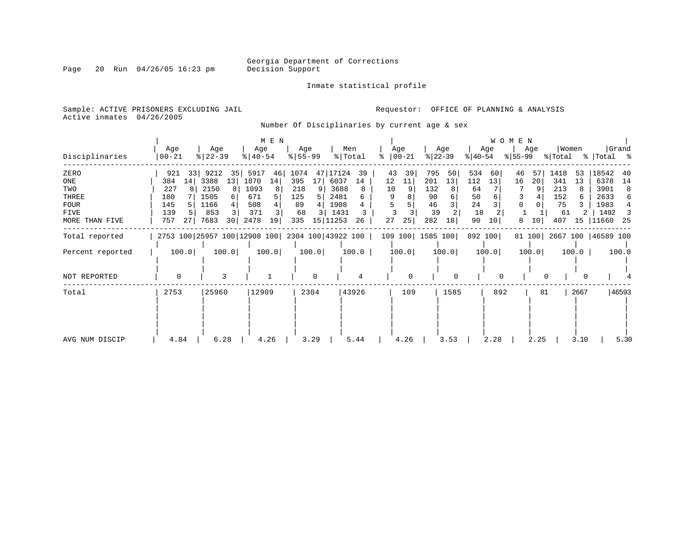Inmate statistical profile

Page 20 Run  $04/26/05$  16:23 pm

Sample: ACTIVE PRISONERS EXCLUDING JAIL **Requestor:** OFFICE OF PLANNING & ANALYSIS Active inmates 04/26/2005

Number Of Disciplinaries by current age & sex

| Disciplinaries                                                       | Age<br>$ 00-21$                                                 | Age<br>$ 22-39 $                                                                              | M E N<br>Age<br>$ 40-54 $                                                | Age<br>$8 55-99$                                                                  | Men<br>% Total                                                                | Age<br>ႜ<br>$ 00-21$                             | Age<br>$ 22-39 $                                             | Age<br>$ 40-54 $                                           | W O M E N<br>Age<br>$ 55-99 $   | Women<br>% Total                                               | Grand<br>%   Total %                                                                |
|----------------------------------------------------------------------|-----------------------------------------------------------------|-----------------------------------------------------------------------------------------------|--------------------------------------------------------------------------|-----------------------------------------------------------------------------------|-------------------------------------------------------------------------------|--------------------------------------------------|--------------------------------------------------------------|------------------------------------------------------------|---------------------------------|----------------------------------------------------------------|-------------------------------------------------------------------------------------|
| ZERO<br>ONE<br>TWO<br>THREE<br><b>FOUR</b><br>FIVE<br>MORE THAN FIVE | 921<br>33<br>14<br>384<br>227<br>180<br>145<br>139<br>757<br>27 | 9212<br>35 <br>3388<br>13<br>2150<br>8<br>1505<br>6<br>1166<br>853<br>7683<br>30 <sup>1</sup> | 5917<br>46<br>1870<br>14<br>1093<br>8<br>671<br>508<br>371<br>2478<br>19 | 1074<br>47<br>395<br>17<br>218<br>125<br>89<br>68<br>$\overline{3}$<br>15 <br>335 | 17124<br>39<br>6037<br>14<br>3688<br>8<br>2481<br>1908<br>1431<br>11253<br>26 | 43<br>39<br>12<br>11<br>10<br>9<br>5<br>27<br>25 | 795<br>50<br>201<br>13<br>132<br>90<br>46<br>39<br>282<br>18 | 534<br>60<br>13<br>112<br>64<br>50<br>24<br>18<br>90<br>10 | 46<br>57<br>20<br>16<br>8<br>10 | 1418<br>53<br>341<br>13<br>213<br>152<br>75<br>61<br>407<br>15 | 18542<br>40<br>6378<br>14<br>3901<br>8<br>2633<br>6<br>1983<br>1492<br>11660<br>-25 |
| Total reported                                                       |                                                                 | 2753 100 25957 100 12908 100 2304 100 43922 100                                               |                                                                          |                                                                                   |                                                                               |                                                  | 109 100 1585 100                                             | 892 100                                                    |                                 | 81 100 2667 100 46589 100                                      |                                                                                     |
| Percent reported                                                     | 100.0                                                           | 100.0                                                                                         | 100.0                                                                    | 100.0                                                                             | 100.0                                                                         | 100.0                                            | 100.0                                                        | 100.0                                                      | 100.0                           | 100.0                                                          | 100.0                                                                               |
| NOT REPORTED                                                         | $\Omega$                                                        |                                                                                               |                                                                          | $\Omega$                                                                          |                                                                               | <sup>0</sup>                                     | $\Omega$                                                     |                                                            |                                 |                                                                |                                                                                     |
| Total                                                                | 2753                                                            | 25960                                                                                         | 12909                                                                    | 2304                                                                              | 43926                                                                         | 109                                              | 1585                                                         | 892                                                        | 81                              | 2667                                                           | 46593                                                                               |
| AVG NUM DISCIP                                                       | 4.84                                                            | 6.28                                                                                          | 4.26                                                                     | 3.29                                                                              | 5.44                                                                          | 4.26                                             | 3.53                                                         | 2.28                                                       | 2.25                            | 3.10                                                           | 5.30                                                                                |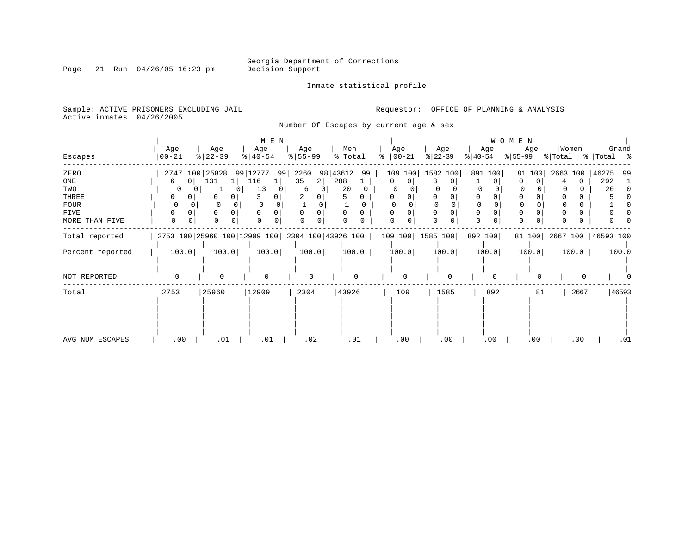Inmate statistical profile

Page 21 Run 04/26/05 16:23 pm

Sample: ACTIVE PRISONERS EXCLUDING JAIL **Requestor:** OFFICE OF PLANNING & ANALYSIS

Active inmates 04/26/2005

Number Of Escapes by current age & sex

|                  |                     |                                                 | M E N            |                      |                |                |                    |               | WOMEN        |                           |                |
|------------------|---------------------|-------------------------------------------------|------------------|----------------------|----------------|----------------|--------------------|---------------|--------------|---------------------------|----------------|
|                  | Age                 | Age                                             | Age              | Age                  | Men            | Age            | Age                | Age           | Age          | Women                     | Grand          |
| Escapes          | $ 00-21$            | $ 22-39 $                                       | $ 40-54 $        | $8 55-99$            | % Total        | $ 00-21 $<br>ႜ | $ 22-39 $          | $ 40-54 $     | $ 55-99 $    | % Total                   | % Total %      |
| ZERO             | 2747 100 25828      |                                                 | 99   12777<br>99 | 2260                 | 98 43612<br>99 | 109 100        | 1582 100           | 891 100       | 81 100       | 2663 100                  | 46275<br>99    |
| ONE              | 0 <sup>1</sup><br>6 | 131<br>1 I                                      | 116              | 35<br>$\overline{a}$ | 288            | 0<br>$\Omega$  | 3<br>0             | 0             | $\Omega$     | $\Omega$                  | 292            |
| TWO              | $\left( \right)$    |                                                 | 13<br>Ü          | 6<br>$\Omega$        | 20             |                |                    |               |              |                           | 20<br>$\Omega$ |
| THREE            | 0                   | 0<br>0                                          |                  |                      |                |                |                    | 0             |              |                           |                |
| <b>FOUR</b>      | U                   |                                                 |                  |                      |                |                |                    |               |              |                           |                |
| FIVE             | O                   | $\Omega$<br>0                                   |                  | $\Omega$             | $\Omega$       |                | $\Omega$           | 0             |              |                           |                |
| MORE THAN FIVE   | $\Omega$            | $\Omega$                                        | $\Omega$         | $\Omega$             |                | <sup>0</sup>   | $\Omega$           | $\Omega$<br>0 |              |                           |                |
| Total reported   |                     | 2753 100 25960 100 12909 100 2304 100 43926 100 |                  |                      |                |                | 109 100   1585 100 | 892 100       |              | 81 100 2667 100 46593 100 |                |
| Percent reported | 100.0               | 100.0                                           | 100.0            | 100.0                | 100.0          | 100.0          | 100.0              | 100.0         | 100.0        | 100.0                     | 100.0          |
|                  |                     |                                                 |                  |                      |                |                |                    |               |              |                           |                |
| NOT REPORTED     | 0                   | $\Omega$                                        | $\Omega$         | $\Omega$             | $\Omega$       |                | $\Omega$           | $\Omega$      | <sup>0</sup> |                           |                |
| Total            | 2753                | 25960                                           | 12909            | 2304                 | 43926          | 109            | 1585               | 892           | 81           | 2667                      | 46593          |
|                  |                     |                                                 |                  |                      |                |                |                    |               |              |                           |                |
|                  |                     |                                                 |                  |                      |                |                |                    |               |              |                           |                |
|                  |                     |                                                 |                  |                      |                |                |                    |               |              |                           |                |
|                  |                     |                                                 |                  |                      |                |                |                    |               |              |                           |                |
| AVG NUM ESCAPES  | .00                 | .01                                             | .01              | .02                  | .01            | .00            | .00                | .00           | .00          | .00                       | .01            |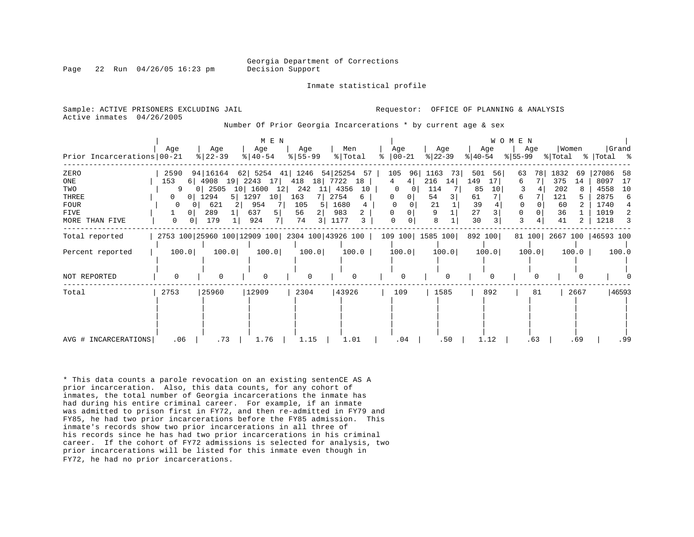Georgia Department of Corrections

Page 22 Run 04/26/05 16:23 pm Decision Support

Inmate statistical profile

Active inmates 04/26/2005

Sample: ACTIVE PRISONERS EXCLUDING JAIL **Analysis** Requestor: OFFICE OF PLANNING & ANALYSIS

Number Of Prior Georgia Incarcerations \* by current age & sex

|                            |                     |                        | M E N            |                  |                                                                      |                        |                  |                  | WOMEN            |                           |                    |
|----------------------------|---------------------|------------------------|------------------|------------------|----------------------------------------------------------------------|------------------------|------------------|------------------|------------------|---------------------------|--------------------|
| Prior Incarcerations 00-21 | Age                 | Age<br>$ 22-39 $       | Age<br>$ 40-54 $ | Age<br>$8 55-99$ | Men<br>% Total                                                       | Age<br>$\approx$ 00-21 | Age<br>$ 22-39 $ | Age<br>$ 40-54 $ | Age<br>$ 55-99 $ | Women<br>% Total          | Grand<br>% Total % |
|                            |                     |                        |                  |                  |                                                                      |                        |                  |                  |                  |                           |                    |
| ZERO                       | 2590                | 94 16164               |                  |                  | 62 5254 41 1246 54 25254 57                                          | 105<br>96              | 1163 73          | 501<br>56        | 78<br>63         | 1832<br>69                | 27086<br>58        |
| ONE                        | 153                 | $6$   4908 19          | 2243 17          | 418              | 18 7722<br>18                                                        | 4<br>4                 | 14<br>216        | 149<br>17        | 7<br>6.          | 375<br>14                 | 8097<br>17         |
| TWO                        | 9                   | 0   2505<br>10         | $1600$ 12        | 242              | 11 4356<br>10                                                        | $\Omega$               | 114              | 85<br>10         |                  | 202                       | 4558<br>10         |
| THREE                      | 0<br>01             | 1294<br>5 <sup>1</sup> | 1297<br>10       | 163              | 2754<br>6                                                            | 0<br>$\mathbf{0}$      | 54               | 61               |                  | 121                       | 2875<br>6          |
| FOUR                       | 0                   | 621<br>21              | 954              | 105<br>5         | 1680<br>4                                                            |                        | 21               | 39               |                  | 60                        | 1740               |
| FIVE                       | 0 <sup>1</sup>      | 289                    | 637<br>5         | 56<br>21         | 983                                                                  |                        |                  | 27               |                  | 36                        | 1019<br>2          |
| MORE THAN FIVE             | 0<br>0 <sup>1</sup> | 179                    | 7  <br>924       | 74<br>3          | 1177<br>3                                                            | $\Omega$               | 8                | 30               | 3                | 41                        | 1218<br>3          |
| Total reported             |                     |                        |                  |                  | 2753 100 25960 100 12909 100 2304 100 43926 100   109 100   1585 100 |                        |                  | 892 100          |                  | 81 100 2667 100 46593 100 |                    |
| Percent reported           | 100.0               | 100.0                  | 100.0            | 100.0            | 100.0                                                                | 100.0                  | 100.0            | 100.0            | 100.0            | 100.0                     | 100.0              |
|                            |                     |                        |                  |                  |                                                                      |                        |                  |                  |                  |                           |                    |
| NOT REPORTED               | $\Omega$            | $\Omega$               | $\Omega$         | 0                |                                                                      | $\Omega$               | U                | U                |                  |                           |                    |
| Total                      | 2753                | 25960                  | 12909            | 2304             | 43926                                                                | 109                    | 1585             | 892              | 81               | 2667                      | 46593              |
|                            |                     |                        |                  |                  |                                                                      |                        |                  |                  |                  |                           |                    |
|                            |                     |                        |                  |                  |                                                                      |                        |                  |                  |                  |                           |                    |
|                            |                     |                        |                  |                  |                                                                      |                        |                  |                  |                  |                           |                    |
|                            |                     |                        |                  |                  |                                                                      |                        |                  |                  |                  |                           |                    |
|                            |                     |                        |                  |                  |                                                                      |                        |                  |                  |                  |                           |                    |
| AVG # INCARCERATIONS       | .06                 | .73                    | 1.76             | 1.15             | 1.01                                                                 | .04                    | .50              | 1.12             | .63              | .69                       | .99                |

\* This data counts a parole revocation on an existing sentenCE AS A prior incarceration. Also, this data counts, for any cohort of inmates, the total number of Georgia incarcerations the inmate has had during his entire criminal career. For example, if an inmate was admitted to prison first in FY72, and then re-admitted in FY79 and FY85, he had two prior incarcerations before the FY85 admission. This inmate's records show two prior incarcerations in all three of his records since he has had two prior incarcerations in his criminal career. If the cohort of FY72 admissions is selected for analysis, two prior incarcerations will be listed for this inmate even though in FY72, he had no prior incarcerations.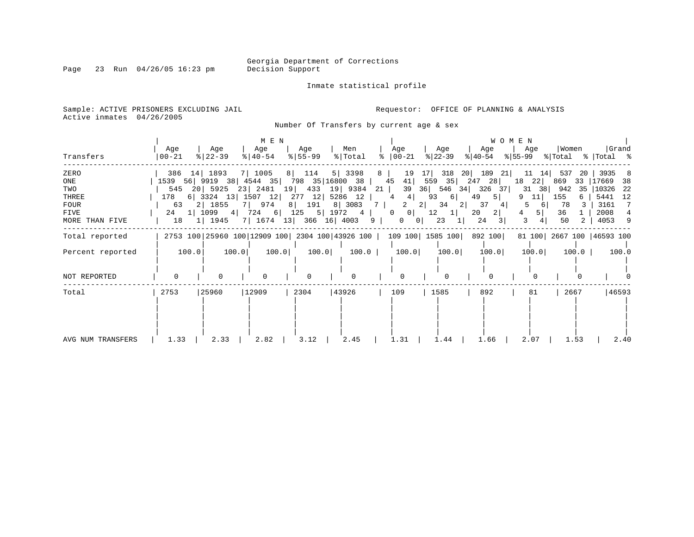Page 23 Run 04/26/05 16:23 pm

Inmate statistical profile

Sample: ACTIVE PRISONERS EXCLUDING JAIL **Requestor:** OFFICE OF PLANNING & ANALYSIS Active inmates 04/26/2005

Number Of Transfers by current age & sex

|                   |                                         |                  | M E N                       |                  |                                    |                |                                                                                |             |                  |          |                  | <b>WOMEN</b> |          |       |         |                                                 |       |
|-------------------|-----------------------------------------|------------------|-----------------------------|------------------|------------------------------------|----------------|--------------------------------------------------------------------------------|-------------|------------------|----------|------------------|--------------|----------|-------|---------|-------------------------------------------------|-------|
| Transfers         | Age<br>  00-21                          | Age<br>$ 22-39 $ | Age<br>$ 40-54 $            | Age<br>$8 55-99$ | Men<br>% Total                     |                | Age<br>$\frac{1}{6}$   00 - 21                                                 |             | Age<br>$ 22-39 $ |          | Age<br>୫∣40-54   |              | Age      | Women |         | $ \$ 55-99 \$ \total \times \text{ Total \times | Grand |
| ZERO              | 386 14 1893                             |                  | 7 1005                      | 8 114            | 5   3398                           | 8              | 19                                                                             | 17          | 318              | 20       | 189<br>21        |              | 11<br>14 | 537   | -20     | 3935                                            | -8    |
| ONE               | 1539 56 9919 38 4544 35 798 35 16800 38 |                  |                             |                  |                                    |                | 45<br>41                                                                       |             | 559 35           | 247 28   |                  | 18           | 22       | 869   |         | 33 17669                                        | 38    |
| TWO               |                                         |                  |                             |                  | 545 20 5925 23 2481 19 433 19 9384 | 21             | 39                                                                             |             |                  |          | 36 546 34 326 37 |              | 38<br>31 | 942   | 35      | 10326 22                                        |       |
| THREE             | 178                                     |                  |                             |                  | 6 3324 13 1507 12 277 12 5286 12   |                | 4 <br>$4\overline{ }$                                                          |             | 93<br>$6 \mid$   | 49       | 5                | 9.           | 11       | 155   | 6       | 5441                                            | 12    |
| <b>FOUR</b>       |                                         | 63 2 1855        | 7   974                     |                  | 8 191 8 3083                       | 7 <sup>1</sup> |                                                                                | $2 \quad 2$ | 34               | 2        | 37<br>4          | .5           | -61      | 78    |         | 3161                                            | 7     |
| FIVE              |                                         | 24 1 1099 4      |                             |                  | 724 6 125 5 1972 4                 |                | $\overline{0}$<br>$\circ$                                                      |             | 12<br>1          | 20       | 2                | 4            | 5        | 36    |         | 2008                                            |       |
| MORE THAN FIVE    | 18                                      | 1 1945           | 7   1674 13   366 16   4003 |                  |                                    | 9              | $0 \quad 0$                                                                    |             | 23               | $1\vert$ | 24<br>3          | 3            |          | 50    | 2       | 4053 9                                          |       |
| Total reported    |                                         |                  |                             |                  |                                    |                | 2753 100 25960 100 12909 100 2304 100 43926 100   109 100   1585 100   892 100 |             |                  |          |                  |              |          |       |         | 81 100 2667 100 46593 100                       |       |
| Percent reported  | 100.0                                   | 100.0            | 100.0                       | 100.0            | 100.0                              |                | 100.0                                                                          |             | 100.0            |          | 100.0            |              | 100.0    |       | $100.0$ |                                                 | 100.0 |
|                   |                                         |                  |                             |                  |                                    |                |                                                                                |             |                  |          |                  |              |          |       |         |                                                 |       |
| NOT REPORTED      |                                         | <sup>0</sup>     | <sup>0</sup>                | <sup>0</sup>     | $\Omega$                           |                | $\Omega$                                                                       |             | <sup>0</sup>     |          |                  |              |          |       |         |                                                 |       |
| Total             | 2753                                    | 25960            | 12909                       | 2304             | 43926                              |                | 109                                                                            |             | 1585             |          | 892              |              | 81       | 2667  |         |                                                 | 46593 |
|                   |                                         |                  |                             |                  |                                    |                |                                                                                |             |                  |          |                  |              |          |       |         |                                                 |       |
| AVG NUM TRANSFERS | 1.33                                    | 2.33             | 2.82                        | 3.12             | 2.45                               |                | 1.31                                                                           |             | 1.44             |          | 1.66             |              | 2.07     |       | 1.53    |                                                 | 2.40  |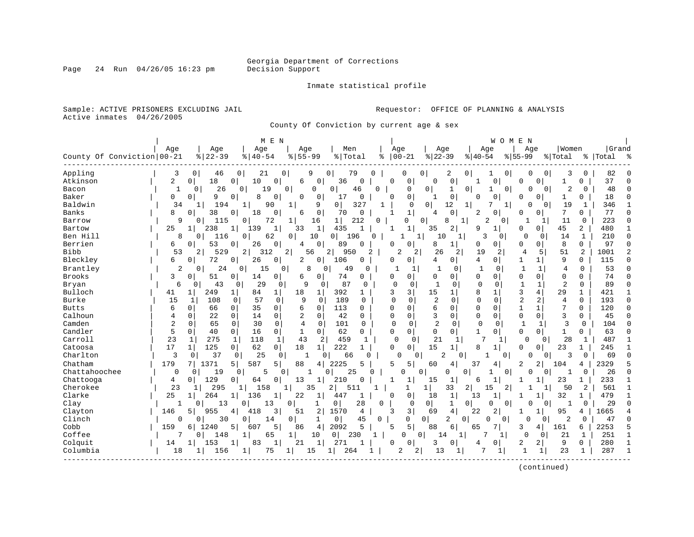Page 24 Run  $04/26/05$  16:23 pm

#### Inmate statistical profile

Sample: ACTIVE PRISONERS EXCLUDING JAIL **Requestor:** OFFICE OF PLANNING & ANALYSIS Active inmates 04/26/2005

County Of Conviction by current age & sex

|                            |                |                     |                     |                       | M E N                |                |                |                |                |              |                      |                |                            |              |                         | WOMEN        |                              |              |                |              |           |              |
|----------------------------|----------------|---------------------|---------------------|-----------------------|----------------------|----------------|----------------|----------------|----------------|--------------|----------------------|----------------|----------------------------|--------------|-------------------------|--------------|------------------------------|--------------|----------------|--------------|-----------|--------------|
|                            | Age            |                     | Age                 |                       | Age                  | Age            |                | Men            |                |              | Age                  |                | Age                        |              | Age                     |              | Age                          |              | Women          |              | Grand     |              |
| County Of Conviction 00-21 |                |                     | $8   22 - 39$       |                       | $8140 - 54$          | $8155 - 99$    |                | % Total        |                | ႜ            | $ 00-21$             |                | $ 22-39$                   |              | $ 40-54$                | $8 55-99$    |                              | % Total      |                |              | %   Total | ఄ            |
| Appling                    |                | 3                   | 0<br>46             | 0                     | 21                   | 0              | 9              | 79<br>0        | 0              |              | 0                    | 0              | 2                          | 0            |                         | 0            | $\Omega$                     | 0            | 3              | 0            | 82        |              |
| Atkinson                   |                | 2<br>0 <sup>1</sup> | 18                  | 10<br>0               | 0                    | 6              | 0              | 36             | 0              | $\Omega$     | 0                    | $\Omega$       | 0                          |              | 0                       |              | 0<br>0                       |              | 1              | 0            | 37        | <sup>0</sup> |
| Bacon                      |                | $\mathbf{1}$        | 26<br>0             | 0                     | 19                   | $\Omega$       | $\Omega$       | 0              | 46<br>$\Omega$ |              | 0                    | $\mathbf 0$    | $\mathbf{1}$               | 0            | 1                       | $\Omega$     | $\Omega$                     | 0            | $\overline{2}$ | $\Omega$     | 48        | $\Omega$     |
| Baker                      | 0              | 0                   | 9                   | 0                     | 8<br>$\mathbf 0$     | 0              | 0              | 17             | 0              | $\Omega$     | 0                    | 1              | $\mathsf 0$                | <sup>0</sup> | $\mathbf 0$             |              | 0<br>U                       |              | 1              | 0            | 18        | $\Omega$     |
| Baldwin                    |                | 34                  | 194<br>1            | $\mathbf{1}$          | 90                   | 1              | 9              | $\overline{0}$ | 327            |              | $\Omega$             | 0 <sup>1</sup> | 12                         |              | 7                       | 1            | $\cap$                       | 0            | 19             | 1            | 346       |              |
| Banks                      | 8              | $\Omega$            | 38                  | 18<br>0               | $\Omega$             | 6              | $\overline{0}$ | 70             | $\Omega$       | 1            | $\mathbf{1}$         | $\overline{4}$ | $\mathbf 0$                |              | 0<br>2                  |              | 0<br>0                       |              | 7              | 0            | 77        | 0            |
| Barrow                     |                | 9                   | 115<br>0            | 0                     | 72                   | 1              | 16             | 1              | 212            | O            | 0                    | 0              | 8                          |              | 2                       | 0            | 1                            | 1            | 11             | 0            | 223       | $\Omega$     |
| Bartow                     | 25             | 1                   | 238                 | 1 <sup>1</sup><br>139 | 1                    | 33             | $1\vert$       | 435            | -1             | 1            | $\mathbf 1$          | 35             | 2                          | 9            | 1                       |              | O<br>0.                      |              | 45             | 2            | 480       | $\mathbf{1}$ |
| Ben Hill                   |                | 8                   | 116<br>0            | 0                     | 62                   | 0              | 10             | 196<br>0       | $\Omega$       |              |                      | $\mathbf{1}$   | 10                         | 1            | 3                       | 0            | 0                            | 0            | 14             | 1            | 210       | $\mathbf 0$  |
| Berrien                    | 6              | $\Omega$            | 53                  | 0                     | 26<br>$\mathbf{0}$   | 4              | 0              | 89             | O              | O            | 0                    | 8              | 1                          | 0            | 0                       |              | O<br>0                       |              | 8              | $\Omega$     | 97        | $\Omega$     |
| <b>Bibb</b>                |                | 53                  | 2<br>529            | 2                     | 312                  | $\overline{2}$ | 56             | 2 <br>950      | 2              |              | $\overline{c}$       | 2              | 26                         | 2            | 19<br>2                 |              | 4                            | 5            | 51             | 2            | 1001      | 2            |
| Bleckley                   | 6              | 0                   | 72                  | 0                     | 26<br>0              | 2              | 0 <sup>1</sup> | 106            | 0              | 0            | $\Omega$             | 4              | 0                          |              | 4<br>0                  |              | 1<br>1                       |              | 9              | $\Omega$     | 115       | 0            |
| Brantley                   |                | 2                   | 24<br>0             | $\Omega$              | 15                   | $\Omega$       | 8<br>$\Omega$  | 49             | $\Omega$       |              | 1                    |                |                            | 0            | $\mathbf 0$<br>1        |              | -1                           | 1            | 4              | $\Omega$     | 53        | $\Omega$     |
| <b>Brooks</b>              | 3              | $\mathbf 0$         | 51                  | $\overline{0}$        | 14<br>$\circ$        | 6              | 0              | 74             | $\Omega$       | $\Omega$     | 0                    | $\Omega$       | 0                          |              | $\Omega$<br>$\mathbf 0$ |              | $\mathbf{0}$<br>$\mathbf 0$  |              | $\Omega$       | $\Omega$     | 74        | $\Omega$     |
| Bryan                      |                | 6                   | 43<br>0             | 0                     | 29<br>0              |                | 9<br>0         | 87             | $\Omega$       |              | $\Omega$<br>$\Omega$ |                | $\mathbf{1}$<br>$\Omega$   |              | $\Omega$<br>$\Omega$    |              | $\mathbf{1}$                 | $\mathbf{1}$ | $\overline{2}$ | $\Omega$     | 89        | $\Omega$     |
| Bulloch                    | 41             | 1                   | 249                 | $\mathbf{1}$          | 84<br>$\mathbf{1}$   | 18             | $\mathbf{1}$   | 392            | 1              | ζ            | 3                    | 15             | 1                          | 8            | 1                       |              | 3<br>4                       |              | 29             | 1            | 421       | 1            |
| Burke                      | 15             |                     | 1<br>108            | 0                     | 57<br>$\Omega$       | 9              | $\Omega$       | 189            | $\Omega$       | $\Omega$     | $\Omega$             |                | $\overline{2}$<br>$\Omega$ |              | $\Omega$<br>$\Omega$    |              | $\overline{2}$<br>2          |              | 4              | $\Omega$     | 193       | $\Omega$     |
| <b>Butts</b>               | 6              | $\Omega$            | 66                  | $\Omega$              | 35<br>$\circ$        | 6              | 0              | 113            | $\Omega$       | $\Omega$     | $\Omega$             | 6              | 0                          | $\Omega$     | $\Omega$                |              | $\mathbf{1}$<br>$\mathbf{1}$ |              | 7              | $\Omega$     | 120       | $\Omega$     |
| Calhoun                    | 4              | $\mathbf 0$         | 22                  | $\mathbf 0$           | 14<br>0              | 2              | 0              | 42             | $\Omega$       | $\Omega$     | $\Omega$             | 3              | 0                          | 0            | $\mathbf 0$             |              | $\Omega$<br>$\mathbf 0$      |              | 3              | 0            | 45        | 0            |
| Camden                     | $\overline{a}$ | $\mathbf 0$         | 65                  | $\mathbf 0$           | 30<br>0              | $\overline{4}$ | $\mathbf 0$    | 101            | $\Omega$       | $\Omega$     | $\Omega$             |                | $\overline{2}$<br>$\Omega$ |              | $\mathbf 0$<br>$\Omega$ |              | $\mathbf{1}$                 | 1            | 3              | $\Omega$     | 104       | $\Omega$     |
| Candler                    | 5              | 0                   | 40                  | 0                     | 16<br>0              | 1              | $\mathbf{0}$   | 62             | $\Omega$       | $\Omega$     | $\Omega$             | $\mathbf 0$    | 0                          |              | 1<br>0                  |              | $\Omega$<br>0                |              | 1              | 0            | 63        | $\Omega$     |
| Carroll                    | 23             | 1                   | 275                 | $\mathbf{1}$          | 1<br>118             | 43             | 2              | 459            | 1              |              | $\Omega$<br>0        |                | 21                         | 1            | 7<br>1                  |              | 0                            | 0            | 28             | 1            | 487       | $\mathbf{1}$ |
| Catoosa                    | 17             | 11                  | 125                 | 0                     | 62<br>0 <sup>1</sup> | 18             | 1              | 222            | 1              | $\Omega$     | $\Omega$             | 15             | 1                          | 8            | 1                       |              | 0<br>0                       |              | 23             | $\mathbf{1}$ | 245       |              |
| Charlton                   |                | 3                   | 37<br>0             | 0                     | 25<br>0              |                | 0              | 66             | U              |              | 0                    | $\Omega$       | 2                          | $\Omega$     |                         | $\Omega$     | 0                            | 0            | 3              | $\Omega$     | 69        | $\Omega$     |
| Chatham                    | 179            |                     | 1371                | 587<br>5              | 5.                   | 88             | 4              | 2225           | 5              | 5            | 5                    | 60             | 4                          | 37           | 4                       |              | 2<br>2                       |              | 104            | 4            | 2329      | 5            |
| Chattahoochee              |                | 0                   | 19<br>0             | 0                     | 5                    | $\Omega$       |                | 25<br>$\Omega$ | O              |              | O                    | $\Omega$       | <sup>0</sup>               | <sup>0</sup> |                         | $\mathbf 0$  | $\Omega$                     | $\Omega$     | $\mathbf{1}$   | 0            | 26        | $\Omega$     |
| Chattooga                  | 4              | 0 <sup>1</sup>      | 129                 | 0                     | 64<br>0              | 13             | $\mathbf{1}$   | 210            | $\Omega$       | 1            | 1                    | 15             | 1                          | 6            | 1                       |              | 1                            |              | 23             | 1            | 233       | 1            |
| Cherokee                   |                | 23                  | 295                 |                       | 158                  |                | 35             | 2<br>511       |                |              | 1                    | $1\vert$       | 33                         | 2            | 15                      | 2            |                              |              | 50             | 2            | 561       | $\mathbf{1}$ |
| Clarke                     | 25             | $1\vert$            | 264                 | 136                   |                      | 22             | $\mathbf{1}$   | 447            |                | <sup>0</sup> | $\Omega$             | 18             | $\mathbf{1}$               | 13           | $\mathbf{1}$            |              | 1                            |              | 32             | 1            | 479       |              |
| Clay                       |                |                     | O<br>13             | O                     | 13                   | $\Omega$       | 1              | $\mathbf 0$    | 28             | $\Omega$     | $\Omega$             | 0              | 1                          | $\Omega$     | 0                       | $\Omega$     | $\Omega$                     | 0            |                | $\Omega$     | 29        | $\Omega$     |
| Clayton                    | 146            | 51                  | 955                 | 418<br>4              | 3                    | 51             | 2              | 1570           | $\overline{4}$ | 3            | 3                    | 69             | 4                          | 22           | 2                       |              | 1                            |              | 95             | 4            | 1665      |              |
| Clinch                     |                | $\Omega$            | 30<br>O             | $\Omega$              | 14                   | $\Omega$       | 1              | 0 <sup>1</sup> | 45             | 0            | $\Omega$             | $\overline{0}$ | 2                          | 0            | $\Omega$                | $\Omega$     | <sup>0</sup>                 | 0            | $\overline{2}$ | $\Omega$     | 47        | $\Omega$     |
| Cobb                       | 159            | 61                  | 1240                | 607<br>5              | 5                    | 86             | 4              | 2092           | 5              | 5            | 5                    | 88             | 6                          | 65           | 7                       |              | 3<br>4                       |              | 161            | 6            | 2253      | 5            |
| Coffee                     |                |                     | 148<br>0            | $\mathbf{1}$          | 65                   | 1              | 10             | 0<br>230       | 1              |              | $\Omega$             | $\Omega$       | 14                         | $\mathbf{1}$ | 7                       | $\mathbf{1}$ | $\Omega$                     | $\Omega$     | 21             | $\mathbf{1}$ | 251       | $\mathbf{1}$ |
| Colquit                    | 14             | 1                   | 153                 |                       | 83<br>1              | 21             | $\mathbf{1}$   | 271            |                | O            | $\Omega$             |                | 3<br>0                     | 4            | 0                       |              | 2<br>2                       |              | 9              | $\Omega$     | 280       | 1            |
| Columbia                   |                | 18                  | 156<br>$\mathbf{1}$ | 1                     | 75                   | 1              | 15             | 1<br>264       |                |              | 2                    | $\overline{2}$ | 13                         | 1            | 7<br>1                  |              | $\mathbf{1}$                 | 1            | 23             | 1            | 287       | $\mathbf{1}$ |
|                            |                |                     |                     |                       |                      |                |                |                |                |              |                      |                |                            |              |                         |              |                              |              |                |              |           |              |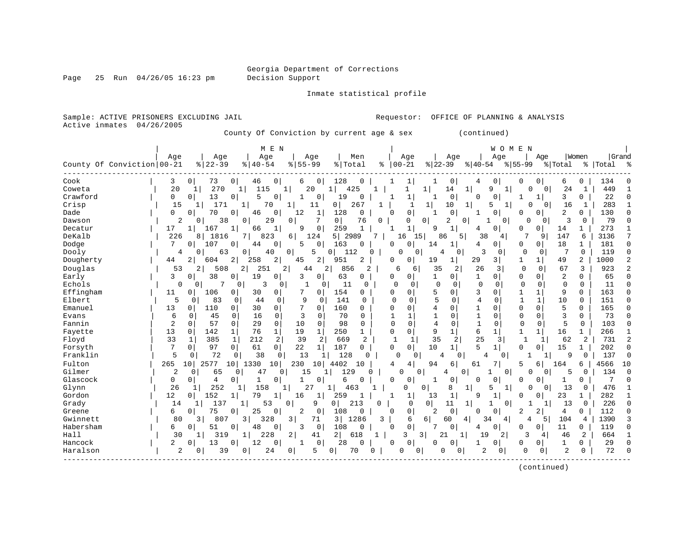Page 25 Run 04/26/05 16:23 pm

Inmate statistical profile

Sample: ACTIVE PRISONERS EXCLUDING JAIL **Requestor:** OFFICE OF PLANNING & ANALYSIS Active inmates 04/26/2005

County Of Conviction by current age & sex (continued)

| Age<br>Grand<br>Age<br>Men<br>Age<br>Age<br>  Women<br>Age<br>Age<br>Age<br>Age<br>County Of Conviction 00-21<br>$8   22 - 39$<br>$8   40 - 54$<br>$00 - 21$<br>$8155 - 99$<br>% Total<br>$ 22 - 39$<br>$ 40-54$<br>$8155 - 99$<br>$\approx$<br>ిక<br>% Total<br>%   Total<br>Cook<br>$\circ$<br>0<br>$\overline{0}$<br>128<br>$\mathbf 0$<br>3<br>$\mathbf{0}$<br>73<br>46<br>0<br>0<br>0<br>134<br>6<br>4<br>0<br>6<br>0<br>U<br>20<br>9<br>449<br>Coweta<br>270<br>11<br>20<br>425<br>$\mathbf 1$<br>14<br>1<br>1<br>$\Omega$<br>24<br>1<br>$\mathbf{1}$<br>1<br>0<br>1<br>$\mathbf{1}$<br>5<br>5<br>Crawford<br>0<br>13<br>19<br>0<br>3<br>22<br>$\Omega$<br>0<br>0<br>$\mathbf{1}$<br>0<br>1<br>0<br>$\Omega$<br>1<br>$\Omega$<br>0<br>0<br>1<br>267<br>$\mathbf{1}$<br>Crisp<br>15<br>171<br>70<br>$1\vert$<br>5<br>283<br>1 <sup>1</sup><br>11<br>0<br>-1<br>10<br>$\mathbf{1}$<br>$\Omega$<br>16<br>$\mathbf{1}$<br>$\mathbf{1}$<br>1<br>1<br>1<br>$\Omega$<br>0 <sup>1</sup><br>$\mathbf 0$<br>Dade<br>0<br>70<br>$\mathbf 0$<br>12<br>$\mathbf{1}$<br>128<br>0<br>$\mathbf 0$<br>2<br>130<br>0<br>0<br>$\Omega$<br>46<br>0<br>0<br>n<br>-1<br>N<br>7<br>0 <sup>1</sup><br>79<br>$\overline{2}$<br>38<br>29<br>0<br>$\Omega$<br>3<br>$\mathbf 0$<br>Dawson<br>0<br>0<br>76<br>0<br>2<br>0<br>1<br>0<br>O<br>0<br>0<br>0<br>0<br>$\mathbf{1}$<br>$\mathbf{1}$<br>Decatur<br>167<br>66<br>$\mathbf 1$<br>9<br>259<br>9<br>0<br>O<br>273<br>17<br>1<br>$\mathbf{1}$<br>$\Omega$<br>14<br>1<br>1<br>4<br>DeKalb<br>226<br>124<br>5 <br>7<br>7<br>3136<br>7<br>1816<br>7  <br>823<br>2989<br>15 <sup>1</sup><br>86<br>38<br>9<br>147<br>6<br>81<br>6 <br>16<br>5<br>4<br>$\mathbf 0$<br>107<br>0<br>$\Omega$<br>18<br>181<br>$\Omega$<br>Dodge<br>7<br>$\Omega$<br>44<br>5<br>163<br>$\Omega$<br>1<br>0<br>0<br>$\overline{0}$<br>$\mathbf{1}$<br>$\Omega$<br><sup>0</sup><br>14<br>4<br>0<br>3<br>$\mathbf 0$<br>119<br>0<br>Dooly<br>63<br>0<br>40<br>0<br>5<br>112<br>$\overline{0}$<br>0<br>$\mathbf 0$<br>4<br>0<br>0<br>0<br>4<br>0<br>0<br>2<br>2<br>2<br>Dougherty<br>2<br>2 <br>2<br>19<br>29<br>3 <br>$\mathbf{1}$<br>49<br>1000<br>44<br>2<br>604<br>258<br>45<br>951<br>$\Omega$<br>0<br>$\mathbf{1}$<br>1<br>26<br>2<br>Douglas<br>508<br>2 <sub>1</sub><br>251<br>2<br>856<br>$\overline{c}$<br>35<br>2<br>3<br>$\Omega$<br>$\Omega$<br>67<br>3<br>923<br>53<br>$\overline{2}$<br>44<br>2 <br>6<br>6<br>38<br>19<br>$\overline{2}$<br>65<br>Early<br>3<br>0<br>3<br>$\mathbf 0$<br>63<br>$\mathbf 1$<br>0<br>$\Omega$<br>0<br>0<br>$\Omega$<br>0<br>1<br>0<br>$\mathbf{0}$<br>0<br>0<br>0<br>Echols<br>7<br>3<br>11<br>$\Omega$<br>$\mathbf 0$<br>$\mathbf 0$<br>$\mathbf 0$<br>11<br>$\mathbf 0$<br>0<br>0<br>0<br>1<br>$\Omega$<br>$\Omega$<br>0<br>0<br>0<br>0<br>$\circ$<br>0<br>$\Omega$<br>Effingham<br>154<br>5<br>3<br>0<br>$\mathbf{1}$<br>$\mathbf 1$<br>9<br>$\Omega$<br>163<br>$\Omega$<br>11<br>106<br>30<br>0<br>0<br>$\Omega$<br>0<br>0<br>0<br>0<br>0<br>5<br>5<br>9<br>$\mathbf{1}$<br>$\mathbf{1}$<br>Elbert<br>83<br>44<br>$\Omega$<br>$\Omega$<br>141<br>$\Omega$<br>4<br>$\Omega$<br>10<br>$\Omega$<br>151<br>$\Omega$<br>$\Omega$<br>$\Omega$<br>$\cap$<br>$\Omega$<br>0<br>Emanuel<br>30<br>7<br>160<br>4<br>$\Omega$<br>$\Omega$<br>5<br>165<br>13<br>110<br>0<br>$\Omega$<br>$\Omega$<br>$\Omega$<br>0<br>$\Omega$<br>$\Omega$<br>0<br>0<br>0<br>1<br>0<br>3<br>73<br>16<br>$\mathbf 0$<br>70<br>$\mathbf{1}$<br>0<br>$\mathbf 0$<br>0<br>$\Omega$<br>3<br>0<br>Evans<br>6<br>45<br>0<br>0<br>0<br>1<br>1<br>1<br>0<br>$\Omega$<br>Fannin<br>$\overline{2}$<br>0<br>98<br>0<br>$\mathbf 0$<br>0<br>57<br>0<br>29<br>10<br>0<br>$\Omega$<br>$\Omega$<br>4<br>$\mathbf 0$<br>$\mathbf 1$<br>$\Omega$<br>0<br>5<br>103<br>$\mathbf 0$<br>0<br>13<br>76<br>$\mathbf{1}$<br>19<br>$\mathbf{1}$<br>$\mathbf 0$<br>9<br>1<br>6<br>$\mathbf 1$<br>$\mathbf{1}$<br>Fayette<br>142<br>$\mathbf 1$<br>250<br>$\mathbf 1$<br>$\mathbf 0$<br>1<br>$\mathbf{1}$<br>16<br>266<br>$\mathbf{1}$<br>0<br>$\overline{2}$<br>33<br>385<br>212<br>2<br>39<br>669<br>35<br>25<br>62<br>731<br>Floyd<br>1<br>2<br>2<br>$\mathbf{1}$<br>-1<br>2<br>3 <br>$\mathbf{1}$<br>1<br>2<br>1<br>7<br>61<br>$\mathbf{0}$<br>22<br>187<br>$\Omega$<br>10<br>5<br>0<br>15<br>202<br>0<br>Forsyth<br>97<br>$\overline{0}$<br>1<br>$\Omega$<br>1<br>$\mathbf 0$<br>0<br>1<br>$\Omega$<br>1<br>5<br>Franklin<br>72<br>38<br>13<br>128<br>137<br>$\mathbf 0$<br>0<br>0<br>$\Omega$<br>$\Omega$<br>$\Omega$<br>$\mathbf{1}$<br>9<br>$\Omega$<br>0<br>U<br>$\overline{4}$<br>0<br>4<br>Fulton<br>265<br>2577<br>1330<br>230<br>4402<br>7<br>4566<br>10<br>10<br>10<br>94<br>6<br>61<br>5<br>6<br>164<br>10<br>$\mathbf{1}$<br>$\Omega$<br>10<br>4<br>4<br>6<br>Gilmer<br>129<br>134<br>$\Omega$<br>2<br>$\Omega$<br>$\Omega$<br>$\Omega$<br>$\Omega$<br>$\Omega$<br>$\Omega$<br>$\Omega$<br>65<br>4<br>0<br>15<br>1<br>$\Omega$<br>5<br>∩<br>4<br>Glascock<br>$\overline{4}$<br>0<br>6<br>7<br>0<br>0<br>0<br>1<br>0<br>$\Omega$<br>$\Omega$<br>0<br>0<br>0<br>0<br>0<br><sup>0</sup><br><sup>0</sup><br>0<br>1<br>1<br>26<br>252<br>158<br>27<br>8<br>13<br>476<br>Glynn<br>1<br>46<br>O<br>0<br>1<br>5<br>1<br>$\Omega$<br>$\mathbf{1}$<br>1<br>3<br>0<br>0<br>Gordon<br>12<br>152<br>79<br>282<br>259<br>13<br>$\mathbf{1}$<br>1<br>23<br>1<br>0<br>1  <br>1<br>16<br>1<br>9<br>O<br>0<br>1<br>$\Omega$<br>137<br>213<br>226<br>$\Omega$<br>Grady<br>14<br>53<br>9<br>$\Omega$<br>13<br>0<br>0 <sup>1</sup><br>0<br>11<br>1<br>0<br>$\mathbf{1}$<br>1<br>$1\vert$<br>1<br>1<br>0<br>75<br>2<br>$\mathbf 0$<br>108<br>$\mathbf 0$<br>0<br>2<br>112<br>Greene<br>б.<br>25<br>0<br>2<br>0<br>2<br>4<br>0<br>0<br>$\Omega$<br>0<br>$\Omega$<br>$\cap$<br>$\Omega$<br>Gwinnett<br>$\overline{3}$<br>3 <br>328<br>3 <br>3 <br>1286<br>3<br>6<br>104<br>1390<br>3<br>80<br>807<br>71<br>6<br>60<br>34<br>4<br>5<br>4<br>4<br>4<br>$\Omega$<br>7<br>Habersham<br>0<br>3<br>$\mathbf 0$<br>108<br>0<br>0<br>11<br>$\Omega$<br>6<br>51<br>0<br>48<br>0<br>$\Omega$<br>U<br>$\Omega$<br>0<br>119<br>0<br>4<br>2 <br>Hall<br>3<br>30<br>319<br>228<br>$\overline{2}$<br>618<br>21<br>19<br>$\overline{2}$<br>3<br>46<br>2<br>664<br>41<br>3<br>$\mathbf{1}$<br>1<br>$\mathbf{1}$<br>4<br>1<br>0<br>Hancock<br>2<br>13<br>12<br>0<br>28<br>$\mathbf 0$<br>0<br>29<br>$\Omega$<br>$\Omega$<br>0<br>0<br>0<br>0<br>0<br>0<br>1<br>0<br>0<br>Haralson<br>24<br>$\overline{c}$<br>$\mathbf 0$<br>$\overline{c}$<br>72<br>$\Omega$<br>2<br>39<br>5<br>70<br>0<br>0<br>$\mathbf 0$<br>$\Omega$<br>$\cap$<br>0<br><sup>0</sup><br>0<br>01<br>0<br>0<br>0 |  | M E N |  |  |  | WOMEN |  |  |  |
|-------------------------------------------------------------------------------------------------------------------------------------------------------------------------------------------------------------------------------------------------------------------------------------------------------------------------------------------------------------------------------------------------------------------------------------------------------------------------------------------------------------------------------------------------------------------------------------------------------------------------------------------------------------------------------------------------------------------------------------------------------------------------------------------------------------------------------------------------------------------------------------------------------------------------------------------------------------------------------------------------------------------------------------------------------------------------------------------------------------------------------------------------------------------------------------------------------------------------------------------------------------------------------------------------------------------------------------------------------------------------------------------------------------------------------------------------------------------------------------------------------------------------------------------------------------------------------------------------------------------------------------------------------------------------------------------------------------------------------------------------------------------------------------------------------------------------------------------------------------------------------------------------------------------------------------------------------------------------------------------------------------------------------------------------------------------------------------------------------------------------------------------------------------------------------------------------------------------------------------------------------------------------------------------------------------------------------------------------------------------------------------------------------------------------------------------------------------------------------------------------------------------------------------------------------------------------------------------------------------------------------------------------------------------------------------------------------------------------------------------------------------------------------------------------------------------------------------------------------------------------------------------------------------------------------------------------------------------------------------------------------------------------------------------------------------------------------------------------------------------------------------------------------------------------------------------------------------------------------------------------------------------------------------------------------------------------------------------------------------------------------------------------------------------------------------------------------------------------------------------------------------------------------------------------------------------------------------------------------------------------------------------------------------------------------------------------------------------------------------------------------------------------------------------------------------------------------------------------------------------------------------------------------------------------------------------------------------------------------------------------------------------------------------------------------------------------------------------------------------------------------------------------------------------------------------------------------------------------------------------------------------------------------------------------------------------------------------------------------------------------------------------------------------------------------------------------------------------------------------------------------------------------------------------------------------------------------------------------------------------------------------------------------------------------------------------------------------------------------------------------------------------------------------------------------------------------------------------------------------------------------------------------------------------------------------------------------------------------------------------------------------------------------------------------------------------------------------------------------------------------------------------------------------------------------------------------------------------------------------------------------------------------------------------------------------------------------------------------------------------------------------------------------------------------------------------------------------------------------------------------------------------------------------------------------------------------------------------------------------------------------------------------------------------------------------------------------------------------------------------------------------------------------------------------------------------------------------------------------------------------------------------------------------------------------------------------------------------------------------------------------------------------------------------------------------------------------------------------------------------------------------------------------------------------------------------------------------------------------------------------------------------------------------------------------------------------------------------------------------------------------------------------------------------------------------------------------------------------------------------------------------------------------------------------------------------------------------------------------------------------------------------|--|-------|--|--|--|-------|--|--|--|
|                                                                                                                                                                                                                                                                                                                                                                                                                                                                                                                                                                                                                                                                                                                                                                                                                                                                                                                                                                                                                                                                                                                                                                                                                                                                                                                                                                                                                                                                                                                                                                                                                                                                                                                                                                                                                                                                                                                                                                                                                                                                                                                                                                                                                                                                                                                                                                                                                                                                                                                                                                                                                                                                                                                                                                                                                                                                                                                                                                                                                                                                                                                                                                                                                                                                                                                                                                                                                                                                                                                                                                                                                                                                                                                                                                                                                                                                                                                                                                                                                                                                                                                                                                                                                                                                                                                                                                                                                                                                                                                                                                                                                                                                                                                                                                                                                                                                                                                                                                                                                                                                                                                                                                                                                                                                                                                                                                                                                                                                                                                                                                                                                                                                                                                                                                                                                                                                                                                                                                                                                                                                                                                                                                                                                                                                                                                                                                                                                                                                                                                                                                                                                                           |  |       |  |  |  |       |  |  |  |
|                                                                                                                                                                                                                                                                                                                                                                                                                                                                                                                                                                                                                                                                                                                                                                                                                                                                                                                                                                                                                                                                                                                                                                                                                                                                                                                                                                                                                                                                                                                                                                                                                                                                                                                                                                                                                                                                                                                                                                                                                                                                                                                                                                                                                                                                                                                                                                                                                                                                                                                                                                                                                                                                                                                                                                                                                                                                                                                                                                                                                                                                                                                                                                                                                                                                                                                                                                                                                                                                                                                                                                                                                                                                                                                                                                                                                                                                                                                                                                                                                                                                                                                                                                                                                                                                                                                                                                                                                                                                                                                                                                                                                                                                                                                                                                                                                                                                                                                                                                                                                                                                                                                                                                                                                                                                                                                                                                                                                                                                                                                                                                                                                                                                                                                                                                                                                                                                                                                                                                                                                                                                                                                                                                                                                                                                                                                                                                                                                                                                                                                                                                                                                                           |  |       |  |  |  |       |  |  |  |
|                                                                                                                                                                                                                                                                                                                                                                                                                                                                                                                                                                                                                                                                                                                                                                                                                                                                                                                                                                                                                                                                                                                                                                                                                                                                                                                                                                                                                                                                                                                                                                                                                                                                                                                                                                                                                                                                                                                                                                                                                                                                                                                                                                                                                                                                                                                                                                                                                                                                                                                                                                                                                                                                                                                                                                                                                                                                                                                                                                                                                                                                                                                                                                                                                                                                                                                                                                                                                                                                                                                                                                                                                                                                                                                                                                                                                                                                                                                                                                                                                                                                                                                                                                                                                                                                                                                                                                                                                                                                                                                                                                                                                                                                                                                                                                                                                                                                                                                                                                                                                                                                                                                                                                                                                                                                                                                                                                                                                                                                                                                                                                                                                                                                                                                                                                                                                                                                                                                                                                                                                                                                                                                                                                                                                                                                                                                                                                                                                                                                                                                                                                                                                                           |  |       |  |  |  |       |  |  |  |
|                                                                                                                                                                                                                                                                                                                                                                                                                                                                                                                                                                                                                                                                                                                                                                                                                                                                                                                                                                                                                                                                                                                                                                                                                                                                                                                                                                                                                                                                                                                                                                                                                                                                                                                                                                                                                                                                                                                                                                                                                                                                                                                                                                                                                                                                                                                                                                                                                                                                                                                                                                                                                                                                                                                                                                                                                                                                                                                                                                                                                                                                                                                                                                                                                                                                                                                                                                                                                                                                                                                                                                                                                                                                                                                                                                                                                                                                                                                                                                                                                                                                                                                                                                                                                                                                                                                                                                                                                                                                                                                                                                                                                                                                                                                                                                                                                                                                                                                                                                                                                                                                                                                                                                                                                                                                                                                                                                                                                                                                                                                                                                                                                                                                                                                                                                                                                                                                                                                                                                                                                                                                                                                                                                                                                                                                                                                                                                                                                                                                                                                                                                                                                                           |  |       |  |  |  |       |  |  |  |
|                                                                                                                                                                                                                                                                                                                                                                                                                                                                                                                                                                                                                                                                                                                                                                                                                                                                                                                                                                                                                                                                                                                                                                                                                                                                                                                                                                                                                                                                                                                                                                                                                                                                                                                                                                                                                                                                                                                                                                                                                                                                                                                                                                                                                                                                                                                                                                                                                                                                                                                                                                                                                                                                                                                                                                                                                                                                                                                                                                                                                                                                                                                                                                                                                                                                                                                                                                                                                                                                                                                                                                                                                                                                                                                                                                                                                                                                                                                                                                                                                                                                                                                                                                                                                                                                                                                                                                                                                                                                                                                                                                                                                                                                                                                                                                                                                                                                                                                                                                                                                                                                                                                                                                                                                                                                                                                                                                                                                                                                                                                                                                                                                                                                                                                                                                                                                                                                                                                                                                                                                                                                                                                                                                                                                                                                                                                                                                                                                                                                                                                                                                                                                                           |  |       |  |  |  |       |  |  |  |
|                                                                                                                                                                                                                                                                                                                                                                                                                                                                                                                                                                                                                                                                                                                                                                                                                                                                                                                                                                                                                                                                                                                                                                                                                                                                                                                                                                                                                                                                                                                                                                                                                                                                                                                                                                                                                                                                                                                                                                                                                                                                                                                                                                                                                                                                                                                                                                                                                                                                                                                                                                                                                                                                                                                                                                                                                                                                                                                                                                                                                                                                                                                                                                                                                                                                                                                                                                                                                                                                                                                                                                                                                                                                                                                                                                                                                                                                                                                                                                                                                                                                                                                                                                                                                                                                                                                                                                                                                                                                                                                                                                                                                                                                                                                                                                                                                                                                                                                                                                                                                                                                                                                                                                                                                                                                                                                                                                                                                                                                                                                                                                                                                                                                                                                                                                                                                                                                                                                                                                                                                                                                                                                                                                                                                                                                                                                                                                                                                                                                                                                                                                                                                                           |  |       |  |  |  |       |  |  |  |
|                                                                                                                                                                                                                                                                                                                                                                                                                                                                                                                                                                                                                                                                                                                                                                                                                                                                                                                                                                                                                                                                                                                                                                                                                                                                                                                                                                                                                                                                                                                                                                                                                                                                                                                                                                                                                                                                                                                                                                                                                                                                                                                                                                                                                                                                                                                                                                                                                                                                                                                                                                                                                                                                                                                                                                                                                                                                                                                                                                                                                                                                                                                                                                                                                                                                                                                                                                                                                                                                                                                                                                                                                                                                                                                                                                                                                                                                                                                                                                                                                                                                                                                                                                                                                                                                                                                                                                                                                                                                                                                                                                                                                                                                                                                                                                                                                                                                                                                                                                                                                                                                                                                                                                                                                                                                                                                                                                                                                                                                                                                                                                                                                                                                                                                                                                                                                                                                                                                                                                                                                                                                                                                                                                                                                                                                                                                                                                                                                                                                                                                                                                                                                                           |  |       |  |  |  |       |  |  |  |
|                                                                                                                                                                                                                                                                                                                                                                                                                                                                                                                                                                                                                                                                                                                                                                                                                                                                                                                                                                                                                                                                                                                                                                                                                                                                                                                                                                                                                                                                                                                                                                                                                                                                                                                                                                                                                                                                                                                                                                                                                                                                                                                                                                                                                                                                                                                                                                                                                                                                                                                                                                                                                                                                                                                                                                                                                                                                                                                                                                                                                                                                                                                                                                                                                                                                                                                                                                                                                                                                                                                                                                                                                                                                                                                                                                                                                                                                                                                                                                                                                                                                                                                                                                                                                                                                                                                                                                                                                                                                                                                                                                                                                                                                                                                                                                                                                                                                                                                                                                                                                                                                                                                                                                                                                                                                                                                                                                                                                                                                                                                                                                                                                                                                                                                                                                                                                                                                                                                                                                                                                                                                                                                                                                                                                                                                                                                                                                                                                                                                                                                                                                                                                                           |  |       |  |  |  |       |  |  |  |
|                                                                                                                                                                                                                                                                                                                                                                                                                                                                                                                                                                                                                                                                                                                                                                                                                                                                                                                                                                                                                                                                                                                                                                                                                                                                                                                                                                                                                                                                                                                                                                                                                                                                                                                                                                                                                                                                                                                                                                                                                                                                                                                                                                                                                                                                                                                                                                                                                                                                                                                                                                                                                                                                                                                                                                                                                                                                                                                                                                                                                                                                                                                                                                                                                                                                                                                                                                                                                                                                                                                                                                                                                                                                                                                                                                                                                                                                                                                                                                                                                                                                                                                                                                                                                                                                                                                                                                                                                                                                                                                                                                                                                                                                                                                                                                                                                                                                                                                                                                                                                                                                                                                                                                                                                                                                                                                                                                                                                                                                                                                                                                                                                                                                                                                                                                                                                                                                                                                                                                                                                                                                                                                                                                                                                                                                                                                                                                                                                                                                                                                                                                                                                                           |  |       |  |  |  |       |  |  |  |
|                                                                                                                                                                                                                                                                                                                                                                                                                                                                                                                                                                                                                                                                                                                                                                                                                                                                                                                                                                                                                                                                                                                                                                                                                                                                                                                                                                                                                                                                                                                                                                                                                                                                                                                                                                                                                                                                                                                                                                                                                                                                                                                                                                                                                                                                                                                                                                                                                                                                                                                                                                                                                                                                                                                                                                                                                                                                                                                                                                                                                                                                                                                                                                                                                                                                                                                                                                                                                                                                                                                                                                                                                                                                                                                                                                                                                                                                                                                                                                                                                                                                                                                                                                                                                                                                                                                                                                                                                                                                                                                                                                                                                                                                                                                                                                                                                                                                                                                                                                                                                                                                                                                                                                                                                                                                                                                                                                                                                                                                                                                                                                                                                                                                                                                                                                                                                                                                                                                                                                                                                                                                                                                                                                                                                                                                                                                                                                                                                                                                                                                                                                                                                                           |  |       |  |  |  |       |  |  |  |
|                                                                                                                                                                                                                                                                                                                                                                                                                                                                                                                                                                                                                                                                                                                                                                                                                                                                                                                                                                                                                                                                                                                                                                                                                                                                                                                                                                                                                                                                                                                                                                                                                                                                                                                                                                                                                                                                                                                                                                                                                                                                                                                                                                                                                                                                                                                                                                                                                                                                                                                                                                                                                                                                                                                                                                                                                                                                                                                                                                                                                                                                                                                                                                                                                                                                                                                                                                                                                                                                                                                                                                                                                                                                                                                                                                                                                                                                                                                                                                                                                                                                                                                                                                                                                                                                                                                                                                                                                                                                                                                                                                                                                                                                                                                                                                                                                                                                                                                                                                                                                                                                                                                                                                                                                                                                                                                                                                                                                                                                                                                                                                                                                                                                                                                                                                                                                                                                                                                                                                                                                                                                                                                                                                                                                                                                                                                                                                                                                                                                                                                                                                                                                                           |  |       |  |  |  |       |  |  |  |
|                                                                                                                                                                                                                                                                                                                                                                                                                                                                                                                                                                                                                                                                                                                                                                                                                                                                                                                                                                                                                                                                                                                                                                                                                                                                                                                                                                                                                                                                                                                                                                                                                                                                                                                                                                                                                                                                                                                                                                                                                                                                                                                                                                                                                                                                                                                                                                                                                                                                                                                                                                                                                                                                                                                                                                                                                                                                                                                                                                                                                                                                                                                                                                                                                                                                                                                                                                                                                                                                                                                                                                                                                                                                                                                                                                                                                                                                                                                                                                                                                                                                                                                                                                                                                                                                                                                                                                                                                                                                                                                                                                                                                                                                                                                                                                                                                                                                                                                                                                                                                                                                                                                                                                                                                                                                                                                                                                                                                                                                                                                                                                                                                                                                                                                                                                                                                                                                                                                                                                                                                                                                                                                                                                                                                                                                                                                                                                                                                                                                                                                                                                                                                                           |  |       |  |  |  |       |  |  |  |
|                                                                                                                                                                                                                                                                                                                                                                                                                                                                                                                                                                                                                                                                                                                                                                                                                                                                                                                                                                                                                                                                                                                                                                                                                                                                                                                                                                                                                                                                                                                                                                                                                                                                                                                                                                                                                                                                                                                                                                                                                                                                                                                                                                                                                                                                                                                                                                                                                                                                                                                                                                                                                                                                                                                                                                                                                                                                                                                                                                                                                                                                                                                                                                                                                                                                                                                                                                                                                                                                                                                                                                                                                                                                                                                                                                                                                                                                                                                                                                                                                                                                                                                                                                                                                                                                                                                                                                                                                                                                                                                                                                                                                                                                                                                                                                                                                                                                                                                                                                                                                                                                                                                                                                                                                                                                                                                                                                                                                                                                                                                                                                                                                                                                                                                                                                                                                                                                                                                                                                                                                                                                                                                                                                                                                                                                                                                                                                                                                                                                                                                                                                                                                                           |  |       |  |  |  |       |  |  |  |
|                                                                                                                                                                                                                                                                                                                                                                                                                                                                                                                                                                                                                                                                                                                                                                                                                                                                                                                                                                                                                                                                                                                                                                                                                                                                                                                                                                                                                                                                                                                                                                                                                                                                                                                                                                                                                                                                                                                                                                                                                                                                                                                                                                                                                                                                                                                                                                                                                                                                                                                                                                                                                                                                                                                                                                                                                                                                                                                                                                                                                                                                                                                                                                                                                                                                                                                                                                                                                                                                                                                                                                                                                                                                                                                                                                                                                                                                                                                                                                                                                                                                                                                                                                                                                                                                                                                                                                                                                                                                                                                                                                                                                                                                                                                                                                                                                                                                                                                                                                                                                                                                                                                                                                                                                                                                                                                                                                                                                                                                                                                                                                                                                                                                                                                                                                                                                                                                                                                                                                                                                                                                                                                                                                                                                                                                                                                                                                                                                                                                                                                                                                                                                                           |  |       |  |  |  |       |  |  |  |
|                                                                                                                                                                                                                                                                                                                                                                                                                                                                                                                                                                                                                                                                                                                                                                                                                                                                                                                                                                                                                                                                                                                                                                                                                                                                                                                                                                                                                                                                                                                                                                                                                                                                                                                                                                                                                                                                                                                                                                                                                                                                                                                                                                                                                                                                                                                                                                                                                                                                                                                                                                                                                                                                                                                                                                                                                                                                                                                                                                                                                                                                                                                                                                                                                                                                                                                                                                                                                                                                                                                                                                                                                                                                                                                                                                                                                                                                                                                                                                                                                                                                                                                                                                                                                                                                                                                                                                                                                                                                                                                                                                                                                                                                                                                                                                                                                                                                                                                                                                                                                                                                                                                                                                                                                                                                                                                                                                                                                                                                                                                                                                                                                                                                                                                                                                                                                                                                                                                                                                                                                                                                                                                                                                                                                                                                                                                                                                                                                                                                                                                                                                                                                                           |  |       |  |  |  |       |  |  |  |
|                                                                                                                                                                                                                                                                                                                                                                                                                                                                                                                                                                                                                                                                                                                                                                                                                                                                                                                                                                                                                                                                                                                                                                                                                                                                                                                                                                                                                                                                                                                                                                                                                                                                                                                                                                                                                                                                                                                                                                                                                                                                                                                                                                                                                                                                                                                                                                                                                                                                                                                                                                                                                                                                                                                                                                                                                                                                                                                                                                                                                                                                                                                                                                                                                                                                                                                                                                                                                                                                                                                                                                                                                                                                                                                                                                                                                                                                                                                                                                                                                                                                                                                                                                                                                                                                                                                                                                                                                                                                                                                                                                                                                                                                                                                                                                                                                                                                                                                                                                                                                                                                                                                                                                                                                                                                                                                                                                                                                                                                                                                                                                                                                                                                                                                                                                                                                                                                                                                                                                                                                                                                                                                                                                                                                                                                                                                                                                                                                                                                                                                                                                                                                                           |  |       |  |  |  |       |  |  |  |
|                                                                                                                                                                                                                                                                                                                                                                                                                                                                                                                                                                                                                                                                                                                                                                                                                                                                                                                                                                                                                                                                                                                                                                                                                                                                                                                                                                                                                                                                                                                                                                                                                                                                                                                                                                                                                                                                                                                                                                                                                                                                                                                                                                                                                                                                                                                                                                                                                                                                                                                                                                                                                                                                                                                                                                                                                                                                                                                                                                                                                                                                                                                                                                                                                                                                                                                                                                                                                                                                                                                                                                                                                                                                                                                                                                                                                                                                                                                                                                                                                                                                                                                                                                                                                                                                                                                                                                                                                                                                                                                                                                                                                                                                                                                                                                                                                                                                                                                                                                                                                                                                                                                                                                                                                                                                                                                                                                                                                                                                                                                                                                                                                                                                                                                                                                                                                                                                                                                                                                                                                                                                                                                                                                                                                                                                                                                                                                                                                                                                                                                                                                                                                                           |  |       |  |  |  |       |  |  |  |
|                                                                                                                                                                                                                                                                                                                                                                                                                                                                                                                                                                                                                                                                                                                                                                                                                                                                                                                                                                                                                                                                                                                                                                                                                                                                                                                                                                                                                                                                                                                                                                                                                                                                                                                                                                                                                                                                                                                                                                                                                                                                                                                                                                                                                                                                                                                                                                                                                                                                                                                                                                                                                                                                                                                                                                                                                                                                                                                                                                                                                                                                                                                                                                                                                                                                                                                                                                                                                                                                                                                                                                                                                                                                                                                                                                                                                                                                                                                                                                                                                                                                                                                                                                                                                                                                                                                                                                                                                                                                                                                                                                                                                                                                                                                                                                                                                                                                                                                                                                                                                                                                                                                                                                                                                                                                                                                                                                                                                                                                                                                                                                                                                                                                                                                                                                                                                                                                                                                                                                                                                                                                                                                                                                                                                                                                                                                                                                                                                                                                                                                                                                                                                                           |  |       |  |  |  |       |  |  |  |
|                                                                                                                                                                                                                                                                                                                                                                                                                                                                                                                                                                                                                                                                                                                                                                                                                                                                                                                                                                                                                                                                                                                                                                                                                                                                                                                                                                                                                                                                                                                                                                                                                                                                                                                                                                                                                                                                                                                                                                                                                                                                                                                                                                                                                                                                                                                                                                                                                                                                                                                                                                                                                                                                                                                                                                                                                                                                                                                                                                                                                                                                                                                                                                                                                                                                                                                                                                                                                                                                                                                                                                                                                                                                                                                                                                                                                                                                                                                                                                                                                                                                                                                                                                                                                                                                                                                                                                                                                                                                                                                                                                                                                                                                                                                                                                                                                                                                                                                                                                                                                                                                                                                                                                                                                                                                                                                                                                                                                                                                                                                                                                                                                                                                                                                                                                                                                                                                                                                                                                                                                                                                                                                                                                                                                                                                                                                                                                                                                                                                                                                                                                                                                                           |  |       |  |  |  |       |  |  |  |
|                                                                                                                                                                                                                                                                                                                                                                                                                                                                                                                                                                                                                                                                                                                                                                                                                                                                                                                                                                                                                                                                                                                                                                                                                                                                                                                                                                                                                                                                                                                                                                                                                                                                                                                                                                                                                                                                                                                                                                                                                                                                                                                                                                                                                                                                                                                                                                                                                                                                                                                                                                                                                                                                                                                                                                                                                                                                                                                                                                                                                                                                                                                                                                                                                                                                                                                                                                                                                                                                                                                                                                                                                                                                                                                                                                                                                                                                                                                                                                                                                                                                                                                                                                                                                                                                                                                                                                                                                                                                                                                                                                                                                                                                                                                                                                                                                                                                                                                                                                                                                                                                                                                                                                                                                                                                                                                                                                                                                                                                                                                                                                                                                                                                                                                                                                                                                                                                                                                                                                                                                                                                                                                                                                                                                                                                                                                                                                                                                                                                                                                                                                                                                                           |  |       |  |  |  |       |  |  |  |
|                                                                                                                                                                                                                                                                                                                                                                                                                                                                                                                                                                                                                                                                                                                                                                                                                                                                                                                                                                                                                                                                                                                                                                                                                                                                                                                                                                                                                                                                                                                                                                                                                                                                                                                                                                                                                                                                                                                                                                                                                                                                                                                                                                                                                                                                                                                                                                                                                                                                                                                                                                                                                                                                                                                                                                                                                                                                                                                                                                                                                                                                                                                                                                                                                                                                                                                                                                                                                                                                                                                                                                                                                                                                                                                                                                                                                                                                                                                                                                                                                                                                                                                                                                                                                                                                                                                                                                                                                                                                                                                                                                                                                                                                                                                                                                                                                                                                                                                                                                                                                                                                                                                                                                                                                                                                                                                                                                                                                                                                                                                                                                                                                                                                                                                                                                                                                                                                                                                                                                                                                                                                                                                                                                                                                                                                                                                                                                                                                                                                                                                                                                                                                                           |  |       |  |  |  |       |  |  |  |
|                                                                                                                                                                                                                                                                                                                                                                                                                                                                                                                                                                                                                                                                                                                                                                                                                                                                                                                                                                                                                                                                                                                                                                                                                                                                                                                                                                                                                                                                                                                                                                                                                                                                                                                                                                                                                                                                                                                                                                                                                                                                                                                                                                                                                                                                                                                                                                                                                                                                                                                                                                                                                                                                                                                                                                                                                                                                                                                                                                                                                                                                                                                                                                                                                                                                                                                                                                                                                                                                                                                                                                                                                                                                                                                                                                                                                                                                                                                                                                                                                                                                                                                                                                                                                                                                                                                                                                                                                                                                                                                                                                                                                                                                                                                                                                                                                                                                                                                                                                                                                                                                                                                                                                                                                                                                                                                                                                                                                                                                                                                                                                                                                                                                                                                                                                                                                                                                                                                                                                                                                                                                                                                                                                                                                                                                                                                                                                                                                                                                                                                                                                                                                                           |  |       |  |  |  |       |  |  |  |
|                                                                                                                                                                                                                                                                                                                                                                                                                                                                                                                                                                                                                                                                                                                                                                                                                                                                                                                                                                                                                                                                                                                                                                                                                                                                                                                                                                                                                                                                                                                                                                                                                                                                                                                                                                                                                                                                                                                                                                                                                                                                                                                                                                                                                                                                                                                                                                                                                                                                                                                                                                                                                                                                                                                                                                                                                                                                                                                                                                                                                                                                                                                                                                                                                                                                                                                                                                                                                                                                                                                                                                                                                                                                                                                                                                                                                                                                                                                                                                                                                                                                                                                                                                                                                                                                                                                                                                                                                                                                                                                                                                                                                                                                                                                                                                                                                                                                                                                                                                                                                                                                                                                                                                                                                                                                                                                                                                                                                                                                                                                                                                                                                                                                                                                                                                                                                                                                                                                                                                                                                                                                                                                                                                                                                                                                                                                                                                                                                                                                                                                                                                                                                                           |  |       |  |  |  |       |  |  |  |
|                                                                                                                                                                                                                                                                                                                                                                                                                                                                                                                                                                                                                                                                                                                                                                                                                                                                                                                                                                                                                                                                                                                                                                                                                                                                                                                                                                                                                                                                                                                                                                                                                                                                                                                                                                                                                                                                                                                                                                                                                                                                                                                                                                                                                                                                                                                                                                                                                                                                                                                                                                                                                                                                                                                                                                                                                                                                                                                                                                                                                                                                                                                                                                                                                                                                                                                                                                                                                                                                                                                                                                                                                                                                                                                                                                                                                                                                                                                                                                                                                                                                                                                                                                                                                                                                                                                                                                                                                                                                                                                                                                                                                                                                                                                                                                                                                                                                                                                                                                                                                                                                                                                                                                                                                                                                                                                                                                                                                                                                                                                                                                                                                                                                                                                                                                                                                                                                                                                                                                                                                                                                                                                                                                                                                                                                                                                                                                                                                                                                                                                                                                                                                                           |  |       |  |  |  |       |  |  |  |
|                                                                                                                                                                                                                                                                                                                                                                                                                                                                                                                                                                                                                                                                                                                                                                                                                                                                                                                                                                                                                                                                                                                                                                                                                                                                                                                                                                                                                                                                                                                                                                                                                                                                                                                                                                                                                                                                                                                                                                                                                                                                                                                                                                                                                                                                                                                                                                                                                                                                                                                                                                                                                                                                                                                                                                                                                                                                                                                                                                                                                                                                                                                                                                                                                                                                                                                                                                                                                                                                                                                                                                                                                                                                                                                                                                                                                                                                                                                                                                                                                                                                                                                                                                                                                                                                                                                                                                                                                                                                                                                                                                                                                                                                                                                                                                                                                                                                                                                                                                                                                                                                                                                                                                                                                                                                                                                                                                                                                                                                                                                                                                                                                                                                                                                                                                                                                                                                                                                                                                                                                                                                                                                                                                                                                                                                                                                                                                                                                                                                                                                                                                                                                                           |  |       |  |  |  |       |  |  |  |
|                                                                                                                                                                                                                                                                                                                                                                                                                                                                                                                                                                                                                                                                                                                                                                                                                                                                                                                                                                                                                                                                                                                                                                                                                                                                                                                                                                                                                                                                                                                                                                                                                                                                                                                                                                                                                                                                                                                                                                                                                                                                                                                                                                                                                                                                                                                                                                                                                                                                                                                                                                                                                                                                                                                                                                                                                                                                                                                                                                                                                                                                                                                                                                                                                                                                                                                                                                                                                                                                                                                                                                                                                                                                                                                                                                                                                                                                                                                                                                                                                                                                                                                                                                                                                                                                                                                                                                                                                                                                                                                                                                                                                                                                                                                                                                                                                                                                                                                                                                                                                                                                                                                                                                                                                                                                                                                                                                                                                                                                                                                                                                                                                                                                                                                                                                                                                                                                                                                                                                                                                                                                                                                                                                                                                                                                                                                                                                                                                                                                                                                                                                                                                                           |  |       |  |  |  |       |  |  |  |
|                                                                                                                                                                                                                                                                                                                                                                                                                                                                                                                                                                                                                                                                                                                                                                                                                                                                                                                                                                                                                                                                                                                                                                                                                                                                                                                                                                                                                                                                                                                                                                                                                                                                                                                                                                                                                                                                                                                                                                                                                                                                                                                                                                                                                                                                                                                                                                                                                                                                                                                                                                                                                                                                                                                                                                                                                                                                                                                                                                                                                                                                                                                                                                                                                                                                                                                                                                                                                                                                                                                                                                                                                                                                                                                                                                                                                                                                                                                                                                                                                                                                                                                                                                                                                                                                                                                                                                                                                                                                                                                                                                                                                                                                                                                                                                                                                                                                                                                                                                                                                                                                                                                                                                                                                                                                                                                                                                                                                                                                                                                                                                                                                                                                                                                                                                                                                                                                                                                                                                                                                                                                                                                                                                                                                                                                                                                                                                                                                                                                                                                                                                                                                                           |  |       |  |  |  |       |  |  |  |
|                                                                                                                                                                                                                                                                                                                                                                                                                                                                                                                                                                                                                                                                                                                                                                                                                                                                                                                                                                                                                                                                                                                                                                                                                                                                                                                                                                                                                                                                                                                                                                                                                                                                                                                                                                                                                                                                                                                                                                                                                                                                                                                                                                                                                                                                                                                                                                                                                                                                                                                                                                                                                                                                                                                                                                                                                                                                                                                                                                                                                                                                                                                                                                                                                                                                                                                                                                                                                                                                                                                                                                                                                                                                                                                                                                                                                                                                                                                                                                                                                                                                                                                                                                                                                                                                                                                                                                                                                                                                                                                                                                                                                                                                                                                                                                                                                                                                                                                                                                                                                                                                                                                                                                                                                                                                                                                                                                                                                                                                                                                                                                                                                                                                                                                                                                                                                                                                                                                                                                                                                                                                                                                                                                                                                                                                                                                                                                                                                                                                                                                                                                                                                                           |  |       |  |  |  |       |  |  |  |
|                                                                                                                                                                                                                                                                                                                                                                                                                                                                                                                                                                                                                                                                                                                                                                                                                                                                                                                                                                                                                                                                                                                                                                                                                                                                                                                                                                                                                                                                                                                                                                                                                                                                                                                                                                                                                                                                                                                                                                                                                                                                                                                                                                                                                                                                                                                                                                                                                                                                                                                                                                                                                                                                                                                                                                                                                                                                                                                                                                                                                                                                                                                                                                                                                                                                                                                                                                                                                                                                                                                                                                                                                                                                                                                                                                                                                                                                                                                                                                                                                                                                                                                                                                                                                                                                                                                                                                                                                                                                                                                                                                                                                                                                                                                                                                                                                                                                                                                                                                                                                                                                                                                                                                                                                                                                                                                                                                                                                                                                                                                                                                                                                                                                                                                                                                                                                                                                                                                                                                                                                                                                                                                                                                                                                                                                                                                                                                                                                                                                                                                                                                                                                                           |  |       |  |  |  |       |  |  |  |
|                                                                                                                                                                                                                                                                                                                                                                                                                                                                                                                                                                                                                                                                                                                                                                                                                                                                                                                                                                                                                                                                                                                                                                                                                                                                                                                                                                                                                                                                                                                                                                                                                                                                                                                                                                                                                                                                                                                                                                                                                                                                                                                                                                                                                                                                                                                                                                                                                                                                                                                                                                                                                                                                                                                                                                                                                                                                                                                                                                                                                                                                                                                                                                                                                                                                                                                                                                                                                                                                                                                                                                                                                                                                                                                                                                                                                                                                                                                                                                                                                                                                                                                                                                                                                                                                                                                                                                                                                                                                                                                                                                                                                                                                                                                                                                                                                                                                                                                                                                                                                                                                                                                                                                                                                                                                                                                                                                                                                                                                                                                                                                                                                                                                                                                                                                                                                                                                                                                                                                                                                                                                                                                                                                                                                                                                                                                                                                                                                                                                                                                                                                                                                                           |  |       |  |  |  |       |  |  |  |
|                                                                                                                                                                                                                                                                                                                                                                                                                                                                                                                                                                                                                                                                                                                                                                                                                                                                                                                                                                                                                                                                                                                                                                                                                                                                                                                                                                                                                                                                                                                                                                                                                                                                                                                                                                                                                                                                                                                                                                                                                                                                                                                                                                                                                                                                                                                                                                                                                                                                                                                                                                                                                                                                                                                                                                                                                                                                                                                                                                                                                                                                                                                                                                                                                                                                                                                                                                                                                                                                                                                                                                                                                                                                                                                                                                                                                                                                                                                                                                                                                                                                                                                                                                                                                                                                                                                                                                                                                                                                                                                                                                                                                                                                                                                                                                                                                                                                                                                                                                                                                                                                                                                                                                                                                                                                                                                                                                                                                                                                                                                                                                                                                                                                                                                                                                                                                                                                                                                                                                                                                                                                                                                                                                                                                                                                                                                                                                                                                                                                                                                                                                                                                                           |  |       |  |  |  |       |  |  |  |
|                                                                                                                                                                                                                                                                                                                                                                                                                                                                                                                                                                                                                                                                                                                                                                                                                                                                                                                                                                                                                                                                                                                                                                                                                                                                                                                                                                                                                                                                                                                                                                                                                                                                                                                                                                                                                                                                                                                                                                                                                                                                                                                                                                                                                                                                                                                                                                                                                                                                                                                                                                                                                                                                                                                                                                                                                                                                                                                                                                                                                                                                                                                                                                                                                                                                                                                                                                                                                                                                                                                                                                                                                                                                                                                                                                                                                                                                                                                                                                                                                                                                                                                                                                                                                                                                                                                                                                                                                                                                                                                                                                                                                                                                                                                                                                                                                                                                                                                                                                                                                                                                                                                                                                                                                                                                                                                                                                                                                                                                                                                                                                                                                                                                                                                                                                                                                                                                                                                                                                                                                                                                                                                                                                                                                                                                                                                                                                                                                                                                                                                                                                                                                                           |  |       |  |  |  |       |  |  |  |
|                                                                                                                                                                                                                                                                                                                                                                                                                                                                                                                                                                                                                                                                                                                                                                                                                                                                                                                                                                                                                                                                                                                                                                                                                                                                                                                                                                                                                                                                                                                                                                                                                                                                                                                                                                                                                                                                                                                                                                                                                                                                                                                                                                                                                                                                                                                                                                                                                                                                                                                                                                                                                                                                                                                                                                                                                                                                                                                                                                                                                                                                                                                                                                                                                                                                                                                                                                                                                                                                                                                                                                                                                                                                                                                                                                                                                                                                                                                                                                                                                                                                                                                                                                                                                                                                                                                                                                                                                                                                                                                                                                                                                                                                                                                                                                                                                                                                                                                                                                                                                                                                                                                                                                                                                                                                                                                                                                                                                                                                                                                                                                                                                                                                                                                                                                                                                                                                                                                                                                                                                                                                                                                                                                                                                                                                                                                                                                                                                                                                                                                                                                                                                                           |  |       |  |  |  |       |  |  |  |
|                                                                                                                                                                                                                                                                                                                                                                                                                                                                                                                                                                                                                                                                                                                                                                                                                                                                                                                                                                                                                                                                                                                                                                                                                                                                                                                                                                                                                                                                                                                                                                                                                                                                                                                                                                                                                                                                                                                                                                                                                                                                                                                                                                                                                                                                                                                                                                                                                                                                                                                                                                                                                                                                                                                                                                                                                                                                                                                                                                                                                                                                                                                                                                                                                                                                                                                                                                                                                                                                                                                                                                                                                                                                                                                                                                                                                                                                                                                                                                                                                                                                                                                                                                                                                                                                                                                                                                                                                                                                                                                                                                                                                                                                                                                                                                                                                                                                                                                                                                                                                                                                                                                                                                                                                                                                                                                                                                                                                                                                                                                                                                                                                                                                                                                                                                                                                                                                                                                                                                                                                                                                                                                                                                                                                                                                                                                                                                                                                                                                                                                                                                                                                                           |  |       |  |  |  |       |  |  |  |
|                                                                                                                                                                                                                                                                                                                                                                                                                                                                                                                                                                                                                                                                                                                                                                                                                                                                                                                                                                                                                                                                                                                                                                                                                                                                                                                                                                                                                                                                                                                                                                                                                                                                                                                                                                                                                                                                                                                                                                                                                                                                                                                                                                                                                                                                                                                                                                                                                                                                                                                                                                                                                                                                                                                                                                                                                                                                                                                                                                                                                                                                                                                                                                                                                                                                                                                                                                                                                                                                                                                                                                                                                                                                                                                                                                                                                                                                                                                                                                                                                                                                                                                                                                                                                                                                                                                                                                                                                                                                                                                                                                                                                                                                                                                                                                                                                                                                                                                                                                                                                                                                                                                                                                                                                                                                                                                                                                                                                                                                                                                                                                                                                                                                                                                                                                                                                                                                                                                                                                                                                                                                                                                                                                                                                                                                                                                                                                                                                                                                                                                                                                                                                                           |  |       |  |  |  |       |  |  |  |
|                                                                                                                                                                                                                                                                                                                                                                                                                                                                                                                                                                                                                                                                                                                                                                                                                                                                                                                                                                                                                                                                                                                                                                                                                                                                                                                                                                                                                                                                                                                                                                                                                                                                                                                                                                                                                                                                                                                                                                                                                                                                                                                                                                                                                                                                                                                                                                                                                                                                                                                                                                                                                                                                                                                                                                                                                                                                                                                                                                                                                                                                                                                                                                                                                                                                                                                                                                                                                                                                                                                                                                                                                                                                                                                                                                                                                                                                                                                                                                                                                                                                                                                                                                                                                                                                                                                                                                                                                                                                                                                                                                                                                                                                                                                                                                                                                                                                                                                                                                                                                                                                                                                                                                                                                                                                                                                                                                                                                                                                                                                                                                                                                                                                                                                                                                                                                                                                                                                                                                                                                                                                                                                                                                                                                                                                                                                                                                                                                                                                                                                                                                                                                                           |  |       |  |  |  |       |  |  |  |
|                                                                                                                                                                                                                                                                                                                                                                                                                                                                                                                                                                                                                                                                                                                                                                                                                                                                                                                                                                                                                                                                                                                                                                                                                                                                                                                                                                                                                                                                                                                                                                                                                                                                                                                                                                                                                                                                                                                                                                                                                                                                                                                                                                                                                                                                                                                                                                                                                                                                                                                                                                                                                                                                                                                                                                                                                                                                                                                                                                                                                                                                                                                                                                                                                                                                                                                                                                                                                                                                                                                                                                                                                                                                                                                                                                                                                                                                                                                                                                                                                                                                                                                                                                                                                                                                                                                                                                                                                                                                                                                                                                                                                                                                                                                                                                                                                                                                                                                                                                                                                                                                                                                                                                                                                                                                                                                                                                                                                                                                                                                                                                                                                                                                                                                                                                                                                                                                                                                                                                                                                                                                                                                                                                                                                                                                                                                                                                                                                                                                                                                                                                                                                                           |  |       |  |  |  |       |  |  |  |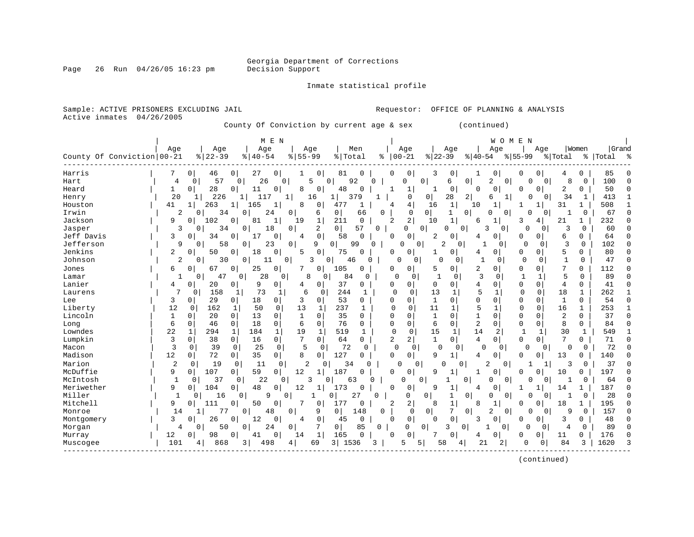Page 26 Run 04/26/05 16:23 pm

### Inmate statistical profile

| Sample: ACTIVE PRISONERS EXCLUDING JAIL<br>Active inmates<br>04/26/2005                                                                                                                                                                                                                                                                                                                                                                                                                                                                                                                                                                                                                                                                                                                                                                                                                                                                                                                                                                                                                                                                                                                                                                                                                                                                                                                                                                                                                                                                                                                                                                                                                                                                                                                                                                                                                                                                                                                                                                                                                                                                                                                                                                                                                                                                                                                                                                                                                                                                                                                                                                                                                                           | OFFICE OF PLANNING & ANALYSIS<br>Requestor:                                                                                                                                                                                                                                                                                                                                                                                                                                                                                                                                                                                                                                                                                                                                                                                                                                                                                                                                                                                                                                                                                                                                                                                                                                                                                                                                                                                                                                                                                                                                                                                                                                                                                                                                                                                                                                                                                                                                                                                                                                                                                                                                                                                                                                                                                                                                                                                                                                                                                                                                                                                                                                                                                                                                                                                                                                                                                                                                                                                                                                                                                                                                                                                 |
|-------------------------------------------------------------------------------------------------------------------------------------------------------------------------------------------------------------------------------------------------------------------------------------------------------------------------------------------------------------------------------------------------------------------------------------------------------------------------------------------------------------------------------------------------------------------------------------------------------------------------------------------------------------------------------------------------------------------------------------------------------------------------------------------------------------------------------------------------------------------------------------------------------------------------------------------------------------------------------------------------------------------------------------------------------------------------------------------------------------------------------------------------------------------------------------------------------------------------------------------------------------------------------------------------------------------------------------------------------------------------------------------------------------------------------------------------------------------------------------------------------------------------------------------------------------------------------------------------------------------------------------------------------------------------------------------------------------------------------------------------------------------------------------------------------------------------------------------------------------------------------------------------------------------------------------------------------------------------------------------------------------------------------------------------------------------------------------------------------------------------------------------------------------------------------------------------------------------------------------------------------------------------------------------------------------------------------------------------------------------------------------------------------------------------------------------------------------------------------------------------------------------------------------------------------------------------------------------------------------------------------------------------------------------------------------------------------------------|-----------------------------------------------------------------------------------------------------------------------------------------------------------------------------------------------------------------------------------------------------------------------------------------------------------------------------------------------------------------------------------------------------------------------------------------------------------------------------------------------------------------------------------------------------------------------------------------------------------------------------------------------------------------------------------------------------------------------------------------------------------------------------------------------------------------------------------------------------------------------------------------------------------------------------------------------------------------------------------------------------------------------------------------------------------------------------------------------------------------------------------------------------------------------------------------------------------------------------------------------------------------------------------------------------------------------------------------------------------------------------------------------------------------------------------------------------------------------------------------------------------------------------------------------------------------------------------------------------------------------------------------------------------------------------------------------------------------------------------------------------------------------------------------------------------------------------------------------------------------------------------------------------------------------------------------------------------------------------------------------------------------------------------------------------------------------------------------------------------------------------------------------------------------------------------------------------------------------------------------------------------------------------------------------------------------------------------------------------------------------------------------------------------------------------------------------------------------------------------------------------------------------------------------------------------------------------------------------------------------------------------------------------------------------------------------------------------------------------------------------------------------------------------------------------------------------------------------------------------------------------------------------------------------------------------------------------------------------------------------------------------------------------------------------------------------------------------------------------------------------------------------------------------------------------------------------------------------------------|
| County Of Conviction by current age & sex                                                                                                                                                                                                                                                                                                                                                                                                                                                                                                                                                                                                                                                                                                                                                                                                                                                                                                                                                                                                                                                                                                                                                                                                                                                                                                                                                                                                                                                                                                                                                                                                                                                                                                                                                                                                                                                                                                                                                                                                                                                                                                                                                                                                                                                                                                                                                                                                                                                                                                                                                                                                                                                                         | (continued)                                                                                                                                                                                                                                                                                                                                                                                                                                                                                                                                                                                                                                                                                                                                                                                                                                                                                                                                                                                                                                                                                                                                                                                                                                                                                                                                                                                                                                                                                                                                                                                                                                                                                                                                                                                                                                                                                                                                                                                                                                                                                                                                                                                                                                                                                                                                                                                                                                                                                                                                                                                                                                                                                                                                                                                                                                                                                                                                                                                                                                                                                                                                                                                                                 |
| M E N<br>Age<br>Age<br>Age<br>Age<br>Men<br>County Of Conviction 00-21<br>$ 22-39$<br>$8 55-99$<br>% Total<br>$8140 - 54$                                                                                                                                                                                                                                                                                                                                                                                                                                                                                                                                                                                                                                                                                                                                                                                                                                                                                                                                                                                                                                                                                                                                                                                                                                                                                                                                                                                                                                                                                                                                                                                                                                                                                                                                                                                                                                                                                                                                                                                                                                                                                                                                                                                                                                                                                                                                                                                                                                                                                                                                                                                         | M E N<br>W O<br>Women<br>Grand<br>Age<br>Age<br>Age<br>Age<br>$\approx$   00-21<br>$ 22-39 $<br>$8 55-99$<br>$ 40-54 $<br>% Total<br>%   Total                                                                                                                                                                                                                                                                                                                                                                                                                                                                                                                                                                                                                                                                                                                                                                                                                                                                                                                                                                                                                                                                                                                                                                                                                                                                                                                                                                                                                                                                                                                                                                                                                                                                                                                                                                                                                                                                                                                                                                                                                                                                                                                                                                                                                                                                                                                                                                                                                                                                                                                                                                                                                                                                                                                                                                                                                                                                                                                                                                                                                                                                              |
| Harris<br>0<br>0<br>27<br>0<br>0<br>81<br>0<br>46<br>1<br>57<br>92<br>0<br>26<br>5<br>0<br>Hart<br>4<br>0<br>0 <sup>1</sup><br>28<br>Heard<br>1<br>0<br>0<br>11<br>0<br>8<br>0<br>48<br>$\Omega$<br>20<br>226<br>11<br>1 <br>16<br>1  <br>379<br>Henry<br>1<br>1<br>263<br>$\mathbf{1}$<br>8<br>477<br>41<br>165<br>0<br>Houston<br>$\mathbf{1}$<br>$\mathbf{1}$<br>1<br>Irwin<br>2<br>34<br>0<br>24<br>0<br>0<br>0<br>6<br>66<br>Jackson<br>9<br>102<br>211<br>$\mathbf 0$<br>0<br>0<br>81<br>1<br>19<br>1<br>2<br>$\overline{0}$<br>57<br>3<br>34<br>0<br>18<br>0<br>Jasper<br>0<br>$\mathbf 0$<br>Jeff Davis<br>17<br>3<br>0<br>58<br>O<br>34<br>0<br>4<br>O<br>Jefferson<br>0<br>9<br>0<br>58<br>23<br>0<br>9<br>$\circ$<br>99<br>Jenkins<br>$\overline{a}$<br>5<br>$\mathbf 0$<br>50<br>0<br>18<br>0<br>75<br>0<br>O<br>$\overline{2}$<br>30<br>0<br>0<br>3<br>Johnson<br>0<br>11<br>0<br>46<br>U<br>25<br>$\mathbf{0}$<br>Jones<br>0<br>67<br>0<br>7<br>0<br>105<br>6<br>O<br>28<br>84<br>$\mathbf 0$<br>1<br>$\mathbf 0$<br>47<br>0<br>0<br>8<br>0<br>Lamar<br>9<br>Lanier<br>0<br>20<br>0<br>0<br>$\mathbf 0$<br>37<br>4<br>0<br>4<br>7<br>158<br>73<br>6<br>244<br>Laurens<br>0<br>1<br>1<br>0<br>1<br>29<br>18<br>3<br>53<br>3<br>0<br>0<br>0<br>0<br>Lee<br>0<br>12<br>13<br>237<br>Liberty<br>0<br>162<br>1<br>50<br>0<br>1<br>1<br>Lincoln<br>13<br>$\Omega$<br>35<br>1<br>$\Omega$<br>20<br>1<br>0<br>$\Omega$<br>0<br>6<br>$\mathbf 0$<br>$\mathbf 0$<br>76<br>18<br>$\mathbf 0$<br>$\Omega$<br>46<br>6<br>0<br>Long<br>22<br>Lowndes<br>294<br>$\mathbf{1}$<br>184<br>$\mathbf{1}$<br>19<br>519<br>1<br>1<br>1<br>$\mathbf 0$<br>7<br>Lumpkin<br>3<br>0<br>38<br>$\mathbf 0$<br>$\mathbf 0$<br>64<br>0<br>16<br>3<br>5<br>0<br>39<br>$\mathbf 0$<br>25<br>0<br>72<br>Macon<br>$\mathbf{0}$<br>0<br>12<br>Madison<br>35<br>8<br>127<br>72<br>0<br>0<br>0<br>0<br>$\Omega$<br>Marion<br>2<br>$\mathbf 0$<br>19<br>0<br>$\overline{c}$<br>34<br>0<br>11<br>0<br>C<br>McDuffie<br>9<br>107<br>59<br>12<br>0 I<br>0<br>187<br>0<br>1<br>$\Omega$<br>$\mathbf{1}$<br>22<br>McIntosh<br>37<br>$\mathbf 0$<br>0<br>3<br>0<br>0<br>63<br>0<br>9<br>104<br>48<br>Meriwether<br>0<br>0<br>0<br>12<br>173<br>$\Omega$<br>1<br>Miller<br>-1<br>$\Omega$<br>16<br>0<br>9<br>0<br>27<br>0<br>Mitchell<br>9<br>50<br>0<br>177<br>111<br>0<br>0<br>0<br>0<br>77<br>0<br>48<br>0<br>9<br>0<br>148<br>14<br>Monroe<br>1<br>3<br>12<br>$\mathbf 0$<br>0<br>$\mathbf 0$<br>Montgomery<br>0<br>26<br>0<br>4<br>45<br>0<br>24<br>0<br>7<br>0<br>85<br>0<br>50<br>Morgan<br>4<br>12<br>98<br>0<br>0<br>1<br>0<br>165<br>O<br>Murray<br>41<br>14<br>101<br>3<br>69<br>3  <br>1536<br>868<br>49<br>ι8<br>4<br>4<br>Muscogee | 85<br>0<br>0<br>0<br>0<br>3<br>1<br>0<br>0<br>0<br>4<br>100<br>0<br>6<br>2<br>0<br>$\overline{0}$<br>8<br>0<br>0<br>0<br>$\Omega$<br>U<br>$\cap$<br>$\Omega$<br>50<br>1<br>$\mathbf{1}$<br>0<br>0<br>0<br>2<br><sup>0</sup><br>1<br>O<br>C<br>$\mathbf 0$<br>28<br>2 <br>34<br>0 <sup>1</sup><br>$\mathbf{1}$<br>$\overline{0}$<br>413<br>-1<br>6<br>O<br>1<br>4<br>31<br>508<br>16<br>1<br>1<br>-1<br>4<br>10<br>1<br>1<br>1<br>0<br>$\mathbf 0$<br>$\circ$<br>0<br>$\mathbf 0$<br>67<br>1<br>$\Omega$<br>$\cap$<br>0<br>1<br>0<br>U<br>$\overline{a}$<br>2<br>$\mathbf 1$<br>4  <br>232<br>10<br>1<br>3<br>21<br>1<br>C<br>6<br>$\Omega$<br>0<br>0<br>3<br>$\Omega$<br>3<br>0<br>60<br>$\cap$<br>0<br>U<br>0<br>0<br>0<br>2<br>$\mathbf 0$<br>$\Omega$<br>0<br>0<br>6<br>0<br>64<br>0<br>4<br>2<br>3<br>102<br>$\Omega$<br>0<br>0<br>0<br>0<br>$\Omega$<br>0<br>0<br>U<br>5<br>$\Omega$<br>0<br>80<br>$\Omega$<br>0<br>0 <sup>1</sup><br>$\Omega$<br>0<br>C<br>1<br>4<br>$\Omega$<br>$\mathbf{1}$<br>$\Omega$<br>47<br>O<br>$\Omega$<br>$\Omega$<br>1<br>0<br>0<br>0<br>O<br>7<br>0<br>$\Omega$<br>2<br>0<br>0<br>0<br>112<br>U<br>5<br>0<br>C<br>3<br>5<br>89<br>$\mathbf 0$<br>$\mathbf 0$<br>$\mathbf{1}$<br>$\mathbf 0$<br>$\mathbf{1}$<br>$\mathbf 1$<br>$\mathbf 0$<br>$\Omega$<br>0<br>0<br>4<br>$\mathbf 0$<br>0<br>0<br>41<br>0<br>0<br>0 <sup>1</sup><br>0<br>4<br>$\Omega$<br>5<br>18<br>$\Omega$<br>13<br>$\mathbf{1}$<br>$\mathbf 0$<br>$\mathbf{0}$<br>$\mathbf{1}$<br>262<br>0<br>1<br>$\mathbf{1}$<br>$\mathbf{1}$<br>$\mathbf 1$<br>$\mathbf 0$<br>0<br>0<br>0<br>0<br>54<br>$\Omega$<br>0<br>0<br>0<br>$\mathbf 0$<br>11<br>5<br>0<br>253<br>0<br>1<br>$\Omega$<br>16<br>1<br>1<br>-1<br>$\Omega$<br>$\mathbf{1}$<br>$\Omega$<br>$\mathbf{1}$<br>$\Omega$<br>$\Omega$<br>2<br>$\Omega$<br>O<br>0<br>37<br>$\sqrt{ }$<br>$\overline{2}$<br>$\Omega$<br>8<br>0<br>0<br>6<br>$\mathbf 0$<br>0<br>84<br>0<br>0<br>C<br>0<br>0<br>15<br>14<br>2<br>$\mathbf{1}$<br>30<br>549<br>1<br>1<br>1<br>-1<br>$\overline{2}$<br>2 <sup>1</sup><br>7<br>$\mathbf{1}$<br>$\Omega$<br>$\overline{0}$<br>$\Omega$<br>0<br>$\mathbf 0$<br>71<br>4<br>$\bigcap$<br>72<br>$\mathbf 0$<br>0<br>$\mathbf 0$<br>$\mathbf 0$<br>$\mathbf 0$<br>0<br>0<br>0<br>0<br>0<br>0<br>0<br>q<br>0<br>0 <sup>1</sup><br>13<br>140<br>$1\vert$<br>4<br>0<br>0<br>C<br>37<br>2<br>3<br>0<br>0<br>0<br>$\Omega$<br>0<br>0<br>O<br>1<br>0<br>9<br>0<br>10<br>197<br>0<br>1<br>0<br>$\Omega$<br>0<br>C<br>1<br>0<br>0<br>0<br>$\mathbf{1}$<br>0<br>64<br>0<br>1<br>0<br>0<br>O<br>187<br>0<br>0<br>q<br>0<br>14<br>1<br>4<br>1<br>C<br>28<br>$\Omega$<br>0<br>1<br>$\Omega$<br>0<br>0<br>0<br>1<br>$\Omega$<br>O<br>2<br>$\mathbf{1}$<br>$\overline{c}$<br>$\overline{0}$<br>18<br>195<br>8<br>1<br>8<br>0<br>1<br>C<br>7<br>$\overline{0}$<br>2<br>$\Omega$<br>9<br>157<br>0<br>0<br>0<br>0<br>0<br>0<br>$\Omega$<br>$\mathbf 0$<br>0<br>$\mathbf 0$<br>3<br>0<br>0<br>3<br>48<br>0<br>0<br>0<br>C<br>89<br>0<br>0<br>0<br>3<br>0<br>$\circ$<br>$\Omega$<br>$\mathbf 0$<br>0<br>U<br>4<br>176<br>0<br>$\mathbf 0$<br>$\overline{0}$<br>O<br>7<br>0<br>11<br>0<br>C<br>4<br>O<br>3<br>21<br>84<br>3<br>1620<br>5<br>5<br>58<br>2<br>U<br>0<br>4 |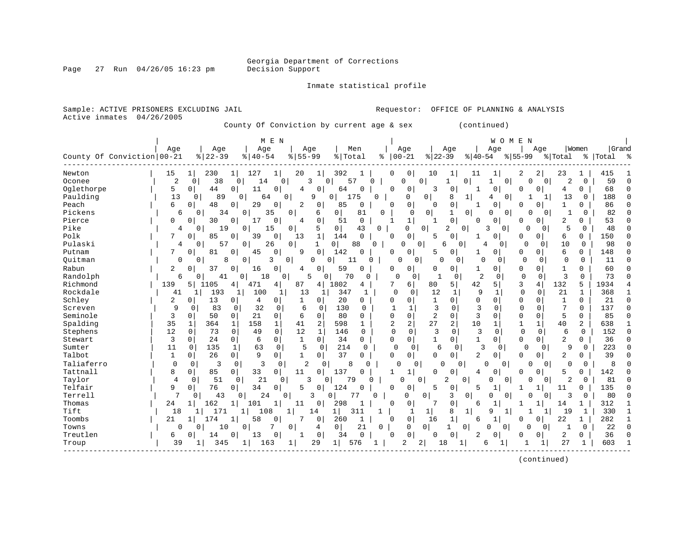Page 27 Run 04/26/05 16:23 pm

Inmate statistical profile

|                            |                |                      |                               | County Of Conviction by current age & sex   |                      |             |                         |                 |                               | (continued)                |                             |                                  |              |                    |            |
|----------------------------|----------------|----------------------|-------------------------------|---------------------------------------------|----------------------|-------------|-------------------------|-----------------|-------------------------------|----------------------------|-----------------------------|----------------------------------|--------------|--------------------|------------|
| County Of Conviction 00-21 | Age            | Age<br>$8   22 - 39$ | M E N<br>Age<br>$8   40 - 54$ | Age<br>$8155 - 99$                          | Men<br>% Total       | ៖           | Age<br>$00 - 21$        | Age<br>$ 22-39$ | $ 40-54 $                     | Age                        | WOMEN<br>Age<br>$8155 - 99$ | % Total                          | Women        | Grand<br>%   Total | ွ န        |
| Newton                     | 15             | 230<br>1             | 127<br>1                      | 20<br>1                                     | 392                  |             | 0<br>0                  | 10              | 11<br>1                       |                            | 2<br>2                      | 23                               | 1            | 415                |            |
| Oconee                     | $\overline{2}$ | 38<br>0              | $\Omega$<br>14                | 0<br>3                                      | 57<br>$\Omega$       | $\Omega$    | U                       | 0<br>1          | 0                             | 0 <sup>1</sup>             | O                           | $\overline{2}$<br>$\overline{0}$ | 0            | 59                 |            |
| Oglethorpe                 | 5              | 44<br>0 <sup>1</sup> | 0<br>11                       | 0<br>4<br>0                                 | 64<br>$\Omega$       |             | 0<br>0                  | 3               | $\mathbf 0$<br>1              | 0                          | 0<br>0                      | 4                                | 0            | 68                 | $\Omega$   |
| Paulding                   | 13             | $\overline{0}$<br>89 | 64<br>0                       | $\mathbf 0$<br>9                            | 175<br>0             | 0           | 0                       | 0               | 8<br>$\mathbf{1}$             | 0<br>4                     |                             | 13<br>$\mathbf{1}$               | 0            | 188                |            |
| Peach                      | 6              | 48<br>$\Omega$       | 29<br>0                       | 0<br>2<br>0                                 | 85<br>$\mathbf 0$    |             | 0<br>0                  | $\Omega$        | $\overline{0}$<br>1           | 0                          | 0<br>$\Omega$               | $\mathbf{1}$                     | $\Omega$     | 86                 |            |
| Pickens                    | 6              | 34<br>0              | 0<br>35                       | 0<br>6                                      | 0<br>81              | $\mathbf 0$ | 0                       | 0               | $\overline{0}$<br>1           | 0<br>0                     | U                           | 0<br>1                           | 0            | 82                 |            |
| Pierce                     | $\Omega$       | 30<br>0              | 0<br>17                       | $\mathbf 0$<br>0<br>4                       | 51<br>$\mathbf 0$    |             | $\mathbf{1}$<br>-1      | 1               | $\Omega$<br>$\Omega$          | 0                          | 0<br>$\Omega$               | 2                                | 0            | 53                 |            |
| Pike                       | 4              | 0<br>19              | 0<br>15                       | 5<br>0                                      | 0<br>43              | 0           | 0                       | $\Omega$<br>2   | $\circ$                       | 0 <sup>1</sup><br>3        | $\Omega$<br>$\mathbf 0$     | 5                                | 0            | 48                 |            |
| Polk                       | 7              | 85<br>$\Omega$       | 0<br>39                       | $\mathbf{1}$<br>$\mathbf 0$<br>13           | 144<br>$\mathbf 0$   |             | 0<br>$\Omega$           | 5               | $\mathbf 0$<br>1              | 0                          | 0<br>0                      | 6                                | 0            | 150                |            |
| Pulaski                    | 4              | 57<br>0              | 26<br>0                       | 0<br>$\mathbf{1}$                           | 0 <sup>1</sup><br>88 | 0           | $\Omega$                | $\Omega$<br>6   | 0                             | 4<br>$\Omega$              | $\Omega$<br>0               | 10                               | $\Omega$     | 98                 | ∩          |
| Putnam                     | 7              | 81<br>0              | 0<br>45                       | $\mathbf 0$<br>0<br>9                       | 142<br>$\Omega$      |             | 0<br>0                  | 5               | 0<br>1                        | 0                          | 0<br>0                      | 6                                | 0            | 148                |            |
| Ouitman                    | 0              | 0<br>8               | 0<br>3                        | $\overline{0}$<br>0                         | $\mathbf 0$<br>11    | 0           | $\cap$                  | 0<br>$\Omega$   | 0                             | $\Omega$<br>$\mathbf{0}$   | $\mathbf 0$<br>$\Omega$     | $\mathbf 0$                      | 0            | 11                 | O          |
| Rabun                      | 2              | 37<br>0              | 0<br>16                       | 0<br>0<br>4                                 | 59<br>$\Omega$       |             | 0<br>0                  | $\Omega$        | 0 <sup>1</sup><br>1           | 0                          | $\mathbf 0$<br>0            | $\mathbf{1}$                     | 0            | 60                 |            |
| Randolph                   | 6              | 0<br>41              | 18<br>$\overline{0}$          | 5<br>0 <sup>1</sup>                         | 70<br>0 <sup>1</sup> | $\mathbf 0$ | 0<br>0                  | $\mathbf 1$     | 2<br>0                        | $\mathbf 0$                | $\mathbf 0$<br>$\mathbf 0$  | 3                                | $\Omega$     | 73                 |            |
| Richmond                   | 139            | 5 <br>1105           | 471<br>4                      | 4 <br>87<br>4                               | 1802<br>4            |             | 7<br>6                  | 80              | 5 <br>42                      | 5 <sup>1</sup>             | 3<br>4                      | 132                              | 5            | 1934               |            |
| Rockdale                   | 41             | 193<br>1             | 100                           | $\mathbf{1}$<br>13                          | 347<br>1             | 1           | $\mathbf 0$<br>0        | 12              | 9<br>$\mathbf{1}$             | $\mathbf 1$                | $\Omega$<br>$\mathbf 0$     | 21                               | $\mathbf{1}$ | 368                |            |
| Schley                     | 2              | 13<br>0              | 4<br>0                        | $\overline{0}$<br>1<br>$\overline{0}$       | 20<br>0              |             | 0<br>0                  | 1               | $\mathbf 0$<br>$\Omega$       | $\mathbf 0$                | $\mathbf 0$<br>0            | 1                                | 0            | 21                 | $\sqrt{ }$ |
| Screven                    | 9              | 83<br>0              | 32<br>0                       | 6<br>0<br>0                                 | 130                  | $\Omega$    | $\mathbf{1}$<br>1       | 3               | 3<br>$\Omega$                 | 0                          | $\Omega$<br>0               | 7                                | $\Omega$     | 137                | C          |
| Seminole                   | 3              | 50<br>$\mathbf 0$    | 21<br>0                       | $\mathbf 0$<br>6<br>$\mathbf 0$             | 80<br>$\Omega$       |             | 0<br>$\Omega$           | 2               | 3<br>$\mathbf 0$              | 0                          | $\mathbf 0$<br>0            | 5                                | 0            | 85                 | U          |
| Spalding                   | 35             | 1<br>364             | 158<br>1                      | $\mathbf{1}$<br>$\overline{a}$<br>41        | 598<br>1             |             | 2<br>$\overline{c}$     | 27              | 2<br>10                       | 1                          | $\mathbf{1}$<br>$\mathbf 1$ | 40                               | 2            | 638                |            |
| Stephens                   | 12             | $\Omega$<br>73       | $\mathbf 0$<br>49             | $\Omega$<br>12<br>1                         | 146                  | $\Omega$    | $\Omega$<br>$\Omega$    | 3               | 3<br>$\Omega$                 | $\Omega$                   | $\Omega$<br>$\mathbf 0$     | 6                                | $\Omega$     | 152                | $\Omega$   |
| Stewart                    | 3              | $\mathbf 0$<br>24    | 0<br>6                        | $\mathsf{O}$<br>$\mathbf 1$<br>$\mathbf{0}$ | 34<br>0              |             | 0<br>0                  | $\mathbf{1}$    | 0 <sup>1</sup><br>1           | $\overline{0}$             | 0<br>$\mathbf 0$            | 2                                | 0            | 36                 | U          |
| Sumter                     | 11             | 135<br>0             | $\mathbf{1}$<br>63            | 5<br>$\mathbf 0$<br>$\Omega$                | 214                  | $\Omega$    | $\Omega$<br>$\mathbf 0$ | 6               | 3<br>$\mathbf{0}$             | $\Omega$                   | $\Omega$<br>$\Omega$        | 9                                | $\Omega$     | 223                | U          |
| Talbot                     | 1              | 0<br>26              | 9<br>$\overline{0}$           | 0<br>1<br>$\mathbf{0}$                      | 37<br>$\Omega$       |             | 0<br>U                  | $\Omega$        | 2<br>0 <sup>1</sup>           | 0                          | $\Omega$<br>0               | 2                                | 0            | 39                 | C          |
| Taliaferro                 | $\Omega$       | $\mathbf 0$<br>3     | 3<br>$\mathbf 0$              | $\overline{c}$<br>0                         | $\mathbf 0$<br>8     | $\Omega$    | $\Omega$                | 0<br>$\Omega$   | $\Omega$                      | $\mathbf 0$<br>$\Omega$    | 0                           | $\overline{0}$<br>$\Omega$       | $\mathbf 0$  | 8                  |            |
| Tattnall                   | 8              | 85<br>0              | 33<br>$\overline{0}$          | 0<br>0<br>11                                | 137<br>$\Omega$      |             | $\mathbf{1}$<br>1       | $\Omega$        | 0<br>4                        | 0                          | $\Omega$<br>0               | 5                                | 0            | 142                |            |
| Taylor                     | 4              | $\mathbf 0$<br>51    | 21<br>$\Omega$                | $\mathbf 0$<br>3                            | 79<br>0              | 0           | $\Omega$                | 0<br>2          | 0                             | 0<br>0                     | 0                           | $\overline{0}$<br>2              | 0            | 81                 |            |
| Telfair                    | 9              | 76<br>$\Omega$       | 34<br>0                       | 5<br>0<br>$\Omega$                          | 124<br>0             |             | 0<br>$\Omega$           | 5               | $\overline{0}$<br>5           | 1                          | 1<br>-1                     | 11                               | 0            | 135                |            |
| Terrell                    | 7              | 43<br>0              | 24<br>0                       | κ<br>$\Omega$                               | 77<br>0              | $\Omega$    | 0                       | 0               | 3<br>0                        | O<br>$\Omega$              | በ                           | 3<br>0                           | 0            | 80                 |            |
| Thomas                     | 24             | 162<br>$1\vert$      | 101<br>1                      | $\mathbf{1}$<br>11<br>0                     | 298                  |             | 0<br>$\Omega$           | 7               | $\mathbf 0$<br>6              | $\mathbf{1}$               | 1<br>-1                     | 14                               | 1            | 312                |            |
| Tift                       | 18             | 171                  | 108<br>1                      | 1<br>14                                     | 1 <br>311            |             | 1                       | $\mathbf 1$     | 8<br>$1\vert$                 | 9<br>$\mathbf{1}$          | 1                           | 19                               | 1            | 330                | -1         |
| Toombs                     | 21             | $\mathbf 1$<br>174   | 58<br>1                       | 0<br>7<br>0                                 | 260<br>1             |             | $\mathbf 0$<br>0        | 16              | $\mathbf{1}$<br>6             | $\mathbf{1}$               | 0<br>0                      | 22                               | 1            | 282                | -1         |
| Towns                      | 0              | 0<br>10              | 7<br>0                        | 0<br>4                                      | 21<br>0              | 0           | 0                       | 0<br>1          | $\overline{0}$                | $\Omega$<br>$\overline{0}$ | $\Omega$<br>0               | 1                                | 0            | 22                 | $\Omega$   |
| Treutlen                   | 6              | 0<br>14              | 0<br>13                       | $\Omega$<br>0<br>1                          | 34<br>$\Omega$       |             | 0<br>$\Omega$           | $\Omega$        | $\mathbf 0$<br>$\overline{2}$ | 0                          | 0<br>C                      | 2                                | 0            | 36                 |            |
| Troup                      | 39             | 345<br>1             | 1  <br>163                    | 29<br>$\mathbf{1}$                          | 1 <br>576            |             | 2                       | 2<br>18         |                               | 6                          | $\mathbf{1}$                | 27                               | 1            | 603                |            |
|                            |                |                      |                               |                                             |                      |             |                         |                 |                               |                            |                             |                                  |              |                    |            |

(continued)

Sample: ACTIVE PRISONERS EXCLUDING JAIL **Requestor:** OFFICE OF PLANNING & ANALYSIS

Active inmates 04/26/2005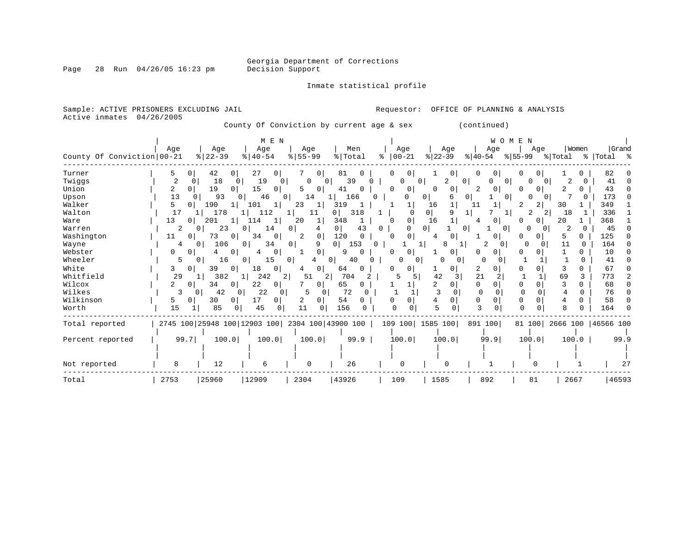Inmate statistical profile

| Sample: ACTIVE PRISONERS EXCLUDING JAIL<br>Active inmates | 04/26/2005          |                            |                                                 |                   |                       | Requestor:                 |                      | OFFICE OF PLANNING & ANALYSIS         |                           |              |                           |
|-----------------------------------------------------------|---------------------|----------------------------|-------------------------------------------------|-------------------|-----------------------|----------------------------|----------------------|---------------------------------------|---------------------------|--------------|---------------------------|
|                                                           |                     |                            | County Of Conviction by current age & sex       |                   |                       |                            |                      | (continued)                           |                           |              |                           |
| County Of Conviction 00-21                                | Age                 | Age<br>$\frac{8}{22} - 39$ | M E N<br>Age<br>$ 40-54 $                       | Age<br>$8 55-99$  | Men<br>% Total        | Age<br>$ 00-21 $<br>ႜ      | Age<br>$ 22-39 $     | W O M E N<br>Age<br>$ 40-54 $         | Age<br>$ 55-99 $ $ Total$ | Women        | Grand<br>%   Total %      |
| Turner                                                    | 5<br>01             | 42<br>$\mathbf{0}$         | 27<br>0 <sup>1</sup>                            | 7<br>$\mathbf{0}$ | 81<br>$\Omega$        | 0 <sup>1</sup><br>0        | $\mathbf{0}$         | 0<br>0 I                              | 0<br>0                    |              | 82                        |
| Twiggs                                                    | 2<br>0              | 18<br>0 <sup>1</sup>       | 19<br>- 0 I                                     | 0<br>$\circ$      | 39<br>0               | 0<br>0                     | 2                    | 0 <sup>1</sup><br>0 <sup>1</sup><br>U | $\Omega$<br>$\Omega$      | 2<br>0       | 41                        |
| Union                                                     | 2<br>0 <sup>1</sup> | 19<br>$\Omega$             | 15<br>0 <sup>1</sup>                            | 5<br>0            | 41<br>U               | 0 <sup>1</sup><br>0        | $\Omega$<br>0        | 2<br>$\Omega$                         | 0<br><sup>o</sup>         | 2<br>U       | 43                        |
| Upson                                                     | 13<br>0             | 93                         | 46<br>$\Omega$                                  | 14                | 166                   | O                          | 0                    | 0<br>0 I                              | 0                         |              | 173                       |
| Walker                                                    | 5                   | 190                        | 101                                             | 23                | 319                   |                            | 16                   | 11                                    | 2<br>2                    | 30           | 349                       |
| Walton                                                    | 17                  | 178                        | 112                                             | $1\vert$<br>11    | 318<br>0 <sup>1</sup> | $\mathbf{1}$<br>$\Omega$   | $\overline{0}$<br>q  | 1<br>11                               | 2                         | 18           | 336                       |
| Ware                                                      | 13<br>0 I           | 201<br>1                   | 114<br>$\mathbf{1}$                             | 20<br>1           | 348                   | 0 <sup>1</sup><br>$\Omega$ | 16<br>1              | $\Omega$<br>4                         | 0<br>n                    | 20           | 368                       |
| Warren                                                    | 2                   | 23<br>0                    | 0 <sup>1</sup><br>14                            | $\Omega$<br>4     | $\overline{0}$<br>43  | $\Omega$<br>$\Omega$       | 0                    | $\Omega$<br>0                         | $\Omega$<br>∩             | O            | 45                        |
| Washington                                                | 11<br>0             | 73<br>0 <sup>1</sup>       | 34<br>0                                         | 2<br>0            | 120<br>$\Omega$       | 0 I<br>$\Omega$            | 0<br>4               | $\mathbf{0}$<br>1                     | $\Omega$<br>O             | 5.<br>0.     | 125                       |
| Wayne                                                     | 4                   | 106<br>$\Omega$            | 0 <sup>1</sup><br>34                            | $\Omega$<br>9     | 0 <sup>1</sup><br>153 | 0                          | 8                    | 2<br>$\Omega$                         | $\Omega$<br>0             | 11<br>0      | 164                       |
| Webster                                                   | 0<br>0              | $\Omega$                   | 0<br>4                                          | 0<br>-1.          | Q<br>$\cap$           | $\Omega$<br>0              | 0<br>-1              | 0<br>$\Omega$                         | 0<br>O                    | 0            | 10                        |
| Wheeler                                                   | 5                   | $\Omega$<br>16             | 15<br>0 <sup>1</sup>                            | 0 <sup>1</sup>    | $\Omega$<br>40        | $\Omega$                   | <sup>0</sup><br>0    | $\Omega$                              |                           | <sup>0</sup> | 41                        |
| White                                                     | 3<br>01             | 39<br>0                    | 18<br>$\Omega$                                  | 0<br>4            | 64<br>O               | 0                          | 0                    | 2<br>0                                | 0<br>$\Omega$             | 0            | 67                        |
| Whitfield                                                 | 29                  | 382<br>11                  | 242<br>$\overline{2}$<br>$1\vert$               | 51<br>2           | 704                   | 5                          | 42<br>$\overline{3}$ | 21<br>2                               |                           | 69<br>3      | 773                       |
| Wilcox                                                    | 01                  | 34<br> 0                   | 22<br>01                                        | 0                 | 65<br>0               |                            | $\overline{0}$       | $\Omega$<br>$\Omega$                  | $\Omega$<br>0             | U            | 68                        |
| Wilkes                                                    | 3                   | 42<br>0<br>$\Omega$        | 22<br>$\Omega$                                  | 5<br>$\Omega$     | 72                    |                            | 3<br>$\Omega$        | $\Omega$<br>0                         | O                         | U            | 76                        |
| Wilkinson                                                 | 0                   | 30<br>$\Omega$             | 17<br>$\Omega$                                  | 2<br>$\Omega$     | 54<br>0               | $\Omega$<br>$\Omega$       | 4<br>0               | 0<br>$\Omega$                         | $\Omega$<br>0             |              | 58                        |
| Worth                                                     | 15                  | 85                         | 45<br>0                                         | 11                | 156<br>O              | $\Omega$                   | 5<br>$\Omega$        | 3                                     | $\Omega$<br>O             | <sup>n</sup> | 164                       |
| Total reported                                            |                     |                            | 2745 100 25948 100 12903 100 2304 100 43900 100 |                   |                       | 109 100 1585 100 891 100   |                      |                                       |                           |              | 81 100 2666 100 46566 100 |
| Percent reported                                          | 99.7                | 100.0                      | 100.0                                           | 100.0             | 99.9                  | 100.0                      | 100.0                | 99.9                                  | 100.0                     | 100.0        | 99.9                      |
|                                                           |                     |                            |                                                 |                   |                       |                            |                      |                                       |                           |              |                           |
| Not reported                                              | 8                   | 12                         | 6                                               | 0                 | 26                    | O                          | O                    |                                       |                           |              | 27                        |
| Total                                                     | 2753                | 25960                      | 12909                                           | 2304              | 43926                 | 109                        | 1585                 | 892                                   | 81                        | 2667         | 46593                     |

Page 28 Run  $04/26/05$  16:23 pm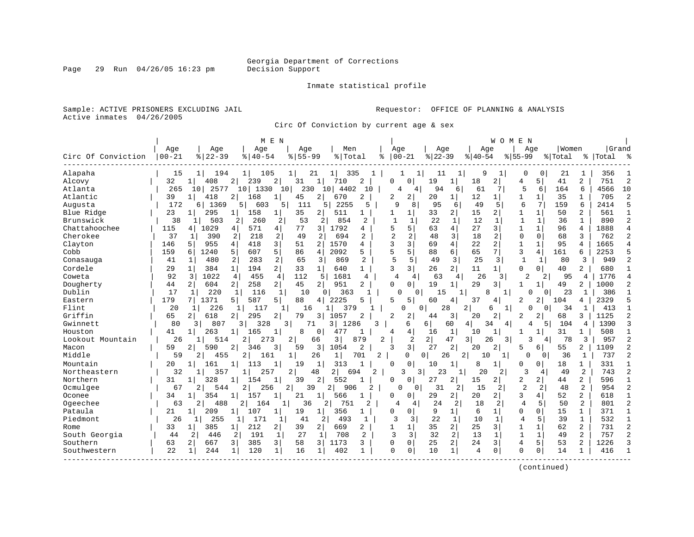#### Inmate statistical profile

Sample: ACTIVE PRISONERS EXCLUDING JAIL **Requestor:** OFFICE OF PLANNING & ANALYSIS Active inmates 04/26/2005

Circ Of Conviction by current age & sex

|                    |           |                         |                       | M E N                               |                |                     |                |                |                      |                                | W O M                | E N            |                |         |                |           |                |
|--------------------|-----------|-------------------------|-----------------------|-------------------------------------|----------------|---------------------|----------------|----------------|----------------------|--------------------------------|----------------------|----------------|----------------|---------|----------------|-----------|----------------|
|                    | Age       | Age                     | Age                   | Age                                 |                | Men                 | Age            |                | Age                  |                                | Age                  |                | Age            | Women   |                | Grand     |                |
| Circ Of Conviction | $00 - 21$ | $8   22 - 39$           | $8   40 - 54$         | $8155 - 99$                         |                | % Total             | ႜ              | $00 - 21$      | $ 22-39$             | $8 40-54$                      |                      | $8155 - 99$    |                | % Total |                | %   Total |                |
| Alapaha            | 15        | 194<br>1                | 105<br>11             | 11                                  | 21             | 335                 |                |                | 11                   | 1                              | 9<br>1               | $\Omega$       | 0              | 21      | 1              | 356       |                |
| Alcovy             | 32        | 408<br>-1               | 239<br>2              | 2<br>31                             | $\mathbf{1}$   | 710<br>2            | U              | $\Omega$       | 19                   | $\mathbf{1}$<br>18             | $\overline{2}$       | 4              | 5              | 41      | $\overline{a}$ | 751       | $\overline{c}$ |
| Atlanta            | 265       | 10 <sup>1</sup><br>2577 | 10<br>1330            | 10                                  | 230<br>10      | 4402<br>10          |                | 4<br>4         | 94                   | 61<br>6                        | $7\phantom{.0}$      | 5              | 6              | 164     | 6              | 4566      | 10             |
| Atlantic           | 39        | 418<br>$\mathbf{1}$     | 168<br>2              | 45<br>1                             | 2              | 670<br>2            | 2              | $\overline{2}$ | 20                   | 12<br>1                        | 1                    | 1              | 1              | 35      | 1              | 705       | 2              |
| Augusta            | 172       | 1369<br>61              | 5 l<br>603            | 5<br>111                            | 5              | 2255<br>5           | 9              | 8              | 95                   | 49<br>6                        | 5                    | 6              | 7              | 159     | 6              | 2414      | 5              |
| Blue Ridge         | 23        | 295<br>1                | 158                   | 35<br>1                             | 2              | 511<br>1            | 1              | 1              | 33                   | 2<br>15                        | 2                    | $\mathbf{1}$   | $\mathbf{1}$   | 50      | $\overline{2}$ | 561       | $\mathbf{1}$   |
| Brunswick          | 38        | 503                     | 2<br>260              | 2<br>53                             | 2              | 854<br>2            | $\mathbf{1}$   | 1              | 22                   | $\mathbf{1}$<br>12             | 1                    | $\mathbf{1}$   | 1              | 36      | 1              | 890       | $\overline{2}$ |
| Chattahoochee      | 115       | 1029<br>4               | 571<br>4              | 4 <br>77                            | 3              | 1792<br>4           | 5              | 5              | 63                   | 4<br>27                        | 3                    | 1              | $\mathbf{1}$   | 96      | 4              | 1888      | $\overline{4}$ |
| Cherokee           | 37        | 390<br>1                | 2<br>218              | 2<br>49                             | 2              | 694<br>2            | $\overline{a}$ | 2              | 48                   | 3<br>18                        | 2                    | $\Omega$       | $\Omega$       | 68      | 3              | 762       | $\overline{2}$ |
| Clayton            | 146       | 955<br>5                | 4<br>418              | 3 <br>51                            | 2              | 1570<br>4           | $\mathbf{3}$   | 3              | 69                   | $\overline{4}$<br>22           | 2                    | $\mathbf{1}$   | $\mathbf{1}$   | 95      | 4              | 1665      | $\overline{4}$ |
| Cobb               | 159       | 1240<br>6               | 5<br>607              | 5<br>86                             | 4              | 2092<br>5           | 5              | 5              | 88                   | 6<br>65                        | 7                    | 3              | 4              | 161     | 6              | 2253      | 5              |
| Conasauga          | 41        | 480<br>-1               | 2<br>283              | 2<br>65                             | 3              | 869<br>2            | 5              | 5              | 49                   | 25<br>3                        | $\overline{3}$       | $\mathbf{1}$   | 1              | 80      | 3              | 949       | $\overline{c}$ |
| Cordele            | 29        | 384<br>1                | $\mathbf{1}$<br>194   | $\overline{2}$<br>33                | 1              | 640<br>$\mathbf{1}$ | 3              | 3              | 26                   | $\overline{a}$<br>11           | $1\vert$             | O              | 0              | 40      | $\overline{2}$ | 680       |                |
| Coweta             | 92        | 3<br>1022               | $\overline{4}$<br>455 | 4<br>112                            | 5              | 1681<br>4           | 4              | 4              | 63                   | 4                              | 26<br>3              | 2              | 2 <sup>1</sup> | 95      | 4              | 1776      | $\overline{4}$ |
| Dougherty          | 44        | 604<br>$\overline{2}$   | 2 <sup>1</sup><br>258 | $\overline{2}$  <br>45              | 2 <sup>1</sup> | 951<br>2            | $\Omega$       | 0 <sup>1</sup> | 19                   | 29<br>1                        | 3                    | 1              | 1 <sup>1</sup> | 49      | 2              | 1000      | $\overline{c}$ |
| Dublin             | 17        | 220<br>$\mathbf 1$      | 116<br>1              | 1<br>10                             | 0 <sub>1</sub> | 363                 |                | $\Omega$<br>0  | 15                   |                                | 8                    |                | $\Omega$       | 23      | 1              | 386       | $\mathbf{1}$   |
| Eastern            | 179       | 1371                    | 587<br>5              | 5  <br>88                           | 4              | 2225<br>5           | 5              | 5              | 60                   | 37<br>4                        | 4                    | 2              | $\overline{2}$ | 104     | 4              | 2329      | 5              |
| Flint              | 20        | 226<br>-1               | 117<br>1              | 1                                   | 16             | 379                 |                | $\cap$         | 0<br>28              | 2                              | $\mathbf{1}$<br>6    |                | $\Omega$       | 34      |                | 413       | $\mathbf{1}$   |
| Griffin            | 65        | 618<br>$\overline{2}$   | 295<br>2              | 2<br>79                             | 3 I            | 1057<br>2           | 2              | 2              | 44                   | 3<br>20                        | $\overline{2}$       | 2              | 2              | 68      | 3              | 1125      | $\overline{c}$ |
| Gwinnett           | 80        | 807<br>3 I              | 328<br>3              | $\overline{\mathbf{3}}$             | 71<br>3        | 1286<br>κ           |                | 6              | 6                    | 60<br>4                        | 34<br>4              | 4              | 5              | 104     | 4              | 1390      | $\mathbf{3}$   |
| Houston            | 41        | 263<br>$\mathbf{1}$     | 165<br>$\mathbf 1$    | 8<br>1                              | 0 <sup>1</sup> | 477<br>-1           | 4              | 4              | 16                   | 1<br>10                        | 1                    | 1              | -1             | 31      | 1              | 508       | 1              |
| Lookout Mountain   | 26        | 514                     | 2<br>273              | $\overline{2}$                      | 66             | 3<br>879            | 2              | 2              | 2                    | 47<br>3                        | 3<br>26              | ζ              | 4              | 78      | 3              | 957       | $\overline{c}$ |
| Macon              | 59        | 2<br>590                | 2<br>346              | 3<br>59                             | 3              | 2<br>1054           | ર              | 3              | 27                   | $\overline{a}$<br>20           | 2 <sup>1</sup>       | 5              | б.             | 55      | 2              | 1109      | $\overline{2}$ |
| Middle             | 59        | 2<br>455                | 2  <br>161            |                                     | 26             | $\mathbf 1$<br>701  | 2              | $\Omega$       | $\overline{0}$<br>26 | 2                              | 10<br>1 <sup>1</sup> | 0              | 0              | 36      | 1              | 737       | $\overline{c}$ |
| Mountain           | 20        | 161<br>-1               | 113                   | 19                                  | 1              | 313                 | $\Omega$       | 0              | 10                   | 1<br>8                         | 1                    | 0              | 0              | 18      | 1              | 331       |                |
| Northeastern       | 32        | 357                     | 257                   | $\overline{2}$                      | 48<br>2        | 694<br>2            |                | 3<br>3         | 23                   | -1                             | 20<br>2              | 3              | 4              | 49      | 2              | 743       | $\overline{2}$ |
| Northern           | 31        | 328<br>1                | 154                   | 39<br>1                             | 2              | 552                 | $\Omega$       | 0              | 27                   | 2<br>15                        | $\overline{2}$       | 2              | $\overline{2}$ | 44      | $\overline{2}$ | 596       | 1              |
| Ocmulgee           | 67        | 544<br>2                | 256                   | 2                                   | 2<br>39        | 906<br>2            |                | Ω              | 31                   | 2                              | 15<br>2              | $\overline{2}$ | 2              | 48      | 2              | 954       | $\overline{2}$ |
| Oconee             | 34        | 354<br>$\mathbf{1}$     | 157                   | 21<br>1                             | 1              | 566                 | <sup>0</sup>   | $\Omega$       | 29                   | 2<br>20                        | 21                   | 3              | 4              | 52      | $\overline{2}$ | 618       | 1              |
| Ogeechee           | 63        | 488<br>2                | 2<br>164              | 1                                   | 36<br>2        | 751<br>2            | 4              | 4              | 24                   | 18<br>2                        | $\overline{2}$       | $\overline{4}$ | 5              | 50      | $\overline{2}$ | 801       | $\overline{c}$ |
| Pataula            | 21        | 209<br>1                | 1 <sup>1</sup><br>107 | 19<br>$\mathbf{1} \mid$             | 1 <sup>1</sup> | 356<br>1            | $\Omega$       | 0              | 9                    | 6<br>1                         | $\mathbf{1}$         | $\Omega$       | 0              | 15      | $\mathbf{1}$   | 371       | $\mathbf{1}$   |
| Piedmont           | 26        | 255<br>11               | 171<br>11             | 41<br>1                             | 2              | 493<br>-1           | 3              | 3              | 22                   | $\mathbf{1}$<br>10             | 1                    | 4              | 5              | 39      | $\mathbf{1}$   | 532       | 1              |
| Rome               | 33        | 385<br>1                | 212<br>$1\vert$       | $\overline{2}$ $\overline{1}$<br>39 | $\overline{a}$ | 669<br>2            |                |                | 35                   | $\overline{2}$<br>25           | $\overline{3}$       | $\mathbf{1}$   | $\mathbf{1}$   | 62      | 2              | 731       | $\overline{2}$ |
| South Georgia      | 44        | 2<br>446                | 191<br>2              | $\mathbf{1}$<br>27                  | 1              | 708<br>2            | 3              | 3              | 32                   | 2<br>13                        | $\mathbf{1}$         | $\mathbf{1}$   | $\mathbf{1}$   | 49      | $\overline{2}$ | 757       | $\overline{2}$ |
| Southern           | 63        | 667<br>2                | 385<br>3              | $\overline{3}$<br>58                | 3              | 1173<br>3           | $\mathbf 0$    | $\Omega$       | 25                   | $\overline{a}$<br>24           | $\overline{3}$       | 4              | 5              | 53      | 2              | 1226      | 3              |
| Southwestern       | 22        | $\mathbf{1}$<br>244     | 120<br>1              | $\mathbf 1$<br>16                   | $\mathbf{1}$   | 402<br>$\mathbf{1}$ | $\Omega$       | 0              | 10                   | $\mathbf{1}$<br>$\overline{4}$ | $\mathbf 0$          | $\Omega$       | 0              | 14      | 1              | 416       | $\mathbf{1}$   |
|                    |           |                         |                       |                                     |                |                     |                |                |                      |                                |                      |                |                |         |                |           |                |

(continued)

Page 29 Run 04/26/05 16:23 pm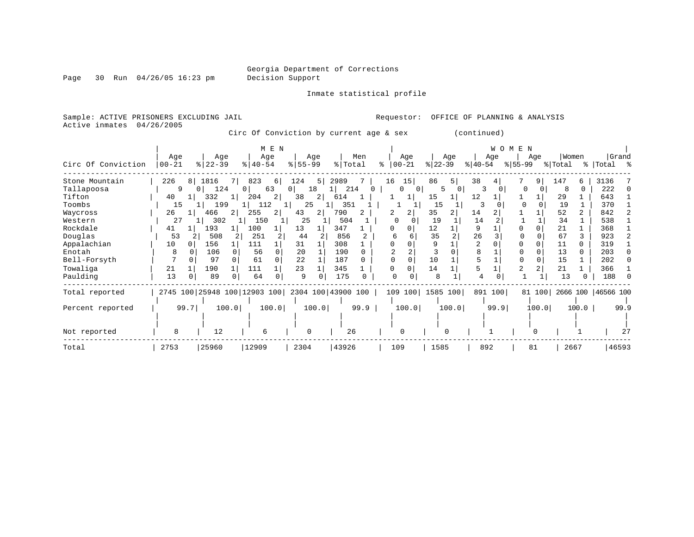Page 30 Run 04/26/05 16:23 pm

Inmate statistical profile

Sample: ACTIVE PRISONERS EXCLUDING JAIL Requestor: OFFICE OF PLANNING & ANALYSIS Active inmates 04/26/2005

Circ Of Conviction by current age & sex (continued)

| Circ Of Conviction | Age<br>$ 00 - 21$ | Age<br>$ 22-39 $ | M E N<br>Age<br>$ 40-54 $ | Age<br>$8 55-99$                                | Men<br>% Total | Age<br>$ 00-21 $<br>$\approx$  | Age<br>$ 22-39 $ | <b>WOMEN</b><br>Age<br>$ 40-54 $<br>$ 55-99 $ | Women<br>Aqe<br>% Total     | Grand<br>% Total %   |
|--------------------|-------------------|------------------|---------------------------|-------------------------------------------------|----------------|--------------------------------|------------------|-----------------------------------------------|-----------------------------|----------------------|
| Stone Mountain     | 226<br>8          | 1816<br>71       | 823<br>6                  | 124<br>5                                        | 2989           | 15<br>16                       | 86<br>5          | 38                                            | 9 <sup>1</sup><br>147<br>б. | 3136                 |
| Tallapoosa         | 9                 | 124<br>$\Omega$  | 63<br>$\Omega$            | 18<br>0 <sup>1</sup>                            | 214            | $\mathbf{0}$<br>$\overline{0}$ | 5.<br>0          | 3                                             | $\Omega$<br>8<br>$\Omega$   | 222                  |
| Tifton             | 40                | 332<br>1         | 204<br>2                  | 38<br>2                                         | 614            |                                | 15               | 12                                            | 29                          | 643                  |
| Toombs             | 15                | 199              | 112<br>$1 \mid$           | 25                                              | 351            |                                | 15               | 3                                             | 19                          | 370                  |
| Waycross           | 26                | 466              | 255<br>$\overline{2}$     | 43<br>2                                         | 790            | 2                              | 35               | 14                                            | 52<br>2.                    | 842                  |
| Western            | 27                | 302              | 150                       | 25                                              | 504            |                                | 19               | 14                                            | 34                          | 538                  |
| Rockdale           | 41                | 193              | 100                       | 13                                              | 347            | $\Omega$                       | 12               | 9                                             | 21                          | 368                  |
| Douglas            | 53                | 508              | 251                       | 44                                              | 856            | Б                              | 35               | 26                                            | 67                          | 923                  |
| Appalachian        | 10<br>$\Omega$    | 156              | 111                       | 31                                              | 308            |                                |                  |                                               | 11                          | 319                  |
| Enotah             | 8                 | 106              | 56<br>$\Omega$            | 20                                              | 190            |                                |                  |                                               | 13<br>0                     | 203                  |
| Bell-Forsyth       |                   | 97               | 61<br>$\Omega$            | 22                                              | 187            |                                | 10               |                                               | 15                          | 202                  |
| Towaliga           | 21                | 190              | 111                       | 23                                              | 345            | $\Omega$                       | 14               |                                               | $\overline{2}$<br>21        | 366                  |
| Paulding           | 13                | 89               | 64<br>0                   | 9                                               | 175            | U                              | 8                |                                               | 13                          | 188                  |
| Total reported     |                   |                  |                           | 2745 100 25948 100 12903 100 2304 100 43900 100 |                |                                | 109 100 1585 100 | 891<br>100                                    | 81 100                      | 2666 100   46566 100 |
| Percent reported   | 99.7              | 100.0            | 100.0                     | 100.0                                           | 99.9           | 100.0                          | 100.0            | 99.9                                          | 100.0<br>100.0              | 99.9                 |
|                    |                   |                  |                           |                                                 |                |                                |                  |                                               |                             |                      |
| Not reported       | 8                 | 12               | 6                         | $\Omega$                                        | 26             | $\Omega$                       | $\Omega$         |                                               |                             |                      |
| Total              | 2753              | 25960            | 12909                     | 2304                                            | 43926          | 109                            | 1585             | 892                                           | 81<br>2667                  | 46593                |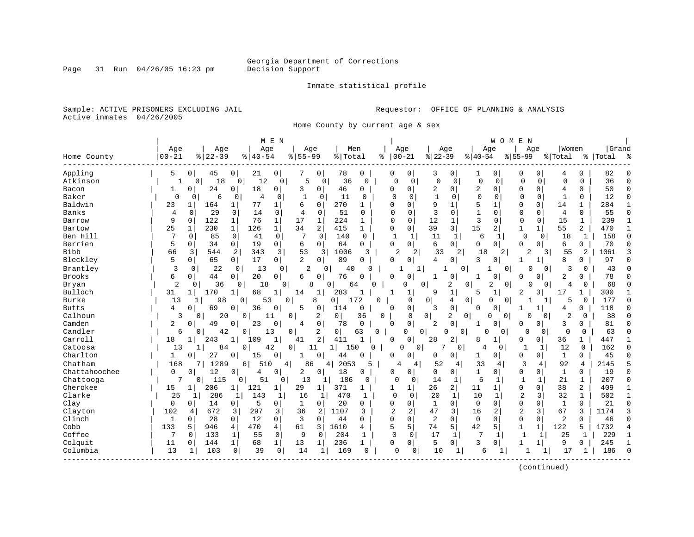Inmate statistical profile

Sample: ACTIVE PRISONERS EXCLUDING JAIL **Requestor:** OFFICE OF PLANNING & ANALYSIS Active inmates 04/26/2005

Home County by current age & sex

|               |                |                    |                     | M E N                |                |              |                       |              |                |                |                |                         |              | <b>WOMEN</b>   |                |                |                |                |           |              |
|---------------|----------------|--------------------|---------------------|----------------------|----------------|--------------|-----------------------|--------------|----------------|----------------|----------------|-------------------------|--------------|----------------|----------------|----------------|----------------|----------------|-----------|--------------|
|               | Age            | Age                |                     | Age                  | Age            |              | Men                   |              |                | Age            | Age            |                         |              | Age            | Age            |                | Women          |                | Grand     |              |
| Home County   | $00 - 21$      | $ 22-39$           |                     | $8140 - 54$          | $8 55-99$      |              | % Total               |              | ిక             | $00 - 21$      | $ 22-39$       |                         | $ 40-54$     |                | $ 55-99$       |                | % Total        |                | %   Total | ్య           |
| Appling       | 5              | 45<br>$\Omega$     | 0                   | 21<br>0 <sup>1</sup> | 7              | 0            | 78                    | 0            | 0              | 0              | 3              | 0                       | 1            | $\mathbf 0$    | 0              | 0              | 4              | U              | 82        | n            |
| Atkinson      |                | 18<br>0            | $\overline{0}$      | 12<br>0              | 5              | $\mathbf 0$  | 36                    | $\Omega$     | $\cap$         | 0              | $\mathbf 0$    | $\mathbf 0$             | 0            | $\mathbf 0$    | $\Omega$       | 0              | $\Omega$       | $\Omega$       | 36        | $\cap$       |
| Bacon         |                | 24<br>0            | 0                   | 18<br>0 <sup>1</sup> | 3              | 0            | 46                    | 0            | 0              | $\mathbf 0$    | 2              | 0                       | 2            | 0              | 0              | 0              | 4              | U              | 50        | $\Omega$     |
| Baker         | $\Omega$       | 6<br>$\Omega$      | 0                   | 4<br>0               | $\mathbf{1}$   | 0            | 11                    | 0            | $\Omega$       | $\Omega$       | $\mathbf{1}$   | C                       | $\Omega$     | $\Omega$       | $\Omega$       | $\Omega$       | $\mathbf{1}$   | 0              | 12        | $\Omega$     |
| Baldwin       | 23             | 164<br>1           | 1                   | 77<br>1              | 6              | 0            | 270                   |              |                | $\Omega$       | 9              | 1                       |              |                | O              | 0              | 14             |                | 284       |              |
| <b>Banks</b>  | $\overline{4}$ | 29<br>$\Omega$     | 0                   | 14<br>$\Omega$       | $\overline{4}$ | $\Omega$     | 51                    | O            | C              | $\Omega$       | 3              | $\Omega$                | $\mathbf{1}$ | $\Omega$       | $\Omega$       | $\Omega$       | $\overline{4}$ | $\Omega$       | 55        | $\Omega$     |
| Barrow        | 9              | 122<br>$\Omega$    | $\mathbf{1}$        | 76<br>$\mathbf 1$    | 17             | $\mathbf{1}$ | 224                   | 1            | O              | 0              | 12             | 1                       | 3            | $\Omega$       | $\Omega$       | $\mathbf 0$    | 15             | $\mathbf{1}$   | 239       | $\mathbf{1}$ |
| Bartow        | 25             | $\mathbf 1$<br>230 | $\mathbf{1}$<br>126 | $\mathbf{1}$         | 34             | 2            | 415                   | $\mathbf{1}$ | $\mathbf 0$    | $\mathbf 0$    | 39             | $\overline{\mathbf{3}}$ | 15           | $\overline{2}$ | $\mathbf{1}$   | $\mathbf{1}$   | 55             | $\overline{a}$ | 470       |              |
| Ben Hill      | 7              | 85<br>0            | $\mathbf 0$         | $\mathbf{0}$<br>41   | 7              | $\Omega$     | 140                   | $\Omega$     | $\mathbf 1$    | 1              | 11             | $\mathbf{1}$            | 6            | 1              | $\mathbf 0$    | 0              | 18             | 1              | 158       | $\Omega$     |
| Berrien       | 5              | 34<br>0            | $\circ$             | 19<br>0 <sup>1</sup> | 6              | $\Omega$     | 64                    | $\Omega$     | $\Omega$       | $\Omega$       | 6              | $\Omega$                | 0            | $\Omega$       | U              | 0              | 6              | $\Omega$       | 70        | $\Omega$     |
| <b>Bibb</b>   | 66             | 544<br>3           | 2                   | 343<br>3             | 53             | 3            | 1006                  | 3            | 2              |                | 33             | 2                       | 18           | 2 <sup>1</sup> | $\overline{c}$ | $\overline{3}$ | 55             | 2              | 1061      |              |
| Bleckley      | 5              | 65<br>0            | 0 <sup>1</sup>      | 17<br>0 <sup>1</sup> | $\overline{2}$ | 0            | 89                    | $\Omega$     | $\Omega$       | 0              | 4              | 0                       | 3            | $\Omega$       | 1              | $\mathbf{1}$   | 8              | 0              | 97        | $\Omega$     |
| Brantley      | 3              | 22<br>$\Omega$     | 0                   | 13<br>0              | 2              | 0            | 40                    | $\cap$       |                | 1              |                | 0                       |              | 0              | N              | $\Omega$       | 3              | 0              | 43        |              |
| <b>Brooks</b> | 6              | $\mathbf 0$<br>44  | $\overline{0}$      | 20<br>$\overline{0}$ | 6              | 0            | 76                    | $\Omega$     | $\Omega$       | $\mathbf 0$    |                | 0                       |              | $\Omega$       | 0              | 0              | 2              | 0              | 78        | $\Omega$     |
| Bryan         | $\overline{c}$ | 36<br>O            | $\Omega$            | 18                   | 8<br>0         | 0            | 64                    | U            |                | U<br>$\Omega$  |                | 2                       | 0            | 2<br>$\Omega$  | N              | <sup>o</sup>   | 4              | 0              | 68        | $\cap$       |
| Bulloch       | 31             | 170<br>1           | 1                   | 68<br>1              | 14             | 1            | 283                   | 1            |                |                | 9              | 1                       | 5            | 1              | 2              | 3              | 17             |                | 300       |              |
| Burke         | 13             | 98                 | 0                   | 53                   | 0              | 8            | 0 <sup>1</sup><br>172 | $\Omega$     |                | $\Omega$       | $\overline{0}$ | 4                       | 0            | $\Omega$<br>0  |                |                | 5              | 0              | 177       | $\Omega$     |
| <b>Butts</b>  | 4              | 69<br>$\Omega$     | $\Omega$            | 36<br>0              | 5              | 0            | 114                   | 0            | n              | $\mathbf 0$    | 3              | 0                       | O            | $\Omega$       | 1              | 1              | 4              | 0              | 118       | n            |
| Calhoun       | 3              | 0                  | 20<br>0             | 11                   | 0              | 2            | 0 <sup>1</sup>        | 36           | 0              | 0              | 0              | 2<br>0                  |              | O<br>0         | O              | <sup>0</sup>   | 2              | 0              | 38        | $\cap$       |
| Camden        | 2              | 49<br>$\Omega$     | $\Omega$            | 23<br>0              | 4              | 0            | 78                    | $\mathbf 0$  | $\Omega$       | $\mathbf 0$    | 2              | 0                       | 1            | 0              | U              | 0              | 3              | $\Omega$       | 81        | $\Omega$     |
| Candler       | 6              | O                  | 42<br>0             | 13                   | 0              | 2            | $\overline{0}$        | 63<br>0      |                | 0<br>$\Omega$  | $\Omega$       | $\Omega$                | O            | 0              | $\Omega$       | 0              | $\Omega$       | 0              | 63        | $\cap$       |
| Carroll       | 18             | 243                | $\mathbf{1}$<br>109 | 1                    | 41             | 2            | 411                   | $\mathbf{1}$ | $\Omega$       | U              | 28             | 2                       | 8            |                | U              | 0              | 36             | 1              | 447       |              |
| Catoosa       | 13             | $\mathbf{1}$       | 84<br>0             | 42                   | $\Omega$       | 11           | 1 <sup>1</sup><br>150 | ∩            |                | $\Omega$<br>U  |                | $\mathbf 0$             | 4            | 0              | 1              | 1              | 12             | $\Omega$       | 162       | $\Omega$     |
| Charlton      | 1              | 27<br>0            | 0                   | 0<br>15              |                | 0            | 44                    | $\Omega$     | O              | $\Omega$       | 0              | 0                       | 1            | $\overline{0}$ | 0              | 0              | $\mathbf{1}$   | $\Omega$       | 45        | $\Omega$     |
| Chatham       | 168            | 1289               | $6 \mid$            | 510                  | 86<br>4        | 4            | 2053                  | 5            | 4              | 4              | 52             | 4                       | 33           | 4              | 3              | 4              | 92             | 4              | 2145      | 5            |
| Chattahoochee | $\mathbf 0$    | 12<br>0            | 0                   | 0<br>4               | 2              | 0            | 18                    | 0            | $\Omega$       | 0              | 0              | 0                       | $\mathbf{1}$ | 0              | 0              | 0              | $\mathbf{1}$   | 0              | 19        | $\Omega$     |
| Chattooga     | 7              | 115<br>0           | 0                   | 51<br>0              | 13             |              | 186                   | O            | O              | 0              | 14             | 1                       | 6            | 1              | $\mathbf{1}$   | 1              | 21             | 1              | 207       | $\Omega$     |
| Cherokee      | 15             | 206                | 121<br>$\mathbf{1}$ | 1                    | 29             | 1            | 371                   |              |                |                | 26             | $\overline{a}$          | 11           |                | 0              | 0              | 38             | 2              | 409       |              |
| Clarke        | 25             | 286                | 1                   | 143<br>1             | 16             | 1            | 470                   | 1            | 0              | $\Omega$       | 20             | 1                       | 10           | 1              | $\overline{c}$ | 3              | 32             | 1              | 502       | $\mathbf{1}$ |
| Clay          | 0              | 14<br>0            | 0 <sup>1</sup>      | 5<br>$\overline{0}$  | 1              | 0            | 20                    | 0            | $\Omega$       | 0              | $\mathbf{1}$   | 0                       | $\mathbf 0$  | $\Omega$       | 0              | $\Omega$       | 1              | $\Omega$       | 21        | $\Omega$     |
| Clayton       | 102            | 672<br>4           | 3                   | 297<br>3             | 36             | 2            | 1107                  | 3            | $\overline{2}$ | 2              | 47             | 3                       | 16           | 2              | $\overline{2}$ | 3              | 67             | 3              | 1174      | 3            |
| Clinch        | 1              | 28<br>$\Omega$     | $\Omega$            | 12<br>$\overline{0}$ | 3              | 0            | 44                    | $\Omega$     | $\Omega$       | $\Omega$       | 2              | $\Omega$                | $\mathbf 0$  | $\Omega$       | 0              | $\Omega$       | $\overline{2}$ | $\Omega$       | 46        | $\Omega$     |
| Cobb          | 133            | 5<br>946           | 470<br>4            | 4                    | 61             | 3            | 1610                  | 4            | 5              | 5              | 74             | 5                       | 42           | 5              | $\mathbf{1}$   | $\mathbf 1$    | 122            | 5              | 1732      | 4            |
| Coffee        | 7              | 133<br>$\Omega$    | 1                   | 55<br>$\mathbf 0$    | 9              | $\Omega$     | 204                   | 1            | $\Omega$       | 0              | 17             | $\mathbf{1}$            | 7            | 1              | $\mathbf{1}$   | 1              | 25             | $\mathbf{1}$   | 229       | $\mathbf{1}$ |
| Colquit       | 11             | 144<br>0           | $1\vert$            | 68<br>$\mathbf{1}$   | 13             | 1            | 236                   | 1            | 0              | 0 <sup>1</sup> | 5              | 0                       | 3            | $\Omega$       | 1              | 1              | 9              | 0              | 245       |              |
| Columbia      | 13             | 103<br>1           | $\mathbf 0$         | 39<br>$\mathbf 0$    | 14             | 1            | 169                   | $\Omega$     | <sup>0</sup>   | 0              | 10             | 1                       | 6            | 1              |                | 1              | 17             | 1              | 186       | $\Omega$     |
|               |                |                    |                     |                      |                |              |                       |              |                |                |                |                         |              |                |                |                |                |                |           |              |

(continued)

Page 31 Run 04/26/05 16:23 pm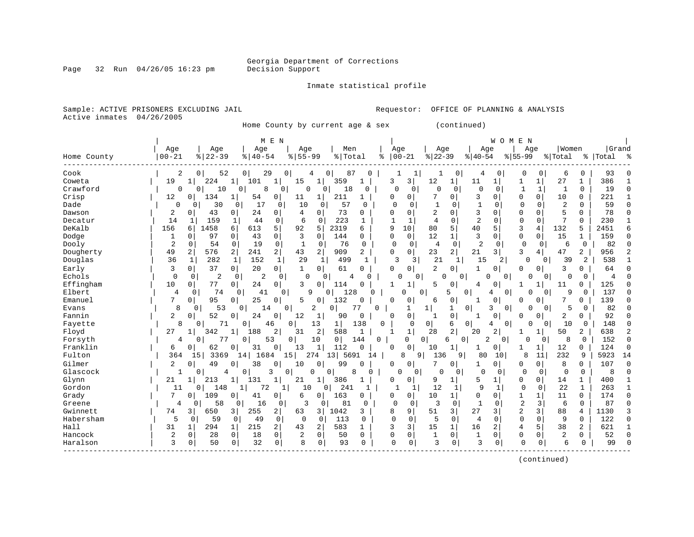Page 32 Run  $04/26/05$  16:23 pm

#### Inmate statistical profile

Sample: ACTIVE PRISONERS EXCLUDING JAIL **Requestor:** OFFICE OF PLANNING & ANALYSIS Active inmates 04/26/2005

Home County by current age & sex (continued)

| Grand<br>Age<br>Age<br>Men<br>Age<br>Age<br>  Women<br>Age<br>Age<br>Age<br>Age<br>$ 22-39$<br>$00 - 21$<br>$8 22-39$<br>$8155 - 99$<br>% Total<br>$00 - 21$<br>$8   40 - 54$<br>$ 40-54$<br>$8 55-99$<br>Home County<br>ిక<br>% Total<br>%   Total<br>$\approx$<br>Cook<br>2<br>52<br>0 <sup>1</sup><br>29<br>6<br>0<br>93<br>0<br>87<br><sup>0</sup><br>1<br>0<br>0<br>0<br>0<br>4<br>386<br>Coweta<br>19<br>224<br>101<br>$\mathbf{1}$<br>3<br>12<br>27<br>359<br>3<br>11<br>1<br>15<br>1<br>1<br>1<br>1<br>1<br>Crawford<br>$\mathbf 0$<br>19<br>$\mathbf{0}$<br>8<br>0<br>0<br>$\mathbf 0$<br>$\Omega$<br>$\mathbf{1}$<br>0<br>$\Omega$<br>10<br>0<br>18<br>0<br>0<br>$\Omega$<br>$\mathbf 0$<br>1<br>$\sqrt{ }$<br>0<br>211<br>3<br>$\Omega$<br>Crisp<br>12<br>134<br>54<br>$\circ$<br>11<br>0<br>$\Omega$<br>10<br>$\Omega$<br>221<br>$\mathbf{1}$<br>$\mathbf{1}$<br>0<br>$\Omega$<br>O<br>$\Omega$<br>30<br>17<br>10<br>57<br>$\mathbf{1}$<br>59<br>Dade<br>$\Omega$<br>0<br>0<br>$\Omega$<br>$\Omega$<br>$\Omega$<br>2<br>$\Omega$<br>$\cap$<br>0<br>$\Omega$<br>$\Omega$<br>-1<br>$\Omega$<br>0<br>$\Omega$<br>3<br>5<br>2<br>43<br>24<br>0<br>4<br>$\Omega$<br>73<br>2<br>$\Omega$<br>$\Omega$<br>78<br>Dawson<br>0<br>O<br>Ω<br>0<br>$\Omega$<br>$\Omega$<br>0<br>$\Omega$<br>0<br>$\overline{a}$<br>6<br>223<br>$\Omega$<br>$\Omega$<br>7<br>$\Omega$<br>230<br>Decatur<br>14<br>159<br>44<br>$\Omega$<br>$\Omega$<br>$\mathbf{1}$<br>4<br>$\Omega$<br>1<br>0<br>1<br>DeKalb<br>5<br>156<br>5<br>5<br>2319<br>9<br>10<br>80<br>40<br>3<br>4<br>132<br>5<br>2451<br>1458<br>613<br>92<br>5<br>6<br>6<br>6<br>3<br>0<br>12<br>$\mathbf{1}$<br>3<br>15<br>97<br>$\mathbf 0$<br>43<br>0<br>$\Omega$<br>144<br>$\mathbf 0$<br>$\mathbf 0$<br>159<br>Dodge<br>0<br>0<br>$\Omega$<br>$\mathbf 1$<br>1<br>$\Omega$<br>∩<br>$\overline{2}$<br>$\overline{2}$<br>$\mathbf 0$<br>$\mathbf 0$<br>Dooly<br>54<br>0<br>19<br>76<br>$\Omega$<br>$\mathbf 0$<br>0<br>$\mathbf 0$<br>$\mathbf 0$<br>82<br>0<br>1<br>0<br>0<br>$\overline{4}$<br>6<br>$\Omega$<br>2  <br>576<br>$\overline{2}$<br>2 <br>909<br>23<br>$\overline{2}$<br>21<br>Dougherty<br>49<br>2<br>241<br>43<br>2<br>0<br>$\overline{3}$<br>3<br>4<br>47<br>2<br>956<br>0<br>29<br>21<br>538<br>Douglas<br>36<br>282<br>152<br>$\mathbf{1}$<br>499<br>3<br>15<br>0<br>39<br>2<br>1<br>1<br>1<br>$\mathbf{1}$<br>$\overline{3}$<br>$\overline{2}$<br>1<br>0<br>20<br>Early<br>3<br>37<br>$\circ$<br>61<br>0<br>2<br>3<br>64<br>0<br>$\overline{0}$<br>0 <sup>1</sup><br>1<br>0<br>0<br>0<br>1<br>$\Omega$<br>0<br>0<br>0<br>Echols<br>$\mathbf 0$<br>$\overline{2}$<br>$\overline{2}$<br>$\mathbf 0$<br>$\Omega$<br>0<br>0<br>0<br>0<br>O<br>O<br>0<br>$\Omega$<br>$\Omega$<br>0<br>0<br>4<br>4<br>0<br>0<br>0<br>Effingham<br>10<br>77<br>3<br>0<br>125<br>24<br>0<br>114<br>1<br>5<br>0<br>4<br>11<br>0<br>0<br>0<br>O<br>0<br>∩<br>74<br>137<br>Elbert<br>41<br>0<br>9<br>128<br>$\mathbf 0$<br>5<br>0<br>9<br>$\Omega$<br>$\Omega$<br>$\Omega$<br>$\Omega$<br>U<br>0<br>$\Omega$<br>4<br>0<br>4<br>7<br>95<br>25<br>132<br>7<br>139<br>Emanuel<br>0<br>5<br>$\Omega$<br>0<br>0<br>$\Omega$<br>0<br>0<br>O<br>$\Omega$<br>6<br>1<br>$\Omega$<br><sup>0</sup><br>0<br>82<br>Evans<br>8<br>$\Omega$<br>53<br>$\Omega$<br>14<br>0<br>2<br>$\Omega$<br>77<br>$\overline{0}$<br>3<br>0<br>0<br>5<br>$\Omega$<br>$\Omega$<br>$\mathbf{1}$<br>1<br>O<br>1<br>$\mathbf 0$<br>92<br>Fannin<br>2<br>24<br>0<br>0<br>2<br>52<br>12<br>90<br>0<br>0<br>0<br>0<br>1<br>0<br>0<br>0<br>0<br>$\mathbf{1}$<br>71<br>13<br>138<br> 0 <br>6<br>10<br>148<br>Fayette<br>8<br>46<br>0<br>$\Omega$<br>$\Omega$<br>4<br>$\Omega$<br>$\Omega$<br>0<br>$\Omega$<br>0<br>0<br>0<br>2<br>$\overline{2}$<br>$\mathbf{1}$<br>$\overline{2}$<br>$\overline{a}$<br>638<br>Floyd<br>342<br>188<br>588<br>28<br>50<br>2<br>27<br>31<br>1<br>20<br>1<br>Forsyth<br>77<br>53<br>0<br>10<br>0<br>2<br>8<br>152<br>4<br>0<br>144<br>0<br>$\Omega$<br>$\Omega$<br>6<br>0<br>$\Omega$<br>0<br>0<br>$\cap$<br>0<br>0<br>Franklin<br>124<br>62<br>112<br>0<br>12<br>31<br>0<br>13<br>1<br>0<br>0<br>0<br>$\Omega$<br>6<br>0<br>0<br>10<br>1<br>1<br>Fulton<br>5923<br>3369<br>168<br>15<br>13<br>$\mathsf{R}$<br>9 <sup>1</sup><br>136<br>9<br>80<br>8<br>11<br>232<br>9<br>14<br>364<br>15<br>$4 \,$<br>274<br>5691<br>14<br>10<br>4<br>Gilmer<br>2<br>49<br>99<br>8<br>107<br>$\bigcap$<br>38<br>0<br>10<br>$\Omega$<br>0<br>0<br>1<br>0<br>0<br>0<br>0<br>O<br>0<br>8<br>Glascock<br>0<br>0<br>$\cap$<br>$\mathbf 0$<br>$\mathbf 0$<br>$\mathbf 0$<br>$\Omega$<br>0<br>U<br>8<br>$\Omega$<br>0 <sup>1</sup><br>$\Omega$<br>$\Omega$<br>1<br>4<br>3<br>n<br><sup>0</sup><br>$\Omega$<br>Glynn<br>213<br>$\mathbf{1}$<br>0<br>5<br>400<br>21<br>131<br>21<br>386<br>9<br>0<br>0<br>14<br>1<br>1<br>1<br>0<br>1<br>1<br>241<br>12<br>9<br>$\mathbf 0$<br>22<br>263<br>Gordon<br>72<br>10<br>$\mathbf 0$<br>$\mathbf{1}$<br>11<br>0<br>148<br>$\mathbf{1}$<br>1<br>0<br>1<br>1<br>1<br>1<br>Grady<br>109<br>163<br>10<br>174<br>7<br>41<br>0 <sup>1</sup><br>6<br>$\Omega$<br>0<br>0<br>0<br>$\mathbf{1}$<br>1<br>11<br>0<br>$\bigcap$<br>0<br>0<br>0<br>$\mathbf{1}$<br>0<br>$\overline{2}$<br>58<br>3<br>81<br>₹<br>$\mathbf{1}$<br>3<br>87<br>16<br>0 <sup>1</sup><br>$\Omega$<br>$\Omega$<br>0<br>6<br>$\Omega$<br>$\cap$<br>Greene<br>4<br>0<br>0<br>$\Omega$<br>0<br>0<br>$\overline{2}$<br>Gwinnett<br>1042<br>3<br>74<br>3<br>650<br>$\overline{\mathbf{3}}$<br>255<br>2 <br>63<br>3 <br>3<br>8<br>9<br>51<br>3<br>27<br>3<br>88<br>4<br>1130<br>Habersham<br>49<br>0<br>113<br>$\Omega$<br>5<br>$\Omega$<br>$\Omega$<br>9<br>$\Omega$<br>122<br>5<br>59<br>$\Omega$<br>0<br>0<br>0<br>$\overline{4}$<br>$\Omega$<br>$\Omega$<br>$\Omega$<br>$\Omega$<br>C<br>$\overline{2}$<br>5<br>38<br>2<br>621<br>Hall<br>215<br>$\overline{2}$<br>583<br>3<br>3<br>15<br>16<br>$\overline{a}$<br>31<br>$\mathbf{1}$<br>294<br>$\mathbf 1$<br>43<br>1<br>4<br>1<br>Hancock<br>$\overline{2}$<br>$\mathbf 0$<br>$\overline{a}$<br>52<br>28<br>18<br>$\mathbf 0$<br>50<br>0<br>0<br>$\Omega$<br>$\mathbf{1}$<br>$\mathbf 0$<br>$\mathbf 0$<br>2<br>0<br>0<br>0<br>0<br>1<br>$\Omega$<br>$\cap$<br>3<br>Haralson<br>32<br>0<br>8<br>93<br>$\Omega$<br>3<br>50<br>0<br>$\mathbf 0$<br>0<br>3<br>$\Omega$<br>6<br>$\Omega$<br>99<br>0<br>0<br>0<br>0<br>0 |  |  | M E N |  |  |  | WOMEN |  |  |  |
|--------------------------------------------------------------------------------------------------------------------------------------------------------------------------------------------------------------------------------------------------------------------------------------------------------------------------------------------------------------------------------------------------------------------------------------------------------------------------------------------------------------------------------------------------------------------------------------------------------------------------------------------------------------------------------------------------------------------------------------------------------------------------------------------------------------------------------------------------------------------------------------------------------------------------------------------------------------------------------------------------------------------------------------------------------------------------------------------------------------------------------------------------------------------------------------------------------------------------------------------------------------------------------------------------------------------------------------------------------------------------------------------------------------------------------------------------------------------------------------------------------------------------------------------------------------------------------------------------------------------------------------------------------------------------------------------------------------------------------------------------------------------------------------------------------------------------------------------------------------------------------------------------------------------------------------------------------------------------------------------------------------------------------------------------------------------------------------------------------------------------------------------------------------------------------------------------------------------------------------------------------------------------------------------------------------------------------------------------------------------------------------------------------------------------------------------------------------------------------------------------------------------------------------------------------------------------------------------------------------------------------------------------------------------------------------------------------------------------------------------------------------------------------------------------------------------------------------------------------------------------------------------------------------------------------------------------------------------------------------------------------------------------------------------------------------------------------------------------------------------------------------------------------------------------------------------------------------------------------------------------------------------------------------------------------------------------------------------------------------------------------------------------------------------------------------------------------------------------------------------------------------------------------------------------------------------------------------------------------------------------------------------------------------------------------------------------------------------------------------------------------------------------------------------------------------------------------------------------------------------------------------------------------------------------------------------------------------------------------------------------------------------------------------------------------------------------------------------------------------------------------------------------------------------------------------------------------------------------------------------------------------------------------------------------------------------------------------------------------------------------------------------------------------------------------------------------------------------------------------------------------------------------------------------------------------------------------------------------------------------------------------------------------------------------------------------------------------------------------------------------------------------------------------------------------------------------------------------------------------------------------------------------------------------------------------------------------------------------------------------------------------------------------------------------------------------------------------------------------------------------------------------------------------------------------------------------------------------------------------------------------------------------------------------------------------------------------------------------------------------------------------------------------------------------------------------------------------------------------------------------------------------------------------------------------------------------------------------------------------------------------------------------------------------------------------------------------------------------------------------------------------------------------------------------------------------------------------------------------------------------------------------------------------------------------------------------------------------------------------------------------------------------------------------------------------------------------------------------------------------------------------------------------------------------------------------------------------------------------------------------------------------------------------------------------------------------------------------------------------------------|--|--|-------|--|--|--|-------|--|--|--|
|                                                                                                                                                                                                                                                                                                                                                                                                                                                                                                                                                                                                                                                                                                                                                                                                                                                                                                                                                                                                                                                                                                                                                                                                                                                                                                                                                                                                                                                                                                                                                                                                                                                                                                                                                                                                                                                                                                                                                                                                                                                                                                                                                                                                                                                                                                                                                                                                                                                                                                                                                                                                                                                                                                                                                                                                                                                                                                                                                                                                                                                                                                                                                                                                                                                                                                                                                                                                                                                                                                                                                                                                                                                                                                                                                                                                                                                                                                                                                                                                                                                                                                                                                                                                                                                                                                                                                                                                                                                                                                                                                                                                                                                                                                                                                                                                                                                                                                                                                                                                                                                                                                                                                                                                                                                                                                                                                                                                                                                                                                                                                                                                                                                                                                                                                                                                                                                                                                                                                                                                                                                                                                                                                                                                                                                                                                                                                                          |  |  |       |  |  |  |       |  |  |  |
|                                                                                                                                                                                                                                                                                                                                                                                                                                                                                                                                                                                                                                                                                                                                                                                                                                                                                                                                                                                                                                                                                                                                                                                                                                                                                                                                                                                                                                                                                                                                                                                                                                                                                                                                                                                                                                                                                                                                                                                                                                                                                                                                                                                                                                                                                                                                                                                                                                                                                                                                                                                                                                                                                                                                                                                                                                                                                                                                                                                                                                                                                                                                                                                                                                                                                                                                                                                                                                                                                                                                                                                                                                                                                                                                                                                                                                                                                                                                                                                                                                                                                                                                                                                                                                                                                                                                                                                                                                                                                                                                                                                                                                                                                                                                                                                                                                                                                                                                                                                                                                                                                                                                                                                                                                                                                                                                                                                                                                                                                                                                                                                                                                                                                                                                                                                                                                                                                                                                                                                                                                                                                                                                                                                                                                                                                                                                                                          |  |  |       |  |  |  |       |  |  |  |
|                                                                                                                                                                                                                                                                                                                                                                                                                                                                                                                                                                                                                                                                                                                                                                                                                                                                                                                                                                                                                                                                                                                                                                                                                                                                                                                                                                                                                                                                                                                                                                                                                                                                                                                                                                                                                                                                                                                                                                                                                                                                                                                                                                                                                                                                                                                                                                                                                                                                                                                                                                                                                                                                                                                                                                                                                                                                                                                                                                                                                                                                                                                                                                                                                                                                                                                                                                                                                                                                                                                                                                                                                                                                                                                                                                                                                                                                                                                                                                                                                                                                                                                                                                                                                                                                                                                                                                                                                                                                                                                                                                                                                                                                                                                                                                                                                                                                                                                                                                                                                                                                                                                                                                                                                                                                                                                                                                                                                                                                                                                                                                                                                                                                                                                                                                                                                                                                                                                                                                                                                                                                                                                                                                                                                                                                                                                                                                          |  |  |       |  |  |  |       |  |  |  |
|                                                                                                                                                                                                                                                                                                                                                                                                                                                                                                                                                                                                                                                                                                                                                                                                                                                                                                                                                                                                                                                                                                                                                                                                                                                                                                                                                                                                                                                                                                                                                                                                                                                                                                                                                                                                                                                                                                                                                                                                                                                                                                                                                                                                                                                                                                                                                                                                                                                                                                                                                                                                                                                                                                                                                                                                                                                                                                                                                                                                                                                                                                                                                                                                                                                                                                                                                                                                                                                                                                                                                                                                                                                                                                                                                                                                                                                                                                                                                                                                                                                                                                                                                                                                                                                                                                                                                                                                                                                                                                                                                                                                                                                                                                                                                                                                                                                                                                                                                                                                                                                                                                                                                                                                                                                                                                                                                                                                                                                                                                                                                                                                                                                                                                                                                                                                                                                                                                                                                                                                                                                                                                                                                                                                                                                                                                                                                                          |  |  |       |  |  |  |       |  |  |  |
|                                                                                                                                                                                                                                                                                                                                                                                                                                                                                                                                                                                                                                                                                                                                                                                                                                                                                                                                                                                                                                                                                                                                                                                                                                                                                                                                                                                                                                                                                                                                                                                                                                                                                                                                                                                                                                                                                                                                                                                                                                                                                                                                                                                                                                                                                                                                                                                                                                                                                                                                                                                                                                                                                                                                                                                                                                                                                                                                                                                                                                                                                                                                                                                                                                                                                                                                                                                                                                                                                                                                                                                                                                                                                                                                                                                                                                                                                                                                                                                                                                                                                                                                                                                                                                                                                                                                                                                                                                                                                                                                                                                                                                                                                                                                                                                                                                                                                                                                                                                                                                                                                                                                                                                                                                                                                                                                                                                                                                                                                                                                                                                                                                                                                                                                                                                                                                                                                                                                                                                                                                                                                                                                                                                                                                                                                                                                                                          |  |  |       |  |  |  |       |  |  |  |
|                                                                                                                                                                                                                                                                                                                                                                                                                                                                                                                                                                                                                                                                                                                                                                                                                                                                                                                                                                                                                                                                                                                                                                                                                                                                                                                                                                                                                                                                                                                                                                                                                                                                                                                                                                                                                                                                                                                                                                                                                                                                                                                                                                                                                                                                                                                                                                                                                                                                                                                                                                                                                                                                                                                                                                                                                                                                                                                                                                                                                                                                                                                                                                                                                                                                                                                                                                                                                                                                                                                                                                                                                                                                                                                                                                                                                                                                                                                                                                                                                                                                                                                                                                                                                                                                                                                                                                                                                                                                                                                                                                                                                                                                                                                                                                                                                                                                                                                                                                                                                                                                                                                                                                                                                                                                                                                                                                                                                                                                                                                                                                                                                                                                                                                                                                                                                                                                                                                                                                                                                                                                                                                                                                                                                                                                                                                                                                          |  |  |       |  |  |  |       |  |  |  |
|                                                                                                                                                                                                                                                                                                                                                                                                                                                                                                                                                                                                                                                                                                                                                                                                                                                                                                                                                                                                                                                                                                                                                                                                                                                                                                                                                                                                                                                                                                                                                                                                                                                                                                                                                                                                                                                                                                                                                                                                                                                                                                                                                                                                                                                                                                                                                                                                                                                                                                                                                                                                                                                                                                                                                                                                                                                                                                                                                                                                                                                                                                                                                                                                                                                                                                                                                                                                                                                                                                                                                                                                                                                                                                                                                                                                                                                                                                                                                                                                                                                                                                                                                                                                                                                                                                                                                                                                                                                                                                                                                                                                                                                                                                                                                                                                                                                                                                                                                                                                                                                                                                                                                                                                                                                                                                                                                                                                                                                                                                                                                                                                                                                                                                                                                                                                                                                                                                                                                                                                                                                                                                                                                                                                                                                                                                                                                                          |  |  |       |  |  |  |       |  |  |  |
|                                                                                                                                                                                                                                                                                                                                                                                                                                                                                                                                                                                                                                                                                                                                                                                                                                                                                                                                                                                                                                                                                                                                                                                                                                                                                                                                                                                                                                                                                                                                                                                                                                                                                                                                                                                                                                                                                                                                                                                                                                                                                                                                                                                                                                                                                                                                                                                                                                                                                                                                                                                                                                                                                                                                                                                                                                                                                                                                                                                                                                                                                                                                                                                                                                                                                                                                                                                                                                                                                                                                                                                                                                                                                                                                                                                                                                                                                                                                                                                                                                                                                                                                                                                                                                                                                                                                                                                                                                                                                                                                                                                                                                                                                                                                                                                                                                                                                                                                                                                                                                                                                                                                                                                                                                                                                                                                                                                                                                                                                                                                                                                                                                                                                                                                                                                                                                                                                                                                                                                                                                                                                                                                                                                                                                                                                                                                                                          |  |  |       |  |  |  |       |  |  |  |
|                                                                                                                                                                                                                                                                                                                                                                                                                                                                                                                                                                                                                                                                                                                                                                                                                                                                                                                                                                                                                                                                                                                                                                                                                                                                                                                                                                                                                                                                                                                                                                                                                                                                                                                                                                                                                                                                                                                                                                                                                                                                                                                                                                                                                                                                                                                                                                                                                                                                                                                                                                                                                                                                                                                                                                                                                                                                                                                                                                                                                                                                                                                                                                                                                                                                                                                                                                                                                                                                                                                                                                                                                                                                                                                                                                                                                                                                                                                                                                                                                                                                                                                                                                                                                                                                                                                                                                                                                                                                                                                                                                                                                                                                                                                                                                                                                                                                                                                                                                                                                                                                                                                                                                                                                                                                                                                                                                                                                                                                                                                                                                                                                                                                                                                                                                                                                                                                                                                                                                                                                                                                                                                                                                                                                                                                                                                                                                          |  |  |       |  |  |  |       |  |  |  |
|                                                                                                                                                                                                                                                                                                                                                                                                                                                                                                                                                                                                                                                                                                                                                                                                                                                                                                                                                                                                                                                                                                                                                                                                                                                                                                                                                                                                                                                                                                                                                                                                                                                                                                                                                                                                                                                                                                                                                                                                                                                                                                                                                                                                                                                                                                                                                                                                                                                                                                                                                                                                                                                                                                                                                                                                                                                                                                                                                                                                                                                                                                                                                                                                                                                                                                                                                                                                                                                                                                                                                                                                                                                                                                                                                                                                                                                                                                                                                                                                                                                                                                                                                                                                                                                                                                                                                                                                                                                                                                                                                                                                                                                                                                                                                                                                                                                                                                                                                                                                                                                                                                                                                                                                                                                                                                                                                                                                                                                                                                                                                                                                                                                                                                                                                                                                                                                                                                                                                                                                                                                                                                                                                                                                                                                                                                                                                                          |  |  |       |  |  |  |       |  |  |  |
|                                                                                                                                                                                                                                                                                                                                                                                                                                                                                                                                                                                                                                                                                                                                                                                                                                                                                                                                                                                                                                                                                                                                                                                                                                                                                                                                                                                                                                                                                                                                                                                                                                                                                                                                                                                                                                                                                                                                                                                                                                                                                                                                                                                                                                                                                                                                                                                                                                                                                                                                                                                                                                                                                                                                                                                                                                                                                                                                                                                                                                                                                                                                                                                                                                                                                                                                                                                                                                                                                                                                                                                                                                                                                                                                                                                                                                                                                                                                                                                                                                                                                                                                                                                                                                                                                                                                                                                                                                                                                                                                                                                                                                                                                                                                                                                                                                                                                                                                                                                                                                                                                                                                                                                                                                                                                                                                                                                                                                                                                                                                                                                                                                                                                                                                                                                                                                                                                                                                                                                                                                                                                                                                                                                                                                                                                                                                                                          |  |  |       |  |  |  |       |  |  |  |
|                                                                                                                                                                                                                                                                                                                                                                                                                                                                                                                                                                                                                                                                                                                                                                                                                                                                                                                                                                                                                                                                                                                                                                                                                                                                                                                                                                                                                                                                                                                                                                                                                                                                                                                                                                                                                                                                                                                                                                                                                                                                                                                                                                                                                                                                                                                                                                                                                                                                                                                                                                                                                                                                                                                                                                                                                                                                                                                                                                                                                                                                                                                                                                                                                                                                                                                                                                                                                                                                                                                                                                                                                                                                                                                                                                                                                                                                                                                                                                                                                                                                                                                                                                                                                                                                                                                                                                                                                                                                                                                                                                                                                                                                                                                                                                                                                                                                                                                                                                                                                                                                                                                                                                                                                                                                                                                                                                                                                                                                                                                                                                                                                                                                                                                                                                                                                                                                                                                                                                                                                                                                                                                                                                                                                                                                                                                                                                          |  |  |       |  |  |  |       |  |  |  |
|                                                                                                                                                                                                                                                                                                                                                                                                                                                                                                                                                                                                                                                                                                                                                                                                                                                                                                                                                                                                                                                                                                                                                                                                                                                                                                                                                                                                                                                                                                                                                                                                                                                                                                                                                                                                                                                                                                                                                                                                                                                                                                                                                                                                                                                                                                                                                                                                                                                                                                                                                                                                                                                                                                                                                                                                                                                                                                                                                                                                                                                                                                                                                                                                                                                                                                                                                                                                                                                                                                                                                                                                                                                                                                                                                                                                                                                                                                                                                                                                                                                                                                                                                                                                                                                                                                                                                                                                                                                                                                                                                                                                                                                                                                                                                                                                                                                                                                                                                                                                                                                                                                                                                                                                                                                                                                                                                                                                                                                                                                                                                                                                                                                                                                                                                                                                                                                                                                                                                                                                                                                                                                                                                                                                                                                                                                                                                                          |  |  |       |  |  |  |       |  |  |  |
|                                                                                                                                                                                                                                                                                                                                                                                                                                                                                                                                                                                                                                                                                                                                                                                                                                                                                                                                                                                                                                                                                                                                                                                                                                                                                                                                                                                                                                                                                                                                                                                                                                                                                                                                                                                                                                                                                                                                                                                                                                                                                                                                                                                                                                                                                                                                                                                                                                                                                                                                                                                                                                                                                                                                                                                                                                                                                                                                                                                                                                                                                                                                                                                                                                                                                                                                                                                                                                                                                                                                                                                                                                                                                                                                                                                                                                                                                                                                                                                                                                                                                                                                                                                                                                                                                                                                                                                                                                                                                                                                                                                                                                                                                                                                                                                                                                                                                                                                                                                                                                                                                                                                                                                                                                                                                                                                                                                                                                                                                                                                                                                                                                                                                                                                                                                                                                                                                                                                                                                                                                                                                                                                                                                                                                                                                                                                                                          |  |  |       |  |  |  |       |  |  |  |
|                                                                                                                                                                                                                                                                                                                                                                                                                                                                                                                                                                                                                                                                                                                                                                                                                                                                                                                                                                                                                                                                                                                                                                                                                                                                                                                                                                                                                                                                                                                                                                                                                                                                                                                                                                                                                                                                                                                                                                                                                                                                                                                                                                                                                                                                                                                                                                                                                                                                                                                                                                                                                                                                                                                                                                                                                                                                                                                                                                                                                                                                                                                                                                                                                                                                                                                                                                                                                                                                                                                                                                                                                                                                                                                                                                                                                                                                                                                                                                                                                                                                                                                                                                                                                                                                                                                                                                                                                                                                                                                                                                                                                                                                                                                                                                                                                                                                                                                                                                                                                                                                                                                                                                                                                                                                                                                                                                                                                                                                                                                                                                                                                                                                                                                                                                                                                                                                                                                                                                                                                                                                                                                                                                                                                                                                                                                                                                          |  |  |       |  |  |  |       |  |  |  |
|                                                                                                                                                                                                                                                                                                                                                                                                                                                                                                                                                                                                                                                                                                                                                                                                                                                                                                                                                                                                                                                                                                                                                                                                                                                                                                                                                                                                                                                                                                                                                                                                                                                                                                                                                                                                                                                                                                                                                                                                                                                                                                                                                                                                                                                                                                                                                                                                                                                                                                                                                                                                                                                                                                                                                                                                                                                                                                                                                                                                                                                                                                                                                                                                                                                                                                                                                                                                                                                                                                                                                                                                                                                                                                                                                                                                                                                                                                                                                                                                                                                                                                                                                                                                                                                                                                                                                                                                                                                                                                                                                                                                                                                                                                                                                                                                                                                                                                                                                                                                                                                                                                                                                                                                                                                                                                                                                                                                                                                                                                                                                                                                                                                                                                                                                                                                                                                                                                                                                                                                                                                                                                                                                                                                                                                                                                                                                                          |  |  |       |  |  |  |       |  |  |  |
|                                                                                                                                                                                                                                                                                                                                                                                                                                                                                                                                                                                                                                                                                                                                                                                                                                                                                                                                                                                                                                                                                                                                                                                                                                                                                                                                                                                                                                                                                                                                                                                                                                                                                                                                                                                                                                                                                                                                                                                                                                                                                                                                                                                                                                                                                                                                                                                                                                                                                                                                                                                                                                                                                                                                                                                                                                                                                                                                                                                                                                                                                                                                                                                                                                                                                                                                                                                                                                                                                                                                                                                                                                                                                                                                                                                                                                                                                                                                                                                                                                                                                                                                                                                                                                                                                                                                                                                                                                                                                                                                                                                                                                                                                                                                                                                                                                                                                                                                                                                                                                                                                                                                                                                                                                                                                                                                                                                                                                                                                                                                                                                                                                                                                                                                                                                                                                                                                                                                                                                                                                                                                                                                                                                                                                                                                                                                                                          |  |  |       |  |  |  |       |  |  |  |
|                                                                                                                                                                                                                                                                                                                                                                                                                                                                                                                                                                                                                                                                                                                                                                                                                                                                                                                                                                                                                                                                                                                                                                                                                                                                                                                                                                                                                                                                                                                                                                                                                                                                                                                                                                                                                                                                                                                                                                                                                                                                                                                                                                                                                                                                                                                                                                                                                                                                                                                                                                                                                                                                                                                                                                                                                                                                                                                                                                                                                                                                                                                                                                                                                                                                                                                                                                                                                                                                                                                                                                                                                                                                                                                                                                                                                                                                                                                                                                                                                                                                                                                                                                                                                                                                                                                                                                                                                                                                                                                                                                                                                                                                                                                                                                                                                                                                                                                                                                                                                                                                                                                                                                                                                                                                                                                                                                                                                                                                                                                                                                                                                                                                                                                                                                                                                                                                                                                                                                                                                                                                                                                                                                                                                                                                                                                                                                          |  |  |       |  |  |  |       |  |  |  |
|                                                                                                                                                                                                                                                                                                                                                                                                                                                                                                                                                                                                                                                                                                                                                                                                                                                                                                                                                                                                                                                                                                                                                                                                                                                                                                                                                                                                                                                                                                                                                                                                                                                                                                                                                                                                                                                                                                                                                                                                                                                                                                                                                                                                                                                                                                                                                                                                                                                                                                                                                                                                                                                                                                                                                                                                                                                                                                                                                                                                                                                                                                                                                                                                                                                                                                                                                                                                                                                                                                                                                                                                                                                                                                                                                                                                                                                                                                                                                                                                                                                                                                                                                                                                                                                                                                                                                                                                                                                                                                                                                                                                                                                                                                                                                                                                                                                                                                                                                                                                                                                                                                                                                                                                                                                                                                                                                                                                                                                                                                                                                                                                                                                                                                                                                                                                                                                                                                                                                                                                                                                                                                                                                                                                                                                                                                                                                                          |  |  |       |  |  |  |       |  |  |  |
|                                                                                                                                                                                                                                                                                                                                                                                                                                                                                                                                                                                                                                                                                                                                                                                                                                                                                                                                                                                                                                                                                                                                                                                                                                                                                                                                                                                                                                                                                                                                                                                                                                                                                                                                                                                                                                                                                                                                                                                                                                                                                                                                                                                                                                                                                                                                                                                                                                                                                                                                                                                                                                                                                                                                                                                                                                                                                                                                                                                                                                                                                                                                                                                                                                                                                                                                                                                                                                                                                                                                                                                                                                                                                                                                                                                                                                                                                                                                                                                                                                                                                                                                                                                                                                                                                                                                                                                                                                                                                                                                                                                                                                                                                                                                                                                                                                                                                                                                                                                                                                                                                                                                                                                                                                                                                                                                                                                                                                                                                                                                                                                                                                                                                                                                                                                                                                                                                                                                                                                                                                                                                                                                                                                                                                                                                                                                                                          |  |  |       |  |  |  |       |  |  |  |
|                                                                                                                                                                                                                                                                                                                                                                                                                                                                                                                                                                                                                                                                                                                                                                                                                                                                                                                                                                                                                                                                                                                                                                                                                                                                                                                                                                                                                                                                                                                                                                                                                                                                                                                                                                                                                                                                                                                                                                                                                                                                                                                                                                                                                                                                                                                                                                                                                                                                                                                                                                                                                                                                                                                                                                                                                                                                                                                                                                                                                                                                                                                                                                                                                                                                                                                                                                                                                                                                                                                                                                                                                                                                                                                                                                                                                                                                                                                                                                                                                                                                                                                                                                                                                                                                                                                                                                                                                                                                                                                                                                                                                                                                                                                                                                                                                                                                                                                                                                                                                                                                                                                                                                                                                                                                                                                                                                                                                                                                                                                                                                                                                                                                                                                                                                                                                                                                                                                                                                                                                                                                                                                                                                                                                                                                                                                                                                          |  |  |       |  |  |  |       |  |  |  |
|                                                                                                                                                                                                                                                                                                                                                                                                                                                                                                                                                                                                                                                                                                                                                                                                                                                                                                                                                                                                                                                                                                                                                                                                                                                                                                                                                                                                                                                                                                                                                                                                                                                                                                                                                                                                                                                                                                                                                                                                                                                                                                                                                                                                                                                                                                                                                                                                                                                                                                                                                                                                                                                                                                                                                                                                                                                                                                                                                                                                                                                                                                                                                                                                                                                                                                                                                                                                                                                                                                                                                                                                                                                                                                                                                                                                                                                                                                                                                                                                                                                                                                                                                                                                                                                                                                                                                                                                                                                                                                                                                                                                                                                                                                                                                                                                                                                                                                                                                                                                                                                                                                                                                                                                                                                                                                                                                                                                                                                                                                                                                                                                                                                                                                                                                                                                                                                                                                                                                                                                                                                                                                                                                                                                                                                                                                                                                                          |  |  |       |  |  |  |       |  |  |  |
|                                                                                                                                                                                                                                                                                                                                                                                                                                                                                                                                                                                                                                                                                                                                                                                                                                                                                                                                                                                                                                                                                                                                                                                                                                                                                                                                                                                                                                                                                                                                                                                                                                                                                                                                                                                                                                                                                                                                                                                                                                                                                                                                                                                                                                                                                                                                                                                                                                                                                                                                                                                                                                                                                                                                                                                                                                                                                                                                                                                                                                                                                                                                                                                                                                                                                                                                                                                                                                                                                                                                                                                                                                                                                                                                                                                                                                                                                                                                                                                                                                                                                                                                                                                                                                                                                                                                                                                                                                                                                                                                                                                                                                                                                                                                                                                                                                                                                                                                                                                                                                                                                                                                                                                                                                                                                                                                                                                                                                                                                                                                                                                                                                                                                                                                                                                                                                                                                                                                                                                                                                                                                                                                                                                                                                                                                                                                                                          |  |  |       |  |  |  |       |  |  |  |
|                                                                                                                                                                                                                                                                                                                                                                                                                                                                                                                                                                                                                                                                                                                                                                                                                                                                                                                                                                                                                                                                                                                                                                                                                                                                                                                                                                                                                                                                                                                                                                                                                                                                                                                                                                                                                                                                                                                                                                                                                                                                                                                                                                                                                                                                                                                                                                                                                                                                                                                                                                                                                                                                                                                                                                                                                                                                                                                                                                                                                                                                                                                                                                                                                                                                                                                                                                                                                                                                                                                                                                                                                                                                                                                                                                                                                                                                                                                                                                                                                                                                                                                                                                                                                                                                                                                                                                                                                                                                                                                                                                                                                                                                                                                                                                                                                                                                                                                                                                                                                                                                                                                                                                                                                                                                                                                                                                                                                                                                                                                                                                                                                                                                                                                                                                                                                                                                                                                                                                                                                                                                                                                                                                                                                                                                                                                                                                          |  |  |       |  |  |  |       |  |  |  |
|                                                                                                                                                                                                                                                                                                                                                                                                                                                                                                                                                                                                                                                                                                                                                                                                                                                                                                                                                                                                                                                                                                                                                                                                                                                                                                                                                                                                                                                                                                                                                                                                                                                                                                                                                                                                                                                                                                                                                                                                                                                                                                                                                                                                                                                                                                                                                                                                                                                                                                                                                                                                                                                                                                                                                                                                                                                                                                                                                                                                                                                                                                                                                                                                                                                                                                                                                                                                                                                                                                                                                                                                                                                                                                                                                                                                                                                                                                                                                                                                                                                                                                                                                                                                                                                                                                                                                                                                                                                                                                                                                                                                                                                                                                                                                                                                                                                                                                                                                                                                                                                                                                                                                                                                                                                                                                                                                                                                                                                                                                                                                                                                                                                                                                                                                                                                                                                                                                                                                                                                                                                                                                                                                                                                                                                                                                                                                                          |  |  |       |  |  |  |       |  |  |  |
|                                                                                                                                                                                                                                                                                                                                                                                                                                                                                                                                                                                                                                                                                                                                                                                                                                                                                                                                                                                                                                                                                                                                                                                                                                                                                                                                                                                                                                                                                                                                                                                                                                                                                                                                                                                                                                                                                                                                                                                                                                                                                                                                                                                                                                                                                                                                                                                                                                                                                                                                                                                                                                                                                                                                                                                                                                                                                                                                                                                                                                                                                                                                                                                                                                                                                                                                                                                                                                                                                                                                                                                                                                                                                                                                                                                                                                                                                                                                                                                                                                                                                                                                                                                                                                                                                                                                                                                                                                                                                                                                                                                                                                                                                                                                                                                                                                                                                                                                                                                                                                                                                                                                                                                                                                                                                                                                                                                                                                                                                                                                                                                                                                                                                                                                                                                                                                                                                                                                                                                                                                                                                                                                                                                                                                                                                                                                                                          |  |  |       |  |  |  |       |  |  |  |
|                                                                                                                                                                                                                                                                                                                                                                                                                                                                                                                                                                                                                                                                                                                                                                                                                                                                                                                                                                                                                                                                                                                                                                                                                                                                                                                                                                                                                                                                                                                                                                                                                                                                                                                                                                                                                                                                                                                                                                                                                                                                                                                                                                                                                                                                                                                                                                                                                                                                                                                                                                                                                                                                                                                                                                                                                                                                                                                                                                                                                                                                                                                                                                                                                                                                                                                                                                                                                                                                                                                                                                                                                                                                                                                                                                                                                                                                                                                                                                                                                                                                                                                                                                                                                                                                                                                                                                                                                                                                                                                                                                                                                                                                                                                                                                                                                                                                                                                                                                                                                                                                                                                                                                                                                                                                                                                                                                                                                                                                                                                                                                                                                                                                                                                                                                                                                                                                                                                                                                                                                                                                                                                                                                                                                                                                                                                                                                          |  |  |       |  |  |  |       |  |  |  |
|                                                                                                                                                                                                                                                                                                                                                                                                                                                                                                                                                                                                                                                                                                                                                                                                                                                                                                                                                                                                                                                                                                                                                                                                                                                                                                                                                                                                                                                                                                                                                                                                                                                                                                                                                                                                                                                                                                                                                                                                                                                                                                                                                                                                                                                                                                                                                                                                                                                                                                                                                                                                                                                                                                                                                                                                                                                                                                                                                                                                                                                                                                                                                                                                                                                                                                                                                                                                                                                                                                                                                                                                                                                                                                                                                                                                                                                                                                                                                                                                                                                                                                                                                                                                                                                                                                                                                                                                                                                                                                                                                                                                                                                                                                                                                                                                                                                                                                                                                                                                                                                                                                                                                                                                                                                                                                                                                                                                                                                                                                                                                                                                                                                                                                                                                                                                                                                                                                                                                                                                                                                                                                                                                                                                                                                                                                                                                                          |  |  |       |  |  |  |       |  |  |  |
|                                                                                                                                                                                                                                                                                                                                                                                                                                                                                                                                                                                                                                                                                                                                                                                                                                                                                                                                                                                                                                                                                                                                                                                                                                                                                                                                                                                                                                                                                                                                                                                                                                                                                                                                                                                                                                                                                                                                                                                                                                                                                                                                                                                                                                                                                                                                                                                                                                                                                                                                                                                                                                                                                                                                                                                                                                                                                                                                                                                                                                                                                                                                                                                                                                                                                                                                                                                                                                                                                                                                                                                                                                                                                                                                                                                                                                                                                                                                                                                                                                                                                                                                                                                                                                                                                                                                                                                                                                                                                                                                                                                                                                                                                                                                                                                                                                                                                                                                                                                                                                                                                                                                                                                                                                                                                                                                                                                                                                                                                                                                                                                                                                                                                                                                                                                                                                                                                                                                                                                                                                                                                                                                                                                                                                                                                                                                                                          |  |  |       |  |  |  |       |  |  |  |
|                                                                                                                                                                                                                                                                                                                                                                                                                                                                                                                                                                                                                                                                                                                                                                                                                                                                                                                                                                                                                                                                                                                                                                                                                                                                                                                                                                                                                                                                                                                                                                                                                                                                                                                                                                                                                                                                                                                                                                                                                                                                                                                                                                                                                                                                                                                                                                                                                                                                                                                                                                                                                                                                                                                                                                                                                                                                                                                                                                                                                                                                                                                                                                                                                                                                                                                                                                                                                                                                                                                                                                                                                                                                                                                                                                                                                                                                                                                                                                                                                                                                                                                                                                                                                                                                                                                                                                                                                                                                                                                                                                                                                                                                                                                                                                                                                                                                                                                                                                                                                                                                                                                                                                                                                                                                                                                                                                                                                                                                                                                                                                                                                                                                                                                                                                                                                                                                                                                                                                                                                                                                                                                                                                                                                                                                                                                                                                          |  |  |       |  |  |  |       |  |  |  |
|                                                                                                                                                                                                                                                                                                                                                                                                                                                                                                                                                                                                                                                                                                                                                                                                                                                                                                                                                                                                                                                                                                                                                                                                                                                                                                                                                                                                                                                                                                                                                                                                                                                                                                                                                                                                                                                                                                                                                                                                                                                                                                                                                                                                                                                                                                                                                                                                                                                                                                                                                                                                                                                                                                                                                                                                                                                                                                                                                                                                                                                                                                                                                                                                                                                                                                                                                                                                                                                                                                                                                                                                                                                                                                                                                                                                                                                                                                                                                                                                                                                                                                                                                                                                                                                                                                                                                                                                                                                                                                                                                                                                                                                                                                                                                                                                                                                                                                                                                                                                                                                                                                                                                                                                                                                                                                                                                                                                                                                                                                                                                                                                                                                                                                                                                                                                                                                                                                                                                                                                                                                                                                                                                                                                                                                                                                                                                                          |  |  |       |  |  |  |       |  |  |  |
|                                                                                                                                                                                                                                                                                                                                                                                                                                                                                                                                                                                                                                                                                                                                                                                                                                                                                                                                                                                                                                                                                                                                                                                                                                                                                                                                                                                                                                                                                                                                                                                                                                                                                                                                                                                                                                                                                                                                                                                                                                                                                                                                                                                                                                                                                                                                                                                                                                                                                                                                                                                                                                                                                                                                                                                                                                                                                                                                                                                                                                                                                                                                                                                                                                                                                                                                                                                                                                                                                                                                                                                                                                                                                                                                                                                                                                                                                                                                                                                                                                                                                                                                                                                                                                                                                                                                                                                                                                                                                                                                                                                                                                                                                                                                                                                                                                                                                                                                                                                                                                                                                                                                                                                                                                                                                                                                                                                                                                                                                                                                                                                                                                                                                                                                                                                                                                                                                                                                                                                                                                                                                                                                                                                                                                                                                                                                                                          |  |  |       |  |  |  |       |  |  |  |
|                                                                                                                                                                                                                                                                                                                                                                                                                                                                                                                                                                                                                                                                                                                                                                                                                                                                                                                                                                                                                                                                                                                                                                                                                                                                                                                                                                                                                                                                                                                                                                                                                                                                                                                                                                                                                                                                                                                                                                                                                                                                                                                                                                                                                                                                                                                                                                                                                                                                                                                                                                                                                                                                                                                                                                                                                                                                                                                                                                                                                                                                                                                                                                                                                                                                                                                                                                                                                                                                                                                                                                                                                                                                                                                                                                                                                                                                                                                                                                                                                                                                                                                                                                                                                                                                                                                                                                                                                                                                                                                                                                                                                                                                                                                                                                                                                                                                                                                                                                                                                                                                                                                                                                                                                                                                                                                                                                                                                                                                                                                                                                                                                                                                                                                                                                                                                                                                                                                                                                                                                                                                                                                                                                                                                                                                                                                                                                          |  |  |       |  |  |  |       |  |  |  |
|                                                                                                                                                                                                                                                                                                                                                                                                                                                                                                                                                                                                                                                                                                                                                                                                                                                                                                                                                                                                                                                                                                                                                                                                                                                                                                                                                                                                                                                                                                                                                                                                                                                                                                                                                                                                                                                                                                                                                                                                                                                                                                                                                                                                                                                                                                                                                                                                                                                                                                                                                                                                                                                                                                                                                                                                                                                                                                                                                                                                                                                                                                                                                                                                                                                                                                                                                                                                                                                                                                                                                                                                                                                                                                                                                                                                                                                                                                                                                                                                                                                                                                                                                                                                                                                                                                                                                                                                                                                                                                                                                                                                                                                                                                                                                                                                                                                                                                                                                                                                                                                                                                                                                                                                                                                                                                                                                                                                                                                                                                                                                                                                                                                                                                                                                                                                                                                                                                                                                                                                                                                                                                                                                                                                                                                                                                                                                                          |  |  |       |  |  |  |       |  |  |  |
|                                                                                                                                                                                                                                                                                                                                                                                                                                                                                                                                                                                                                                                                                                                                                                                                                                                                                                                                                                                                                                                                                                                                                                                                                                                                                                                                                                                                                                                                                                                                                                                                                                                                                                                                                                                                                                                                                                                                                                                                                                                                                                                                                                                                                                                                                                                                                                                                                                                                                                                                                                                                                                                                                                                                                                                                                                                                                                                                                                                                                                                                                                                                                                                                                                                                                                                                                                                                                                                                                                                                                                                                                                                                                                                                                                                                                                                                                                                                                                                                                                                                                                                                                                                                                                                                                                                                                                                                                                                                                                                                                                                                                                                                                                                                                                                                                                                                                                                                                                                                                                                                                                                                                                                                                                                                                                                                                                                                                                                                                                                                                                                                                                                                                                                                                                                                                                                                                                                                                                                                                                                                                                                                                                                                                                                                                                                                                                          |  |  |       |  |  |  |       |  |  |  |
|                                                                                                                                                                                                                                                                                                                                                                                                                                                                                                                                                                                                                                                                                                                                                                                                                                                                                                                                                                                                                                                                                                                                                                                                                                                                                                                                                                                                                                                                                                                                                                                                                                                                                                                                                                                                                                                                                                                                                                                                                                                                                                                                                                                                                                                                                                                                                                                                                                                                                                                                                                                                                                                                                                                                                                                                                                                                                                                                                                                                                                                                                                                                                                                                                                                                                                                                                                                                                                                                                                                                                                                                                                                                                                                                                                                                                                                                                                                                                                                                                                                                                                                                                                                                                                                                                                                                                                                                                                                                                                                                                                                                                                                                                                                                                                                                                                                                                                                                                                                                                                                                                                                                                                                                                                                                                                                                                                                                                                                                                                                                                                                                                                                                                                                                                                                                                                                                                                                                                                                                                                                                                                                                                                                                                                                                                                                                                                          |  |  |       |  |  |  |       |  |  |  |
|                                                                                                                                                                                                                                                                                                                                                                                                                                                                                                                                                                                                                                                                                                                                                                                                                                                                                                                                                                                                                                                                                                                                                                                                                                                                                                                                                                                                                                                                                                                                                                                                                                                                                                                                                                                                                                                                                                                                                                                                                                                                                                                                                                                                                                                                                                                                                                                                                                                                                                                                                                                                                                                                                                                                                                                                                                                                                                                                                                                                                                                                                                                                                                                                                                                                                                                                                                                                                                                                                                                                                                                                                                                                                                                                                                                                                                                                                                                                                                                                                                                                                                                                                                                                                                                                                                                                                                                                                                                                                                                                                                                                                                                                                                                                                                                                                                                                                                                                                                                                                                                                                                                                                                                                                                                                                                                                                                                                                                                                                                                                                                                                                                                                                                                                                                                                                                                                                                                                                                                                                                                                                                                                                                                                                                                                                                                                                                          |  |  |       |  |  |  |       |  |  |  |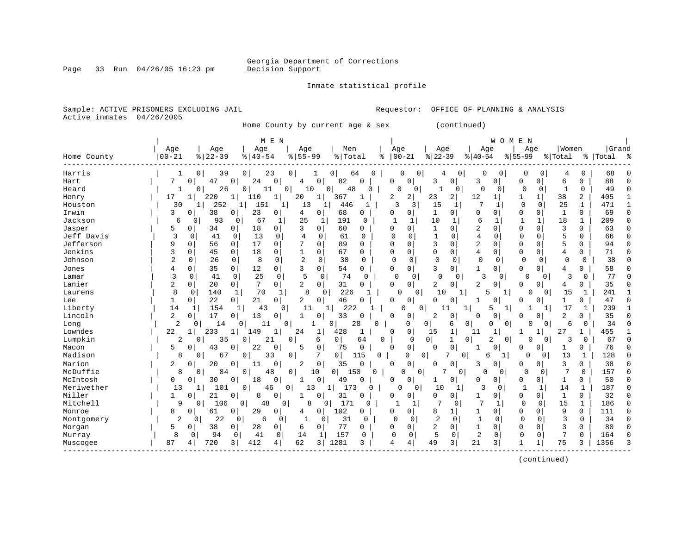Page 33 Run  $04/26/05$  16:23 pm

#### Inmate statistical profile

Sample: ACTIVE PRISONERS EXCLUDING JAIL **Requestor:** OFFICE OF PLANNING & ANALYSIS Active inmates 04/26/2005

Home County by current age & sex (continued)

| Age<br>Age<br>Age<br>Age<br>Women<br>Age<br>Age<br>Men<br>Age<br>Age<br>$00 - 21$<br>$ 22-39$<br>$8   22 - 39$<br>$8   40 - 54$<br>$8155 - 99$<br>$00 - 21$<br>$ 40-54$<br>% Total<br>$8 55-99$<br>% Total<br>Home County<br>နွ<br>%   Total<br>Harris<br>0<br>39<br>$\mathbf{0}$<br>23<br>0 <sup>1</sup><br>$\overline{0}$<br>64<br>0<br>0<br>$\mathbf 0$<br>0<br>68<br>O<br>0<br>0<br>4<br>O<br>C<br>4<br>1<br>82<br>88<br>7<br>47<br>0<br>24<br>0<br>$\mathbf{0}$<br>$\Omega$<br>0<br>3<br>0<br>0<br>Hart<br>$\Omega$<br>4<br>0<br>3<br>0<br>0<br>0<br>6<br>49<br>26<br>0<br>0<br>$\overline{0}$<br>$\Omega$<br>0<br>$\mathbf{0}$<br>Heard<br>0<br>11<br>10<br>48<br>$\Omega$<br>C<br>0<br>0<br>1<br>0<br>0<br>2<br>38<br>2<br>17<br>220<br>$\mathbf{1}$<br>20<br>367<br>2<br>23<br>2<br>12<br>405<br>$\mathbf{1}$<br>$\mathbf{1}$<br>110<br>1<br>$\mathbf{1}$<br>1<br>$\mathbf{1}$<br>1<br>Henry<br>30<br>252<br>7<br>25<br>471<br>151<br>13<br>κ<br>3<br>15<br>$\Omega$<br>0<br>$\mathbf{1}$<br>Houston<br>446<br>$\mathbf{1}$<br>1<br>1<br>1<br>$\mathbf{1}$<br>1<br>-1<br>Irwin<br>3<br>38<br>23<br>68<br>69<br>0<br>4<br>0<br>$\Omega$<br>0<br>1<br>0<br>U<br>0<br>0<br>0<br>O<br>0<br>1<br>$\Omega$<br>U<br>Jackson<br>93<br>25<br>6<br>209<br>6<br>67<br>1<br>191<br>10<br>1<br>1<br>18<br>1<br>0<br>0<br>1<br>$\Omega$<br>2<br>3<br>Jasper<br>18<br>3<br>60<br>$\Omega$<br>$\Omega$<br>$\Omega$<br>63<br>5<br>34<br>0<br>$\Omega$<br>0<br>$\mathbf{1}$<br>$\Omega$<br>$\Omega$<br>0<br>0<br>O<br>U<br>$\overline{4}$<br>Jeff Davis<br>3<br>13<br>$\overline{4}$<br>$\mathbf{1}$<br>5<br>66<br>41<br>$\Omega$<br>0<br>0<br>61<br>$\Omega$<br>$\Omega$<br>$\Omega$<br>$\Omega$<br>$\Omega$<br>0<br>0<br>0<br>0<br>17<br>2<br>Jefferson<br>0<br>7<br>0<br>3<br>5<br>9<br>0<br>$\mathbf 0$<br>89<br>$\Omega$<br>$\mathbf 0$<br>$\Omega$<br>$\Omega$<br>$\Omega$<br>0<br>94<br>56<br>0<br>$\Omega$<br>Jenkins<br>3<br>0<br>$\mathbf 0$<br>67<br>4<br>71<br>0<br>45<br>0<br>18<br>$\mathbf{1}$<br>0<br>$\mathbf 0$<br>$\mathbf 0$<br>$\Omega$<br>0<br>0<br>0<br>$\Omega$<br>0<br>4<br>$\overline{c}$<br>26<br>8<br>$\mathbf 0$<br>2<br>38<br>$\mathbf 0$<br>$\mathbf 0$<br>38<br>Johnson<br>$\mathbf 0$<br>0<br>$\mathbf 0$<br>$\Omega$<br>$\Omega$<br>$\mathbf 0$<br>$\Omega$<br>$\Omega$<br>0<br>$\Omega$<br>0<br>$\Omega$<br>12<br>58<br>35<br>$\mathbf{0}$<br>$\mathbf{0}$<br>3<br>54<br>0<br>0<br>0<br>0<br>3<br>0<br>1<br>0<br>$\Omega$<br>0<br>0<br>Jones<br>4<br>U<br>4<br>25<br>5<br>77<br>3<br>41<br>$\mathbf 0$<br>$\mathbf 0$<br>74<br>0<br>3<br>3<br>0<br>$\mathbf 0$<br>$\Omega$<br>0<br>0<br>0<br>0<br>$\mathbf 0$<br>Lamar<br>$\Omega$<br>0<br>Lanier<br>2<br>7<br>0<br>$\overline{a}$<br>2<br>35<br>0<br>$\mathbf 0$<br>31<br>0<br>2<br>20<br>0 <sup>1</sup><br>0<br>O<br>0<br>$\Omega$<br>$\Omega$<br>0<br>0<br>4 | Grand<br>$\approx$ |
|------------------------------------------------------------------------------------------------------------------------------------------------------------------------------------------------------------------------------------------------------------------------------------------------------------------------------------------------------------------------------------------------------------------------------------------------------------------------------------------------------------------------------------------------------------------------------------------------------------------------------------------------------------------------------------------------------------------------------------------------------------------------------------------------------------------------------------------------------------------------------------------------------------------------------------------------------------------------------------------------------------------------------------------------------------------------------------------------------------------------------------------------------------------------------------------------------------------------------------------------------------------------------------------------------------------------------------------------------------------------------------------------------------------------------------------------------------------------------------------------------------------------------------------------------------------------------------------------------------------------------------------------------------------------------------------------------------------------------------------------------------------------------------------------------------------------------------------------------------------------------------------------------------------------------------------------------------------------------------------------------------------------------------------------------------------------------------------------------------------------------------------------------------------------------------------------------------------------------------------------------------------------------------------------------------------------------------------------------------------------------------------------------------------------------------------------------------------------------------------------------------------------------------------------------------------------------------------------------------------------------------------------------------------------------------------------------------------------------------------------------------------------------------------------------------------------------------------|--------------------|
|                                                                                                                                                                                                                                                                                                                                                                                                                                                                                                                                                                                                                                                                                                                                                                                                                                                                                                                                                                                                                                                                                                                                                                                                                                                                                                                                                                                                                                                                                                                                                                                                                                                                                                                                                                                                                                                                                                                                                                                                                                                                                                                                                                                                                                                                                                                                                                                                                                                                                                                                                                                                                                                                                                                                                                                                                                          |                    |
|                                                                                                                                                                                                                                                                                                                                                                                                                                                                                                                                                                                                                                                                                                                                                                                                                                                                                                                                                                                                                                                                                                                                                                                                                                                                                                                                                                                                                                                                                                                                                                                                                                                                                                                                                                                                                                                                                                                                                                                                                                                                                                                                                                                                                                                                                                                                                                                                                                                                                                                                                                                                                                                                                                                                                                                                                                          |                    |
|                                                                                                                                                                                                                                                                                                                                                                                                                                                                                                                                                                                                                                                                                                                                                                                                                                                                                                                                                                                                                                                                                                                                                                                                                                                                                                                                                                                                                                                                                                                                                                                                                                                                                                                                                                                                                                                                                                                                                                                                                                                                                                                                                                                                                                                                                                                                                                                                                                                                                                                                                                                                                                                                                                                                                                                                                                          |                    |
|                                                                                                                                                                                                                                                                                                                                                                                                                                                                                                                                                                                                                                                                                                                                                                                                                                                                                                                                                                                                                                                                                                                                                                                                                                                                                                                                                                                                                                                                                                                                                                                                                                                                                                                                                                                                                                                                                                                                                                                                                                                                                                                                                                                                                                                                                                                                                                                                                                                                                                                                                                                                                                                                                                                                                                                                                                          |                    |
|                                                                                                                                                                                                                                                                                                                                                                                                                                                                                                                                                                                                                                                                                                                                                                                                                                                                                                                                                                                                                                                                                                                                                                                                                                                                                                                                                                                                                                                                                                                                                                                                                                                                                                                                                                                                                                                                                                                                                                                                                                                                                                                                                                                                                                                                                                                                                                                                                                                                                                                                                                                                                                                                                                                                                                                                                                          |                    |
|                                                                                                                                                                                                                                                                                                                                                                                                                                                                                                                                                                                                                                                                                                                                                                                                                                                                                                                                                                                                                                                                                                                                                                                                                                                                                                                                                                                                                                                                                                                                                                                                                                                                                                                                                                                                                                                                                                                                                                                                                                                                                                                                                                                                                                                                                                                                                                                                                                                                                                                                                                                                                                                                                                                                                                                                                                          |                    |
|                                                                                                                                                                                                                                                                                                                                                                                                                                                                                                                                                                                                                                                                                                                                                                                                                                                                                                                                                                                                                                                                                                                                                                                                                                                                                                                                                                                                                                                                                                                                                                                                                                                                                                                                                                                                                                                                                                                                                                                                                                                                                                                                                                                                                                                                                                                                                                                                                                                                                                                                                                                                                                                                                                                                                                                                                                          |                    |
|                                                                                                                                                                                                                                                                                                                                                                                                                                                                                                                                                                                                                                                                                                                                                                                                                                                                                                                                                                                                                                                                                                                                                                                                                                                                                                                                                                                                                                                                                                                                                                                                                                                                                                                                                                                                                                                                                                                                                                                                                                                                                                                                                                                                                                                                                                                                                                                                                                                                                                                                                                                                                                                                                                                                                                                                                                          | $\Omega$           |
|                                                                                                                                                                                                                                                                                                                                                                                                                                                                                                                                                                                                                                                                                                                                                                                                                                                                                                                                                                                                                                                                                                                                                                                                                                                                                                                                                                                                                                                                                                                                                                                                                                                                                                                                                                                                                                                                                                                                                                                                                                                                                                                                                                                                                                                                                                                                                                                                                                                                                                                                                                                                                                                                                                                                                                                                                                          | C                  |
|                                                                                                                                                                                                                                                                                                                                                                                                                                                                                                                                                                                                                                                                                                                                                                                                                                                                                                                                                                                                                                                                                                                                                                                                                                                                                                                                                                                                                                                                                                                                                                                                                                                                                                                                                                                                                                                                                                                                                                                                                                                                                                                                                                                                                                                                                                                                                                                                                                                                                                                                                                                                                                                                                                                                                                                                                                          |                    |
|                                                                                                                                                                                                                                                                                                                                                                                                                                                                                                                                                                                                                                                                                                                                                                                                                                                                                                                                                                                                                                                                                                                                                                                                                                                                                                                                                                                                                                                                                                                                                                                                                                                                                                                                                                                                                                                                                                                                                                                                                                                                                                                                                                                                                                                                                                                                                                                                                                                                                                                                                                                                                                                                                                                                                                                                                                          |                    |
|                                                                                                                                                                                                                                                                                                                                                                                                                                                                                                                                                                                                                                                                                                                                                                                                                                                                                                                                                                                                                                                                                                                                                                                                                                                                                                                                                                                                                                                                                                                                                                                                                                                                                                                                                                                                                                                                                                                                                                                                                                                                                                                                                                                                                                                                                                                                                                                                                                                                                                                                                                                                                                                                                                                                                                                                                                          | C                  |
|                                                                                                                                                                                                                                                                                                                                                                                                                                                                                                                                                                                                                                                                                                                                                                                                                                                                                                                                                                                                                                                                                                                                                                                                                                                                                                                                                                                                                                                                                                                                                                                                                                                                                                                                                                                                                                                                                                                                                                                                                                                                                                                                                                                                                                                                                                                                                                                                                                                                                                                                                                                                                                                                                                                                                                                                                                          |                    |
|                                                                                                                                                                                                                                                                                                                                                                                                                                                                                                                                                                                                                                                                                                                                                                                                                                                                                                                                                                                                                                                                                                                                                                                                                                                                                                                                                                                                                                                                                                                                                                                                                                                                                                                                                                                                                                                                                                                                                                                                                                                                                                                                                                                                                                                                                                                                                                                                                                                                                                                                                                                                                                                                                                                                                                                                                                          |                    |
|                                                                                                                                                                                                                                                                                                                                                                                                                                                                                                                                                                                                                                                                                                                                                                                                                                                                                                                                                                                                                                                                                                                                                                                                                                                                                                                                                                                                                                                                                                                                                                                                                                                                                                                                                                                                                                                                                                                                                                                                                                                                                                                                                                                                                                                                                                                                                                                                                                                                                                                                                                                                                                                                                                                                                                                                                                          |                    |
|                                                                                                                                                                                                                                                                                                                                                                                                                                                                                                                                                                                                                                                                                                                                                                                                                                                                                                                                                                                                                                                                                                                                                                                                                                                                                                                                                                                                                                                                                                                                                                                                                                                                                                                                                                                                                                                                                                                                                                                                                                                                                                                                                                                                                                                                                                                                                                                                                                                                                                                                                                                                                                                                                                                                                                                                                                          |                    |
|                                                                                                                                                                                                                                                                                                                                                                                                                                                                                                                                                                                                                                                                                                                                                                                                                                                                                                                                                                                                                                                                                                                                                                                                                                                                                                                                                                                                                                                                                                                                                                                                                                                                                                                                                                                                                                                                                                                                                                                                                                                                                                                                                                                                                                                                                                                                                                                                                                                                                                                                                                                                                                                                                                                                                                                                                                          |                    |
| 8<br>8<br>226<br>$\mathbf 0$<br>70<br>10<br>1<br>241<br>Laurens<br>140<br>1<br>1<br>0<br>0<br>-1<br>5<br>1<br>0<br>15<br>U                                                                                                                                                                                                                                                                                                                                                                                                                                                                                                                                                                                                                                                                                                                                                                                                                                                                                                                                                                                                                                                                                                                                                                                                                                                                                                                                                                                                                                                                                                                                                                                                                                                                                                                                                                                                                                                                                                                                                                                                                                                                                                                                                                                                                                                                                                                                                                                                                                                                                                                                                                                                                                                                                                               |                    |
| 22<br>21<br>2<br>47<br>1<br>0<br>0<br>$\Omega$<br>46<br>0<br>0<br>Lee<br>$\overline{0}$<br>O<br>O<br><sup>0</sup><br>$\Omega$<br>$\Omega$<br>$\mathbf{1}$<br>0<br>1                                                                                                                                                                                                                                                                                                                                                                                                                                                                                                                                                                                                                                                                                                                                                                                                                                                                                                                                                                                                                                                                                                                                                                                                                                                                                                                                                                                                                                                                                                                                                                                                                                                                                                                                                                                                                                                                                                                                                                                                                                                                                                                                                                                                                                                                                                                                                                                                                                                                                                                                                                                                                                                                      |                    |
| 14<br>154<br>222<br>239<br>Liberty<br>43<br>0<br>11<br>0<br>17<br>1<br>$\mathbf{1}$<br>$\mathbf{1}$<br>O<br>11<br>1<br>5<br>1                                                                                                                                                                                                                                                                                                                                                                                                                                                                                                                                                                                                                                                                                                                                                                                                                                                                                                                                                                                                                                                                                                                                                                                                                                                                                                                                                                                                                                                                                                                                                                                                                                                                                                                                                                                                                                                                                                                                                                                                                                                                                                                                                                                                                                                                                                                                                                                                                                                                                                                                                                                                                                                                                                            |                    |
| Lincoln<br>$\overline{2}$<br>17<br>33<br>$\overline{2}$<br>35<br>13<br>$\overline{2}$<br>0<br>0<br>0<br>0<br>0<br>0<br>0<br>0<br>0<br>1<br>Ω<br>0<br>0<br>$\Omega$                                                                                                                                                                                                                                                                                                                                                                                                                                                                                                                                                                                                                                                                                                                                                                                                                                                                                                                                                                                                                                                                                                                                                                                                                                                                                                                                                                                                                                                                                                                                                                                                                                                                                                                                                                                                                                                                                                                                                                                                                                                                                                                                                                                                                                                                                                                                                                                                                                                                                                                                                                                                                                                                       |                    |
| $\overline{a}$<br>34<br>14<br>11<br>28<br>6<br>$\Omega$<br>0<br>$\Omega$<br>0<br>0<br>0<br>$\Omega$<br>6<br>$\Omega$<br>Long<br>0<br>∩<br>0<br>0<br>N                                                                                                                                                                                                                                                                                                                                                                                                                                                                                                                                                                                                                                                                                                                                                                                                                                                                                                                                                                                                                                                                                                                                                                                                                                                                                                                                                                                                                                                                                                                                                                                                                                                                                                                                                                                                                                                                                                                                                                                                                                                                                                                                                                                                                                                                                                                                                                                                                                                                                                                                                                                                                                                                                    |                    |
| Lowndes<br>22<br>455<br>233<br>149<br>24<br>428<br>0<br>27<br>$\mathbf{1}$<br>1<br>$\mathbf{1}$<br>1<br>15<br>1<br><sup>0</sup><br>11<br>1<br>1                                                                                                                                                                                                                                                                                                                                                                                                                                                                                                                                                                                                                                                                                                                                                                                                                                                                                                                                                                                                                                                                                                                                                                                                                                                                                                                                                                                                                                                                                                                                                                                                                                                                                                                                                                                                                                                                                                                                                                                                                                                                                                                                                                                                                                                                                                                                                                                                                                                                                                                                                                                                                                                                                          |                    |
| Lumpkin<br>0 <sup>1</sup><br>2<br>35<br>0<br>21<br>0<br>$\overline{0}$<br>2<br>3<br>67<br>0<br>6<br>64<br>0<br>$\Omega$<br>$\mathbf{1}$<br>0<br>$\mathbf 0$<br>0<br>0                                                                                                                                                                                                                                                                                                                                                                                                                                                                                                                                                                                                                                                                                                                                                                                                                                                                                                                                                                                                                                                                                                                                                                                                                                                                                                                                                                                                                                                                                                                                                                                                                                                                                                                                                                                                                                                                                                                                                                                                                                                                                                                                                                                                                                                                                                                                                                                                                                                                                                                                                                                                                                                                    |                    |
| 0<br>$\Omega$<br>5<br>43<br>22<br>0<br>5<br>$\mathbf 0$<br>75<br>$\mathbf 0$<br>$\Omega$<br>76<br>Macon<br>0<br>$\Omega$<br>$\Omega$<br>$\Omega$<br>1<br>O<br>1<br>$\Omega$<br>0                                                                                                                                                                                                                                                                                                                                                                                                                                                                                                                                                                                                                                                                                                                                                                                                                                                                                                                                                                                                                                                                                                                                                                                                                                                                                                                                                                                                                                                                                                                                                                                                                                                                                                                                                                                                                                                                                                                                                                                                                                                                                                                                                                                                                                                                                                                                                                                                                                                                                                                                                                                                                                                         |                    |
| Madison<br>8<br>67<br>0<br>33<br>0<br>7<br>0  <br>115<br>0<br>7<br>$\mathbf 0$<br>O<br>13<br>128<br>0<br>0<br>$\Omega$<br>$\Omega$<br>6                                                                                                                                                                                                                                                                                                                                                                                                                                                                                                                                                                                                                                                                                                                                                                                                                                                                                                                                                                                                                                                                                                                                                                                                                                                                                                                                                                                                                                                                                                                                                                                                                                                                                                                                                                                                                                                                                                                                                                                                                                                                                                                                                                                                                                                                                                                                                                                                                                                                                                                                                                                                                                                                                                  |                    |
| Marion<br>2<br>0<br>$\overline{2}$<br>$\mathbf 0$<br>35<br>$\mathbf 0$<br>0<br>3<br>38<br>0<br>20<br>0<br>11<br>$\Omega$<br>0<br>3<br>0<br>0<br>U<br>U<br>0                                                                                                                                                                                                                                                                                                                                                                                                                                                                                                                                                                                                                                                                                                                                                                                                                                                                                                                                                                                                                                                                                                                                                                                                                                                                                                                                                                                                                                                                                                                                                                                                                                                                                                                                                                                                                                                                                                                                                                                                                                                                                                                                                                                                                                                                                                                                                                                                                                                                                                                                                                                                                                                                              | C                  |
| McDuffie<br>7<br>7<br>157<br>8<br>84<br>0<br>48<br>0<br>$\overline{0}$<br>$\mathbf 0$<br>$\Omega$<br>$\Omega$<br>0<br>10<br>150<br>$\Omega$<br>O<br>0<br>U<br>$\Omega$<br>0                                                                                                                                                                                                                                                                                                                                                                                                                                                                                                                                                                                                                                                                                                                                                                                                                                                                                                                                                                                                                                                                                                                                                                                                                                                                                                                                                                                                                                                                                                                                                                                                                                                                                                                                                                                                                                                                                                                                                                                                                                                                                                                                                                                                                                                                                                                                                                                                                                                                                                                                                                                                                                                              | n                  |
| 50<br>McIntosh<br>0<br>18<br>0<br>$\mathbf 0$<br>49<br>0<br>0<br>0<br>30<br>O<br>0<br>0<br>0<br>0<br>1<br>0<br>0<br>0                                                                                                                                                                                                                                                                                                                                                                                                                                                                                                                                                                                                                                                                                                                                                                                                                                                                                                                                                                                                                                                                                                                                                                                                                                                                                                                                                                                                                                                                                                                                                                                                                                                                                                                                                                                                                                                                                                                                                                                                                                                                                                                                                                                                                                                                                                                                                                                                                                                                                                                                                                                                                                                                                                                    | C                  |
| Meriwether<br>$\mathbf{1}$<br>187<br>101<br>0<br>46<br>1 <br>173<br>10<br>3<br>$\mathbf{1}$<br>14<br>13<br>$\mathbf{0}$<br>13<br>0<br>0<br>$\mathbf{1}$<br>1<br>0                                                                                                                                                                                                                                                                                                                                                                                                                                                                                                                                                                                                                                                                                                                                                                                                                                                                                                                                                                                                                                                                                                                                                                                                                                                                                                                                                                                                                                                                                                                                                                                                                                                                                                                                                                                                                                                                                                                                                                                                                                                                                                                                                                                                                                                                                                                                                                                                                                                                                                                                                                                                                                                                        | $\sqrt{ }$         |
| Miller<br>31<br>$\mathbf{1}$<br>32<br>1<br>21<br>0<br>8<br>0<br>0<br><sup>0</sup><br>$\Omega$<br>0<br>0<br>$\Omega$<br>0<br>0<br>0<br>1<br>0<br>C                                                                                                                                                                                                                                                                                                                                                                                                                                                                                                                                                                                                                                                                                                                                                                                                                                                                                                                                                                                                                                                                                                                                                                                                                                                                                                                                                                                                                                                                                                                                                                                                                                                                                                                                                                                                                                                                                                                                                                                                                                                                                                                                                                                                                                                                                                                                                                                                                                                                                                                                                                                                                                                                                        | $\cap$             |
| Mitchell<br>9<br>48<br>8<br>171<br>7<br>7<br>$\Omega$<br>15<br>186<br>106<br>$\mathbf{0}$<br>$\Omega$<br>$\mathbf{1}$<br>0<br>$\Omega$<br>0<br>$\Omega$<br>1<br>$\Omega$<br>1<br>1                                                                                                                                                                                                                                                                                                                                                                                                                                                                                                                                                                                                                                                                                                                                                                                                                                                                                                                                                                                                                                                                                                                                                                                                                                                                                                                                                                                                                                                                                                                                                                                                                                                                                                                                                                                                                                                                                                                                                                                                                                                                                                                                                                                                                                                                                                                                                                                                                                                                                                                                                                                                                                                       | $\Omega$           |
| 102<br>9<br>Monroe<br>8<br>61<br>$\overline{0}$<br>29<br>0<br>$\overline{0}$<br>0<br>8<br>$\Omega$<br>$\Omega$<br>0<br>111<br>0<br>4<br>0<br>0<br>0<br>1                                                                                                                                                                                                                                                                                                                                                                                                                                                                                                                                                                                                                                                                                                                                                                                                                                                                                                                                                                                                                                                                                                                                                                                                                                                                                                                                                                                                                                                                                                                                                                                                                                                                                                                                                                                                                                                                                                                                                                                                                                                                                                                                                                                                                                                                                                                                                                                                                                                                                                                                                                                                                                                                                 | ∩                  |
| $\mathbf{1}$<br>2<br>22<br>31<br>$\Omega$<br>2<br>$\Omega$<br>3<br>$\Omega$<br>34<br>Montgomery<br>6<br>1<br>0<br>$\Omega$<br>$\Omega$<br>$\Omega$<br>$\Omega$<br>0<br>0<br>0<br>$\Omega$                                                                                                                                                                                                                                                                                                                                                                                                                                                                                                                                                                                                                                                                                                                                                                                                                                                                                                                                                                                                                                                                                                                                                                                                                                                                                                                                                                                                                                                                                                                                                                                                                                                                                                                                                                                                                                                                                                                                                                                                                                                                                                                                                                                                                                                                                                                                                                                                                                                                                                                                                                                                                                                |                    |
| 77<br>$\overline{2}$<br>80<br>Morgan<br>5<br>38<br>28<br>0<br>0<br>0<br>$\Omega$<br>1<br>$\Omega$<br>$\Omega$<br>3<br>0<br>0<br>$\circ$<br>6<br>0<br>0<br>O                                                                                                                                                                                                                                                                                                                                                                                                                                                                                                                                                                                                                                                                                                                                                                                                                                                                                                                                                                                                                                                                                                                                                                                                                                                                                                                                                                                                                                                                                                                                                                                                                                                                                                                                                                                                                                                                                                                                                                                                                                                                                                                                                                                                                                                                                                                                                                                                                                                                                                                                                                                                                                                                              |                    |
| 157<br>5<br>$\overline{2}$<br>7<br>164<br>8<br>94<br>41<br>$\mathbf 0$<br>$\mathbf 0$<br>0<br>0<br>0<br>14<br>1<br>0<br>0<br>$\Omega$<br>0<br>$\Omega$<br>0<br>Murray                                                                                                                                                                                                                                                                                                                                                                                                                                                                                                                                                                                                                                                                                                                                                                                                                                                                                                                                                                                                                                                                                                                                                                                                                                                                                                                                                                                                                                                                                                                                                                                                                                                                                                                                                                                                                                                                                                                                                                                                                                                                                                                                                                                                                                                                                                                                                                                                                                                                                                                                                                                                                                                                    |                    |
| 720<br>412<br>62<br>1281<br>3<br>21<br>75<br>87<br>$\frac{3}{ }$<br>4<br>49<br>3<br>1356<br>3 <br>3<br>4<br>3<br>4<br>4<br>Muscogee                                                                                                                                                                                                                                                                                                                                                                                                                                                                                                                                                                                                                                                                                                                                                                                                                                                                                                                                                                                                                                                                                                                                                                                                                                                                                                                                                                                                                                                                                                                                                                                                                                                                                                                                                                                                                                                                                                                                                                                                                                                                                                                                                                                                                                                                                                                                                                                                                                                                                                                                                                                                                                                                                                      |                    |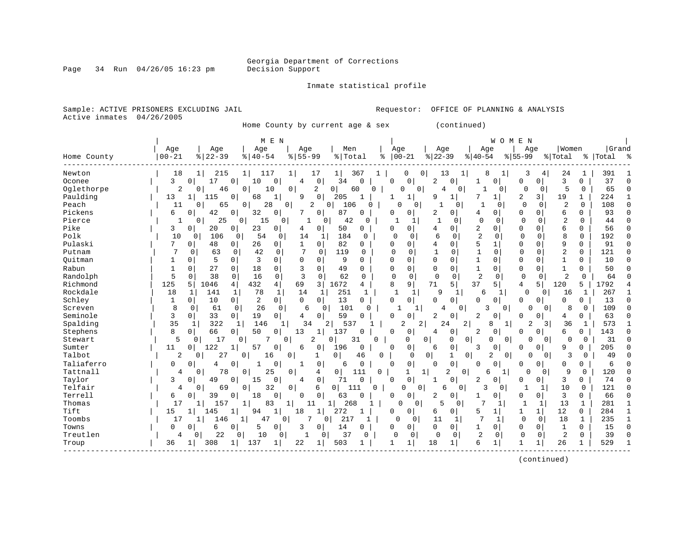Page 34 Run  $04/26/05$  16:23 pm

#### Inmate statistical profile

Sample: ACTIVE PRISONERS EXCLUDING JAIL **Requestor:** OFFICE OF PLANNING & ANALYSIS Active inmates 04/26/2005

Home County by current age & sex (continued)

| Age<br>Age<br>Age<br>Men<br>Age<br>Age<br>Age<br>  Women<br>Age<br>Age<br>$ 22-39$<br>$00 - 21$<br>$8 22-39$<br>$8   40 - 54$<br>$8155 - 99$<br>$00 - 21$<br>$8 40-54$<br>% Total<br>$8 55-99$<br>% Total<br>%   Total<br>Home County<br>ႜ<br>24<br>Newton<br>18<br>215<br>117<br>17<br>1 <br>0<br>13<br>8<br>3<br>4<br>391<br>1<br>11<br>$\mathbf{1}$<br>367<br>0<br>1<br>$\mathbf{1}$<br>1<br>3<br>37<br>3<br>17<br>0<br>$\mathbf{0}$<br>34<br>0<br>$\mathbf 0$<br>0<br>0<br>Oconee<br>$\Omega$<br>$\Omega$<br>10<br>4<br>$\Omega$<br>0<br>2<br>0<br><sup>0</sup><br>1<br>5<br>65<br>Oglethorpe<br>2<br>$\mathbf 0$<br>2<br>0<br>$\mathbf 0$<br>$\Omega$<br>0<br>46<br>10<br>0<br>60<br>$\Omega$<br>0<br>4<br>0<br>0<br>$\mathbf 0$<br>0<br>Paulding<br>2<br>3<br>$\mathbf{1}$<br>13<br>115<br>$\mathbf 1$<br>9<br>$\circ$<br>205<br>$\mathbf{1}$<br>$\mathbf 1$<br>$\mathbf{1}$<br>19<br>224<br>$\mathbf{1}$<br>0<br>68<br>-1<br>$\mathbf{1}$<br>q<br>Peach<br>28<br>2<br>106<br>$\Omega$<br>$\overline{2}$<br>108<br>65<br>$\overline{0}$<br>$\Omega$<br>11<br>0<br>0<br>O<br>$\Omega$<br>$\mathbf{1}$<br>$\mathbf{1}$<br>$\Omega$<br>0<br>O<br>O<br>$\Omega$ | Grand<br>ſ<br>$\cap$<br>$\cap$ |
|-------------------------------------------------------------------------------------------------------------------------------------------------------------------------------------------------------------------------------------------------------------------------------------------------------------------------------------------------------------------------------------------------------------------------------------------------------------------------------------------------------------------------------------------------------------------------------------------------------------------------------------------------------------------------------------------------------------------------------------------------------------------------------------------------------------------------------------------------------------------------------------------------------------------------------------------------------------------------------------------------------------------------------------------------------------------------------------------------------------------------------------------------------------------|--------------------------------|
|                                                                                                                                                                                                                                                                                                                                                                                                                                                                                                                                                                                                                                                                                                                                                                                                                                                                                                                                                                                                                                                                                                                                                                   |                                |
|                                                                                                                                                                                                                                                                                                                                                                                                                                                                                                                                                                                                                                                                                                                                                                                                                                                                                                                                                                                                                                                                                                                                                                   |                                |
|                                                                                                                                                                                                                                                                                                                                                                                                                                                                                                                                                                                                                                                                                                                                                                                                                                                                                                                                                                                                                                                                                                                                                                   |                                |
|                                                                                                                                                                                                                                                                                                                                                                                                                                                                                                                                                                                                                                                                                                                                                                                                                                                                                                                                                                                                                                                                                                                                                                   |                                |
|                                                                                                                                                                                                                                                                                                                                                                                                                                                                                                                                                                                                                                                                                                                                                                                                                                                                                                                                                                                                                                                                                                                                                                   |                                |
|                                                                                                                                                                                                                                                                                                                                                                                                                                                                                                                                                                                                                                                                                                                                                                                                                                                                                                                                                                                                                                                                                                                                                                   |                                |
|                                                                                                                                                                                                                                                                                                                                                                                                                                                                                                                                                                                                                                                                                                                                                                                                                                                                                                                                                                                                                                                                                                                                                                   |                                |
| Pickens<br>32<br>87<br>93<br>б.<br>42<br>0<br>7<br>0<br>0<br>$\Omega$<br>6<br>0<br>0<br>O<br>O<br>2<br>$\Omega$<br>4<br>$\Omega$<br>$\Omega$<br>0                                                                                                                                                                                                                                                                                                                                                                                                                                                                                                                                                                                                                                                                                                                                                                                                                                                                                                                                                                                                                 |                                |
| 25<br>15<br>$\Omega$<br>$\Omega$<br>$\overline{2}$<br>Pierce<br>0<br>0<br>1<br>0<br>42<br>$\Omega$<br>$\Omega$<br>$\Omega$<br>44<br>1<br>0<br>0<br>1<br>$\Omega$                                                                                                                                                                                                                                                                                                                                                                                                                                                                                                                                                                                                                                                                                                                                                                                                                                                                                                                                                                                                  |                                |
| Pike<br>23<br>2<br>6<br>56<br>3<br>20<br>0<br>$\Omega$<br>50<br>$\Omega$<br>0<br>$\Omega$<br>$\Omega$<br>0<br>0<br>0<br>4<br>0<br>4<br>$\Omega$<br><sup>0</sup>                                                                                                                                                                                                                                                                                                                                                                                                                                                                                                                                                                                                                                                                                                                                                                                                                                                                                                                                                                                                   |                                |
| $\overline{2}$<br>Polk<br>8<br>192<br>10<br>106<br>54<br>184<br>$\Omega$<br>6<br>$\Omega$<br>$\Omega$<br>$\mathbf 0$<br>0<br>0<br>0<br>14<br>$\Omega$<br>0<br>0<br>1<br>$\Omega$                                                                                                                                                                                                                                                                                                                                                                                                                                                                                                                                                                                                                                                                                                                                                                                                                                                                                                                                                                                  |                                |
| 5<br>Pulaski<br>82<br>91<br>7<br>48<br>26<br>$\overline{0}$<br>$\mathbf{1}$<br>$\circ$<br>$\mathbf 0$<br>$\Omega$<br>9<br>0<br>0<br>$\overline{0}$<br>0<br>4<br>0<br>0<br>0                                                                                                                                                                                                                                                                                                                                                                                                                                                                                                                                                                                                                                                                                                                                                                                                                                                                                                                                                                                       |                                |
| 42<br>7<br>$\mathbf{1}$<br>2<br>0<br>121<br>63<br>$\mathbf 0$<br>$\mathbf 0$<br>$\mathbf 0$<br>119<br>$\Omega$<br>$\mathbf 0$<br>$\mathbf{1}$<br>$\Omega$<br>$\mathbf 0$<br>$\Omega$<br>$\Omega$<br>Putnam<br>0<br>0                                                                                                                                                                                                                                                                                                                                                                                                                                                                                                                                                                                                                                                                                                                                                                                                                                                                                                                                              | C                              |
| 3<br>Ouitman<br>5<br>$\Omega$<br>0<br>$\Omega$<br>9<br>$\Omega$<br>0<br>$\Omega$<br>$\Omega$<br>1<br>$\Omega$<br>$\mathbf{1}$<br>10<br>0<br>$\Omega$<br>$\Omega$<br>$\Omega$<br>$\Omega$<br>0                                                                                                                                                                                                                                                                                                                                                                                                                                                                                                                                                                                                                                                                                                                                                                                                                                                                                                                                                                     | $\cap$                         |
| Rabun<br>27<br>18<br>3<br>0<br>49<br>$\mathbf 0$<br>1<br>50<br>1<br>0<br>$\overline{0}$<br>0<br>0<br>0<br>0<br>$\Omega$<br>0<br>$\Omega$<br>0<br>1<br>0                                                                                                                                                                                                                                                                                                                                                                                                                                                                                                                                                                                                                                                                                                                                                                                                                                                                                                                                                                                                           | C                              |
| $\overline{2}$<br>Randolph<br>5<br>38<br>3<br>62<br>$\overline{a}$<br>$\mathbf 0$<br>16<br>$\mathbf 0$<br>$\Omega$<br>$\mathbf 0$<br>$\Omega$<br>$\mathbf 0$<br>$\mathbf 0$<br>$\mathbf 0$<br>$\mathbf 0$<br>64<br>0<br>$\Omega$<br>0<br>0                                                                                                                                                                                                                                                                                                                                                                                                                                                                                                                                                                                                                                                                                                                                                                                                                                                                                                                        |                                |
| 4 <br>125<br>432<br>69<br>1672<br>71<br>5<br>37<br>5<br>Richmond<br>5<br>1046<br>3 <br>8<br>9<br>5<br>$\overline{4}$<br>120<br>5<br>1792<br>4<br>4                                                                                                                                                                                                                                                                                                                                                                                                                                                                                                                                                                                                                                                                                                                                                                                                                                                                                                                                                                                                                |                                |
| Rockdale<br>78<br>14<br>251<br>$\mathbf{1}$<br>267<br>18<br>141<br>$\mathbf{1}$<br>$\mathbf 1$<br>$\mathbf{1}$<br>9<br>6<br>$\Omega$<br>1<br>1<br>1<br>1<br>-1<br>0<br>16                                                                                                                                                                                                                                                                                                                                                                                                                                                                                                                                                                                                                                                                                                                                                                                                                                                                                                                                                                                         |                                |
| Schley<br>2<br>1<br>0 <sup>1</sup><br>$\Omega$<br>13<br>0<br>0<br>$\Omega$<br>$\Omega$<br>0<br>$\Omega$<br>0<br>13<br>$\Omega$<br>10<br>$\Omega$<br>$\Omega$<br>0<br>$\Omega$<br>$\Omega$<br>0                                                                                                                                                                                                                                                                                                                                                                                                                                                                                                                                                                                                                                                                                                                                                                                                                                                                                                                                                                    | C                              |
| 8<br>26<br>101<br>109<br>Screven<br>$\Omega$<br>61<br>$\Omega$<br>$\mathbf{0}$<br>$\Omega$<br>$\Omega$<br>$\Omega$<br>3<br>0<br>$\Omega$<br>8<br>0<br>6<br>1<br>4<br>0                                                                                                                                                                                                                                                                                                                                                                                                                                                                                                                                                                                                                                                                                                                                                                                                                                                                                                                                                                                            |                                |
| Seminole<br>3<br>0<br>33<br>19<br>0 <sup>1</sup><br>59<br>0<br>2<br>63<br>$\overline{0}$<br>$\circ$<br>4<br>$\Omega$<br>2<br>0<br>$\Omega$<br>0<br>0<br>$\Omega$<br>4<br>0                                                                                                                                                                                                                                                                                                                                                                                                                                                                                                                                                                                                                                                                                                                                                                                                                                                                                                                                                                                        |                                |
| Spalding<br>35<br>322<br>146<br>34<br>537<br>2<br>2<br>24<br>2<br>8<br>36<br>573<br>$\mathbf{1}$<br>$\overline{2}$<br>2<br>3<br>1<br>1<br>1<br>1                                                                                                                                                                                                                                                                                                                                                                                                                                                                                                                                                                                                                                                                                                                                                                                                                                                                                                                                                                                                                  |                                |
| Stephens<br>8<br>50<br>137<br>143<br>66<br>13<br>0<br>$\mathbf 0$<br>2<br>6<br>0<br>$\overline{0}$<br>0<br>0<br>O<br>0<br>0<br>0<br>1<br>4<br><sup>0</sup>                                                                                                                                                                                                                                                                                                                                                                                                                                                                                                                                                                                                                                                                                                                                                                                                                                                                                                                                                                                                        | $\sqrt{ }$                     |
| 31<br>5<br>17<br>7<br>2<br>31<br>$\mathbf 0$<br>Stewart<br>0<br>0<br>0<br>$\Omega$<br>$\Omega$<br>0<br>0<br>0<br>U<br>0<br>0<br>0<br>0<br>0                                                                                                                                                                                                                                                                                                                                                                                                                                                                                                                                                                                                                                                                                                                                                                                                                                                                                                                                                                                                                       | U                              |
| 122<br>57<br>196<br>205<br>6<br>0<br>0<br>$\Omega$<br>$\Omega$<br>9<br>Sumter<br>0<br>0<br>0<br>0<br>$\Omega$<br>3<br>$\Omega$<br>0<br>11<br>6                                                                                                                                                                                                                                                                                                                                                                                                                                                                                                                                                                                                                                                                                                                                                                                                                                                                                                                                                                                                                    |                                |
| Talbot<br>$\Omega$<br>2<br>27<br> 0 <br>1<br>$\overline{0}$<br>2<br>3<br>$\Omega$<br>49<br>0<br>0<br>16<br>$\Omega$<br>1<br>46<br>$\Omega$<br>$\Omega$<br>0<br>∩<br>$\Omega$                                                                                                                                                                                                                                                                                                                                                                                                                                                                                                                                                                                                                                                                                                                                                                                                                                                                                                                                                                                      |                                |
| $\mathbf 0$<br>Taliaferro<br>0<br>$\mathbf 0$<br>0<br>0<br>6<br>0<br>0<br>4<br>1<br>$\mathbf{1}$<br>0<br>6<br>$\Omega$<br>$\Omega$<br>0<br>$\Omega$<br>$\Omega$<br>0<br>0<br>0                                                                                                                                                                                                                                                                                                                                                                                                                                                                                                                                                                                                                                                                                                                                                                                                                                                                                                                                                                                    |                                |
| Tattnall<br>78<br>0 <sup>1</sup><br>120<br>$\overline{0}$<br>25<br>$\mathbf 0$<br>111<br>$\mathbf 0$<br>2<br>0<br>9<br>0<br>1<br>1<br><sup>0</sup><br>$\Omega$<br>0<br>4<br>4<br>6<br>1                                                                                                                                                                                                                                                                                                                                                                                                                                                                                                                                                                                                                                                                                                                                                                                                                                                                                                                                                                           |                                |
| Taylor<br>0<br>0<br>74<br>3<br>49<br>$\Omega$<br>0<br>71<br>0<br>$\mathbf 0$<br>2<br>0<br>3<br>0<br>15<br>4<br>$\Omega$<br>0<br>0<br>0                                                                                                                                                                                                                                                                                                                                                                                                                                                                                                                                                                                                                                                                                                                                                                                                                                                                                                                                                                                                                            |                                |
| Telfair<br>32<br>121<br>69<br>0<br>0<br>6<br>$\mathbf 0$<br>111<br>0<br>6<br>3<br>10<br>$\mathbf 0$<br>4<br>0<br>0<br>0<br>0<br>1<br>0<br>1                                                                                                                                                                                                                                                                                                                                                                                                                                                                                                                                                                                                                                                                                                                                                                                                                                                                                                                                                                                                                       |                                |
| Terrell<br>39<br>$\Omega$<br>3<br>66<br>6<br>$\Omega$<br>18<br>0<br>$\Omega$<br>63<br>0<br>2<br>0<br>0<br>$\overline{0}$<br>0<br>0<br>O<br>1<br>$\Omega$<br>O                                                                                                                                                                                                                                                                                                                                                                                                                                                                                                                                                                                                                                                                                                                                                                                                                                                                                                                                                                                                     |                                |
| 5<br>$\mathbf{r}$<br>83<br>268<br>13<br>281<br>Thomas<br>17<br>157<br>1<br>$\mathbf{1}$<br>1<br>1<br>11<br>$\cap$<br>0<br>0<br>1<br>$\mathbf{1}$<br>1                                                                                                                                                                                                                                                                                                                                                                                                                                                                                                                                                                                                                                                                                                                                                                                                                                                                                                                                                                                                             |                                |
| Tift<br>15<br>145<br>272<br>5<br>12<br>284<br>94<br>1<br>18<br>0<br>0<br>0<br>0<br>1<br>1<br>6                                                                                                                                                                                                                                                                                                                                                                                                                                                                                                                                                                                                                                                                                                                                                                                                                                                                                                                                                                                                                                                                    |                                |
| Toombs<br>217<br>7<br>$\Omega$<br>18<br>$\mathbf{1}$<br>235<br>17<br>146<br>47<br>0<br>0<br>0<br>0<br>11<br>$\mathbf{1}$<br>$\Omega$<br>1<br>1<br>1                                                                                                                                                                                                                                                                                                                                                                                                                                                                                                                                                                                                                                                                                                                                                                                                                                                                                                                                                                                                               |                                |
| $\mathbf{1}$<br>15<br>Towns<br>0<br>6<br>0<br>3<br>0 <sup>1</sup><br>14<br>0<br>0<br>$\Omega$<br>1<br>0<br>0<br>$\Omega$<br>0<br>0<br>5<br>0<br>0<br>n                                                                                                                                                                                                                                                                                                                                                                                                                                                                                                                                                                                                                                                                                                                                                                                                                                                                                                                                                                                                            | $\sqrt{ }$                     |
| 22<br>37<br>$\overline{2}$<br>2<br>39<br>Treutlen<br>10<br>$\Omega$<br>0<br>$\mathbf 0$<br>$\mathbf 0$<br>0<br>0<br>0<br>1<br>0<br>$\Omega$<br>0<br>0<br>0<br>0<br>4                                                                                                                                                                                                                                                                                                                                                                                                                                                                                                                                                                                                                                                                                                                                                                                                                                                                                                                                                                                              |                                |
| 6<br>26<br>529<br>308<br>137<br>503<br>36<br>1<br>1<br>22<br>1<br>18<br>1<br>1<br>Troup<br>1                                                                                                                                                                                                                                                                                                                                                                                                                                                                                                                                                                                                                                                                                                                                                                                                                                                                                                                                                                                                                                                                      |                                |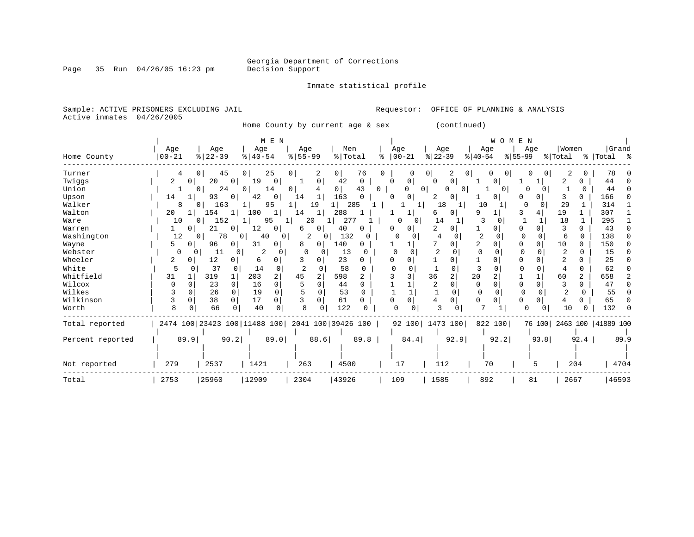Inmate statistical profile

Page 35 Run  $04/26/05$  16:23 pm

Sample: ACTIVE PRISONERS EXCLUDING JAIL **Requestor:** OFFICE OF PLANNING & ANALYSIS Active inmates 04/26/2005

Home County by current age & sex (continued)

|                  |           |          |                                                 |          |               | M E N          |                       |                |                |      |   |              |                 |                |                     |                | WOMEN        |             |          |         |                |                      |      |
|------------------|-----------|----------|-------------------------------------------------|----------|---------------|----------------|-----------------------|----------------|----------------|------|---|--------------|-----------------|----------------|---------------------|----------------|--------------|-------------|----------|---------|----------------|----------------------|------|
|                  | Age       |          | Age                                             |          | Age           |                | Age                   |                | Men            |      |   | Age          |                 | Age            |                     | Age            |              |             | Age      | Women   |                | Grand                |      |
| Home County      | $00 - 21$ |          | $ 22-39 $                                       |          | $8   40 - 54$ |                | $\frac{8}{5}$ 55 - 99 |                | % Total        |      | ႜ | $ 00-21$     |                 | $ 22-39 $      |                     | $ 40-54$       |              | $8155 - 99$ |          | % Total |                | % Total %            |      |
| Turner           | 4         |          | $\Omega$                                        | 45       | $\mathbf{0}$  | 25             | $\mathbf{0}$          | 2              | $\overline{0}$ | 76   | O |              |                 | 0              | 2                   | $\overline{0}$ | 0<br>0       | O           | 0        | 2       | 0              | 78                   |      |
| Twiggs           | 2         | O        | 20                                              | $\Omega$ | 19            | $\mathbf 0$    |                       | $\Omega$       | 42             | 0    |   | $\Omega$     | 0               | $\Omega$       | $\mathbf 0$         |                | 0            |             |          | 2       | 0              | 44                   |      |
| Union            |           |          | $\Omega$                                        | 24       | 0             | 14             | $\mathbf{0}$          |                | $\overline{0}$ | 43   | 0 |              | $\Omega$        |                | 0<br>0 <sup>1</sup> |                | $\Omega$     | O           | $\Omega$ |         |                | 44                   |      |
| Upson            | 14        |          | 93                                              | 0        | 42            | 0              | 14                    |                | 163            |      |   | ∩            | 0               | 2              | 0                   |                | $\Omega$     |             | 0        | 3       | O.             | 166                  |      |
| Walker           | 8         |          | 163<br>0 <sup>1</sup>                           |          |               | 95             |                       | 19             |                | 285  |   |              |                 | 18             | 1                   | 10             | $\mathbf{1}$ | $\Omega$    | $\Omega$ | 29      |                | 314                  |      |
| Walton           | 20        |          | 154                                             |          | 100           | 1              | 14                    |                | 288            |      |   |              | T.              | 6              | 0                   | 9              |              |             | 4        | 19      |                | 307                  |      |
| Ware             | 10        |          | 152<br>$\Omega$                                 |          |               | 95             |                       | 20             | 277            |      |   | <sup>0</sup> | $\Omega$        | 14             |                     | 3              |              |             |          | 18      | $\mathbf{1}$   | 295                  |      |
| Warren           |           | 0        | 21                                              | 0        | 12            | 0              | 6                     | 0              | 40             |      |   | O            | 0               |                | 0                   |                | 0            | 0           |          | 3       | 0              | 43                   |      |
| Washington       | 12        |          | 0 <sup>1</sup>                                  | 78       | 40<br>0       | 0              |                       | 2<br>0         | 132            | 0    |   |              | 0               |                |                     | $\overline{2}$ | $\Omega$     | $\Omega$    |          | 6       | $\Omega$       | 138                  |      |
| Wayne            | 5         | 0        | 96                                              | 0        | 31            | 0              | 8                     | $\Omega$       | 140            | 0    |   |              |                 |                | 0                   | 2              |              | $\Omega$    | $\Omega$ | 10      | 0              | 150                  |      |
| Webster          | 0         | 0        | 11                                              | 0        | 2             | 0              | $\Omega$              |                | 13             |      |   |              |                 | $\overline{c}$ |                     | $\Omega$       | 0            | $\Omega$    |          | 2       | 0              | 15                   |      |
| Wheeler          | 2         | 0        | 12                                              |          | 6             | 0              | 3                     | 0              | 23             |      |   |              | O               |                | $\Omega$            |                |              | O           |          | 2       | O.             | 25                   |      |
| White            | 5         | 0        | 37                                              | $\Omega$ | 14            | $\Omega$       | 2                     |                | 58             | O    |   |              |                 |                | U                   | 3              |              | ∩           |          |         | 0              | 62                   |      |
| Whitfield        | 31        |          | 319                                             |          | 203           | $\overline{a}$ | 45                    | $\overline{2}$ | 598            | 2    |   |              |                 | 36             | $\overline{a}$      | 20             |              |             |          | 60      | $\overline{a}$ | 658                  |      |
| Wilcox           | ∩         | O        | 23                                              | $\Omega$ | 16            | 0              |                       |                | 44             |      |   |              |                 | 2              | $\Omega$            | $\Omega$       |              | $\Omega$    | $\Omega$ | 3       | 0              | 47                   |      |
| Wilkes           |           |          | 26                                              | $\Omega$ | 19            | $\Omega$       |                       |                | 53             | 0    |   |              |                 |                | $\Omega$            | $\Omega$       |              | $\cap$      |          | 2       | $\Omega$       | 55                   |      |
| Wilkinson        | 3         | $\Omega$ | 38                                              | $\Omega$ | 17            | 0              |                       | $\Omega$       | 61             | 0    |   |              | 0               |                | $\Omega$            | 0              |              | $\Omega$    | $\Omega$ | 4       | 0              | 65                   |      |
| Worth            | 8         |          | 66                                              |          | 40            | 0              |                       |                | 122            |      |   |              |                 |                |                     | ⇁              |              | $\Omega$    |          | 10      |                | 132                  |      |
| Total reported   |           |          | 2474 100 23423 100 11488 100 2041 100 39426 100 |          |               |                |                       |                |                |      |   |              | 92 100 1473 100 |                |                     |                | 822 100      |             | 76 100   |         |                | 2463 100   41889 100 |      |
| Percent reported |           | 89.9     |                                                 | 90.2     |               | 89.0           |                       | 88.6           |                | 89.8 |   |              | 84.4            |                | 92.9                |                | 92.2         |             | 93.8     |         | 92.4           |                      | 89.9 |
| Not reported     | 279       |          | 2537                                            |          | 1421          |                | 263                   |                | 4500           |      |   | 17           |                 | 112            |                     |                | 70           |             | 5        |         | 204            |                      | 4704 |
| Total            | 2753      |          | 25960                                           |          | 12909         |                | 2304                  |                | 43926          |      |   | 109          |                 | 1585           |                     | 892            |              |             | 81       | 2667    |                | 46593                |      |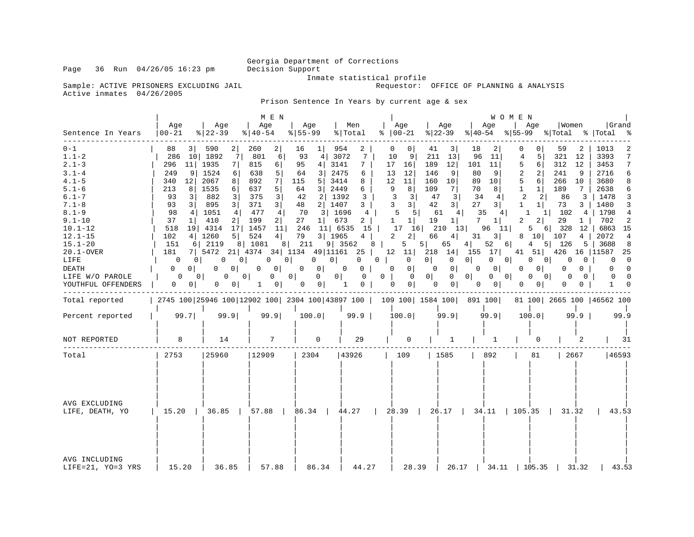Sample: ACTIVE PRISONERS EXCLUDING JAIL FRAME STATISTICAL PROPERTY CONTROLLS

Active inmates 04/26/2005

Requestor: OFFICE OF PLANNING & ANALYSIS

Prison Sentence In Years by current age & sex

|                                                                                                                                                                                                                                                              |                                                                                                                                                                                                                                                                                              |                                                                                                                                                                                                                                                                       | M E N                                                                                                                                                                                                                                                         |                                                                                                                                                                                                                                                                                                                   |                                                                                                                                                                                                                                                       |                                                                                                                                                                                                                                                                                                                                                                  |                                                                                                                                                                                                                                                                                              |                                                                                                                                                                                                                                                                                                                 | <b>WOMEN</b>                                                                                                                                                                                                                                                                                     |                                                                                                                                                                                                                                                                                                                                         |                                                                                                                                                                                                                                                                          |
|--------------------------------------------------------------------------------------------------------------------------------------------------------------------------------------------------------------------------------------------------------------|----------------------------------------------------------------------------------------------------------------------------------------------------------------------------------------------------------------------------------------------------------------------------------------------|-----------------------------------------------------------------------------------------------------------------------------------------------------------------------------------------------------------------------------------------------------------------------|---------------------------------------------------------------------------------------------------------------------------------------------------------------------------------------------------------------------------------------------------------------|-------------------------------------------------------------------------------------------------------------------------------------------------------------------------------------------------------------------------------------------------------------------------------------------------------------------|-------------------------------------------------------------------------------------------------------------------------------------------------------------------------------------------------------------------------------------------------------|------------------------------------------------------------------------------------------------------------------------------------------------------------------------------------------------------------------------------------------------------------------------------------------------------------------------------------------------------------------|----------------------------------------------------------------------------------------------------------------------------------------------------------------------------------------------------------------------------------------------------------------------------------------------|-----------------------------------------------------------------------------------------------------------------------------------------------------------------------------------------------------------------------------------------------------------------------------------------------------------------|--------------------------------------------------------------------------------------------------------------------------------------------------------------------------------------------------------------------------------------------------------------------------------------------------|-----------------------------------------------------------------------------------------------------------------------------------------------------------------------------------------------------------------------------------------------------------------------------------------------------------------------------------------|--------------------------------------------------------------------------------------------------------------------------------------------------------------------------------------------------------------------------------------------------------------------------|
| Sentence In Years                                                                                                                                                                                                                                            | Aqe<br>$ 00 - 21$                                                                                                                                                                                                                                                                            | Age<br>$8$   22 – 39                                                                                                                                                                                                                                                  | Age<br>$ 40-54 $                                                                                                                                                                                                                                              | Age<br>$8 55-99$                                                                                                                                                                                                                                                                                                  | Men<br>% Total                                                                                                                                                                                                                                        | Age<br>$8   00 - 21$                                                                                                                                                                                                                                                                                                                                             | Age<br>$ 22-39$                                                                                                                                                                                                                                                                              | Aqe<br>$ 40-54 $                                                                                                                                                                                                                                                                                                | Age<br>% 55-99 % Total                                                                                                                                                                                                                                                                           | Women                                                                                                                                                                                                                                                                                                                                   | Grand<br>%   Total<br>ႜ                                                                                                                                                                                                                                                  |
| $0 - 1$<br>$1.1 - 2$<br>$2.1 - 3$<br>$3.1 - 4$<br>$4.1 - 5$<br>$5.1 - 6$<br>$6.1 - 7$<br>$7.1 - 8$<br>$8.1 - 9$<br>$9.1 - 10$<br>$10.1 - 12$<br>$12.1 - 15$<br>$15.1 - 20$<br>$20.1 - OVER$<br>LIFE<br><b>DEATH</b><br>LIFE W/O PAROLE<br>YOUTHFUL OFFENDERS | 3 <sup>1</sup><br>88<br>286<br>296<br>11<br>9<br>249<br>12<br>340<br>213<br>8<br>93<br>3<br>93<br>$\overline{3}$<br>98<br>4<br>37<br>$1\vert$<br>518<br>102<br>4<br>151<br>6  <br>181<br>0<br>0 <sup>1</sup><br>0<br>0 <sup>1</sup><br>0<br>0 <sup>1</sup><br>$\mathbf{0}$<br>0 <sup>1</sup> | 590<br>2<br>7<br>10 1892<br>1935<br>7 <sup>1</sup><br>1524<br>6<br>2067<br>8<br>1535<br>6<br>882<br>3 <br>895<br>3 <br>1051<br>4<br>410<br>2<br>19 4314<br>17<br>1260<br>5 <br>2119<br>0<br>0  <br>$\Omega$<br>$\Omega$<br>0<br>0 <sup>1</sup><br>0 <sup>1</sup><br>0 | 260<br>2 <br>801<br>6<br>815<br>6  <br>638<br>5<br>892<br>7 <br>5<br>637<br>$\overline{3}$<br>375<br>3 <br>371<br>477<br>4 <br>199<br>2 <br>1457<br>11<br>524<br>4 <br>8 1081<br>0<br>$\circ$<br>0<br>$\overline{0}$<br>0 <sup>1</sup><br>0 <sup>1</sup><br>1 | 16<br>$1\vert$<br>93<br>4   3072<br>95<br>4 <br>3 <br>64<br>115<br>5 <br>64<br>31<br>42<br>2 <br>48<br>2 1407<br>70<br>3 1696<br>27<br>$1 \vert$<br>246<br>$11$   6535<br>79<br>3 1965<br>8 211<br>$0 \mid$<br>$\mathbf{0}$<br>$\mathbf{0}$<br>0 <sup>1</sup><br>$\overline{0}$<br>0 <sup>1</sup><br>$\mathbf{0}$ | 954<br>2<br>7<br>3141<br>7<br>2475<br>6<br>3414<br>8<br>2449<br>6<br>1392<br>3<br>3<br>4<br>673<br>$\overline{2}$<br>15<br>$4 \mid$<br>9   3562<br>$0 \mid$<br>$\overline{0}$<br>$0-1$<br>$\mathbf 0$<br>$0$  <br>$\overline{0}$<br>$\mathbf{0}$<br>1 | $\Omega$<br>0<br>10<br>9<br>17<br>16 <br>12<br>13<br>12<br>11<br>9<br>8<br>3<br>3 <br>3 <br>3<br>5<br>$5 \mid$<br>$1\vert$<br>1<br>17<br>16<br>$\overline{2}$<br>2 <sup>1</sup><br>$8 \mid$<br>5<br>7   5472 21   4374 34   1134 49   11161 25   12 11   218<br>$0$  <br>$\circ$<br>$\circ$<br>0<br>$0 \mid$<br>$\overline{0}$<br>0 <sup>1</sup><br>$\mathbf{0}$ | 41<br>3<br>211<br>13<br>12<br>189<br>146<br>9<br>10<br>160<br>109<br>71<br>$\overline{3}$<br>47<br>42<br>3 <br>61<br>4<br>19<br>$1\vert$<br>$210$ 13<br>4 <br>66<br>5 <br>65<br>0 <sup>1</sup><br>$\mathbf{0}$<br>$\Omega$<br> 0 <br>0<br>$\overline{0}$<br>0 <sup>1</sup><br>$\overline{0}$ | 18<br>2<br>96<br>11<br>101<br>11<br>80<br>9<br>89<br>10<br>8<br>70<br>34<br>4<br>27<br>3 <br>35<br>4 <br>$7^{\circ}$<br>$1\vert$<br>96<br>11<br>3 <br>31<br>$4 \mid$<br>52<br>14   155 17  <br>$\mathbf{0}$<br>0 <sup>1</sup><br>0 <sup>1</sup><br>0<br>$0 \qquad 0$<br>$0$  <br>$\mathbf{0}$<br>0 <sup>1</sup> | $\Omega$<br>5<br>4<br>5<br>6 <br>$\overline{2}$<br>2<br>5<br>6<br>$\mathbf{1}$<br>$1\vert$<br>2<br>2 <br>$\mathbf{1}$<br>$1\vert$<br>1<br>$\overline{2}$<br>2<br>5<br>8<br>6 <br>$4\degree$<br>41 51<br>0 <sup>1</sup><br>0<br>$\Omega$<br>$\Omega$<br>$0 \quad 0$<br>$\Omega$<br>0 <sup>1</sup> | 59<br>2<br>321<br>12<br>312<br>12<br>241<br>- 9<br>266<br>10<br>$7\phantom{.0}$<br>189<br>86<br>3<br>73<br>3 I<br>102<br>$4\overline{ }$<br>$1\vert$<br>29<br>1 <sup>1</sup><br>$6$   328<br>12<br>10 107<br>4  <br>5 <sub>1</sub><br>5 126<br>426<br>0 <sup>1</sup><br>0<br>0<br>$\Omega$<br>$\Omega$  <br>0<br>0<br>0<br>$\mathbf{0}$ | 1013<br>3393<br>7<br>7<br>3453<br>2716<br>6<br>3680<br>8<br>6<br>2638<br>1478<br>3<br>1480<br>3<br>1798<br>$\overline{4}$<br>702<br>2<br>6863 15<br>2072<br>4<br>3688<br>8<br>16   11587<br>25<br>$\overline{\phantom{0}}$<br>0<br>$\Omega$<br>$\Omega$<br>$\Omega$<br>1 |
| Total reported                                                                                                                                                                                                                                               |                                                                                                                                                                                                                                                                                              |                                                                                                                                                                                                                                                                       |                                                                                                                                                                                                                                                               |                                                                                                                                                                                                                                                                                                                   |                                                                                                                                                                                                                                                       | 2745 100 25946 100 12902 100 2304 100 43897 100   109 100   1584 100   891 100                                                                                                                                                                                                                                                                                   |                                                                                                                                                                                                                                                                                              |                                                                                                                                                                                                                                                                                                                 |                                                                                                                                                                                                                                                                                                  | 81 100 2665 100 46562 100                                                                                                                                                                                                                                                                                                               |                                                                                                                                                                                                                                                                          |
| Percent reported                                                                                                                                                                                                                                             | 99.7                                                                                                                                                                                                                                                                                         | 99.9                                                                                                                                                                                                                                                                  | 99.9                                                                                                                                                                                                                                                          | 100.0                                                                                                                                                                                                                                                                                                             | 99.9                                                                                                                                                                                                                                                  | 100.0                                                                                                                                                                                                                                                                                                                                                            | 99.9                                                                                                                                                                                                                                                                                         | 99.9                                                                                                                                                                                                                                                                                                            | 100.0                                                                                                                                                                                                                                                                                            | 99.9                                                                                                                                                                                                                                                                                                                                    | 99.9                                                                                                                                                                                                                                                                     |
| NOT REPORTED                                                                                                                                                                                                                                                 | 8                                                                                                                                                                                                                                                                                            | 14                                                                                                                                                                                                                                                                    | 7                                                                                                                                                                                                                                                             | $\Omega$                                                                                                                                                                                                                                                                                                          | 29                                                                                                                                                                                                                                                    | $\Omega$                                                                                                                                                                                                                                                                                                                                                         | 1                                                                                                                                                                                                                                                                                            | 1                                                                                                                                                                                                                                                                                                               | 0                                                                                                                                                                                                                                                                                                | 2                                                                                                                                                                                                                                                                                                                                       | 31                                                                                                                                                                                                                                                                       |
| Total                                                                                                                                                                                                                                                        | 2753                                                                                                                                                                                                                                                                                         | 25960                                                                                                                                                                                                                                                                 | 12909                                                                                                                                                                                                                                                         | 2304                                                                                                                                                                                                                                                                                                              | 43926                                                                                                                                                                                                                                                 | 109                                                                                                                                                                                                                                                                                                                                                              | 1585                                                                                                                                                                                                                                                                                         | 892                                                                                                                                                                                                                                                                                                             | 81                                                                                                                                                                                                                                                                                               | 2667                                                                                                                                                                                                                                                                                                                                    | 46593                                                                                                                                                                                                                                                                    |
| AVG EXCLUDING<br>LIFE, DEATH, YO                                                                                                                                                                                                                             |                                                                                                                                                                                                                                                                                              |                                                                                                                                                                                                                                                                       |                                                                                                                                                                                                                                                               |                                                                                                                                                                                                                                                                                                                   |                                                                                                                                                                                                                                                       |                                                                                                                                                                                                                                                                                                                                                                  |                                                                                                                                                                                                                                                                                              |                                                                                                                                                                                                                                                                                                                 |                                                                                                                                                                                                                                                                                                  |                                                                                                                                                                                                                                                                                                                                         | 43.53                                                                                                                                                                                                                                                                    |
| AVG INCLUDING<br>LIFE=21, YO=3 YRS                                                                                                                                                                                                                           | 15.20                                                                                                                                                                                                                                                                                        | 36.85                                                                                                                                                                                                                                                                 | 57.88                                                                                                                                                                                                                                                         | 86.34                                                                                                                                                                                                                                                                                                             | 44.27                                                                                                                                                                                                                                                 | 28.39                                                                                                                                                                                                                                                                                                                                                            |                                                                                                                                                                                                                                                                                              | 26.17   34.11                                                                                                                                                                                                                                                                                                   | 105.35                                                                                                                                                                                                                                                                                           | 31.32                                                                                                                                                                                                                                                                                                                                   | 43.53                                                                                                                                                                                                                                                                    |

Page 36 Run 04/26/05 16:23 pm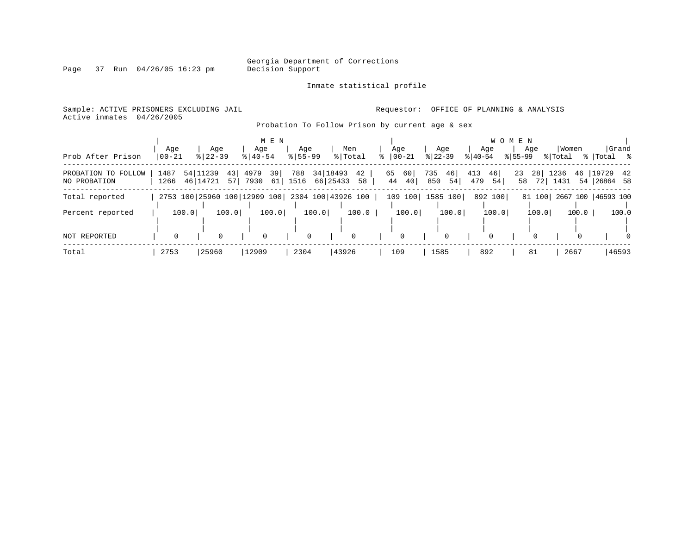Inmate statistical profile

Page 37 Run 04/26/05 16:23 pm

Active inmates 04/26/2005

Sample: ACTIVE PRISONERS EXCLUDING JAIL **Requestor:** OFFICE OF PLANNING & ANALYSIS

Probation To Follow Prison by current age & sex

| Prob After Prison                   | Age<br>$00 - 21$             | Age<br>$8   22 - 39$ |          | M E N<br>Age<br>$8140 - 54$ |          | Age<br>$8155 - 99$ |                        | Men<br>% Total     | °≈ | Age<br>$ 00-21$      | Age<br>$ 22-39 $       | $8 40-54$  | Age      | W O M E N<br>% 55-99 | Age                   | Women<br>% Total |       | Grand<br>%   Total %    |          |
|-------------------------------------|------------------------------|----------------------|----------|-----------------------------|----------|--------------------|------------------------|--------------------|----|----------------------|------------------------|------------|----------|----------------------|-----------------------|------------------|-------|-------------------------|----------|
| PROBATION TO FOLLOW<br>NO PROBATION | 1487<br>1266                 | 54 11239<br>46 14721 | 43<br>57 | 4979<br>7930                | 39<br>61 | 788<br>1516        | 34   18493<br>66 25433 | 42<br>58           |    | 60<br>65<br>40<br>44 | 735<br>46<br>850<br>54 | 413<br>479 | 46<br>54 | 23<br>58             | 28 <sup>1</sup><br>72 | 1236<br>1431     | 46    | 19729 42<br>54 26864 58 |          |
| Total reported                      | 2753 100 25960 100 12909 100 |                      |          |                             |          |                    |                        | 2304 100 43926 100 |    | 109 100 1585 100     |                        |            | 892 100  |                      | 81 100                |                  |       | 2667 100   46593 100    |          |
| Percent reported                    | 100.0                        |                      | 100.0    | 100.0                       |          |                    | 100.0                  | 100.0              |    | 100.0                | 100.0                  |            | 100.0    |                      | 100.0                 |                  | 100.0 |                         | 100.0    |
| <b>NOT REPORTED</b>                 |                              | 0                    |          | $\Omega$                    |          | $\mathbf 0$        |                        | $\Omega$           |    | 0                    | $\Omega$               |            |          |                      |                       |                  |       |                         | $\Omega$ |
| Total                               | 2753                         | 25960                |          | 12909                       |          | 2304               |                        | 43926              |    | 109                  | 1585                   |            | 892      |                      | 81                    | 2667             |       | 46593                   |          |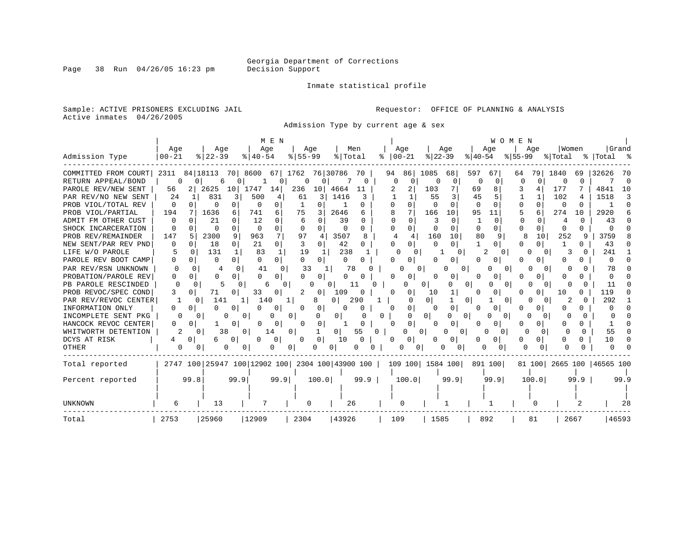Page 38 Run  $04/26/05$  16:23 pm

#### Inmate statistical profile

Sample: ACTIVE PRISONERS EXCLUDING JAIL **Requestor:** OFFICE OF PLANNING & ANALYSIS Active inmates 04/26/2005

Admission Type by current age & sex

|                      |                   |                              | M E N                |                          |                    |                      |                  | WOMEN             |               |              |                           |
|----------------------|-------------------|------------------------------|----------------------|--------------------------|--------------------|----------------------|------------------|-------------------|---------------|--------------|---------------------------|
|                      | Age               | Age                          | Age                  | Age                      | Men                | Age                  | Age              | Age               | Aqe           | Women        | Grand                     |
| Admission Type       | $ 00 - 21$        | $8$   22-39                  | $8140 - 54$          | $8 55-99$                | % Total            | $ 00-21$<br>ి        | $ 22-39$         | $ 40-54$          | $ 55-99 $     | % Total      | % Total %                 |
| COMMITTED FROM COURT | 2311              | 84 18113                     | 70 8600<br>671       | 1762                     | 76 30786<br>70     | 94<br>86             | 1085<br>68       | 597<br>67         | 79<br>64      | 1840<br>69   | 32626<br>-70              |
| RETURN APPEAL/BOND   |                   | 0                            |                      |                          |                    | O                    |                  | -0                | O             | <sup>0</sup> | - 0                       |
| PAROLE REV/NEW SENT  | 56                | 2625<br>10                   | 1747<br>14           | 236<br>10 <sub>1</sub>   | 4664<br>11         | 2                    | 103              | 69<br>8           | 4             | 177          | 4841<br>10                |
| PAR REV/NO NEW SENT  | 24                | 831<br>3                     | 500                  | 61<br>3                  | 1416<br>3          |                      | 55               | 45                |               | 102          | 1518<br>3                 |
| PROB VIOL/TOTAL REV  | 0<br>n            | <sup>0</sup><br>0            | 0<br>0               | 0                        | O                  |                      | U                | $\Omega$          | 0             | n            | $\Omega$                  |
| PROB VIOL/PARTIAL    | 194               | 1636<br>6                    | 741<br>6             | 75<br>3                  | 2646<br>6          | 8                    | 166<br>10        | 95<br>11          | 5<br>6        | 274<br>10    | 2920                      |
| ADMIT FM OTHER CUST  | 0                 | 21                           | 12<br>0              | O                        | 39                 | $\cap$<br>$\Omega$   | $\Omega$         | 1<br><sup>0</sup> | O<br>0        | U<br>4       | 43                        |
| SHOCK INCARCERATION  | O<br><sup>0</sup> | $\Omega$<br>∩                | 0<br>$\Omega$        | $\Omega$<br><sup>0</sup> | 0<br>0             | $\Omega$<br>$\Omega$ | $\Omega$<br>0    | 0<br>$\Omega$     | O<br>0        | $\Omega$     |                           |
| PROB REV/REMAINDER   | 147               | 2300<br>9                    | 7<br>963             | 97<br>4                  | 3507<br>8          | 4<br>4               | 160<br>10        | 80<br>9           | 8<br>10       | 252<br>9     | 3759                      |
| NEW SENT/PAR REV PND | 0<br>0            | 18<br>$\circ$                | 21<br>0              | 3<br>0                   | 42<br>0            | 0                    | $\Omega$<br>0    | 0                 | O<br>0        |              | 43                        |
| LIFE W/O PAROLE      | 0                 | 131<br>1                     | 83<br>1              | 19<br>1                  | 238                | 0                    | 0                | 0                 |               |              | 241                       |
| PAROLE REV BOOT CAMP | 0<br>$\Omega$     | $\Omega$<br>$\Omega$         | $\Omega$<br>0        | 0<br>O                   | 0<br>0             | 0                    | 0                |                   |               |              |                           |
| PAR REV/RSN UNKNOWN  | <sup>0</sup>      | $\cap$<br>4                  | 41<br>$\Omega$       | 33                       | 78                 | n                    | 0                | $\Omega$          |               |              | 78                        |
| PROBATION/PAROLE REV | 0                 | $\Omega$                     | U<br>0               |                          | U                  | O                    |                  | U                 |               | <sup>n</sup> |                           |
| PB PAROLE RESCINDED  | Ω                 |                              | $\Omega$             | U                        |                    |                      | 0                | 0<br>$\Omega$     |               |              | 11                        |
| PROB REVOC/SPEC COND | 0                 | 71                           | 33                   | 0                        | 109                | O                    | 10               |                   |               | 10           | 119                       |
| PAR REV/REVOC CENTER |                   | 141<br>0                     | 140                  | 1  <br>8                 | 290<br>0           | O                    | 01               | 0<br>$\Omega$     |               |              | 292                       |
| INFORMATION ONLY     |                   |                              | 0                    | 0<br>0                   | 0                  | 0                    | 0                |                   |               |              |                           |
| INCOMPLETE SENT PKG  | 0                 | $\Omega$<br>O                | 01                   | 0                        | 0                  | 0                    | 0<br>0           | $\circ$           | $\Omega$<br>n |              |                           |
| HANCOCK REVOC CENTER | 0<br>0            | 0                            | 0                    | 0<br>0                   |                    | 0<br>$\Omega$        | 0                | U                 |               |              |                           |
| WHITWORTH DETENTION  | 2                 | 38<br>0                      | 0 <sup>1</sup><br>14 | 0                        | 55<br>01           | 0 <sup>1</sup><br>0  | U<br>0           | U<br>0            | U<br>0        | <sup>n</sup> | 55                        |
| DCYS AT RISK         | 0                 | 0<br>6                       | 0<br>O               | 0<br>0                   | 10                 | U                    | 0                | 0                 | 0             |              | 10                        |
| OTHER                | 0                 | 0<br>0                       | 0                    | 0<br>0                   | 0                  | 0<br>0               | 01               | 0                 | 0             |              |                           |
| Total reported       |                   | 2747 100 25947 100 12902 100 |                      |                          | 2304 100 43900 100 |                      | 109 100 1584 100 | 891 100           |               |              | 81 100 2665 100 46565 100 |
| Percent reported     | 99.8              | 99.9                         | 99.9                 | 100.0                    | 99.9               | 100.0                | 99.9             | 99.9              | 100.0         | 99.9         | 99.9                      |
|                      |                   |                              |                      |                          |                    |                      |                  |                   |               |              |                           |
|                      |                   |                              |                      |                          |                    |                      |                  |                   |               |              |                           |
| <b>UNKNOWN</b>       | 6                 | 13                           |                      | 0                        | 26                 | 0                    |                  |                   |               |              | 28                        |
| Total                | 2753              | 25960                        | 12909                | 2304                     | 43926              | 109                  | 1585             | 892               | 81            | 2667         | 46593                     |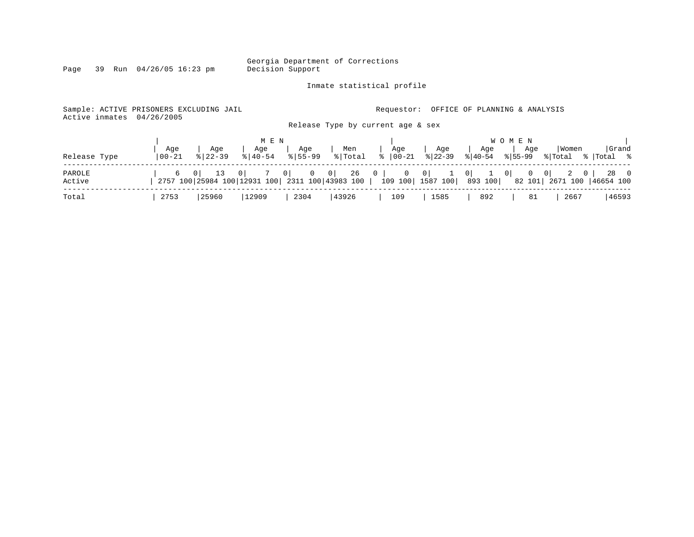Georgia Department of Corrections

Inmate statistical profile

Page 39 Run 04/26/05 16:23 pm Decision Support

#### Sample: ACTIVE PRISONERS EXCLUDING JAIL **Requestor:** OFFICE OF PLANNING & ANALYSIS Active inmates 04/26/2005 Release Type by current age & sex | M E N | W O M E N | | Age | Age | Age | Age | Men Release Type |00-21 %|22-39 %|40-54 %|55-99 %|Total % |00-21 %|22-39 %|40-54 %|55-99 %|Total % |Total % ------------------------------------------------------------------------------------------------------------------------------------ PAROLE | 6 0 | 13 0 | 7 0 | 0 0 | 26 0 | 0 0 | 1 0 | 1 0 | 0 0 | 2 0 | 28 0 Active | 2757 100|25984 100|12931 100| 2311 100|43983 100 | 109 100| 1587 100| 893 100| 82 101| 2671 100 |46654 100 ------------------------------------------------------------------------------------------------------------------------------------ Total | 2753 |25960 |12909 | 2304 |43926 | 109 | 1585 | 892 | 81 | 2667 |46593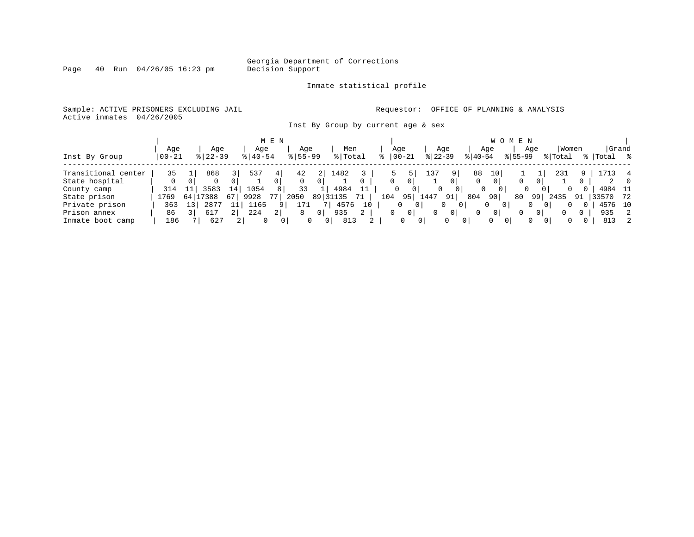Page  $40$  Run  $04/26/05$  16:23 pm

#### Inmate statistical profile

Sample: ACTIVE PRISONERS EXCLUDING JAIL **Requestor:** OFFICE OF PLANNING & ANALYSIS Active inmates 04/26/2005

Inst By Group by current age & sex

|                     |           |            |             |    |             | M E N          |             |                |          |    |     |       |                |                 |                |           | W O M E N     |          |                      |          |              |         |       |
|---------------------|-----------|------------|-------------|----|-------------|----------------|-------------|----------------|----------|----|-----|-------|----------------|-----------------|----------------|-----------|---------------|----------|----------------------|----------|--------------|---------|-------|
|                     | Age       |            | Age         |    | Age         |                | Age         |                | Men      |    |     | Age   |                |                 | Age            |           | Age           |          | Age                  | Women    |              |         | Grand |
| Inst By Group       | $00 - 21$ |            | $8$   22-39 |    | $8140 - 54$ |                | $8155 - 99$ |                | % Total  |    |     | 00-21 |                | $ 22-39 $       |                | $ 40-54 $ |               | $ 55-99$ |                      | % Total  |              | Total   | ႜႜ    |
| Transitional center | 35        |            | 868         |    | 537         |                | 42          |                | 1482     |    |     |       |                | 13 <sup>7</sup> |                | 88        | 10            |          |                      | 231      |              |         |       |
| State hospital      | 0         |            |             |    |             | 0              |             |                |          |    |     | 0     | 0              |                 | $\overline{0}$ |           |               |          |                      |          | 0            |         |       |
| County camp         | 314       |            | 3583        | 14 | 1054        | 8              | 33          |                | 4984     |    |     | 0     | 0              | 0               | 0              |           |               | 0        | 0                    | 0        | 0            | 4984 11 |       |
| State prison        | 1769      |            | 64 17388    | 67 | 9928        |                | 2050        |                | 89 31135 |    | 104 |       | 95             | 1447            | 91             | 804       | 90            | 80       | 99                   | 2435     | 91           | 33570   | 72    |
| Private prison      | 363       | $\perp$ 3' | 2877        |    | 1165        |                | 171         |                | 4576     | 10 |     | 0     | 0 <sup>1</sup> |                 | 0<br>0         |           |               |          | $\Omega$             | 0        |              | 4576 10 |       |
| Prison annex        | 86        |            | 617         | 21 | 224         | 2 <sub>1</sub> | 8           | 0 <sup>1</sup> | 935      | 2  |     | 0     | $\mathbf{0}$   | $\Omega$        | $\overline{0}$ |           | $\mathbf{0}$  |          | 01                   | $\Omega$ | 0            | 935     | 2     |
| Inmate boot camp    | 186       |            | 627         |    | $\Omega$    | 0 <sup>1</sup> |             | $\Omega$       | 813      |    |     | 0     | 0 <sup>1</sup> |                 |                |           | 0<br>$\Omega$ |          | $\Omega$<br>$\Omega$ | $\Omega$ | $\mathbf{0}$ | 813     | 2     |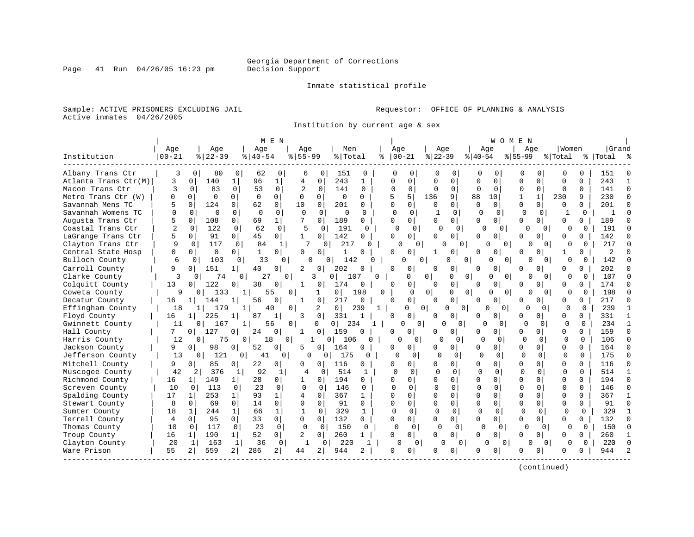Page 41 Run  $04/26/05$  16:23 pm

#### Inmate statistical profile

Sample: ACTIVE PRISONERS EXCLUDING JAIL **Requestor:** OFFICE OF PLANNING & ANALYSIS Active inmates 04/26/2005

Institution by current age & sex

|                      |                |                |                       |                |             | M E N          |                |                |                       |              |          |                |                |                     |              | W O M E N            |          |                |              |              |           |                |
|----------------------|----------------|----------------|-----------------------|----------------|-------------|----------------|----------------|----------------|-----------------------|--------------|----------|----------------|----------------|---------------------|--------------|----------------------|----------|----------------|--------------|--------------|-----------|----------------|
|                      | Age            |                | Age                   |                | Age         |                | Aqe            |                | Men                   |              | Age      |                | Age            |                     | Age          |                      | Age      |                | Women        |              | Grand     |                |
| Institution          | $00 - 21$      |                | $ 22-39$              |                | $8140 - 54$ |                | $8155 - 99$    |                | % Total               | ిక           |          | $ 00-21$       | $ 22-39$       |                     | $ 40-54$     |                      | $ 55-99$ |                | % Total      |              | %   Total |                |
| Albany Trans Ctr     | 3              | $\Omega$       | 80                    | $\Omega$       | 62          | 0              | 6              | 0              | 151                   | 0            | Ω        | 0              | 0              | O                   | <sup>0</sup> | O                    | 0        | 0              | O            | 0            | 151       |                |
| Atlanta Trans Ctr(M) | 3              | $\Omega$       | 140                   |                | 96          | 1              | 4              | 0              | 243                   | $\mathbf{1}$ | O        | $\Omega$       | $\Omega$       | 0                   | $\Omega$     | $\mathbf 0$          | $\Omega$ | $\Omega$       | $\Omega$     | $\Omega$     | 243       |                |
| Macon Trans Ctr      | 3              | $\Omega$       | 83                    | $\Omega$       | 53          | $\Omega$       | $\overline{2}$ | $\Omega$       | 141                   | 0            |          | $\Omega$       | $\Omega$       | $\Omega$            | O            | $\Omega$             | $\Omega$ | $\Omega$       | $\Omega$     | $\Omega$     | 141       | $\Omega$       |
| Metro Trans Ctr (W)  | O              | $\Omega$       | $\Omega$              | $\Omega$       | $\Omega$    | $\Omega$       | $\Omega$       | 0              | 0                     | $\Omega$     | 5        | 5              | 136            | 9                   | 88           | 10                   |          | $\mathbf{1}$   | 230          | 9            | 230       | $\Omega$       |
| Savannah Mens TC     |                | $\Omega$       | 124                   | $\Omega$       | 62          | $\mathbf 0$    | 10             | $\Omega$       | 201                   | O            | $\Omega$ | $\Omega$       | <sup>0</sup>   | $\Omega$            | $\Omega$     | $\Omega$             | O        | $\Omega$       | $\Omega$     | $\cap$       | 201       | $\Omega$       |
| Savannah Womens TC   | $\Omega$       | $\Omega$       | $\Omega$              | $\Omega$       | $\Omega$    | $\Omega$       | $\Omega$       | $\Omega$       | $\Omega$              | 0            | $\Omega$ | $\Omega$       | 1              | $\Omega$            | $\Omega$     | 0                    | $\Omega$ | $\Omega$       | -1           | $\Omega$     | -1        | $\cap$         |
| Augusta Trans Ctr    | 5              | $\Omega$       | 108                   | 0              | 69          | $\mathbf{1}$   |                | 0              | 189                   | $\Omega$     | $\cap$   | $\Omega$       | 0              | $\Omega$            | U            | $\Omega$             | U        | $\Omega$       | $\Omega$     | $\Omega$     | 189       | n              |
| Coastal Trans Ctr    | $\overline{2}$ | $\Omega$       | 122                   | $\Omega$       | 62          | $\Omega$       | 5              | $\Omega$       | 191                   | <sup>0</sup> | $\Omega$ | 0              | U              | $\Omega$            | <sup>0</sup> | 0                    | U        | $\Omega$       | <sup>0</sup> | $\Omega$     | 191       |                |
| LaGrange Trans Ctr   | 5              | 0 <sup>1</sup> | 91                    | $\Omega$       | 45          | 0 <sup>1</sup> | $\mathbf{1}$   | 0              | 142                   | $\Omega$     | ∩        | 0 <sup>1</sup> | U              | 0                   | <sup>0</sup> | $\Omega$             | U        | $\Omega$       |              | <sup>n</sup> | 142       | n              |
| Clayton Trans Ctr    | 9              | $\Omega$       | 117                   | $\Omega$       | 84          | 1              | 7              | 0              | 217                   |              |          | $\cap$<br>0    | U              | $\Omega$            | ∩            | 0                    | U        | $\Omega$       |              | 0            | 217       | $\cap$         |
| Central State Hosp   | 0              | $\Omega$       | $\Omega$              | 0              | -1          | $\Omega$       | 0              | 0              | 1                     | 0            | O        | 0 I            |                | O                   | <sup>n</sup> |                      | U        |                | 1            | 0            | 2         |                |
| Bulloch County       | 6              | $\Omega$       | 103                   | 0              | 33          | $\Omega$       | U              | $\Omega$       | 142                   | 0            |          | U              | 0              | 0<br>$\Omega$       |              | 0<br>$\Omega$        | O        | $\Omega$       | U            | 0            | 142       |                |
| Carroll County       | 9              | $\Omega$       | 151                   | 1              | 40          | $\Omega$       | $\overline{2}$ | 0              | 202                   | $\Omega$     | O        | 0              | O              | 0                   | $\Omega$     | $\Omega$             | U        | 0              | $\Omega$     | 0            | 202       |                |
| Clarke County        | 3              | $\Omega$       | 74                    | 0              | 27          | $\Omega$       |                | 3              | 0 <sub>1</sub><br>107 | $\Omega$     |          | 0              | 0 <sup>1</sup> | 0                   | 0            | $\Omega$<br>$\Omega$ | 0        | $\Omega$       | $\Omega$     | O            | 107       |                |
| Colquitt County      | 13             | $\Omega$       | 122                   | 0              | 38          | 0              | 1              | 0              | 174                   | $\mathbf 0$  | ∩        | $\overline{0}$ | $\Omega$       | $\Omega$            | ∩            | $\Omega$             | U        | 0              | $\Omega$     | 0            | 174       | $\Omega$       |
| Coweta County        | 9              |                | 133<br>0              |                |             | 55             | 0              | 1              | $\Omega$              | 198<br>O     |          | $\Omega$       | $\Omega$       |                     | 0            | $\Omega$<br>$\Omega$ |          | $\Omega$       | U            | $\Omega$     | 198       | $\Omega$       |
| Decatur County       | 16             | 1 <sup>1</sup> | 144                   | 1              | 56          | O              | $\mathbf{1}$   | 0              | 217                   | $\Omega$     | $\cap$   | $\Omega$       | 0              | 0                   | U            | $\Omega$             | U        | 0              | $\Omega$     | <sup>n</sup> | 217       | $\Omega$       |
| Effingham County     | 18             |                | 179<br>1 <sup>1</sup> |                |             | 40             | 0              | 2              | $\overline{0}$        | 239<br>1     |          | 0              | $\Omega$       | 0 <sup>1</sup><br>0 | O            | $\Omega$             | U        | $\Omega$       | $\Omega$     | $\Omega$     | 239       | -1             |
| Floyd County         | 16             | 1 <sup>1</sup> | 225                   |                | 87          | 1              | 3              | 0              | 331                   |              |          | 0              | 0              | 0                   |              | $\Omega$             | U        | 0 <sup>1</sup> | $\Omega$     | $\Omega$     | 331       |                |
| Gwinnett County      | 11             |                | 167<br>$\Omega$       | 1              |             | 56             | $\Omega$       | $\Omega$       | 234<br>0 <sup>1</sup> | $\mathbf{1}$ |          | 0<br>$\Omega$  | 0              | 0                   |              | $\Omega$             | $\Omega$ | $\Omega$       | $\Omega$     | $\Omega$     | 234       | $\mathbf{1}$   |
| Hall County          | 7              | 0 <sup>1</sup> | 127                   | $\Omega$       | 24          | $\Omega$       | -1             | 0 l            | 159                   | $\Omega$     | O        | 0              | U              | 0                   |              | $\Omega$             | O        | ∩              | $\Omega$     | <sup>n</sup> | 159       | $\Omega$       |
| Harris County        | 12             | $\mathbf{0}$ . | 75                    | $\overline{0}$ | 18          | $\Omega$       |                | $\Omega$       | 106                   | O            |          | 0              | $\cap$         | n                   | U            | $\Omega$             | O        | $\Omega$       | $\Omega$     | $\Omega$     | 106       |                |
| Jackson County       | 9              | 0              | 98                    | 0              | 52          | $\Omega$       | 5              | 0              | 164                   | $\Omega$     | n        | 0              | U              | 0                   | O            | $\Omega$             | U        | 0 I            | $\Omega$     | $\Omega$     | 164       | $\Omega$       |
| Jefferson County     | 13             |                | 121<br>0 <sup>1</sup> | $\mathbf{0}$   | 41          | 0 <sup>1</sup> | 0              | 01             | 175                   | 0            | U        | $\Omega$       | $\Omega$       | $\Omega$            | $\Omega$     | $\Omega$             | $\Omega$ | 0              | $\Omega$     | $\Omega$     | 175       | $\Omega$       |
| Mitchell County      | 9              | $\Omega$       | 85                    | 0 l            | 22          | $\circ$        | O              | 0              | 116                   | 0            | O        | $\Omega$       | O              | 0                   | $\Omega$     | $\Omega$             | U        | 0 I            | $\Omega$     | $\Omega$     | 116       | $\Omega$       |
| Muscogee County      | 42             | 2              | 376                   | 1              | 92          | 1              | 4              | 0              | 514                   | $\mathbf{1}$ | U        | $\Omega$       | $\Omega$       | $\Omega$            | $\Omega$     | $\Omega$             | $\Omega$ | $\Omega$       | $\Omega$     | 0            | 514       | 1              |
| Richmond County      | 16             | 1 <sup>1</sup> | 149                   | $1\vert$       | 28          | $\overline{0}$ | $\mathbf{1}$   | $\mathbf 0$    | 194                   | 0            | $\cap$   | $\Omega$       | U              | 0                   | $\Omega$     | $\Omega$             | O        | 0              | $\cap$       | $\Omega$     | 194       | $\Omega$       |
| Screven County       | 10             | $\Omega$       | 113                   | 0              | 23          | $\Omega$       | $\Omega$       | $\Omega$       | 146                   | 0            |          | O              |                | $\Omega$            | <sup>0</sup> | $\Omega$             | $\Omega$ | $\Omega$       | $\Omega$     |              | 146       | $\Omega$       |
| Spalding County      | 17             | $\mathbf{1}$   | 253                   | $\mathbf{1}$   | 93          | $\mathbf{1}$   | 4              | $\Omega$       | 367                   | $\mathbf{1}$ | $\cap$   | $\Omega$       | $\Omega$       | 0                   | $\Omega$     | $\Omega$             | O        | $\cap$         | $\Omega$     | $\Omega$     | 367       | 1              |
| Stewart County       | 8              | $\Omega$       | 69                    | $\Omega$       | 14          | $\Omega$       | $\Omega$       | $\Omega$       | 91                    | $\Omega$     | $\Omega$ | $\Omega$       | 0              | $\Omega$            | $\Omega$     | $\Omega$             | 0        | $\Omega$       | $\Omega$     | $\Omega$     | 91        | $\Omega$       |
| Sumter County        | 18             | $\mathbf{1}$   | 244                   | $\mathbf{1}$   | 66          | $\mathbf{1}$   | 1              | $\Omega$       | 329                   | $\mathbf{1}$ |          | $\Omega$       | $\Omega$       | $\Omega$            | $\Omega$     | 0                    | $\Omega$ | $\Omega$       | $\Omega$     | $\Omega$     | 329       | $\mathbf{1}$   |
| Terrell County       | 4              | $\Omega$       | 95                    | $\Omega$       | 33          | $\circ$        | 0              | $\Omega$       | 132                   | $\Omega$     | $\Omega$ | $\Omega$       | O              | 0                   | $\cap$       | $\Omega$             | U        | 01             | $\Omega$     | $\Omega$     | 132       | $\Omega$       |
| Thomas County        | 10             | $\Omega$       | 117                   | 0              | 23          | $\Omega$       | $\Omega$       | $\Omega$       | 150                   | $\mathbf{0}$ | $\Omega$ | $\mathbf 0$    |                | $\Omega$            | $\Omega$     | 0                    | $\Omega$ | $\Omega$       | U            | $\Omega$     | 150       | $\Omega$       |
| Troup County         | 16             | $\mathbf{1}$   | 190                   | 1 <sup>1</sup> | 52          | $\overline{0}$ | 2              | $\overline{0}$ | 260                   | $\mathbf{1}$ | $\Omega$ | $\Omega$       | 0              | 0                   | $\Omega$     | $\Omega$             | U        | 0              | $\Omega$     | $\Omega$     | 260       | 1              |
| Clayton County       | 20             | 1              | 163                   | 1              | 36          | 0              |                | 0              | 220                   | -1           |          | O<br>$\Omega$  | O              | 0                   | U            | $\Omega$             | O        | $\Omega$       | <sup>0</sup> | $\Omega$     | 220       | $\cap$         |
| Ware Prison          | 55             | 2              | 559                   | 2              | 286         | 2 <sup>1</sup> | 44             | 2              | 944                   | 2            | O        | $\Omega$       | Ω              | 0                   |              | O                    |          | 0              | O            |              | 944       | $\overline{a}$ |
|                      |                |                |                       |                |             |                |                |                |                       |              |          |                |                |                     |              |                      |          |                |              |              |           |                |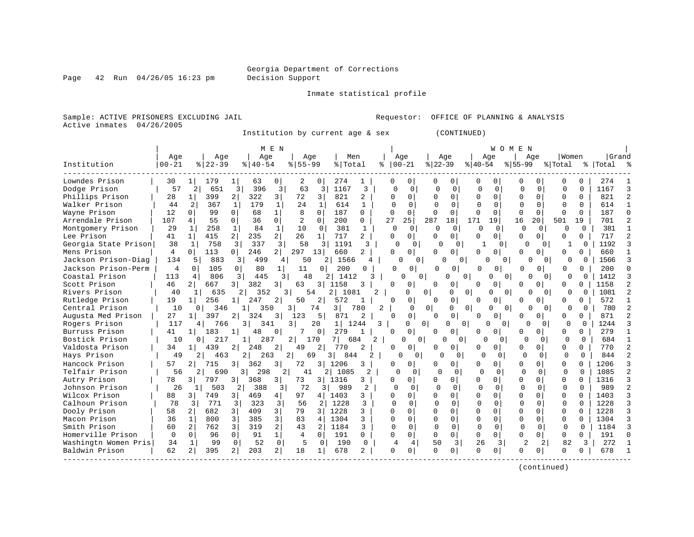Page  $42$  Run  $04/26/05$  16:23 pm

Inmate statistical profile

Sample: ACTIVE PRISONERS EXCLUDING JAIL **Requestor:** OFFICE OF PLANNING & ANALYSIS Active inmates 04/26/2005

Institution by current age & sex (CONTINUED)

|                      |           |                       |                | M E N                   |             |              |            |          |               |                    |              |                |              | W O M                    | E N          |               |          |              |             |  |
|----------------------|-----------|-----------------------|----------------|-------------------------|-------------|--------------|------------|----------|---------------|--------------------|--------------|----------------|--------------|--------------------------|--------------|---------------|----------|--------------|-------------|--|
|                      | Aqe       |                       | Age            | Aqe                     | Aqe         |              | Men        |          | Age           |                    | Aqe          |                |              | Aqe                      |              | Aqe           | Women    |              | Grand       |  |
| Institution          | $00 - 21$ | $ 22-39$              |                | $8   40 - 54$           | $8155 - 99$ |              | % Total    |          | $ 00-21$<br>⊱ |                    | $ 22-39 $    |                | $ 40-54 $    |                          | $ 55-99$     |               | % Total  |              | %   Total % |  |
| Lowndes Prison       | 30        | 179                   |                | 63<br>$\Omega$          | 2           | $\Omega$     | 274        | 1        | O             | 0                  | 0            | 0              | 0            | O                        | 0            | $\Omega$      | U        | O            | 274         |  |
| Dodge Prison         | 57        | 651<br>2              | 3              | 396<br>3                | 63          | 3            | 1167       | 3        | $\cap$        | $\Omega$           | $\Omega$     | $\Omega$       | $\Omega$     | $\Omega$                 | U            | 0             | $\cap$   | $\cap$       | 1167        |  |
| Phillips Prison      | 28        | 399                   | $\overline{2}$ | 322<br>3                | 72          | 3            | 821        | 2        | U             | $\Omega$           |              | $\Omega$       | 0            | $\Omega$                 | $\Omega$     | $\Omega$      | $\Omega$ | 0            | 821         |  |
| Walker Prison        | 44        | $\overline{a}$<br>367 | 1              | 179<br>$\mathbf{1}$     | 2.4         | $\mathbf{1}$ | 614        | 1        |               | $\Omega$           | U            | $\Omega$       | $\cap$       | $\Omega$                 | $\Omega$     | $\Omega$      | $\Omega$ | $\Omega$     | 614         |  |
| Wayne Prison         | 12        | $\Omega$<br>99        | $\Omega$       | $\mathbf 1$<br>68       | 8           | $\Omega$     | 187        | $\Omega$ | $\Omega$      | $\Omega$           | $\Omega$     | $\Omega$       | <sup>0</sup> | $\Omega$                 | $\Omega$     | $\Omega$      | $\Omega$ | U            | 187         |  |
| Arrendale Prison     | 107       | $\overline{4}$<br>55  | $\Omega$       | 36<br>$\Omega$          | 2           | $\Omega$     | 200        | 0        | 27            | 25                 | 287          | 18             | 171          | 19                       | 16           | 20            | 501      | 19           | 701         |  |
| Montgomery Prison    | 29        | 258<br>1              | 1              | 84<br>$\mathbf{1}$      | 10          | $\Omega$     | 381        | 1        | $\Omega$      | $\Omega$           | $\Omega$     | $\Omega$       | $\Omega$     | $\Omega$                 | 0            | $\Omega$      | n        | <sup>0</sup> | 381         |  |
| Lee Prison           | 41        | 415<br>1              | 2 <sup>1</sup> | $\overline{a}$<br>235   | 26          | 1            | 717        | 2        | U             | $\Omega$           | <sup>0</sup> | $\Omega$       | O            | $\Omega$                 | $\Omega$     | $\Omega$      | U        | 0            | 717         |  |
| Georgia State Prison | 38        | 758<br>1              | 3              | 337<br>3                | 58          | 3            | 1191       | ζ        |               | $\cap$             | $\cap$       | $\Omega$       |              | O.                       |              | ∩             |          | $\Omega$     | 1192        |  |
| Mens Prison          | 4         | 113<br>$\Omega$       | 0              | 246<br>21               | 297         | 131          | 660        |          | U             | 0                  |              | 0              | 0            | O                        | n            |               | U        | n.           | 660         |  |
| Jackson Prison-Diag  | 134       | 883<br>5              | 3              | 499<br>4                | 50          | 2            | 1566       |          |               | $\Omega$           | U            | $\Omega$       | U            | 0                        |              | U<br>$\Omega$ | 0        | $\Omega$     | 1566        |  |
| Jackson Prison-Perm  | 4         | 105<br>$\Omega$       | $\Omega$       | 80                      | 11          | 0            | 200        | U        | U             | $\Omega$           | U            | 0              | $\Omega$     | 0                        | O            | 0             | $\Omega$ | 0            | 200         |  |
| Coastal Prison       | 113       | 806<br>4              | 3              | 445                     | 48<br>3     | 2            | 1412       | 3        |               | 0<br>O             |              | O<br>$\Omega$  |              | $\Omega$<br>$\Omega$     |              | $\Omega$<br>O | $\Omega$ | $\Omega$     | 1412        |  |
| Scott Prison         | 46        | 2 <sub>1</sub><br>667 | $\overline{3}$ | 382<br>3                | 63          | 3 I          | 1158       |          | U             | 0                  | $\cap$       | 0              | O            | $\Omega$                 | ∩            | $\Omega$      | U        | 0            | 1158        |  |
| Rivers Prison        | 40        | 635<br>1              |                | 352                     | 54<br>31    |              | 2 1081     | 2        |               | U                  | 0            | O              | 0            | ∩<br>0                   |              | U<br>$\Omega$ | 0        | $\Omega$     | 1081        |  |
| Rutledge Prison      | 19        | 256                   |                | 247<br>2                | 50          | 2            | 572        |          | O             | 0                  |              |                | U            | $\Omega$                 |              |               | O        | 0            | 572         |  |
| Central Prison       | 10        | 346<br>01             |                | 350                     | 3           | 74           | 3 I        | 780      | 2             | $\Omega$           | $\Omega$     | $\Omega$<br>O  |              | ∩<br>$\Omega$            |              | $\Omega$      | $\Omega$ | $\Omega$     | 780         |  |
| Augusta Med Prison   | 27        | 397<br>1 <sup>1</sup> | $\overline{2}$ | 324<br>3                | 123         | 5            | 871        | 2        |               | 0                  |              | $\Omega$       | U            | ∩                        | U            | 0             | 0        | 0            | 871         |  |
| Rogers Prison        | 117       |                       | 766<br>3       | 341                     | 3           | 20           | 1 <br>1244 | 3        |               | 0<br>$\Omega$      |              | $\Omega$<br>0  |              | <sup>0</sup><br>$\Omega$ | O            | $\Omega$      | $\Omega$ | $\Omega$     | 1244        |  |
| Burruss Prison       | 41        | 183<br>1 <sup>1</sup> |                | 0<br>48                 |             | $\mathbf{0}$ | 279        | -1       |               | 0                  |              | 0              | 0            | 0                        | 0            | $\Omega$      | 0        | 0            | 279         |  |
| Bostick Prison       | 10        | 0 L                   | 217            | 287                     | 2           | 170          | 684<br>71  | 2        |               | $\cap$<br>$\Omega$ | U            | $\Omega$       | U            | 0                        | $\Omega$     | $\Omega$      | $\Omega$ | $\Omega$     | 684         |  |
| Valdosta Prison      | 34        | 439<br>1 <sup>1</sup> | $\overline{2}$ | 2<br>248                | 49          | 2            | 770        | 2        | O.            | 0                  |              | $\Omega$       | 0            | 0                        | $\Omega$     | $\Omega$      | O        | 0            | 770         |  |
| Hays Prison          | 49        |                       | 463            | 263                     | 2<br>69     | 3            | 844        | 2.       |               | 0                  | Ω            | 0              | n            | 0                        | $\Omega$     | 0             | 0        | $\Omega$     | 844         |  |
| Hancock Prison       | 57        | 715<br>2 <sub>1</sub> | 3 l            | 362<br>3                | 72          | 3 I          | 1206       | 3        | 0             | 0                  |              | $\Omega$       | 0            | 0                        | $\Omega$     | $\Omega$      | 0        | U            | 1206        |  |
| Telfair Prison       | 56        |                       | 690<br>31      | 298                     | 2<br>41     |              | 2 1085     | 2        | ∩             | $\cap$             | U            | $\cap$         | $\cap$       | $\Omega$                 | $\Omega$     | $\cap$        | $\cap$   | $\cap$       | 1085        |  |
| Autry Prison         | 78        | 797<br>31             | 3 I            | 368<br>3                | 73          | 3   1316     |            | 3        | U             | 0                  |              | $\Omega$       | 0            | $\Omega$                 | $\Omega$     | $\Omega$      | $\Omega$ | $\cap$       | 1316        |  |
| Johnson Prison       | 26        | 503<br>$\mathbf{1}$   | 2              | 388<br>3                | 72          | 3            | 989        |          | $\Omega$      | $\Omega$           | $\bigcap$    | $\Omega$       | $\Omega$     | 0                        | <sup>0</sup> | $\Omega$      | $\Omega$ | 0            | 989         |  |
| Wilcox Prison        | 88        | 749<br>$\overline{3}$ | 3 <sup>1</sup> | 469<br>4                | 97          | 4            | 1403       | 3        | O             | 0                  |              | 0              | O            | $\Omega$                 | $\Omega$     | $\Omega$      | $\Omega$ | U            | 1403        |  |
| Calhoun Prison       | 78        | 3<br>771              | 3              | 323<br>3                | 56          | 2            | 1228       | 3        | $\Omega$      | $\Omega$           | U            | 0              | $\Omega$     | $\Omega$                 | $\Omega$     | $\Omega$      | $\Omega$ | $\cap$       | 1228        |  |
| Dooly Prison         | 58        | 682<br>2              |                | 409<br>3                | 79          | 3            | 1228       | 3        | U             | 0                  | $\Omega$     | $\Omega$       | O            | $\Omega$                 | $\cap$       | $\Omega$      | $\Omega$ | 0            | 1228        |  |
| Macon Prison         | 36        | 800<br>1              | 3              | 3<br>385                | 83          | 4            | 1304       | 3        | $\cap$        | 0                  |              | $\Omega$       | U            | $\Omega$                 | $\Omega$     | $\Omega$      | $\Omega$ |              | 1304        |  |
| Smith Prison         | 60        | 762                   | 3              | 2<br>319                | 43          | 2            | 1184       | 3        | $\cap$        | $\Omega$           | $\Omega$     | $\Omega$       | $\Omega$     | $\Omega$                 | $\cap$       | $\Omega$      | $\cap$   | $\cap$       | 1184        |  |
| Homerville Prison    | $\Omega$  | 96<br>$\Omega$        | $\Omega$       | 1 <sup>1</sup><br>91    | 4           | $\Omega$     | 191        | 0        | 0             | 0                  | $\Omega$     | $\Omega$       | 0            | $\Omega$                 | $\Omega$     | $\Omega$      | $\Omega$ | 0            | 191         |  |
| Washingtn Women Pris | 34        | 99<br>1               | $\Omega$       | 0 <sup>1</sup><br>52    | 5           | 0            | 190        | $\Omega$ | 4             | 4                  | 50           | 3 <sup>1</sup> | 26           | 3                        | 2            | 2             | 82       | 3            | 272         |  |
| Baldwin Prison       | 62        | 395<br>2              | 2              | $\overline{2}$  <br>203 | 18          | $\mathbf{1}$ | 678        |          | <sup>0</sup>  | 0                  |              | $\mathbf{0}$   | O            | O                        |              | $\Omega$      | U        | U            | 678         |  |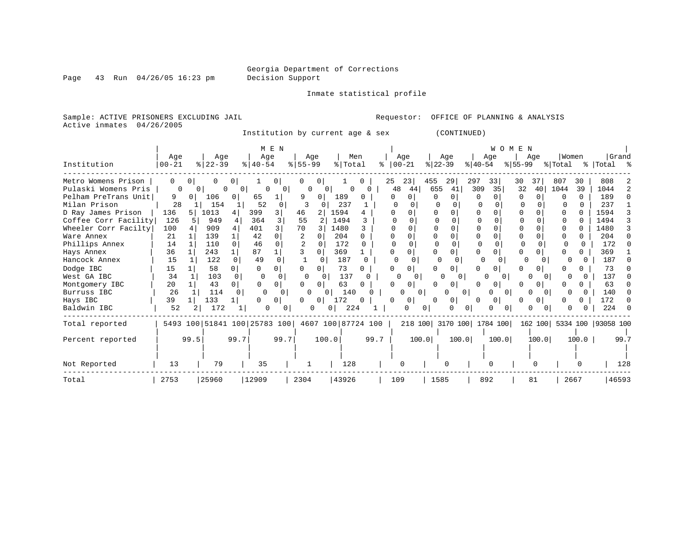Page 43 Run 04/26/05 16:23 pm

Inmate statistical profile

Sample: ACTIVE PRISONERS EXCLUDING JAIL Requestor: OFFICE OF PLANNING & ANALYSIS Active inmates 04/26/2005

Institution by current age & sex (CONTINUED)

|                      |           |                |                              |      |             | M E N        |           |          |                    |      |    |                   |          |                           |                     |           | <b>W O M</b> | E N      |          |                  |              |                            |      |
|----------------------|-----------|----------------|------------------------------|------|-------------|--------------|-----------|----------|--------------------|------|----|-------------------|----------|---------------------------|---------------------|-----------|--------------|----------|----------|------------------|--------------|----------------------------|------|
|                      | Age       |                | Age                          |      | Age         |              | Age       |          | Men                |      |    | Age               |          | Age                       |                     |           | Age          |          | Age      | Women            |              | Grand                      |      |
| Institution          | $00 - 21$ |                | $ 22-39 $                    |      | $8140 - 54$ |              | $8 55-99$ |          | % Total            |      |    | $ 00-21$          |          | $ 22-39 $                 |                     | $ 40-54 $ |              | $ 55-99$ |          | % Total          |              | %   Total %                |      |
| Metro Womens Prison  | $\Omega$  |                |                              |      |             |              |           | 0        |                    |      | 25 | 23                |          | 455                       | 29                  | 297       | 331          | 30       |          | 807              | 30           | 808                        |      |
| Pulaski Womens Pris  |           | 0 <sub>1</sub> | $\Omega$                     | 01   |             | $\Omega$     | $\Omega$  | $\Omega$ | $\Omega$           |      |    | 48                | 44       | 655                       | 41                  | 309       | 35           | 32       | 40       | 1044             | 39           | 1044                       |      |
| Pelham PreTrans Unit | 9         |                | 106                          | 0    | 65          |              | 9         | $\Omega$ | 189                |      |    | 0<br><sup>0</sup> |          | <sup>0</sup>              | $\Omega$            | 0         |              | $\Omega$ | $\Omega$ | <sup>0</sup>     | $\Omega$     | 189                        |      |
| Milan Prison         | 28        |                | 154                          |      | 52          | $\Omega$     | 3         |          | 237                |      |    |                   |          |                           |                     |           |              |          |          |                  |              | 237                        |      |
| D Ray James Prison   | 136       | 5 <sup>1</sup> | 1013                         | 4    | 399         | 3            | 46        |          | 1594               |      |    |                   |          |                           |                     |           |              | $\Omega$ |          | O                |              | 1594                       |      |
| Coffee Corr Facility | 126       |                | 949                          |      | 364         |              | 55        | 2        | 1494               |      |    |                   |          |                           |                     |           |              | O        |          | <sup>0</sup>     |              | 1494                       |      |
| Wheeler Corr Facilty | 100       |                | 909                          |      | 401         |              | 70        |          | 1480               |      |    |                   |          |                           | $\Omega$            |           |              |          |          |                  |              | 1480                       |      |
| Ware Annex           | 21        |                | 139                          |      | 42          |              |           |          | 204                |      |    |                   |          |                           |                     |           |              |          |          |                  |              | 204                        |      |
| Phillips Annex       | 14        |                | 110                          |      | 46          | $\Omega$     |           |          | 172                | 0    |    |                   |          |                           |                     | ∩         |              |          |          | 0                |              | 172                        |      |
| Hays Annex           | 36        |                | 243                          |      | 87          |              |           |          | 369                |      |    | 0                 |          |                           | $\cap$              |           |              | $\Omega$ |          |                  |              | 369                        |      |
| Hancock Annex        | 15        |                | 122                          |      | 49          | $\cap$       |           |          | 187                |      |    | $\Omega$          | 0        |                           |                     |           |              |          | $\Omega$ |                  |              | 187                        |      |
| Dodge IBC            | 15        |                | 58                           |      |             |              |           |          | 73                 |      |    |                   |          |                           |                     |           | O            |          | $\Omega$ |                  |              | 73                         |      |
| West GA IBC          | 34        |                | 103                          |      | ∩           |              | 0         |          | 137                | O.   |    | $\Omega$          | $\Omega$ |                           | $\Omega$            | U         | 0 I          |          | $\Omega$ | $\left( \right)$ |              | 137                        |      |
| Montgomery IBC       | 20        |                | 43                           |      |             | 0            |           | $\Omega$ | 63                 |      |    | 0                 |          |                           | 0                   | U         | 0            |          | 0        |                  |              | 63                         |      |
| Burruss IBC          | 26        |                | 114                          | U    | 0           |              | $\Omega$  |          | 140                |      |    | <sup>0</sup>      | $\Omega$ | 0                         |                     |           | $\Omega$     |          | $\Omega$ | 0                | <sup>0</sup> | 140                        |      |
| Hays IBC             | 39        |                | 133                          |      | $\Omega$    | 0            | 0         | 01       | 172                |      | O  | 0                 |          | $\Omega$                  | 0 <sup>1</sup>      | U         | 0 I          |          |          |                  |              | 172                        |      |
| Baldwin IBC          | 52        | 2              | 172                          |      | 0           | $\mathbf{0}$ | $\Omega$  |          | 224                |      |    |                   | 0        |                           | $\overline{0}$<br>O |           | $\Omega$     |          | 0        |                  |              | 224                        |      |
| Total reported       |           |                | 5493 100 51841 100 25783 100 |      |             |              |           |          | 4607 100 87724 100 |      |    |                   |          | 218 100 3170 100 1784 100 |                     |           |              |          |          |                  |              | 162 100 5334 100 93058 100 |      |
|                      |           |                |                              |      |             |              |           |          |                    |      |    |                   |          |                           |                     |           |              |          |          |                  |              |                            |      |
| Percent reported     |           | 99.5           |                              | 99.7 |             | 99.7         |           | 100.0    |                    | 99.7 |    |                   | 100.0    |                           | 100.0               |           | 100.0        |          | 100.0    |                  | 100.0        |                            | 99.7 |
|                      |           |                |                              |      |             |              |           |          |                    |      |    |                   |          |                           |                     |           |              |          |          |                  |              |                            |      |
| Not Reported         | 13        |                | 79                           |      | 35          |              | 1         |          | 128                |      |    | 0                 |          | ∩                         |                     |           |              |          |          |                  |              |                            | 128  |
| Total                | 2753      |                | 25960                        |      | 12909       |              | 2304      |          | 43926              |      |    | 109               |          | 1585                      |                     | 892       |              |          | 81       |                  | 2667         | 46593                      |      |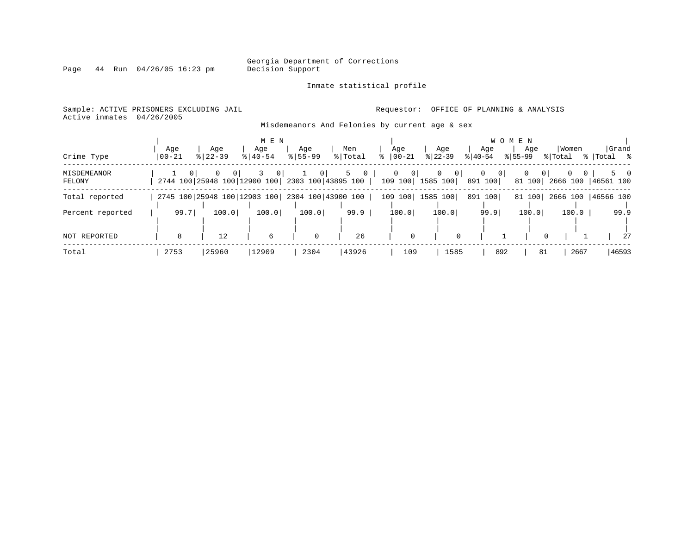Inmate statistical profile

Page  $44$  Run  $04/26/05$  16:23 pm

Active inmates 04/26/2005

Sample: ACTIVE PRISONERS EXCLUDING JAIL **Requestor:** OFFICE OF PLANNING & ANALYSIS

Misdemeanors And Felonies by current age & sex

| Crime Type            | Aqe<br>$00 - 21$ | Age<br>$8122 - 39$                              | M E N<br>Age<br>$8140 - 54$ | Age<br>$8155 - 99$ | Men<br>% Total                          | Age<br>$8   00 - 21$              | Age<br>$ 22-39 $                | W O<br>Aqe<br>$ 40-54 $   | M E N<br>Age<br>$ 55-99 $           | Women<br>% Total         | Grand<br>%  Total %       |
|-----------------------|------------------|-------------------------------------------------|-----------------------------|--------------------|-----------------------------------------|-----------------------------------|---------------------------------|---------------------------|-------------------------------------|--------------------------|---------------------------|
| MISDEMEANOR<br>FELONY |                  | 0<br>2744 100 25948 100 12900 100               | $\overline{0}$              | 0 <sup>1</sup>     | 5<br>$\mathbf{0}$<br>2303 100 43895 100 | $\circ$<br>$\mathbf 0$<br>109 100 | 0<br>0 <sup>1</sup><br>1585 100 | $\overline{0}$<br>891 100 | 0 <sup>1</sup><br>$\circ$<br>81 100 | $\mathbf{0}$<br>2666 100 | $5 \qquad 0$<br>46561 100 |
| Total reported        |                  | 2745 100 25948 100 12903 100 2304 100 43900 100 |                             |                    |                                         | 109 100                           | 1585 100                        | 891 100                   | 81 100                              |                          | 2666 100   46566 100      |
| Percent reported      | 99.7             | 100.0                                           | 100.0                       | 100.0              | 99.9                                    | 100.0                             | 100.0                           | 99.9                      | 100.0                               | 100.0                    | 99.9                      |
| NOT REPORTED          | 8                | 12                                              | 6                           | $\mathbf 0$        | 26                                      | $\Omega$                          | $\Omega$                        |                           |                                     | $\mathbf 0$              | 27                        |
| Total                 | 2753             | 25960                                           | 12909                       | 2304               | 43926                                   | 109                               | 1585                            | 892                       | 81                                  | 2667                     | 46593                     |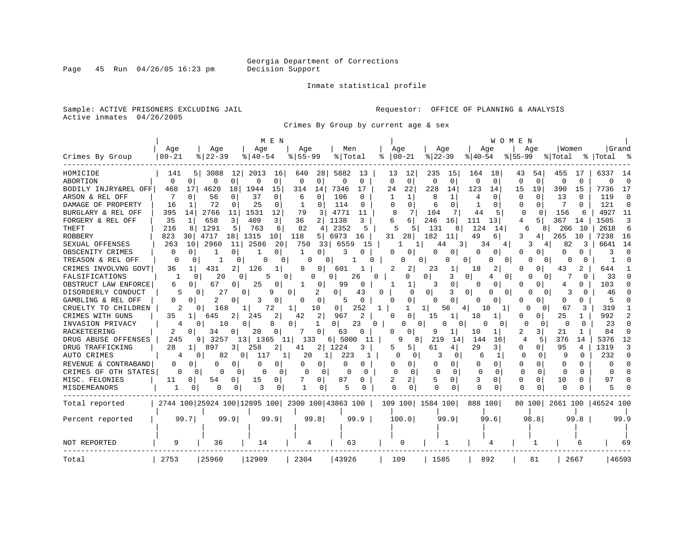Inmate statistical profile

Sample: ACTIVE PRISONERS EXCLUDING JAIL **Requestor:** OFFICE OF PLANNING & ANALYSIS Active inmates 04/26/2005

Crimes By Group by current age & sex

|                      |                   |                                                 | M E N                 |                    |                      |                       |                            |                           | WOMEN                    |                          |                 |              |
|----------------------|-------------------|-------------------------------------------------|-----------------------|--------------------|----------------------|-----------------------|----------------------------|---------------------------|--------------------------|--------------------------|-----------------|--------------|
| Crimes By Group      | Age<br>$00 - 21$  | Age<br>$8   22 - 39$                            | Age<br>$8140 - 54$    | Age<br>$8155 - 99$ | Men<br>% Total       | Age<br>$00 - 21$<br>ႜ | Age<br>$ 22-39$            | Age<br>$8140 - 54$        | Age<br>$8 55-99$         | Women<br>% Total         | Grand<br> Total | _ ≳          |
|                      |                   |                                                 |                       |                    |                      |                       |                            |                           |                          |                          |                 |              |
| HOMICIDE             | 141               | 12<br>3088<br>5                                 | 2013<br>16            | 640<br>28          | 5882<br>13           | 13<br>12              | 235<br>15                  | 18<br>164                 | 43<br>54                 | 455<br>17                | 6337            | 14           |
| <b>ABORTION</b>      | $\mathbf 0$<br>0  | $\overline{0}$<br>$\Omega$                      | $\Omega$<br>$\Omega$  | 0<br>0             | $\Omega$<br>$\Omega$ | $\Omega$<br>$\Omega$  | $\mathbf 0$<br>$\mathbf 0$ | $\mathbf 0$<br>$\Omega$   | $\Omega$<br>$\Omega$     | $\Omega$<br>$\Omega$     | $\Omega$        | $\Omega$     |
| BODILY INJRY&REL OFF | 468<br>17         | 4620<br>18                                      | 1944<br>15            | 314<br>14          | 7346<br>17           | 24<br>22              | 228<br>14                  | 123<br>14                 | 19<br>15                 | 390<br>15                | 7736            | 17           |
| ARSON & REL OFF      | 0                 | 56<br>$\Omega$                                  | 37<br>0               | 6<br>0             | 106<br>O             | 1                     | 8                          | 4<br>0                    | O<br>$\Omega$            | 13<br>$\Omega$           | 119             | $\Omega$     |
| DAMAGE OF PROPERTY   | 16                | 72<br><sup>0</sup>                              | 25<br>0               | $\Omega$           | 114<br>U             | O<br>$\Omega$         | 6<br>0                     | <sup>0</sup>              | $\Omega$<br>U            | 0                        | 121             | $\Omega$     |
| BURGLARY & REL OFF   | 395<br>14         | 2766<br>11                                      | 1531<br>12            | 79<br>3            | 4771<br>11           | 8<br>7                | 104                        | 44<br>5                   | $\Omega$<br><sup>0</sup> | 156<br>6                 | 4927            | 11           |
| FORGERY & REL OFF    | 35<br>1           | $\overline{3}$<br>658                           | 3<br>409              | 36<br>2            | 1138<br>3            | 6<br>6                | 246<br>16                  | 111<br>13                 | 5<br>4                   | 367<br>14                | 1505            | 3            |
| <b>THEFT</b>         | 216<br>8          | 1291<br>5                                       | 763<br>6              | 82<br>4            | 2352<br>5            | 5                     | 131<br>8                   | 124<br>14                 | 6<br>8                   | 266<br>10                | 2618            | 6            |
| <b>ROBBERY</b>       | 823<br>30         | 4717<br>18                                      | 1315<br>10            | 118<br>5.          | 6973<br>16           | 31<br>28              | 182<br>11                  | 49<br>6                   | 3<br>4                   | 265<br>10                | 7238            | 16           |
| SEXUAL OFFENSES      | 263<br>10         | 2960<br>11                                      | 2586<br>20            | 750<br>33          | 6559<br>15           |                       | 3<br>44                    | 34                        |                          | 82<br>3                  | 6641            | 14           |
| OBSCENITY CRIMES     | 0<br>0            | 0                                               | 0  <br>-1             | 1<br>0             | 3                    | O                     | 0<br>U                     | 0<br>0                    | O<br>0                   | 0<br>0                   |                 | n            |
| TREASON & REL OFF    | 0<br>0            | 0                                               | 0                     | 0                  |                      | 0                     | 0                          | 0<br>O.<br>0              | $\Omega$<br>0            | O                        | 1               | U            |
| CRIMES INVOLVNG GOVT | 36                | 431<br>2                                        | 126<br>1              | 0                  | 601                  | 2                     | 23<br>1                    | 18<br>2                   | 0<br>O                   | 43                       | 644             |              |
| FALSIFICATIONS       | -1                | 20<br>$\Omega$                                  | $\Omega$<br>$\Omega$  | n                  | 26<br>$\Omega$       | በ<br>O                | 0<br>3                     | $\Omega$<br>4<br>$\Omega$ | $\Omega$<br>0            | O                        | 33              | $\cap$       |
| OBSTRUCT LAW ENFORCE | 6<br><sup>0</sup> | 67<br>0                                         | 25<br>0               | 0                  | 99<br>$\Omega$       |                       | 3<br>0                     | 0<br><sup>o</sup>         | O<br>O                   | 4<br>0                   | 103             | U            |
| DISORDERLY CONDUCT   | 5                 | 27<br>n                                         | 9<br>0                | 0                  | 43<br>0              | O<br>0                | 0                          | O<br>0<br>O               | $\Omega$                 |                          | 46              |              |
| GAMBLING & REL OFF   | 0<br>0            | 2<br>O                                          | 3<br>O                | 0<br>0             | $\Omega$<br>5        | $\Omega$<br>n         | $\Omega$<br><sup>0</sup>   | 0<br><sup>o</sup>         | O<br>U                   | 0<br>0                   | 5               |              |
| CRUELTY TO CHILDREN  | 2                 | 0<br>168                                        | 72                    | 10<br>1            | 252<br>01            | 1<br>ı.               | 11<br>56                   | 10<br>4                   | U<br>$\Omega$            | 67<br>3                  | 319             |              |
| CRIMES WITH GUNS     | 35<br>1           | 645                                             | 245<br>2              | 42<br>2            | 967                  | ∩                     | 15<br>1                    | 10<br>1                   | U<br>0 <sup>1</sup>      | 25                       | 992             |              |
| INVASION PRIVACY     | 4                 | 0<br>10                                         | 0<br>8                | 0<br>1             | 23<br>0              | 0<br>O<br>$\Omega$    | U<br>0                     | 0                         | ∩<br>0                   | <sup>0</sup><br>$\Omega$ | 23              | <sup>n</sup> |
| RACKETEERING         | 2<br>0            | 34<br>0                                         | 20                    | 0                  | 63<br>U              | O                     | 9                          | 10<br>1                   | 2<br>3                   | 21                       | 84              | <sup>0</sup> |
| DRUG ABUSE OFFENSES  | 245               | 3257<br>9                                       | 13<br>1365<br>11      | 133                | $6$   5000<br>11     | 8                     | 21<br>9<br>14              | 144<br>16                 | 5<br>4                   | 376<br>14                | 5376            | 12           |
| DRUG TRAFFICKING     | 28<br>1           | 897<br>3 I                                      | 258<br>$\overline{2}$ | $2 \mid$<br>41     | 1224<br>3            | 5<br>5                | 61<br>4                    | 29<br>3                   | 0<br>$\Omega$            | 95<br>4                  | 1319            | 3            |
| AUTO CRIMES          | 4                 | 0<br>82                                         | 01<br>117<br>1        | 20<br>1            | 223<br>1             | 0<br>0                | 0                          | 6<br>1                    | $\Omega$<br>0            | 9<br>U                   | 232             | $\Omega$     |
| REVENUE & CONTRABAND | 0<br>O            | O<br>0                                          | 0<br>0                | 0<br>0             | O<br>0               | U<br>0                | 0<br>O                     | 0<br>$\Omega$             | 0<br>0                   | $\Omega$<br>O            | O               | $\Omega$     |
| CRIMES OF OTH STATES | O                 | O<br>0<br>O                                     | ∩<br>0                | ∩<br>$\Omega$      | U<br>n               | $\cap$<br>$\Omega$    | $\cap$<br><sup>0</sup>     | $\Omega$<br>∩             | $\Omega$<br>$\Omega$     | ∩<br>$\Omega$            | <sup>n</sup>    | <sup>n</sup> |
| MISC. FELONIES       | 11<br>0           | 54<br>0                                         | 15<br>0               | 0                  | 87                   | 2<br>2                | 5<br>0                     | 3<br>0                    | 0<br>$\Omega$            | 10<br>0                  | 97              | U            |
| MISDEMEANORS         | 1<br>0            | n<br>O                                          | 3<br>0                | 1                  | 5                    | U<br><sup>0</sup>     | $\Omega$                   | O<br>$\Omega$             | $\cap$<br>O              | $\cap$                   |                 |              |
| Total reported       |                   | 2744 100 25924 100 12895 100 2300 100 43863 100 |                       |                    |                      | 109 100               | 1584 100                   | 888 100                   | 80 100                   | 2661 100   46524 100     |                 |              |
|                      |                   |                                                 |                       |                    |                      |                       |                            |                           |                          |                          |                 |              |
| Percent reported     | 99.7              | 99.9                                            | 99.9                  | 99.8               | 99.9                 | 100.0                 | 99.9                       | 99.6                      | 98.8                     | 99.8                     |                 | 99.9         |
|                      |                   |                                                 |                       |                    |                      |                       |                            |                           |                          |                          |                 |              |
| <b>NOT REPORTED</b>  | 9                 | 36                                              | 14                    | 4                  | 63                   | 0                     | 1                          | 4                         |                          | 6                        |                 | 69           |
|                      |                   |                                                 |                       |                    |                      |                       |                            |                           |                          |                          |                 |              |
| Total                | 2753              | 25960                                           | 12909                 | 2304               | 43926                | 109                   | 1585                       | 892                       | 81                       | 2667                     |                 | 46593        |

Page 45 Run  $04/26/05$  16:23 pm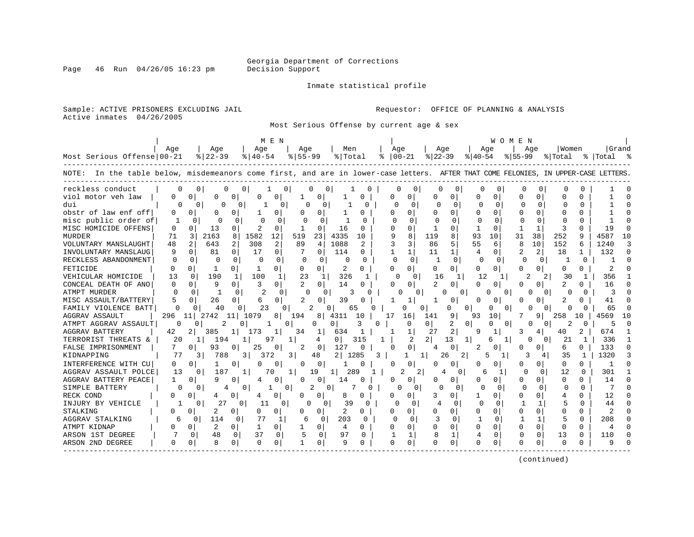Page 46 Run  $04/26/05$  16:23 pm

#### Inmate statistical profile

Sample: ACTIVE PRISONERS EXCLUDING JAIL **Requestor:** OFFICE OF PLANNING & ANALYSIS Active inmates 04/26/2005

Most Serious Offense by current age & sex

| Age<br>Age<br>Age<br>Age<br>Men<br>Age<br>Age<br>Aqe<br>Aqe<br>Women                                                                                                                | Grand<br>%   Total |
|-------------------------------------------------------------------------------------------------------------------------------------------------------------------------------------|--------------------|
|                                                                                                                                                                                     |                    |
| Most Serious Offense 00-21<br>$8 22-39$<br>$8155 - 99$<br>% Total<br>$ 22-39 $<br>$8 40-54$<br>$8   00 - 21$<br>$8 40-54$<br>$8155 - 99$<br>% Total                                 |                    |
| NOTE: In the table below, misdemeanors come first, and are in lower-case letters. AFTER THAT COME FELONIES, IN UPPER-CASE LETTERS                                                   |                    |
| reckless conduct<br>0<br>0<br>0<br>0<br>0<br>O<br>U<br>0 <sup>1</sup><br>0<br>0<br>0<br>$\Omega$<br>U                                                                               |                    |
| viol motor veh law<br>U<br>U<br>O<br>O<br>0<br>$\cap$<br><sup>0</sup><br>0  <br>U<br>0<br>0<br>n                                                                                    |                    |
| dui<br>$\Omega$<br>0<br>$\Omega$<br>$\Omega$<br>$\Omega$<br>$\Omega$<br>$\Omega$<br>0<br>$\Omega$<br>0<br>$\Omega$<br>0<br>O<br>$\Omega$<br>O                                       |                    |
| obstr of law enf off<br>0<br>0<br>0<br>0<br>0<br><sup>0</sup><br>O<br>O<br>0<br>O<br>O<br>0                                                                                         |                    |
| misc public order of<br>$\Omega$<br>$\mathbf{1}$<br>$\Omega$<br>$\Omega$<br>$\Omega$<br>U<br>∩<br>$\Omega$<br>n<br>$\Omega$<br>U<br>$\cap$<br>∩<br>U<br>∩                           |                    |
| MISC HOMICIDE OFFENS<br>13<br>2<br>$\Omega$<br>16<br>$\Omega$<br>$\Omega$<br>$\mathbf{1}$<br>3<br>$\Omega$<br>$\Omega$<br>0<br>0<br>-1<br>$\Omega$<br>0<br>-1<br><sup>0</sup><br>-1 | 19                 |
| 1582<br>12<br>8<br>8<br>MURDER<br>3<br>2163<br>8<br>519<br>4335<br>119<br>38<br>252<br>q<br>71<br>23<br>10<br>93<br>10<br>31                                                        | 4587<br>10         |
| 308<br>2<br>1088<br>3<br>5<br>VOLUNTARY MANSLAUGHT<br>643<br>2<br>89<br>2<br>86<br>55<br>10<br>152<br>6<br>48<br>4<br>6                                                             | 1240               |
| 2<br>$\Omega$<br>$\mathbf{1}$<br>$\mathbf{1}$<br>INVOLUNTARY MANSLAUG<br>9<br>0<br>81<br>$\Omega$<br>17<br>$\Omega$<br>114<br>1<br>11<br>4<br>0<br>18<br>$\mathbf{1}$<br>0          | 132                |
| $\Omega$<br>$\Omega$<br>$\Omega$<br>$\Omega$<br>RECKLESS ABANDONMENT<br>0<br>$\Omega$<br>n<br>$\Omega$<br>O<br><sup>0</sup><br>0<br>$\Omega$<br>O<br>0<br>0<br>O<br>$\Omega$<br>O   |                    |
| FETICIDE<br>2<br>$\Omega$<br>0<br>$\Omega$<br>0<br>0<br>0<br>$\Omega$<br>$\Omega$<br>0<br>O<br>0<br>$\Omega$<br>0<br>U<br><sup>0</sup><br>0<br>1                                    | 2                  |
| 326<br>$\Omega$<br>190<br>100<br>23<br>VEHICULAR HOMICIDE<br>13<br>1<br>1<br>-1<br>$\Omega$<br>16<br>30<br>C<br>1<br>12<br>2<br>2                                                   | 356                |
| 9<br>3<br>2<br>14<br>$\Omega$<br>CONCEAL DEATH OF ANO<br>$\Omega$<br>$\Omega$<br>$\Omega$<br>$\Omega$<br>$\Omega$<br>$\Omega$<br><sup>0</sup><br>$\Omega$<br>U<br>0<br>0<br>n       | 16                 |
| <b>ATMPT MURDER</b><br><sup>0</sup><br>$\Omega$<br>-1<br>0<br>3<br>0<br>$\cap$<br>0<br>∩<br>0<br>U<br>$\Omega$<br>$\Omega$<br>O                                                     | 3                  |
| MISC ASSAULT/BATTERY<br>5<br>2<br>39<br>0<br>26<br>0<br>U<br>1<br><sup>0</sup><br>U<br>0<br>6                                                                                       | 41                 |
| FAMILY VIOLENCE BATT<br>$\Omega$<br>23<br>2<br>40<br>0<br>0<br>0<br>0<br>U<br>0<br>65                                                                                               | 65                 |
| AGGRAV ASSAULT<br>296<br>2742<br>11<br>1079<br>8<br>194<br>4311<br>16<br>141<br>93<br>10<br>258<br>10<br>17                                                                         | 569                |
| ATMPT AGGRAV ASSAULT<br>2<br>2<br>0<br>O<br>3<br>0<br>0<br>$\Omega$<br>2<br>0<br>0<br>0<br>0<br>O<br>n                                                                              | 5                  |
| $\overline{2}$<br><b>AGGRAV BATTERY</b><br>385<br>27<br>42<br>173<br>34<br>634<br>1<br>9<br>40                                                                                      | 674                |
| 20<br>194<br>0<br>315<br>2<br>2 <sup>1</sup><br>21<br>TERRORIST THREATS &<br>1  <br>97<br>4<br>13<br>1<br>U<br>0<br>6                                                               | 336                |
| 7<br>93<br>0<br>FALSE IMPRISONMENT<br>0<br>25<br>2<br>127<br>0<br>O<br>0<br>$\Omega$<br>0<br>2<br>0<br>6<br>0<br>4                                                                  | 133                |
| $\overline{2}$<br>KIDNAPPING<br>77<br>788<br>3<br>3<br>1285<br>3<br>2<br>5<br>3<br>35<br>3<br>372<br>48<br>1<br>26                                                                  | 1320               |
| INTERFERENCE WITH CU<br>0<br>0<br>0<br>0<br>0<br>O<br>0<br><sup>0</sup><br>U<br>0<br><sup>0</sup><br>O<br>0<br><sup>0</sup>                                                         |                    |
| AGGRAV ASSAULT POLCE<br>12<br>13<br>187<br>19<br>289<br>2<br>2<br>U<br>$\Omega$<br>U<br>0<br>1<br>11<br>$\cap$<br>1<br>70<br>4                                                      | 301                |
| AGGRAV BATTERY PEACE<br>q<br>0<br>0<br>0<br>O<br>O<br>14<br>0<br>0<br><sup>0</sup><br>O<br>$\Omega$<br><sup>0</sup><br>0<br>O.                                                      | 14                 |
| SIMPLE BATTERY<br>$\Omega$<br>$\Omega$<br>$\Omega$<br>0<br>$\Omega$<br>0<br>2<br>0<br>$\Omega$<br>$\Omega$<br>O<br>0<br>∩<br>$\Omega$<br>O<br>0<br>4                                | 7                  |
| RECK COND<br>8<br>0<br>O<br>0<br>U<br>0<br>0<br>4<br>0<br>0<br>0<br>0<br>0<br>0<br>0<br>4<br>1                                                                                      | 12                 |
| 27<br>11<br>39<br>5<br>$\cap$<br>INJURY BY VEHICLE<br>-1<br>0<br>0<br>U<br>0<br>O<br>0<br>$\Omega$<br>$\Omega$<br>$\Omega$<br>1<br>0                                                | 44                 |
| 2<br>STALKING<br>2<br>$\Omega$<br>$\Omega$<br>0<br>O<br>$\Omega$<br>U<br>0<br>$\Omega$<br>Λ<br>$\Omega$<br>0<br>0<br>$\Omega$<br>0<br><sup>0</sup><br>0<br>O                        | $\mathfrak{D}$     |
| AGGRAV STALKING<br>б<br>114<br>0<br>203<br>0<br>1<br>0<br>77<br>6<br>$\Omega$<br>0<br>$\Omega$                                                                                      | 208                |
| ATMPT KIDNAP<br>2<br>$\Omega$<br>$\Omega$<br>U<br>$\Omega$<br>$\cap$<br>U<br>U<br>$\Omega$<br>0<br>-1<br>4<br>U<br>U<br>0<br>U<br>U<br>0                                            | 4                  |
| 48<br>37<br>5<br>97<br>ARSON 1ST DEGREE<br>$\Omega$<br>$\Omega$<br>$\mathbf{1}$<br>$\Omega$<br>13<br>0<br>$\Omega$<br>$\Omega$<br>0<br>1<br>O<br>O                                  | 110                |
| 8<br>$\Omega$<br>$\Omega$<br>9<br>0<br>ARSON 2ND DEGREE<br>U<br>0<br>0<br>O<br>0<br>U<br>U<br>0<br><sup>0</sup><br>O<br>O<br>U                                                      | q                  |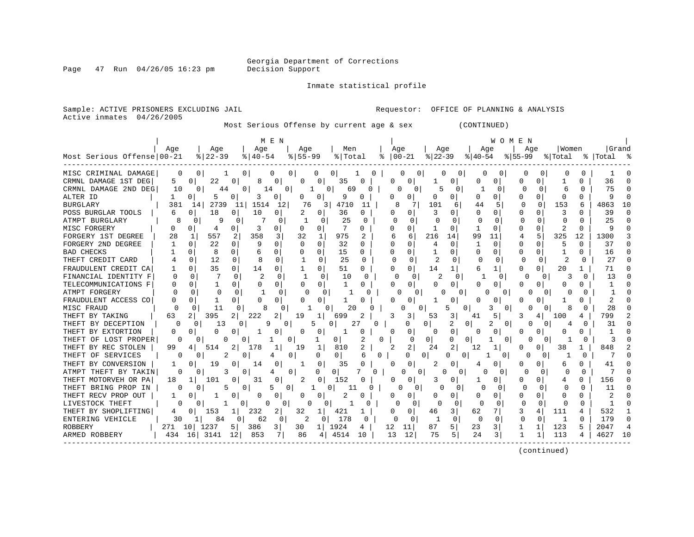Page  $47$  Run  $04/26/05$  16:23 pm

#### Inmate statistical profile

Active inmates 04/26/2005

Sample: ACTIVE PRISONERS EXCLUDING JAIL **Requestor:** OFFICE OF PLANNING & ANALYSIS

Most Serious Offense by current age & sex (CONTINUED)

|                            |              |                       | M E N                      |                                |                            |                              |                     | <b>WOMEN</b>      |                            |                                     |
|----------------------------|--------------|-----------------------|----------------------------|--------------------------------|----------------------------|------------------------------|---------------------|-------------------|----------------------------|-------------------------------------|
| Most Serious Offense 00-21 | Aqe          | Age<br>$8 22-39$      | Age<br>$8 40-54$           | Aqe<br>$8155 - 99$             | Men<br>% Total             | Age<br>$\frac{1}{6}$   00-21 | Aqe<br>$8 22-39$    | Age<br>$8 40-54$  | Aqe<br>$8 55-99$           | Grand<br>Women<br>% Total % Total % |
|                            |              |                       |                            |                                |                            |                              |                     |                   |                            |                                     |
| MISC CRIMINAL DAMAGE       | 0            | $\Omega$              | $\mathbf{0}$               | 0 <sup>1</sup>                 | 0<br>$\Omega$              |                              | 0<br>$\Omega$       | $\Omega$          | O                          |                                     |
| CRMNL DAMAGE 1ST DEG       | 5            | $\Omega$<br>22        | 0<br>0<br>8                | $\mathbf{0}$<br>0              | 35<br>$\Omega$             | 0<br><sup>0</sup>            |                     | 0                 | <sup>0</sup>               | 36<br><sup>0</sup>                  |
| CRMNL DAMAGE 2ND DEG       | 10           | $\Omega$<br>44        | 0 <sup>1</sup><br>14       | 0 <sup>1</sup>                 | 69<br>$\Omega$<br>$\Omega$ |                              | 0                   |                   | U<br><sup>0</sup>          | 75                                  |
| ALTER ID                   |              |                       | 0<br>3<br>0                | 0                              | q                          | 0                            | 0                   |                   | O                          | $\Omega$                            |
| <b>BURGLARY</b>            | 381          | 2739<br>14            | 1514<br>11                 | 12 <br>76                      | 4710<br>3<br>11            | 8                            | 101<br>6            | 44                | 153<br>$\Omega$            | 4863<br>6                           |
| POSS BURGLAR TOOLS         |              | 18                    | 10<br>0                    | 2<br>0                         | 36<br>0                    | 0<br>0                       |                     | <sup>0</sup>      | 3                          | 39<br><sup>0</sup>                  |
| ATMPT BURGLARY             |              | q<br>0                |                            | $\Omega$<br>0                  | 25<br><sup>0</sup>         |                              | U                   | O                 |                            | 25<br>$\Omega$                      |
| MISC FORGERY               |              | O.<br>4               | 3<br>0<br>0                | 0                              |                            | 0                            |                     | U                 | $\Omega$                   | $\Omega$                            |
| FORGERY 1ST DEGREE         | 28           | 557<br>$\mathbf{1}$   | $\overline{2}$<br>358<br>3 | 32                             | 975<br>2                   | 6                            | 216<br>14           | 99<br>11          | 5<br>325                   | 12<br>1300                          |
| FORGERY 2ND DEGREE         |              | 22                    | 9<br>$\Omega$<br>$\Omega$  | $\Omega$<br>$\Omega$           | 32<br>$\cap$               | $\Omega$<br>0                | O<br>$\overline{4}$ | 0                 | $\Omega$<br>$\Omega$<br>5  | $\Omega$<br>37                      |
| <b>BAD CHECKS</b>          |              |                       | $\Omega$<br>6              | 0                              | 15<br>0                    | $\Omega$                     |                     | $\Omega$          | $\Omega$                   | 16<br><sup>0</sup>                  |
| THEFT CREDIT CARD          |              | 12                    | $\Omega$<br>0              | $\Omega$                       | 25<br>O                    |                              | U<br>Z.             | <sup>0</sup>      | $\Omega$                   | 27<br><sup>0</sup>                  |
| FRAUDULENT CREDIT CA       |              | 35                    | $\Omega$<br>14             | $\Omega$                       | 51<br>0                    | 0<br>O                       | 14                  | 1                 | 20<br>O<br>0               | 71                                  |
| FINANCIAL IDENTITY F       |              | $\cap$                | $\overline{c}$             | O                              | 10<br>U                    |                              |                     |                   |                            | 13                                  |
| TELECOMMUNICATIONS F       |              | 0                     | O<br>0                     | O<br>0                         |                            | 0<br>U                       | O<br>0              | 0<br>U            |                            | U                                   |
| ATMPT FORGERY              |              | $\Omega$              | 0                          | O<br>$\Omega$                  | 0                          | 0                            |                     |                   | $\Omega$                   |                                     |
| FRAUDULENT ACCESS CO       |              |                       |                            | 0                              |                            | 0                            |                     | 0                 |                            | 0                                   |
| MISC FRAUD                 |              | 11                    | 0<br>8                     | <sup>0</sup>                   | 20<br>0<br>Ω               |                              | ҕ<br>0              | 3                 | 8<br>O<br>0                | 28<br>O                             |
| THEFT BY TAKING            | 63           | 395<br>$\overline{2}$ | 222<br>2<br>2              | 19<br>1                        | 699<br>2                   | 3                            | 3<br>53             | 5<br>41           | 100<br>3<br>4              | 799<br>4                            |
| THEFT BY DECEPTION         |              | 13<br>0               | 9<br>0                     | 0                              | 27<br>0<br>0               |                              | 2<br>0              | 2<br>0            | 0                          | 31                                  |
| THEFT BY EXTORTION         |              | <sup>0</sup>          | 0                          | 0<br>0                         |                            | 0<br>0                       | 0<br>0              | 0<br><sup>0</sup> | 0                          | 0                                   |
| THEFT OF LOST PROPER       | 0            |                       |                            | 0                              | 0<br>$\Omega$              | $\Omega$                     | 0<br>$\Omega$       | $\Omega$<br>0     | 0<br>$\Omega$              |                                     |
| THEFT BY REC STOLEN        | 99           | 514<br>4              | 2<br>178                   | 19<br>1                        | 810<br>2                   | 2<br>2                       | 24<br>2             | 12<br>1           | 38<br>0<br>0               | 848                                 |
| THEFT OF SERVICES          | 0            | 2<br>0                | 0                          | 0<br>O                         | $\Omega$<br>0<br>6         | 0                            | <sup>0</sup><br>O   | $\mathbf{0}$<br>0 | 0<br>0                     |                                     |
| THEFT BY CONVERSION        |              | 19                    | $\Omega$<br>14<br>0        | 0                              | 35<br><sup>0</sup>         | 0<br><sup>0</sup>            | $\Omega$            | 0<br>4            | U<br>O                     | N<br>41                             |
| ATMPT THEFT BY TAKIN       | <sup>0</sup> | 3                     | 0                          | 0<br>0                         | 0<br>$\Omega$              | U                            | 0<br>$\Omega$       | 0                 | 0                          | <sup>0</sup>                        |
| THEFT MOTORVEH OR PA       | 18           | 101                   | 31<br>0                    | 2<br>0                         | 152                        | O.<br>0                      |                     | 0                 | <sup>0</sup>               | 156<br>O                            |
| THEFT BRING PROP IN        | <sup>0</sup> | 5                     | 5<br>0                     | 0                              | 11                         | 0                            | 0                   | 0                 |                            | 11<br>$\Omega$                      |
| THEFT RECV PROP OUT        |              |                       | 0<br>0                     | 0<br>0                         |                            | 0<br>0                       | 0                   | 0                 | $\Omega$                   | 0                                   |
| LIVESTOCK THEFT            | 0            |                       | 0<br>0                     |                                | 0                          | <sup>0</sup>                 | ſ<br>0              |                   | 0<br>0<br>0                | $\Omega$                            |
| THEFT BY SHOPLIFTING       |              | 153                   | 232<br>1                   | 32<br>1                        | 421                        | 0<br>0                       | 46<br>3             | 62<br>7           | 111<br>3<br>$\overline{4}$ | 532<br>4                            |
| ENTERING VEHICLE           | 30           | 84                    | 62<br>$\Omega$             | $\overline{a}$<br><sup>0</sup> | 178<br><sup>0</sup>        |                              | 0                   | $\cap$            |                            | 179<br>$\Omega$                     |

ROBBERY | 271 10| 1237 5| 386 3| 30 1| 1924 4 | 12 11| 87 5| 23 3| 1 1| 123 5 | 2047 4 ARMED ROBBERY | 434 16| 3141 12| 853 7| 86 4| 4514 10 | 13 12| 75 5| 24 3| 1 1| 113 4 | 4627 10 ------------------------------------------------------------------------------------------------------------------------------------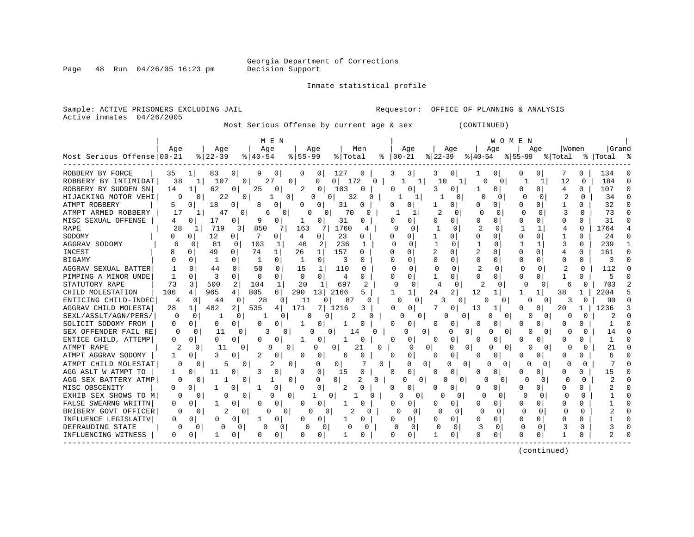Page 48 Run  $04/26/05$  16:23 pm

Inmate statistical profile

Sample: ACTIVE PRISONERS EXCLUDING JAIL **Requestor:** OFFICE OF PLANNING & ANALYSIS Active inmates 04/26/2005

Most Serious Offense by current age & sex (CONTINUED)

|                            |              |                       |                       | M E N               |                         |                       |              |                          |                                      |                                  | WOMEN                |          |                      |         |
|----------------------------|--------------|-----------------------|-----------------------|---------------------|-------------------------|-----------------------|--------------|--------------------------|--------------------------------------|----------------------------------|----------------------|----------|----------------------|---------|
|                            | Aqe          |                       | Age                   | Age                 | Aqe                     |                       | Men          | Age                      | Age                                  | Age                              | Aqe                  | Women    |                      | l Grand |
| Most Serious Offense 00-21 |              | $\frac{8}{22} - 39$   |                       | $8   40 - 54$       | $8 55-99$               | % Total               |              | $\approx$   00-21        | %   22-39                            |                                  |                      | % Total  | %   Total            |         |
| ROBBERY BY FORCE           | 35           | 83<br>1 <sup>1</sup>  | 0                     | 9<br>0 <sup>1</sup> | 0<br>0                  | 127                   | 0            | 3 <sup>1</sup><br>3      | 0<br>3                               | 0                                |                      |          | 134<br>0.            |         |
| ROBBERY BY INTIMIDAT       | 38           | 1                     | 107<br>0              | 27                  | 0<br>0                  | 0 <sup>1</sup><br>172 | $\mathbf{0}$ |                          | 10<br>1                              | 0<br>0<br>1                      | 1                    | 12       | 184<br>0             |         |
| ROBBERY BY SUDDEN SN       | 14           | 62<br>1               | 0                     | 25<br>0             | 2<br>0                  | 103                   | 0            | <sup>0</sup><br>0        | 3<br>0                               | 0                                | 0<br>O               | 4        | 107<br>0             | U       |
| HIJACKING MOTOR VEHI       | 9            | 0                     | 22<br>0               |                     | $\overline{0}$<br>0     | 32<br>0 <sup>1</sup>  | 0            |                          | 1<br>0                               | 0<br>0                           | C<br>0               | 2        | 34<br>0              |         |
| ATMPT ROBBERY              |              | 0<br>18               | 0                     | 0<br>8              | $\Omega$                | 31<br>0               | 0            | $\Omega$<br>0            | 0                                    | 0<br>0                           | 0<br>$\Omega$        | U        | 32                   |         |
| ATMPT ARMED ROBBERY        | 17           |                       | 47<br>0               | 6                   | $\circ$<br><sup>0</sup> | 70<br>0               | 0            |                          | 2<br>0                               | 0<br>$\Omega$                    | O<br>$\Omega$        |          | 73<br>$\Omega$       |         |
| MISC SEXUAL OFFENSE        | 4            | 0 <sup>1</sup><br>17  | 0                     | 9<br>0              | 1                       | 31<br>$\Omega$        | 0            | <sup>0</sup><br>$\Omega$ | 0                                    | 0                                | 0                    | U        | 31                   |         |
| <b>RAPE</b>                | 28           | 1                     | 719<br>3 <sup>1</sup> | 850<br>7            | 163                     | 1760                  | 4            | n<br><sup>0</sup>        | $\Omega$                             | $\overline{2}$<br>$\Omega$       | 1                    |          | 1764<br><sup>0</sup> |         |
| SODOMY                     |              | 12<br>0               | 0                     | 7<br>$\Omega$       | 4<br>0                  | 23                    | $\Omega$     | U<br>$\Omega$            | 0                                    | 0                                | $\Omega$<br>O        | U        | 24                   |         |
| AGGRAV SODOMY              |              | 0                     | 81<br>$\Omega$        | 103<br>-1           | 46                      | 236<br>2              | 1            |                          | $\Omega$                             | $\Omega$                         |                      |          | 239<br>0             |         |
| <b>INCEST</b>              |              | 0<br>49               | 0                     | 74                  | 26<br>1                 | 157                   | 0            | $\Omega$                 | 0                                    | 0                                | $\Omega$<br>$\Omega$ |          | 161<br>0             |         |
| <b>BIGAMY</b>              |              | 0                     | $\Omega$              | -1<br>0             | 0<br>1                  | 3                     | O.           | U<br>$\Omega$            | $\Omega$<br>0                        | 0<br><sup>0</sup>                | 0                    | U        | 3                    |         |
| AGGRAV SEXUAL BATTER       |              | $\Omega$              | 44<br>$\Omega$        | $\Omega$<br>50      | 15                      | 110<br>1              | $\Omega$     | $\Omega$<br>∩            | $\Omega$<br>∩                        | 2<br>$\Omega$                    | 0                    |          | 112<br>0             |         |
| PIMPING A MINOR UNDE       |              | $\cap$                | 3<br>$\Omega$         | 0<br>0              | 0<br>$\Omega$           | 4                     | 0            | U<br>0                   | 0                                    | 0                                | U                    | U        | 5                    |         |
| STATUTORY RAPE             | 73           | 3<br>500              | 2                     | $\mathbf{1}$<br>104 | 20                      | 697<br>1              | 2            | $\Omega$                 | $\Omega$                             | 2<br>$\Omega$                    | $\Omega$             | 6        | 703<br>$\Omega$      |         |
| CHILD MOLESTATION          | 106          | $\overline{4}$<br>965 | 4                     | 805<br>б.           | 290<br>13 <sup>1</sup>  | 2166                  |              |                          | 24<br>2                              | 12                               |                      | 38       | 2204                 |         |
| ENTICING CHILD-INDEC       | 4            | $\Omega$              | 44<br>0               | 28                  | 0 I<br>11               | 87<br>0               | 0            |                          | 3<br>0                               | 0<br>0                           |                      |          | 90                   |         |
| AGGRAV CHILD MOLESTA       | 28           | 482                   | 2                     | 535<br>4            | 171                     | 7  <br>1216           | 3            | <sup>0</sup><br>0        | 0                                    | 13                               | 0<br>O               | 20       | 1236                 |         |
| SEXL/ASSLT/AGN/PERS/       |              | $\Omega$              | $\Omega$              | 0                   | $\Omega$                |                       |              |                          | 0                                    | 0<br>0                           | $\Omega$             |          |                      |         |
| SOLICIT SODOMY FROM        | 0            | 0                     | 0<br>$\Omega$         | $\Omega$<br>0       |                         |                       | 0            | 0<br>0                   | $\Omega$<br><sup>0</sup>             | <sup>0</sup><br>0                | 0<br>O               |          |                      |         |
| SEX OFFENDER FAIL RE       | 0            | 0                     | 11<br>0               |                     | $\Omega$<br>U           | $\Omega$              | 14           |                          | 0                                    | $\Omega$<br>0<br>U               |                      |          | 14<br>U              |         |
| ENTICE CHILD, ATTEMP       | O.           | 0 I                   | $\Omega$<br>0         | 0<br>U              |                         | 1                     |              | <sup>0</sup><br>$\Omega$ | $\Omega$<br><sup>0</sup>             | 0<br><sup>n</sup>                | $\Omega$<br>O        |          | 1                    |         |
| ATMPT RAPE                 | 2            | $\Omega$              | 11<br>$\mathbf{0}$    |                     | 0<br>O                  | 0                     | 21<br>O      | ∩                        | 0 <sup>1</sup><br>O.                 | 0<br>$\overline{0}$<br>0         | ∩<br>$\Omega$        |          | 21<br>$\Omega$       |         |
| ATMPT AGGRAV SODOMY        |              | 0                     | 3<br>$\Omega$         | 2<br>0              | $\Omega$<br>0           | 6                     | 0            | $\mathbf 0$<br>0         | 0<br>0                               | 0<br><sup>0</sup>                | $\Omega$<br>O        | O        |                      |         |
| ATMPT CHILD MOLESTAT       | <sup>0</sup> |                       | 5<br>$\Omega$         |                     | $\Omega$<br>$\Omega$    | 0                     | $\Omega$     | $\Omega$                 | 0 <sup>1</sup><br>0                  | $\Omega$<br>$\Omega$<br>$\Omega$ | $\Omega$<br>n        |          | <sup>0</sup>         |         |
| AGG ASLT W ATMPT TO        |              | $\Omega$<br>11        | 0                     | 3<br>$\Omega$       | $\Omega$<br>$\Omega$    | 15                    | 0            | $\Omega$<br>0            | $\Omega$<br><sup>n</sup>             | 0<br>0                           | $\Omega$<br>0        | ∩        | 15                   |         |
| AGG SEX BATTERY ATMP       | $\Omega$     | <sup>0</sup>          | 1<br>0                | 1                   | 0<br>$\Omega$           | $\Omega$              | 2<br>0       | 0                        | $\Omega$<br>$\Omega$                 | $\Omega$<br>0<br><sup>0</sup>    | U<br>0               | $\Omega$ | 2<br><sup>0</sup>    |         |
| MISC OBSCENITY             | <sup>0</sup> | 0                     | 0                     | 0                   | 0<br>U                  | 2                     | U            | 0 <sup>1</sup><br>O      | 0<br>O                               | 0                                | Ω<br>0               | U        |                      |         |
| EXHIB SEX SHOWS TO M       | $\Omega$     | $\Omega$              | 0<br><sup>0</sup>     | 0                   | 0                       | $\Omega$              | 0            | U                        | $\Omega$<br>$\Omega$<br><sup>0</sup> | 0<br>$\Omega$                    | 0<br>O               | O        | $\Omega$             |         |
| FALSE SWEARNG WRITTN       | 0            | 0 <sup>1</sup>        | 0                     | 0<br>$\Omega$       | $\Omega$<br>0           |                       | 0            | 0<br>$\Omega$            | 0<br>0                               | 0<br>0                           | 0<br>0               |          |                      |         |
| BRIBERY GOVT OFFICER       | 0            | 0                     | 2<br>0                | 0                   | 0<br>0                  | 2<br>0                | 0            |                          | 0<br>0<br>$\Omega$                   | $\mathbf 0$<br>$\Omega$          | $\Omega$<br>$\Omega$ |          | O                    |         |
| INFLUENCE LEGISLATIV       |              | 0                     | 0<br>0                | 0                   | 0                       | 0                     | 0            | 0<br>0                   | 0                                    | 0                                | 0                    |          |                      |         |
| DEFRAUDING STATE           |              | 0                     | 0                     | 0<br>0              |                         | $\Omega$<br>0         | 0            | <sup>0</sup><br>0        | 0                                    | 3<br>$\Omega$                    | $\Omega$<br>Ω        |          |                      |         |
| INFLUENCING WITNESS        |              | $\Omega$              | $\Omega$              | O                   | $\Omega$                |                       | U            | U<br>$\Omega$            | $\Omega$                             | $\Omega$                         | $\Omega$             | U        | $\mathfrak{D}$       |         |

------------------------------------------------------------------------------------------------------------------------------------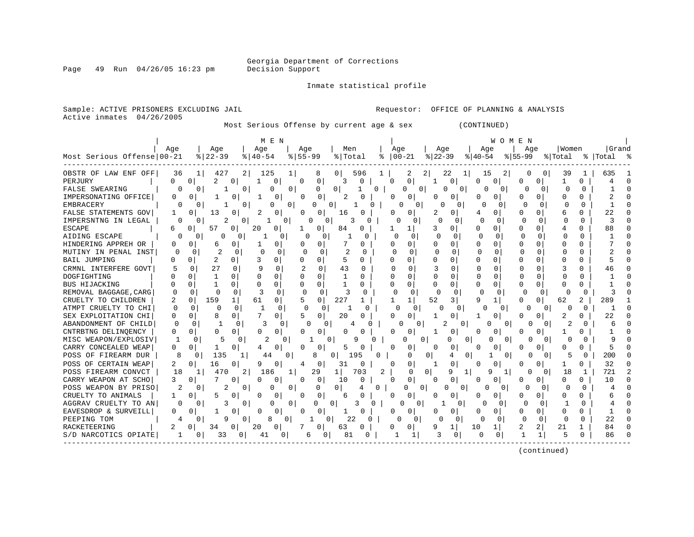Page 49 Run 04/26/05 16:23 pm

#### Inmate statistical profile

Active inmates 04/26/2005

Sample: ACTIVE PRISONERS EXCLUDING JAIL **Requestor:** OFFICE OF PLANNING & ANALYSIS

Most Serious Offense by current age & sex (CONTINUED)

| Age<br>  Grand<br>Aqe<br>Aqe<br>Men<br>Age<br>Age<br>Aqe<br>Women<br>Aqe<br>Aqe<br>Most Serious Offense 00-21<br>$8 22-39$<br>$8155 - 99$<br>$ 22-39$<br>$8   40 - 54$<br>% Total<br>$ 00-21 $<br>$8155 - 99$<br>% Total<br>%   Total<br>$ 40-54$<br>៖<br>း ေ<br>OBSTR OF LAW ENF OFF<br>427<br>0 <sup>1</sup><br>$\overline{2}$<br>22<br>36<br>2  <br>125<br>596<br>15<br>39<br>635<br>1 I<br>8<br>2<br>0<br>0<br>1<br>0<br>2<br>$\cap$<br>PERJURY<br>$\cap$<br>0<br>1<br>$\Omega$<br>0<br>3<br>$\Omega$<br>$\Omega$<br>0<br>0<br>0<br>1<br>0<br>0<br>O<br>U<br>0<br>4<br>1<br><b>FALSE SWEARING</b><br>$\Omega$<br>$\Omega$<br>1<br>$\Omega$<br>0<br>0<br>$\Omega$<br>0<br>O<br>$\Omega$<br>$\Omega$<br>0<br>0<br>O<br>0<br>O<br>IMPERSONATING OFFICE<br>0<br>$\mathcal{D}$<br>O<br>0<br>0<br>$\Omega$<br>U<br>∩<br>0<br>Ω<br>0<br>U<br>O<br><b>EMBRACERY</b><br><sup>0</sup><br>0<br>0<br>0<br>O<br><sup>0</sup><br>n<br>$\Omega$<br>0<br>0<br>0<br>O<br>FALSE STATEMENTS GOV<br>22<br>13<br>U<br>O<br>U<br>0<br><sup>0</sup><br>0<br>16<br>O<br>O<br>0<br>N<br>U<br>6<br>IMPERSNTNG IN LEGAL<br>$\Omega$<br>0<br>$\cap$<br>$\Omega$<br>$\Omega$<br>$\cap$<br>0<br><sup>0</sup><br>O<br>0<br>0<br>0<br>O<br>n<br>88<br><b>ESCAPE</b><br>20<br>0<br>57<br>$\Omega$<br>0<br>0<br>84<br>3<br>O<br>0<br>U<br>$\Omega$<br>0<br>$\Omega$<br>1<br>0<br>4<br>6<br>AIDING ESCAPE<br>$\cap$<br>$\Omega$<br>$\Omega$<br>$\Omega$<br>0<br>0<br><sup>0</sup><br>0<br>U<br>$\Omega$<br>∩<br>∩<br>∩<br>0<br>U<br>U<br>n<br>HINDERING APPREH OR<br>$\Omega$<br>0<br>$\Omega$<br>0<br>0<br>O<br>0<br>0<br><sup>0</sup><br>0<br>0<br><sup>0</sup><br>0<br>0<br>0<br>0<br>0<br>6<br>-1<br>2<br>$\Omega$<br>MUTINY IN PENAL INST<br>0<br><sup>0</sup><br>0<br>0<br>0<br>O<br>$\Omega$<br>N<br><sup>0</sup><br><sup>0</sup><br>O<br>C<br>0<br>$\Omega$<br>0<br>2<br>$\Omega$<br><b>BAIL JUMPING</b><br>0<br>3<br>0<br>$\Omega$<br>$\cap$<br>0<br>$\Omega$<br>0<br>U<br>0<br>Ω<br>$\Omega$<br>0<br>0<br>0<br>5<br>27<br>43<br>3<br>CRMNL INTERFERE GOVT<br>$\Omega$<br>$\Omega$<br>$\Omega$<br>0<br><sup>0</sup><br>U<br>$\Omega$<br>0<br>U<br>$\Omega$<br>9<br>46<br>DOGFIGHTING<br>$\cap$<br>$\Omega$<br>$\Omega$<br>1<br>U<br>$\Omega$<br>$\cap$<br>$\Omega$<br>1<br>0<br>U<br><sup>0</sup><br>U<br>0<br>U<br>U<br>0<br><b>BUS HIJACKING</b><br>$\Omega$<br>$\Omega$<br>$\Omega$<br>0<br>$\cap$<br>$\Omega$<br>0<br>$\Omega$<br>$\cap$<br>1<br>0<br>U<br>1<br>U<br>U<br>U<br>n<br>0<br>∩<br>REMOVAL BAGGAGE, CARG<br>3<br>$\Omega$<br>3<br>$\Omega$<br>$\Omega$<br>$\Omega$<br>∩<br>$\Omega$<br>$\Omega$<br>$\Omega$<br>O<br>0<br>∩<br>0<br>$\Omega$<br>∩<br>O<br>∩<br>0<br>O<br>$\Omega$<br>CRUELTY TO CHILDREN<br>159<br>227<br>52<br>289<br>2.<br>0<br>61<br>0<br>5<br>0<br>3<br>9<br>U<br>2<br>$\mathbf{1}$<br>0<br>62<br>ATMPT CRUELTY TO CHI<br>$\Omega$<br>$\Omega$<br>$\Omega$<br>0<br>U<br>0<br><sup>0</sup><br><sup>0</sup><br>$\Omega$<br>O<br>O<br>O<br>0<br>n<br>U<br>7<br>SEX EXPLOITATION CHI<br>8<br>0<br>20<br>2<br>22<br>U<br>Ω<br><sup>o</sup><br>0<br>5<br>O<br>0<br>∩<br>O<br>-1<br>0<br>0<br>O<br>ABANDONMENT OF CHILD<br>$\Omega$<br>$\Omega$<br>2<br><sup>n</sup><br>1<br>3<br>$\Omega$<br>∩<br>$\Omega$<br>0<br>0<br>$\Omega$<br>$\Omega$<br>2<br>U<br>6<br>CNTRBTNG DELINOENCY<br>0<br>O<br>0<br>O<br>0<br>0<br>0<br>0<br>0<br>O<br>Ω<br>n<br>0<br>0<br>0<br>0<br>0<br>O<br>MISC WEAPON/EXPLOSIV<br>5<br>2<br>0<br>0<br>9<br>0<br>$\Omega$<br>0<br>0<br>9<br>O<br>O<br>0<br>0<br>O.<br>$\Omega$<br>$\Omega$<br>O<br>O<br>CARRY CONCEALED WEAP<br>5<br>O<br>0<br>0<br>0<br>5<br>0<br>0<br>0<br>$\Omega$<br>0<br>4<br>O<br>0<br>0<br>Ω<br>0<br>0<br>POSS OF FIREARM DUR<br>135<br>8<br>200<br>8<br>0<br>44<br>195<br>0<br>$\Omega$<br>0<br>5<br>O<br>$\Omega$<br>0<br>C<br>0<br>4<br>$\Omega$<br>POSS OF CERTAIN WEAP<br>32<br>2<br>16<br>0<br>31<br>0<br>$\Omega$<br>0<br>9<br>0<br>0<br>0<br>0<br>0<br>4<br>0<br>N<br>POSS FIREARM CONVCT<br>29<br>721<br>2<br>18<br>470<br>21<br>186<br>$\mathbf{1}$<br>703<br>2<br>$\Omega$<br>$\Omega$<br>9<br>q<br>18<br>1<br>1<br>O<br>$\Omega$<br>1<br>1<br>CARRY WEAPON AT SCHO<br>3<br>0<br>10<br>$\cap$<br>$\Omega$<br>0<br>0<br>10<br>0<br>0<br>0<br>0<br>n<br>0<br>0<br>n<br>0<br>U<br>0<br>POSS WEAPON BY PRISO<br>0<br>$\Omega$<br>$\Omega$<br>0<br><sup>0</sup><br>0<br>0<br>O<br>$\Omega$<br>O<br>O<br><sup>0</sup><br>0<br>4<br>O<br>CRUELTY TO ANIMALS<br>0<br>5<br>0<br>0<br>U<br>0<br>$\Omega$<br>0<br><sup>0</sup><br>0<br>O<br>6<br>0<br>O<br>O<br>AGGRAV CRUELTY TO AN<br><sup>0</sup><br>0<br>0<br>O<br>$\Omega$<br>3<br>0<br>C<br>O<br>O<br>3<br><sup>0</sup><br>$\Omega$<br>∩<br>$\Omega$<br>EAVESDROP & SURVEILL<br>0<br>0<br>U<br>O<br><sup>0</sup><br>∩<br>U<br>0<br>$\Omega$<br>O<br>U<br>∩<br><sup>n</sup><br>O<br>22<br>22<br>PEEPING TOM<br>$\overline{0}$<br>$\Omega$<br>$\Omega$<br>$\Omega$<br>O<br>n<br>$\Omega$<br><sup>0</sup><br>0<br>8<br>0<br>O<br>$\Omega$<br>Ω<br>O<br>O<br>2<br>21<br>RACKETEERING<br>34<br>20<br>9<br>10<br>2<br>84<br>0<br>0<br>0<br>63<br>U<br>O<br>1<br>U<br>O<br>O<br>S/D NARCOTICS OPIATE<br>86<br>1<br>33<br>81<br>3<br>0<br>0<br>1<br>5<br>$\mathbf{0}$<br>01<br>41<br>0<br>0<br>O<br>O<br>Ω<br>6 |  |  |  | M E N |  |  |  |  |  | WOMEN |  |  |  |
|-----------------------------------------------------------------------------------------------------------------------------------------------------------------------------------------------------------------------------------------------------------------------------------------------------------------------------------------------------------------------------------------------------------------------------------------------------------------------------------------------------------------------------------------------------------------------------------------------------------------------------------------------------------------------------------------------------------------------------------------------------------------------------------------------------------------------------------------------------------------------------------------------------------------------------------------------------------------------------------------------------------------------------------------------------------------------------------------------------------------------------------------------------------------------------------------------------------------------------------------------------------------------------------------------------------------------------------------------------------------------------------------------------------------------------------------------------------------------------------------------------------------------------------------------------------------------------------------------------------------------------------------------------------------------------------------------------------------------------------------------------------------------------------------------------------------------------------------------------------------------------------------------------------------------------------------------------------------------------------------------------------------------------------------------------------------------------------------------------------------------------------------------------------------------------------------------------------------------------------------------------------------------------------------------------------------------------------------------------------------------------------------------------------------------------------------------------------------------------------------------------------------------------------------------------------------------------------------------------------------------------------------------------------------------------------------------------------------------------------------------------------------------------------------------------------------------------------------------------------------------------------------------------------------------------------------------------------------------------------------------------------------------------------------------------------------------------------------------------------------------------------------------------------------------------------------------------------------------------------------------------------------------------------------------------------------------------------------------------------------------------------------------------------------------------------------------------------------------------------------------------------------------------------------------------------------------------------------------------------------------------------------------------------------------------------------------------------------------------------------------------------------------------------------------------------------------------------------------------------------------------------------------------------------------------------------------------------------------------------------------------------------------------------------------------------------------------------------------------------------------------------------------------------------------------------------------------------------------------------------------------------------------------------------------------------------------------------------------------------------------------------------------------------------------------------------------------------------------------------------------------------------------------------------------------------------------------------------------------------------------------------------------------------------------------------------------------------------------------------------------------------------------------------------------------------------------------------------------------------------------------------------------------------------------------------------------------------------------------------------------------------------------------------------------------------------------------------------------------------------------------------------------------------------------------------------------------------------|--|--|--|-------|--|--|--|--|--|-------|--|--|--|
|                                                                                                                                                                                                                                                                                                                                                                                                                                                                                                                                                                                                                                                                                                                                                                                                                                                                                                                                                                                                                                                                                                                                                                                                                                                                                                                                                                                                                                                                                                                                                                                                                                                                                                                                                                                                                                                                                                                                                                                                                                                                                                                                                                                                                                                                                                                                                                                                                                                                                                                                                                                                                                                                                                                                                                                                                                                                                                                                                                                                                                                                                                                                                                                                                                                                                                                                                                                                                                                                                                                                                                                                                                                                                                                                                                                                                                                                                                                                                                                                                                                                                                                                                                                                                                                                                                                                                                                                                                                                                                                                                                                                                                                                                                                                                                                                                                                                                                                                                                                                                                                                                                                                                                                                                 |  |  |  |       |  |  |  |  |  |       |  |  |  |
|                                                                                                                                                                                                                                                                                                                                                                                                                                                                                                                                                                                                                                                                                                                                                                                                                                                                                                                                                                                                                                                                                                                                                                                                                                                                                                                                                                                                                                                                                                                                                                                                                                                                                                                                                                                                                                                                                                                                                                                                                                                                                                                                                                                                                                                                                                                                                                                                                                                                                                                                                                                                                                                                                                                                                                                                                                                                                                                                                                                                                                                                                                                                                                                                                                                                                                                                                                                                                                                                                                                                                                                                                                                                                                                                                                                                                                                                                                                                                                                                                                                                                                                                                                                                                                                                                                                                                                                                                                                                                                                                                                                                                                                                                                                                                                                                                                                                                                                                                                                                                                                                                                                                                                                                                 |  |  |  |       |  |  |  |  |  |       |  |  |  |
|                                                                                                                                                                                                                                                                                                                                                                                                                                                                                                                                                                                                                                                                                                                                                                                                                                                                                                                                                                                                                                                                                                                                                                                                                                                                                                                                                                                                                                                                                                                                                                                                                                                                                                                                                                                                                                                                                                                                                                                                                                                                                                                                                                                                                                                                                                                                                                                                                                                                                                                                                                                                                                                                                                                                                                                                                                                                                                                                                                                                                                                                                                                                                                                                                                                                                                                                                                                                                                                                                                                                                                                                                                                                                                                                                                                                                                                                                                                                                                                                                                                                                                                                                                                                                                                                                                                                                                                                                                                                                                                                                                                                                                                                                                                                                                                                                                                                                                                                                                                                                                                                                                                                                                                                                 |  |  |  |       |  |  |  |  |  |       |  |  |  |
|                                                                                                                                                                                                                                                                                                                                                                                                                                                                                                                                                                                                                                                                                                                                                                                                                                                                                                                                                                                                                                                                                                                                                                                                                                                                                                                                                                                                                                                                                                                                                                                                                                                                                                                                                                                                                                                                                                                                                                                                                                                                                                                                                                                                                                                                                                                                                                                                                                                                                                                                                                                                                                                                                                                                                                                                                                                                                                                                                                                                                                                                                                                                                                                                                                                                                                                                                                                                                                                                                                                                                                                                                                                                                                                                                                                                                                                                                                                                                                                                                                                                                                                                                                                                                                                                                                                                                                                                                                                                                                                                                                                                                                                                                                                                                                                                                                                                                                                                                                                                                                                                                                                                                                                                                 |  |  |  |       |  |  |  |  |  |       |  |  |  |
|                                                                                                                                                                                                                                                                                                                                                                                                                                                                                                                                                                                                                                                                                                                                                                                                                                                                                                                                                                                                                                                                                                                                                                                                                                                                                                                                                                                                                                                                                                                                                                                                                                                                                                                                                                                                                                                                                                                                                                                                                                                                                                                                                                                                                                                                                                                                                                                                                                                                                                                                                                                                                                                                                                                                                                                                                                                                                                                                                                                                                                                                                                                                                                                                                                                                                                                                                                                                                                                                                                                                                                                                                                                                                                                                                                                                                                                                                                                                                                                                                                                                                                                                                                                                                                                                                                                                                                                                                                                                                                                                                                                                                                                                                                                                                                                                                                                                                                                                                                                                                                                                                                                                                                                                                 |  |  |  |       |  |  |  |  |  |       |  |  |  |
|                                                                                                                                                                                                                                                                                                                                                                                                                                                                                                                                                                                                                                                                                                                                                                                                                                                                                                                                                                                                                                                                                                                                                                                                                                                                                                                                                                                                                                                                                                                                                                                                                                                                                                                                                                                                                                                                                                                                                                                                                                                                                                                                                                                                                                                                                                                                                                                                                                                                                                                                                                                                                                                                                                                                                                                                                                                                                                                                                                                                                                                                                                                                                                                                                                                                                                                                                                                                                                                                                                                                                                                                                                                                                                                                                                                                                                                                                                                                                                                                                                                                                                                                                                                                                                                                                                                                                                                                                                                                                                                                                                                                                                                                                                                                                                                                                                                                                                                                                                                                                                                                                                                                                                                                                 |  |  |  |       |  |  |  |  |  |       |  |  |  |
|                                                                                                                                                                                                                                                                                                                                                                                                                                                                                                                                                                                                                                                                                                                                                                                                                                                                                                                                                                                                                                                                                                                                                                                                                                                                                                                                                                                                                                                                                                                                                                                                                                                                                                                                                                                                                                                                                                                                                                                                                                                                                                                                                                                                                                                                                                                                                                                                                                                                                                                                                                                                                                                                                                                                                                                                                                                                                                                                                                                                                                                                                                                                                                                                                                                                                                                                                                                                                                                                                                                                                                                                                                                                                                                                                                                                                                                                                                                                                                                                                                                                                                                                                                                                                                                                                                                                                                                                                                                                                                                                                                                                                                                                                                                                                                                                                                                                                                                                                                                                                                                                                                                                                                                                                 |  |  |  |       |  |  |  |  |  |       |  |  |  |
|                                                                                                                                                                                                                                                                                                                                                                                                                                                                                                                                                                                                                                                                                                                                                                                                                                                                                                                                                                                                                                                                                                                                                                                                                                                                                                                                                                                                                                                                                                                                                                                                                                                                                                                                                                                                                                                                                                                                                                                                                                                                                                                                                                                                                                                                                                                                                                                                                                                                                                                                                                                                                                                                                                                                                                                                                                                                                                                                                                                                                                                                                                                                                                                                                                                                                                                                                                                                                                                                                                                                                                                                                                                                                                                                                                                                                                                                                                                                                                                                                                                                                                                                                                                                                                                                                                                                                                                                                                                                                                                                                                                                                                                                                                                                                                                                                                                                                                                                                                                                                                                                                                                                                                                                                 |  |  |  |       |  |  |  |  |  |       |  |  |  |
|                                                                                                                                                                                                                                                                                                                                                                                                                                                                                                                                                                                                                                                                                                                                                                                                                                                                                                                                                                                                                                                                                                                                                                                                                                                                                                                                                                                                                                                                                                                                                                                                                                                                                                                                                                                                                                                                                                                                                                                                                                                                                                                                                                                                                                                                                                                                                                                                                                                                                                                                                                                                                                                                                                                                                                                                                                                                                                                                                                                                                                                                                                                                                                                                                                                                                                                                                                                                                                                                                                                                                                                                                                                                                                                                                                                                                                                                                                                                                                                                                                                                                                                                                                                                                                                                                                                                                                                                                                                                                                                                                                                                                                                                                                                                                                                                                                                                                                                                                                                                                                                                                                                                                                                                                 |  |  |  |       |  |  |  |  |  |       |  |  |  |
|                                                                                                                                                                                                                                                                                                                                                                                                                                                                                                                                                                                                                                                                                                                                                                                                                                                                                                                                                                                                                                                                                                                                                                                                                                                                                                                                                                                                                                                                                                                                                                                                                                                                                                                                                                                                                                                                                                                                                                                                                                                                                                                                                                                                                                                                                                                                                                                                                                                                                                                                                                                                                                                                                                                                                                                                                                                                                                                                                                                                                                                                                                                                                                                                                                                                                                                                                                                                                                                                                                                                                                                                                                                                                                                                                                                                                                                                                                                                                                                                                                                                                                                                                                                                                                                                                                                                                                                                                                                                                                                                                                                                                                                                                                                                                                                                                                                                                                                                                                                                                                                                                                                                                                                                                 |  |  |  |       |  |  |  |  |  |       |  |  |  |
|                                                                                                                                                                                                                                                                                                                                                                                                                                                                                                                                                                                                                                                                                                                                                                                                                                                                                                                                                                                                                                                                                                                                                                                                                                                                                                                                                                                                                                                                                                                                                                                                                                                                                                                                                                                                                                                                                                                                                                                                                                                                                                                                                                                                                                                                                                                                                                                                                                                                                                                                                                                                                                                                                                                                                                                                                                                                                                                                                                                                                                                                                                                                                                                                                                                                                                                                                                                                                                                                                                                                                                                                                                                                                                                                                                                                                                                                                                                                                                                                                                                                                                                                                                                                                                                                                                                                                                                                                                                                                                                                                                                                                                                                                                                                                                                                                                                                                                                                                                                                                                                                                                                                                                                                                 |  |  |  |       |  |  |  |  |  |       |  |  |  |
|                                                                                                                                                                                                                                                                                                                                                                                                                                                                                                                                                                                                                                                                                                                                                                                                                                                                                                                                                                                                                                                                                                                                                                                                                                                                                                                                                                                                                                                                                                                                                                                                                                                                                                                                                                                                                                                                                                                                                                                                                                                                                                                                                                                                                                                                                                                                                                                                                                                                                                                                                                                                                                                                                                                                                                                                                                                                                                                                                                                                                                                                                                                                                                                                                                                                                                                                                                                                                                                                                                                                                                                                                                                                                                                                                                                                                                                                                                                                                                                                                                                                                                                                                                                                                                                                                                                                                                                                                                                                                                                                                                                                                                                                                                                                                                                                                                                                                                                                                                                                                                                                                                                                                                                                                 |  |  |  |       |  |  |  |  |  |       |  |  |  |
|                                                                                                                                                                                                                                                                                                                                                                                                                                                                                                                                                                                                                                                                                                                                                                                                                                                                                                                                                                                                                                                                                                                                                                                                                                                                                                                                                                                                                                                                                                                                                                                                                                                                                                                                                                                                                                                                                                                                                                                                                                                                                                                                                                                                                                                                                                                                                                                                                                                                                                                                                                                                                                                                                                                                                                                                                                                                                                                                                                                                                                                                                                                                                                                                                                                                                                                                                                                                                                                                                                                                                                                                                                                                                                                                                                                                                                                                                                                                                                                                                                                                                                                                                                                                                                                                                                                                                                                                                                                                                                                                                                                                                                                                                                                                                                                                                                                                                                                                                                                                                                                                                                                                                                                                                 |  |  |  |       |  |  |  |  |  |       |  |  |  |
|                                                                                                                                                                                                                                                                                                                                                                                                                                                                                                                                                                                                                                                                                                                                                                                                                                                                                                                                                                                                                                                                                                                                                                                                                                                                                                                                                                                                                                                                                                                                                                                                                                                                                                                                                                                                                                                                                                                                                                                                                                                                                                                                                                                                                                                                                                                                                                                                                                                                                                                                                                                                                                                                                                                                                                                                                                                                                                                                                                                                                                                                                                                                                                                                                                                                                                                                                                                                                                                                                                                                                                                                                                                                                                                                                                                                                                                                                                                                                                                                                                                                                                                                                                                                                                                                                                                                                                                                                                                                                                                                                                                                                                                                                                                                                                                                                                                                                                                                                                                                                                                                                                                                                                                                                 |  |  |  |       |  |  |  |  |  |       |  |  |  |
|                                                                                                                                                                                                                                                                                                                                                                                                                                                                                                                                                                                                                                                                                                                                                                                                                                                                                                                                                                                                                                                                                                                                                                                                                                                                                                                                                                                                                                                                                                                                                                                                                                                                                                                                                                                                                                                                                                                                                                                                                                                                                                                                                                                                                                                                                                                                                                                                                                                                                                                                                                                                                                                                                                                                                                                                                                                                                                                                                                                                                                                                                                                                                                                                                                                                                                                                                                                                                                                                                                                                                                                                                                                                                                                                                                                                                                                                                                                                                                                                                                                                                                                                                                                                                                                                                                                                                                                                                                                                                                                                                                                                                                                                                                                                                                                                                                                                                                                                                                                                                                                                                                                                                                                                                 |  |  |  |       |  |  |  |  |  |       |  |  |  |
|                                                                                                                                                                                                                                                                                                                                                                                                                                                                                                                                                                                                                                                                                                                                                                                                                                                                                                                                                                                                                                                                                                                                                                                                                                                                                                                                                                                                                                                                                                                                                                                                                                                                                                                                                                                                                                                                                                                                                                                                                                                                                                                                                                                                                                                                                                                                                                                                                                                                                                                                                                                                                                                                                                                                                                                                                                                                                                                                                                                                                                                                                                                                                                                                                                                                                                                                                                                                                                                                                                                                                                                                                                                                                                                                                                                                                                                                                                                                                                                                                                                                                                                                                                                                                                                                                                                                                                                                                                                                                                                                                                                                                                                                                                                                                                                                                                                                                                                                                                                                                                                                                                                                                                                                                 |  |  |  |       |  |  |  |  |  |       |  |  |  |
|                                                                                                                                                                                                                                                                                                                                                                                                                                                                                                                                                                                                                                                                                                                                                                                                                                                                                                                                                                                                                                                                                                                                                                                                                                                                                                                                                                                                                                                                                                                                                                                                                                                                                                                                                                                                                                                                                                                                                                                                                                                                                                                                                                                                                                                                                                                                                                                                                                                                                                                                                                                                                                                                                                                                                                                                                                                                                                                                                                                                                                                                                                                                                                                                                                                                                                                                                                                                                                                                                                                                                                                                                                                                                                                                                                                                                                                                                                                                                                                                                                                                                                                                                                                                                                                                                                                                                                                                                                                                                                                                                                                                                                                                                                                                                                                                                                                                                                                                                                                                                                                                                                                                                                                                                 |  |  |  |       |  |  |  |  |  |       |  |  |  |
|                                                                                                                                                                                                                                                                                                                                                                                                                                                                                                                                                                                                                                                                                                                                                                                                                                                                                                                                                                                                                                                                                                                                                                                                                                                                                                                                                                                                                                                                                                                                                                                                                                                                                                                                                                                                                                                                                                                                                                                                                                                                                                                                                                                                                                                                                                                                                                                                                                                                                                                                                                                                                                                                                                                                                                                                                                                                                                                                                                                                                                                                                                                                                                                                                                                                                                                                                                                                                                                                                                                                                                                                                                                                                                                                                                                                                                                                                                                                                                                                                                                                                                                                                                                                                                                                                                                                                                                                                                                                                                                                                                                                                                                                                                                                                                                                                                                                                                                                                                                                                                                                                                                                                                                                                 |  |  |  |       |  |  |  |  |  |       |  |  |  |
|                                                                                                                                                                                                                                                                                                                                                                                                                                                                                                                                                                                                                                                                                                                                                                                                                                                                                                                                                                                                                                                                                                                                                                                                                                                                                                                                                                                                                                                                                                                                                                                                                                                                                                                                                                                                                                                                                                                                                                                                                                                                                                                                                                                                                                                                                                                                                                                                                                                                                                                                                                                                                                                                                                                                                                                                                                                                                                                                                                                                                                                                                                                                                                                                                                                                                                                                                                                                                                                                                                                                                                                                                                                                                                                                                                                                                                                                                                                                                                                                                                                                                                                                                                                                                                                                                                                                                                                                                                                                                                                                                                                                                                                                                                                                                                                                                                                                                                                                                                                                                                                                                                                                                                                                                 |  |  |  |       |  |  |  |  |  |       |  |  |  |
|                                                                                                                                                                                                                                                                                                                                                                                                                                                                                                                                                                                                                                                                                                                                                                                                                                                                                                                                                                                                                                                                                                                                                                                                                                                                                                                                                                                                                                                                                                                                                                                                                                                                                                                                                                                                                                                                                                                                                                                                                                                                                                                                                                                                                                                                                                                                                                                                                                                                                                                                                                                                                                                                                                                                                                                                                                                                                                                                                                                                                                                                                                                                                                                                                                                                                                                                                                                                                                                                                                                                                                                                                                                                                                                                                                                                                                                                                                                                                                                                                                                                                                                                                                                                                                                                                                                                                                                                                                                                                                                                                                                                                                                                                                                                                                                                                                                                                                                                                                                                                                                                                                                                                                                                                 |  |  |  |       |  |  |  |  |  |       |  |  |  |
|                                                                                                                                                                                                                                                                                                                                                                                                                                                                                                                                                                                                                                                                                                                                                                                                                                                                                                                                                                                                                                                                                                                                                                                                                                                                                                                                                                                                                                                                                                                                                                                                                                                                                                                                                                                                                                                                                                                                                                                                                                                                                                                                                                                                                                                                                                                                                                                                                                                                                                                                                                                                                                                                                                                                                                                                                                                                                                                                                                                                                                                                                                                                                                                                                                                                                                                                                                                                                                                                                                                                                                                                                                                                                                                                                                                                                                                                                                                                                                                                                                                                                                                                                                                                                                                                                                                                                                                                                                                                                                                                                                                                                                                                                                                                                                                                                                                                                                                                                                                                                                                                                                                                                                                                                 |  |  |  |       |  |  |  |  |  |       |  |  |  |
|                                                                                                                                                                                                                                                                                                                                                                                                                                                                                                                                                                                                                                                                                                                                                                                                                                                                                                                                                                                                                                                                                                                                                                                                                                                                                                                                                                                                                                                                                                                                                                                                                                                                                                                                                                                                                                                                                                                                                                                                                                                                                                                                                                                                                                                                                                                                                                                                                                                                                                                                                                                                                                                                                                                                                                                                                                                                                                                                                                                                                                                                                                                                                                                                                                                                                                                                                                                                                                                                                                                                                                                                                                                                                                                                                                                                                                                                                                                                                                                                                                                                                                                                                                                                                                                                                                                                                                                                                                                                                                                                                                                                                                                                                                                                                                                                                                                                                                                                                                                                                                                                                                                                                                                                                 |  |  |  |       |  |  |  |  |  |       |  |  |  |
|                                                                                                                                                                                                                                                                                                                                                                                                                                                                                                                                                                                                                                                                                                                                                                                                                                                                                                                                                                                                                                                                                                                                                                                                                                                                                                                                                                                                                                                                                                                                                                                                                                                                                                                                                                                                                                                                                                                                                                                                                                                                                                                                                                                                                                                                                                                                                                                                                                                                                                                                                                                                                                                                                                                                                                                                                                                                                                                                                                                                                                                                                                                                                                                                                                                                                                                                                                                                                                                                                                                                                                                                                                                                                                                                                                                                                                                                                                                                                                                                                                                                                                                                                                                                                                                                                                                                                                                                                                                                                                                                                                                                                                                                                                                                                                                                                                                                                                                                                                                                                                                                                                                                                                                                                 |  |  |  |       |  |  |  |  |  |       |  |  |  |
|                                                                                                                                                                                                                                                                                                                                                                                                                                                                                                                                                                                                                                                                                                                                                                                                                                                                                                                                                                                                                                                                                                                                                                                                                                                                                                                                                                                                                                                                                                                                                                                                                                                                                                                                                                                                                                                                                                                                                                                                                                                                                                                                                                                                                                                                                                                                                                                                                                                                                                                                                                                                                                                                                                                                                                                                                                                                                                                                                                                                                                                                                                                                                                                                                                                                                                                                                                                                                                                                                                                                                                                                                                                                                                                                                                                                                                                                                                                                                                                                                                                                                                                                                                                                                                                                                                                                                                                                                                                                                                                                                                                                                                                                                                                                                                                                                                                                                                                                                                                                                                                                                                                                                                                                                 |  |  |  |       |  |  |  |  |  |       |  |  |  |
|                                                                                                                                                                                                                                                                                                                                                                                                                                                                                                                                                                                                                                                                                                                                                                                                                                                                                                                                                                                                                                                                                                                                                                                                                                                                                                                                                                                                                                                                                                                                                                                                                                                                                                                                                                                                                                                                                                                                                                                                                                                                                                                                                                                                                                                                                                                                                                                                                                                                                                                                                                                                                                                                                                                                                                                                                                                                                                                                                                                                                                                                                                                                                                                                                                                                                                                                                                                                                                                                                                                                                                                                                                                                                                                                                                                                                                                                                                                                                                                                                                                                                                                                                                                                                                                                                                                                                                                                                                                                                                                                                                                                                                                                                                                                                                                                                                                                                                                                                                                                                                                                                                                                                                                                                 |  |  |  |       |  |  |  |  |  |       |  |  |  |
|                                                                                                                                                                                                                                                                                                                                                                                                                                                                                                                                                                                                                                                                                                                                                                                                                                                                                                                                                                                                                                                                                                                                                                                                                                                                                                                                                                                                                                                                                                                                                                                                                                                                                                                                                                                                                                                                                                                                                                                                                                                                                                                                                                                                                                                                                                                                                                                                                                                                                                                                                                                                                                                                                                                                                                                                                                                                                                                                                                                                                                                                                                                                                                                                                                                                                                                                                                                                                                                                                                                                                                                                                                                                                                                                                                                                                                                                                                                                                                                                                                                                                                                                                                                                                                                                                                                                                                                                                                                                                                                                                                                                                                                                                                                                                                                                                                                                                                                                                                                                                                                                                                                                                                                                                 |  |  |  |       |  |  |  |  |  |       |  |  |  |
|                                                                                                                                                                                                                                                                                                                                                                                                                                                                                                                                                                                                                                                                                                                                                                                                                                                                                                                                                                                                                                                                                                                                                                                                                                                                                                                                                                                                                                                                                                                                                                                                                                                                                                                                                                                                                                                                                                                                                                                                                                                                                                                                                                                                                                                                                                                                                                                                                                                                                                                                                                                                                                                                                                                                                                                                                                                                                                                                                                                                                                                                                                                                                                                                                                                                                                                                                                                                                                                                                                                                                                                                                                                                                                                                                                                                                                                                                                                                                                                                                                                                                                                                                                                                                                                                                                                                                                                                                                                                                                                                                                                                                                                                                                                                                                                                                                                                                                                                                                                                                                                                                                                                                                                                                 |  |  |  |       |  |  |  |  |  |       |  |  |  |
|                                                                                                                                                                                                                                                                                                                                                                                                                                                                                                                                                                                                                                                                                                                                                                                                                                                                                                                                                                                                                                                                                                                                                                                                                                                                                                                                                                                                                                                                                                                                                                                                                                                                                                                                                                                                                                                                                                                                                                                                                                                                                                                                                                                                                                                                                                                                                                                                                                                                                                                                                                                                                                                                                                                                                                                                                                                                                                                                                                                                                                                                                                                                                                                                                                                                                                                                                                                                                                                                                                                                                                                                                                                                                                                                                                                                                                                                                                                                                                                                                                                                                                                                                                                                                                                                                                                                                                                                                                                                                                                                                                                                                                                                                                                                                                                                                                                                                                                                                                                                                                                                                                                                                                                                                 |  |  |  |       |  |  |  |  |  |       |  |  |  |
|                                                                                                                                                                                                                                                                                                                                                                                                                                                                                                                                                                                                                                                                                                                                                                                                                                                                                                                                                                                                                                                                                                                                                                                                                                                                                                                                                                                                                                                                                                                                                                                                                                                                                                                                                                                                                                                                                                                                                                                                                                                                                                                                                                                                                                                                                                                                                                                                                                                                                                                                                                                                                                                                                                                                                                                                                                                                                                                                                                                                                                                                                                                                                                                                                                                                                                                                                                                                                                                                                                                                                                                                                                                                                                                                                                                                                                                                                                                                                                                                                                                                                                                                                                                                                                                                                                                                                                                                                                                                                                                                                                                                                                                                                                                                                                                                                                                                                                                                                                                                                                                                                                                                                                                                                 |  |  |  |       |  |  |  |  |  |       |  |  |  |
|                                                                                                                                                                                                                                                                                                                                                                                                                                                                                                                                                                                                                                                                                                                                                                                                                                                                                                                                                                                                                                                                                                                                                                                                                                                                                                                                                                                                                                                                                                                                                                                                                                                                                                                                                                                                                                                                                                                                                                                                                                                                                                                                                                                                                                                                                                                                                                                                                                                                                                                                                                                                                                                                                                                                                                                                                                                                                                                                                                                                                                                                                                                                                                                                                                                                                                                                                                                                                                                                                                                                                                                                                                                                                                                                                                                                                                                                                                                                                                                                                                                                                                                                                                                                                                                                                                                                                                                                                                                                                                                                                                                                                                                                                                                                                                                                                                                                                                                                                                                                                                                                                                                                                                                                                 |  |  |  |       |  |  |  |  |  |       |  |  |  |
|                                                                                                                                                                                                                                                                                                                                                                                                                                                                                                                                                                                                                                                                                                                                                                                                                                                                                                                                                                                                                                                                                                                                                                                                                                                                                                                                                                                                                                                                                                                                                                                                                                                                                                                                                                                                                                                                                                                                                                                                                                                                                                                                                                                                                                                                                                                                                                                                                                                                                                                                                                                                                                                                                                                                                                                                                                                                                                                                                                                                                                                                                                                                                                                                                                                                                                                                                                                                                                                                                                                                                                                                                                                                                                                                                                                                                                                                                                                                                                                                                                                                                                                                                                                                                                                                                                                                                                                                                                                                                                                                                                                                                                                                                                                                                                                                                                                                                                                                                                                                                                                                                                                                                                                                                 |  |  |  |       |  |  |  |  |  |       |  |  |  |
|                                                                                                                                                                                                                                                                                                                                                                                                                                                                                                                                                                                                                                                                                                                                                                                                                                                                                                                                                                                                                                                                                                                                                                                                                                                                                                                                                                                                                                                                                                                                                                                                                                                                                                                                                                                                                                                                                                                                                                                                                                                                                                                                                                                                                                                                                                                                                                                                                                                                                                                                                                                                                                                                                                                                                                                                                                                                                                                                                                                                                                                                                                                                                                                                                                                                                                                                                                                                                                                                                                                                                                                                                                                                                                                                                                                                                                                                                                                                                                                                                                                                                                                                                                                                                                                                                                                                                                                                                                                                                                                                                                                                                                                                                                                                                                                                                                                                                                                                                                                                                                                                                                                                                                                                                 |  |  |  |       |  |  |  |  |  |       |  |  |  |
|                                                                                                                                                                                                                                                                                                                                                                                                                                                                                                                                                                                                                                                                                                                                                                                                                                                                                                                                                                                                                                                                                                                                                                                                                                                                                                                                                                                                                                                                                                                                                                                                                                                                                                                                                                                                                                                                                                                                                                                                                                                                                                                                                                                                                                                                                                                                                                                                                                                                                                                                                                                                                                                                                                                                                                                                                                                                                                                                                                                                                                                                                                                                                                                                                                                                                                                                                                                                                                                                                                                                                                                                                                                                                                                                                                                                                                                                                                                                                                                                                                                                                                                                                                                                                                                                                                                                                                                                                                                                                                                                                                                                                                                                                                                                                                                                                                                                                                                                                                                                                                                                                                                                                                                                                 |  |  |  |       |  |  |  |  |  |       |  |  |  |
|                                                                                                                                                                                                                                                                                                                                                                                                                                                                                                                                                                                                                                                                                                                                                                                                                                                                                                                                                                                                                                                                                                                                                                                                                                                                                                                                                                                                                                                                                                                                                                                                                                                                                                                                                                                                                                                                                                                                                                                                                                                                                                                                                                                                                                                                                                                                                                                                                                                                                                                                                                                                                                                                                                                                                                                                                                                                                                                                                                                                                                                                                                                                                                                                                                                                                                                                                                                                                                                                                                                                                                                                                                                                                                                                                                                                                                                                                                                                                                                                                                                                                                                                                                                                                                                                                                                                                                                                                                                                                                                                                                                                                                                                                                                                                                                                                                                                                                                                                                                                                                                                                                                                                                                                                 |  |  |  |       |  |  |  |  |  |       |  |  |  |
|                                                                                                                                                                                                                                                                                                                                                                                                                                                                                                                                                                                                                                                                                                                                                                                                                                                                                                                                                                                                                                                                                                                                                                                                                                                                                                                                                                                                                                                                                                                                                                                                                                                                                                                                                                                                                                                                                                                                                                                                                                                                                                                                                                                                                                                                                                                                                                                                                                                                                                                                                                                                                                                                                                                                                                                                                                                                                                                                                                                                                                                                                                                                                                                                                                                                                                                                                                                                                                                                                                                                                                                                                                                                                                                                                                                                                                                                                                                                                                                                                                                                                                                                                                                                                                                                                                                                                                                                                                                                                                                                                                                                                                                                                                                                                                                                                                                                                                                                                                                                                                                                                                                                                                                                                 |  |  |  |       |  |  |  |  |  |       |  |  |  |
|                                                                                                                                                                                                                                                                                                                                                                                                                                                                                                                                                                                                                                                                                                                                                                                                                                                                                                                                                                                                                                                                                                                                                                                                                                                                                                                                                                                                                                                                                                                                                                                                                                                                                                                                                                                                                                                                                                                                                                                                                                                                                                                                                                                                                                                                                                                                                                                                                                                                                                                                                                                                                                                                                                                                                                                                                                                                                                                                                                                                                                                                                                                                                                                                                                                                                                                                                                                                                                                                                                                                                                                                                                                                                                                                                                                                                                                                                                                                                                                                                                                                                                                                                                                                                                                                                                                                                                                                                                                                                                                                                                                                                                                                                                                                                                                                                                                                                                                                                                                                                                                                                                                                                                                                                 |  |  |  |       |  |  |  |  |  |       |  |  |  |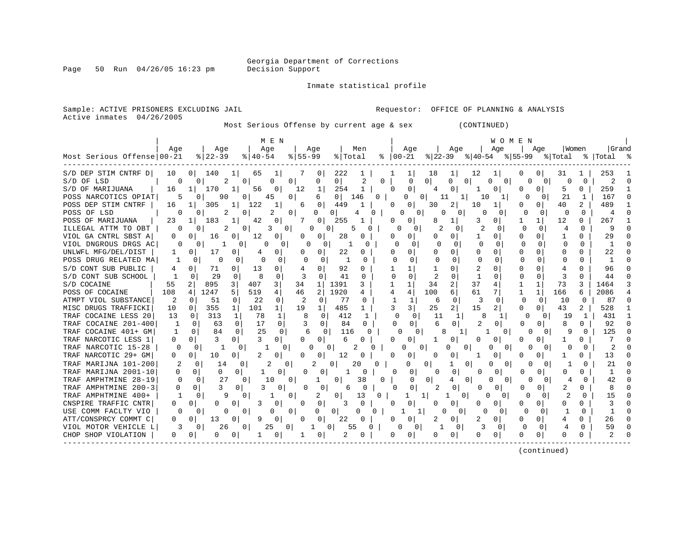Page 50 Run  $04/26/05$  16:23 pm

Inmate statistical profile

Active inmates 04/26/2005

Sample: ACTIVE PRISONERS EXCLUDING JAIL **Requestor:** OFFICE OF PLANNING & ANALYSIS

Most Serious Offense by current age & sex (CONTINUED)

|                            |          |                |                |               | M E N          |           |                      |                       |              |               |          |              |               |          | WOMEN             |              |              |              |              |           |  |
|----------------------------|----------|----------------|----------------|---------------|----------------|-----------|----------------------|-----------------------|--------------|---------------|----------|--------------|---------------|----------|-------------------|--------------|--------------|--------------|--------------|-----------|--|
|                            | Age      |                | Age            |               | Age            | Age       |                      | Men                   |              |               | Age      |              | Age           |          | Age               |              | Aqe          | Women        |              | Grand     |  |
| Most Serious Offense 00-21 |          |                | $8   22 - 39$  | $8   40 - 54$ |                | $8 55-99$ |                      | % Total               |              | $8   00 - 21$ |          | $ 22-39 $    |               | % 40-54  |                   | % 55−99      |              | % Total      |              | %   Total |  |
| S/D DEP STIM CNTRF D       | 10       | 0 <sup>1</sup> | 140            | 65            |                |           | 0                    | 222                   |              |               |          | 18           |               | 12       |                   |              | 0            | 31           |              | 253       |  |
| S/D OF LSD                 | O        | 0              | 2              | 0             | 0<br>0         |           | 0                    | 0                     | 2            | 0             | O        | 0            | 0<br>0        |          | 0<br>Ω            |              |              |              | $\Omega$     |           |  |
| S/D OF MARIJUANA           | 16       |                | 170            | 56            |                | 12        | 1                    | 254                   |              |               | $\Omega$ |              |               |          | 0                 |              | U            | 5            |              | 259       |  |
| POSS NARCOTICS OPIAT       |          |                | 90             |               | 45<br>0        |           | 6                    | 0 <sup>1</sup><br>146 | 0            |               |          | 0 I<br>11    |               | 10       |                   |              | $\Omega$     | 21           |              | 167       |  |
| POSS DEP STIM CNTRF        | 16       |                | 305<br>ı       | 122           |                | 6         | 0                    | 449                   |              |               | 0        | 30           | 2             | 10       |                   |              | 0            | 40           | 2            | 489       |  |
| POSS OF LSD                |          |                | 2              | 0             | 2<br>0         |           | O<br>0               |                       |              |               | 0<br>Ω   | <sup>0</sup> | 0             |          | 0                 |              | 0            | <sup>0</sup> | $\Omega$     |           |  |
| POSS OF MARIJUANA          | 23       |                | 183            | 42            |                |           | 0                    | 255                   |              |               | 0        | 8            |               | 3        | $\Omega$          |              |              | 12           |              | 267       |  |
| ILLEGAL ATTM TO OBT        | O        | 0              | 2              | 0             | 0<br>3         | O         | 0                    |                       |              |               | 0        |              |               |          |                   |              | 0            |              | <sup>0</sup> | q         |  |
| VIOL GA CNTRL SBST A       |          | 0              | 16<br>$\Omega$ | 12            |                | 0         | 0                    | 28                    | 0            |               |          |              |               |          | 0                 |              | 0            |              |              | 29        |  |
| VIOL DNGROUS DRGS AC       | 0        | 0              |                | 0             | 0<br>O         |           |                      |                       |              |               | $\Omega$ |              | $\Omega$      | O        | <sup>0</sup>      |              | $\Omega$     |              |              |           |  |
| UNLWFL MFG/DEL/DIST        |          | 0              | 17<br>0        |               |                | 0         | $\Omega$             | 22                    |              |               |          |              |               | U        | 0                 |              | 0            |              |              | 22        |  |
| POSS DRUG RELATED MA       |          | 0              | U              | 0             | 0              |           | $\Omega$             |                       |              |               | $\Omega$ |              | <sup>0</sup>  | $\cap$   |                   |              | $\Omega$     |              |              |           |  |
| S/D CONT SUB PUBLIC        | 4        | 0              | 71<br>0        | 13            |                | 4         | 0                    | 92                    | 0            |               |          |              |               | 2        | $\Omega$          |              | 0            |              | <sup>0</sup> | 96        |  |
| S/D CONT SUB SCHOOL        |          | $\Omega$       | 29             |               | 0              | 3         | $\Omega$             | 41                    | <sup>0</sup> |               | U        |              |               |          | $\Omega$          |              | <sup>0</sup> |              | $\Omega$     | 44        |  |
| S/D COCAINE                | 55       | 2              | 895<br>3       | 407           | 3              | 34        | $\mathbf{1}$<br>1391 |                       | 3            |               |          | 34           | 2             | 37       | 4                 |              |              | 73           | 3            | 1464      |  |
| POSS OF COCAINE            | 108      | 4              | 1247<br>5      | 519           |                | 46        | 2<br>1920            |                       | 4            |               |          | 100          | 6             | 61       | 7                 | -1           | $\mathbf{1}$ | 166          | 6            | 2086      |  |
| ATMPT VIOL SUBSTANCE       | 2        | $\Omega$       | 51<br>$\Omega$ | 22            | 0              | -2        | $\Omega$             | -77                   | 0            |               |          | 6            | $\Omega$      | 3        | 0                 | n            | $\Omega$     | 10           | $\Omega$     | 87        |  |
| MISC DRUGS TRAFFICKI       | 10       | 0              | 355<br>1       | 101           | $\mathbf{1}$   | 19        | 1                    | 485                   |              |               | 3 I      | 25           |               | 15       | 2                 | <sup>0</sup> | 0            | 43           |              | 528       |  |
| TRAF COCAINE LESS 20       | 13       | $\Omega$       | 313            | 1<br>78       | 1              | 8         | 0                    | 412                   | 1            |               | $\Omega$ | 11           | 1             | 8        |                   | ∩            | 0            | 19           |              | 431       |  |
| TRAF COCAINE 201-400       | -1       | 0              | 63             | 0<br>17       | $\Omega$       |           | 0                    | 84                    | 0            | U             | 0        |              | 0             | 2        | O                 | N            | 0            |              | 0            | 92        |  |
| TRAF COCAINE 401+ GM       | -1       | $\Omega$       | 84             | 25<br>0       | $\Omega$       | 6         | 0                    | 116                   | O            |               | O        |              |               |          | 0                 | O            | 0            |              |              | 125       |  |
| TRAF NARCOTIC LESS 1       | $\Omega$ | 0              | $\Omega$       | 3             | 0              | 0         | 0                    | 6                     | 0            |               | 0        |              |               | Ω        | $\Omega$          |              | 0            |              |              |           |  |
| TRAF NARCOTIC 15-28        | $\Omega$ |                |                | 0             | $\Omega$       | n         | 0                    | 2                     |              |               | O        | 0            | Ω<br>0        |          | <sup>0</sup><br>0 | U            | 0            |              |              |           |  |
| TRAF NARCOTIC 29+ GM       | 0        | 0              | 10<br>0        | 2             |                | 0         | 0                    | 12                    | 0            |               | $\Omega$ | O            |               |          | 0                 |              | 0            |              | <sup>0</sup> | 13        |  |
| TRAF MARIJNA 101-200       |          |                | 14             | 0             | 0              | 2         | 0                    | 20                    | U            |               | 0        | 0            | $\Omega$      |          | $\cap$<br>0       | U            | O.           |              |              | 21        |  |
| TRAF MARIJNA 2001-10       |          | 0              | 0              | 0<br>1        | 0              |           | 0                    |                       | 0            | U             | 0        |              | 0             | n        | 0                 | Ω            | 0            |              | U            |           |  |
| TRAF AMPHTMINE 28-19       | 0        | 0              | 27             |               | 10<br>0        |           |                      | 38                    |              | 0             | 0        | 0            | $\Omega$<br>4 |          | <sup>0</sup><br>0 | <sup>0</sup> | 0            |              |              |           |  |
| TRAF AMPHTMINE 200-3       | 0        | 0              |                | 0             | 0              |           | 0                    | 6                     |              |               | 0        |              | 0             | 0        |                   | Ω            | 0            |              | 0            |           |  |
| TRAF AMPHTMINE 400+        |          | 0              | 9              |               | 0              |           | 2                    | 13                    | 0            |               |          |              | 0             | $\Omega$ | 0                 | $\Omega$     | $\Omega$     | 2            |              | 15        |  |
| CNSPIRE TRAFFIC CNTR       | 0        | 0              | U<br>0         |               |                | 0         | 0                    |                       | 0            |               | 0        |              |               | 0        | 0                 |              | 0            | O            |              |           |  |
| USE COMM FACLTY VIO        | 0        | 0              | 0              |               | 0<br>0         |           | 0<br>0               | 0                     |              |               |          | 0            |               |          |                   | 0            | 0            |              |              |           |  |
| ATT/CONSPRCY COMMT C       | 0        | 0              | 13<br>0        |               |                | 0         | 0                    | 22                    | 0            |               | 0        |              | 0             |          | 0                 |              | 0            |              |              | 26        |  |
| VIOL MOTOR VEHICLE L       | 3        | O.             | 26             |               | 25<br>$\Omega$ | ำ         |                      | 55                    | U            |               |          |              | 0             |          |                   |              |              |              | $\cap$       | 59        |  |

CHOP SHOP VIOLATION | 0 0| 0 0| 1 0| 1 0| 2 0 | 0 0| 0 0| 0 0| 0 0| 0 0 | 2 0 ------------------------------------------------------------------------------------------------------------------------------------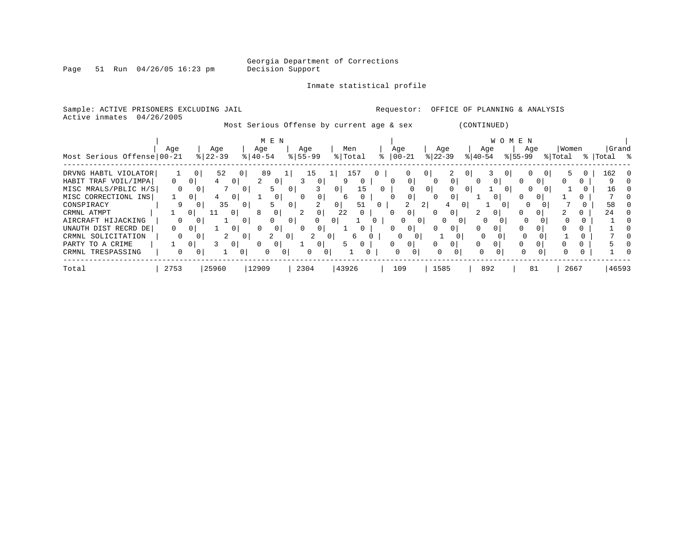Georgia Department of Corrections

Page 51 Run  $04/26/05$  16:23 pm

### Inmate statistical profile

| Sample: ACTIVE PRISONERS EXCLUDING JAIL<br>Active inmates                                                  | 04/26/2005                      |                                   |                                                                                                                                                                                                                                                                                                                                                                                                 |                                                             |                                                    |                                  |                            |                                       |                                             |                               |          | Requestor:                                 |                          | OFFICE OF PLANNING & ANALYSIS  |                          |                     |               |                                 |    |                  |          |                       |  |
|------------------------------------------------------------------------------------------------------------|---------------------------------|-----------------------------------|-------------------------------------------------------------------------------------------------------------------------------------------------------------------------------------------------------------------------------------------------------------------------------------------------------------------------------------------------------------------------------------------------|-------------------------------------------------------------|----------------------------------------------------|----------------------------------|----------------------------|---------------------------------------|---------------------------------------------|-------------------------------|----------|--------------------------------------------|--------------------------|--------------------------------|--------------------------|---------------------|---------------|---------------------------------|----|------------------|----------|-----------------------|--|
|                                                                                                            |                                 |                                   |                                                                                                                                                                                                                                                                                                                                                                                                 | Most Serious Offense by current age & sex                   |                                                    |                                  |                            |                                       |                                             |                               |          |                                            |                          |                                | (CONTINUED)              |                     |               |                                 |    |                  |          |                       |  |
| Most Serious Offense 00-21                                                                                 | Aqe                             |                                   | Age<br>$8 22-39$                                                                                                                                                                                                                                                                                                                                                                                | Age<br>$8   40 - 54$                                        | M E N                                              | Age<br>$\frac{1}{6}$   55-99     |                            |                                       | Men<br>% Total                              |                               | Age      | $ 00-21 $                                  |                          | Age<br>$ 22-39 $               |                          | Age<br>$ 40-54 $    |               | W O M E N<br>Age<br>$8155 - 99$ |    | Women<br>% Total |          | Grand<br>%   Total %  |  |
| DRVNG HABTL VIOLATOR<br>HABIT TRAF VOIL/IMPA<br>MISC MRALS/PBLIC H/S<br>MISC CORRECTIONL INS<br>CONSPIRACY | $\overline{0}$<br>$\Omega$<br>9 | 0<br> 0 <br>$\overline{0}$<br>0 I | 52<br>$4\phantom{.0000}\phantom{.0000}\phantom{.0000}\phantom{.0000}\phantom{.0000}\phantom{.0000}\phantom{.0000}\phantom{.0000}\phantom{.0000}\phantom{.0000}\phantom{.0000}\phantom{.0000}\phantom{.0000}\phantom{.0000}\phantom{.0000}\phantom{.0000}\phantom{.0000}\phantom{.0000}\phantom{.0000}\phantom{.0000}\phantom{.0000}\phantom{.0000}\phantom{.0000}\phantom{.0000}\phantom$<br>35 | 0<br>$\overline{a}$<br>$\circ$<br>$\mathbf{0}$<br>0 I<br>01 | 89<br>0 <sup>1</sup><br>5.<br>0 <sup>1</sup><br>5. | 0 <sup>1</sup><br>0 <sup>1</sup> | 15<br>0 <sup>1</sup><br>3  | 0 <sup>1</sup><br>6<br>0 <sup>1</sup> | 157<br>$\mathbf{0}$<br>15<br>$\Omega$<br>51 | $\overline{0}$<br>$\mathbf 0$ | 0        | 0 <br>0                                    | 0 <sub>1</sub><br>0<br>2 | 0 <sup>1</sup><br>$\circ$<br>4 | 0<br>0<br>0 <sub>1</sub> | $\overline{0}$<br>0 | $\cup$<br>0 I | $\Omega$                        | () |                  | $\Omega$ | 162<br>9.<br>16<br>58 |  |
| CRMNL ATMPT<br>AIRCRAFT HIJACKING                                                                          | $\Omega$                        | 0 I                               | $\Omega$                                                                                                                                                                                                                                                                                                                                                                                        | $\Omega$                                                    | 0                                                  | 0 <sup>1</sup>                   | 0<br>$\Omega$              | 22<br>$\mathbf{0}$                    | $\mathbf{0}$                                | $\mathbf{0}$                  |          | 0 <sup>1</sup><br>$\Omega$<br>$\mathbf{0}$ | $\Omega$                 | 0<br>0                         | 2.<br>$\Omega$           | $\Omega$            | $\circ$       |                                 |    |                  |          | 24                    |  |
| UNAUTH DIST RECRD DE<br>CRMNL SOLICITATION<br>PARTY TO A CRIME                                             | 0<br>$\mathbf{0}$               | 0<br>0 I<br>0 <sup>1</sup>        | 2                                                                                                                                                                                                                                                                                                                                                                                               | $\mathbf{0}$<br>0<br>0 <sup>1</sup>                         | 0<br>$\circ$                                       | $\vert 0 \vert$                  | 2<br>0 <sup>1</sup>        | 0 <sup>1</sup><br>5.                  | 6<br>$\mathbf{0}$                           |                               |          | 0<br>0<br>0                                | $\mathbf{0}$             | $\mathbf{0}$<br>0              | 0<br>0                   | 0                   |               | 0                               |    |                  | 0<br>0   |                       |  |
| CRMNL TRESPASSING                                                                                          | $\Omega$                        | 0 I                               |                                                                                                                                                                                                                                                                                                                                                                                                 | $\Omega$                                                    | $\circ$<br>$\Omega$                                |                                  | $\overline{0}$<br>$\Omega$ |                                       |                                             |                               | $\Omega$ |                                            |                          | $\Omega$<br>$\Omega$           |                          | $\Omega$            |               |                                 |    |                  |          |                       |  |
| Total                                                                                                      | 2753                            |                                   | 25960                                                                                                                                                                                                                                                                                                                                                                                           | 12909                                                       |                                                    | 2304                             |                            | 43926                                 |                                             |                               |          | 109                                        |                          | 1585                           |                          | 892                 |               | 81                              |    | 2667             |          | 46593                 |  |